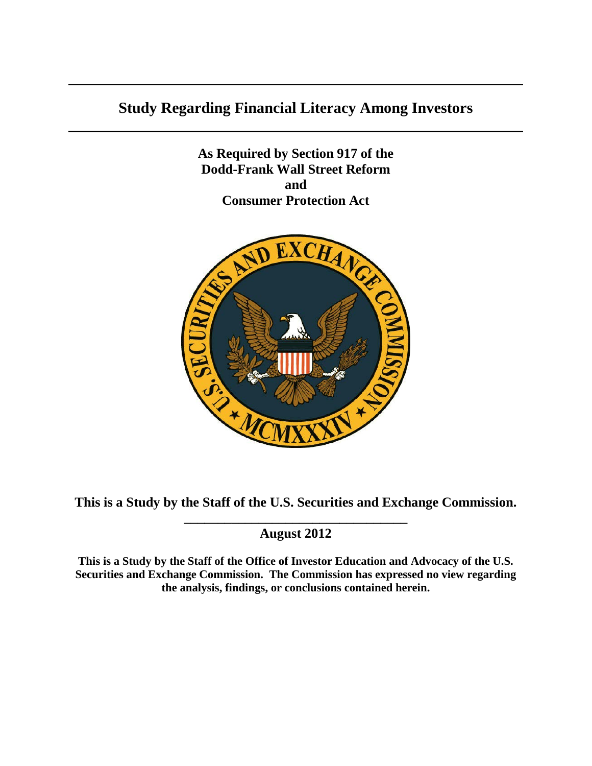# **Study Regarding Financial Literacy Among Investors**

**As Required by Section 917 of the Dodd-Frank Wall Street Reform and Consumer Protection Act**



**This is a Study by the Staff of the U.S. Securities and Exchange Commission.**

# **\_\_\_\_\_\_\_\_\_\_\_\_\_\_\_\_\_\_\_\_\_\_\_\_\_\_\_\_\_\_\_\_\_ August 2012**

**This is a Study by the Staff of the Office of Investor Education and Advocacy of the U.S. Securities and Exchange Commission. The Commission has expressed no view regarding the analysis, findings, or conclusions contained herein.**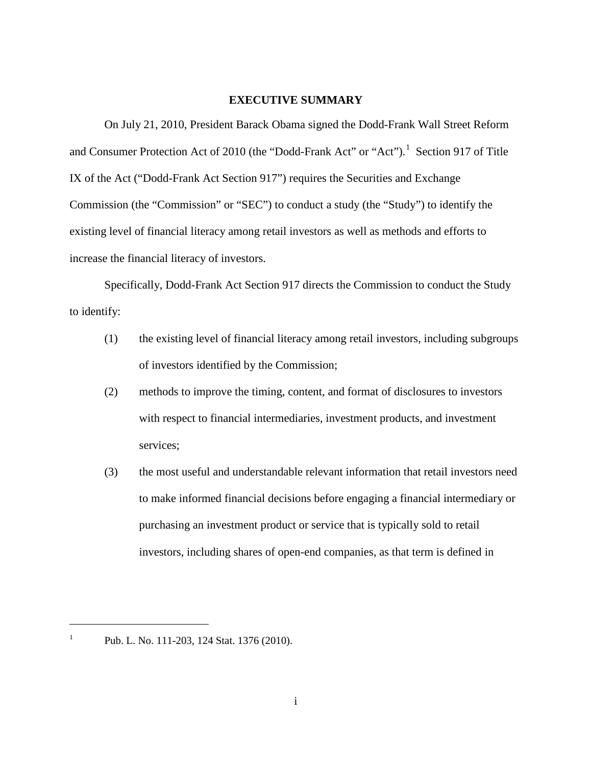#### **EXECUTIVE SUMMARY**

<span id="page-1-1"></span>On July 21, 2010, President Barack Obama signed the Dodd-Frank Wall Street Reform and Consumer Protection Act of 20[1](#page-1-0)0 (the "Dodd-Frank Act" or "Act").<sup>1</sup> Section 917 of Title IX of the Act ("Dodd-Frank Act Section 917") requires the Securities and Exchange Commission (the "Commission" or "SEC") to conduct a study (the "Study") to identify the existing level of financial literacy among retail investors as well as methods and efforts to increase the financial literacy of investors.

Specifically, Dodd-Frank Act Section 917 directs the Commission to conduct the Study to identify:

- (1) the existing level of financial literacy among retail investors, including subgroups of investors identified by the Commission;
- (2) methods to improve the timing, content, and format of disclosures to investors with respect to financial intermediaries, investment products, and investment services;
- (3) the most useful and understandable relevant information that retail investors need to make informed financial decisions before engaging a financial intermediary or purchasing an investment product or service that is typically sold to retail investors, including shares of open-end companies, as that term is defined in

<span id="page-1-0"></span><sup>&</sup>lt;sup>1</sup> Pub. L. No. 111-203, 124 Stat. 1376 (2010).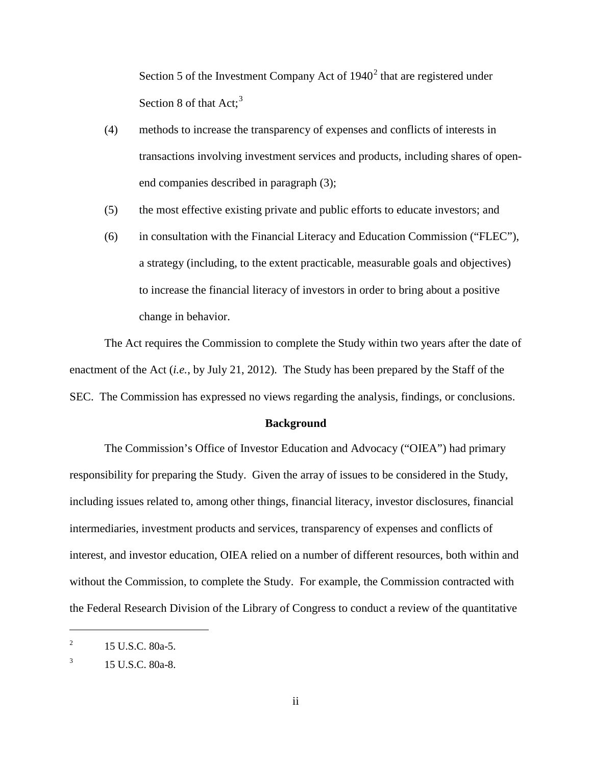Section 5 of the Investment Company Act of  $1940<sup>2</sup>$  $1940<sup>2</sup>$  $1940<sup>2</sup>$  that are registered under Section 8 of that Act;<sup>[3](#page-2-1)</sup>

- (4) methods to increase the transparency of expenses and conflicts of interests in transactions involving investment services and products, including shares of openend companies described in paragraph (3);
- (5) the most effective existing private and public efforts to educate investors; and
- (6) in consultation with the Financial Literacy and Education Commission ("FLEC"), a strategy (including, to the extent practicable, measurable goals and objectives) to increase the financial literacy of investors in order to bring about a positive change in behavior.

The Act requires the Commission to complete the Study within two years after the date of enactment of the Act (*i.e.*, by July 21, 2012). The Study has been prepared by the Staff of the SEC. The Commission has expressed no views regarding the analysis, findings, or conclusions.

#### **Background**

The Commission's Office of Investor Education and Advocacy ("OIEA") had primary responsibility for preparing the Study. Given the array of issues to be considered in the Study, including issues related to, among other things, financial literacy, investor disclosures, financial intermediaries, investment products and services, transparency of expenses and conflicts of interest, and investor education, OIEA relied on a number of different resources, both within and without the Commission, to complete the Study. For example, the Commission contracted with the Federal Research Division of the Library of Congress to conduct a review of the quantitative

<span id="page-2-0"></span><sup>&</sup>lt;sup>2</sup> 15 U.S.C. 80a-5.

<span id="page-2-1"></span> $3 \t15$  U.S.C. 80a-8.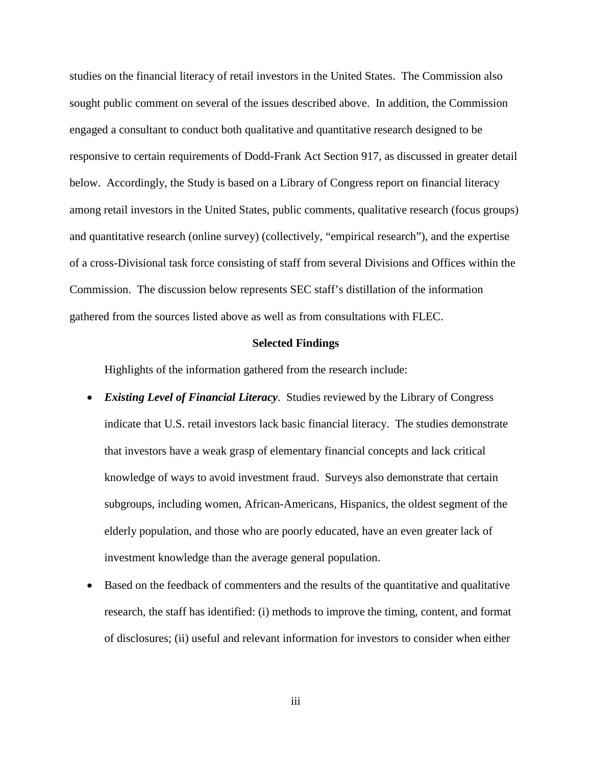studies on the financial literacy of retail investors in the United States. The Commission also sought public comment on several of the issues described above. In addition, the Commission engaged a consultant to conduct both qualitative and quantitative research designed to be responsive to certain requirements of Dodd-Frank Act Section 917, as discussed in greater detail below. Accordingly, the Study is based on a Library of Congress report on financial literacy among retail investors in the United States, public comments, qualitative research (focus groups) and quantitative research (online survey) (collectively, "empirical research"), and the expertise of a cross-Divisional task force consisting of staff from several Divisions and Offices within the Commission. The discussion below represents SEC staff's distillation of the information gathered from the sources listed above as well as from consultations with FLEC.

#### **Selected Findings**

Highlights of the information gathered from the research include:

- *Existing Level of Financial Literacy*. Studies reviewed by the Library of Congress indicate that U.S. retail investors lack basic financial literacy. The studies demonstrate that investors have a weak grasp of elementary financial concepts and lack critical knowledge of ways to avoid investment fraud. Surveys also demonstrate that certain subgroups, including women, African-Americans, Hispanics, the oldest segment of the elderly population, and those who are poorly educated, have an even greater lack of investment knowledge than the average general population.
- Based on the feedback of commenters and the results of the quantitative and qualitative research, the staff has identified: (i) methods to improve the timing, content, and format of disclosures; (ii) useful and relevant information for investors to consider when either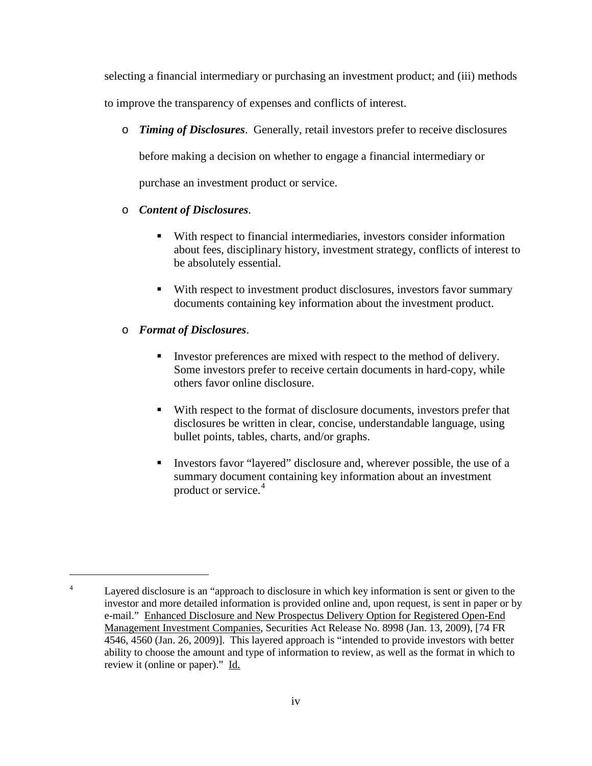selecting a financial intermediary or purchasing an investment product; and (iii) methods

to improve the transparency of expenses and conflicts of interest.

o *Timing of Disclosures*. Generally, retail investors prefer to receive disclosures

before making a decision on whether to engage a financial intermediary or

purchase an investment product or service.

# o *Content of Disclosures*.

- With respect to financial intermediaries, investors consider information about fees, disciplinary history, investment strategy, conflicts of interest to be absolutely essential.
- With respect to investment product disclosures, investors favor summary documents containing key information about the investment product.

# o *Format of Disclosures*.

- Investor preferences are mixed with respect to the method of delivery. Some investors prefer to receive certain documents in hard-copy, while others favor online disclosure.
- With respect to the format of disclosure documents, investors prefer that disclosures be written in clear, concise, understandable language, using bullet points, tables, charts, and/or graphs.
- Investors favor "layered" disclosure and, wherever possible, the use of a summary document containing key information about an investment product or service.<sup>[4](#page-4-0)</sup>

<span id="page-4-0"></span><sup>&</sup>lt;sup>4</sup> Layered disclosure is an "approach to disclosure in which key information is sent or given to the investor and more detailed information is provided online and, upon request, is sent in paper or by e-mail." Enhanced Disclosure and New Prospectus Delivery Option for Registered Open-End Management Investment Companies, Securities Act Release No. 8998 (Jan. 13, 2009), [74 FR 4546, 4560 (Jan. 26, 2009)]. This layered approach is "intended to provide investors with better ability to choose the amount and type of information to review, as well as the format in which to review it (online or paper)." Id.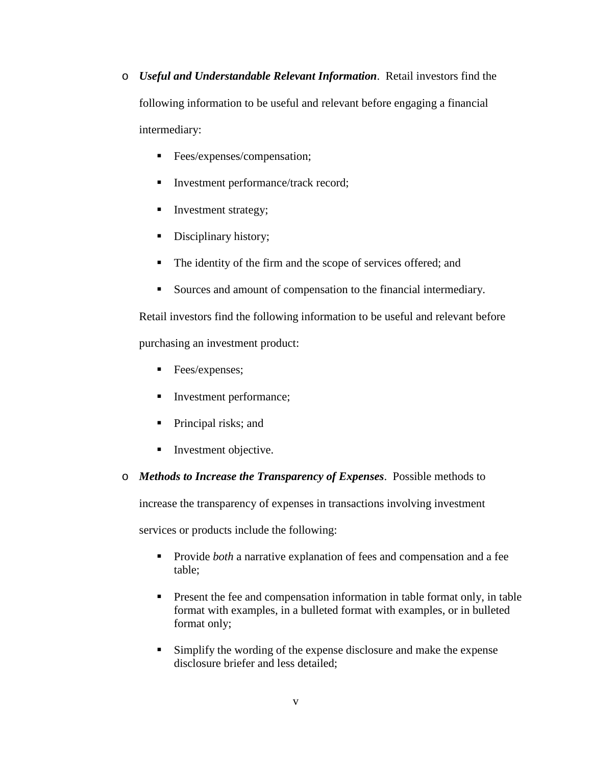- o *Useful and Understandable Relevant Information*. Retail investors find the following information to be useful and relevant before engaging a financial intermediary:
	- **Fees/expenses/compensation;**
	- Investment performance/track record;
	- Investment strategy;
	- Disciplinary history;
	- The identity of the firm and the scope of services offered; and
	- Sources and amount of compensation to the financial intermediary.

Retail investors find the following information to be useful and relevant before purchasing an investment product:

- **Fees/expenses;**
- Investment performance;
- Principal risks; and
- **Investment objective.**
- o *Methods to Increase the Transparency of Expenses*. Possible methods to

increase the transparency of expenses in transactions involving investment

services or products include the following:

- **Provide** *both* a narrative explanation of fees and compensation and a fee table;
- **Present the fee and compensation information in table formation in table** format with examples, in a bulleted format with examples, or in bulleted format only;
- Simplify the wording of the expense disclosure and make the expense disclosure briefer and less detailed;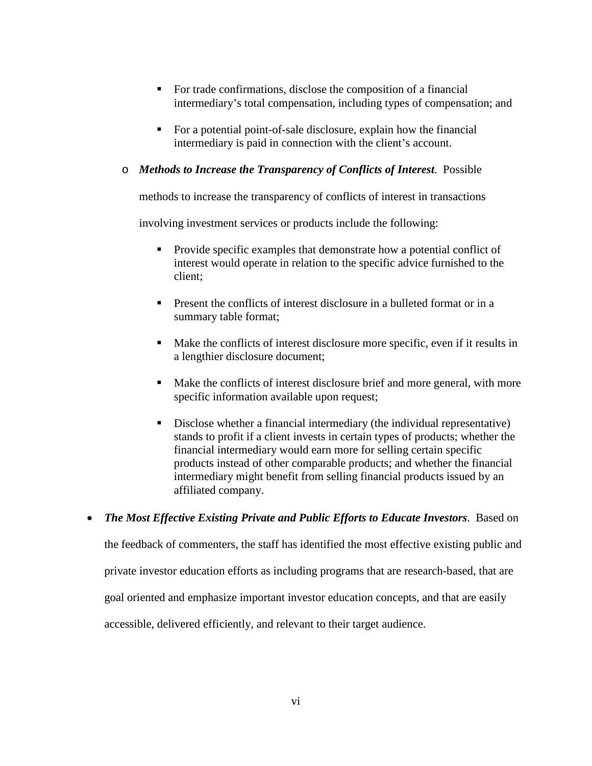- For trade confirmations, disclose the composition of a financial intermediary's total compensation, including types of compensation; and
- For a potential point-of-sale disclosure, explain how the financial intermediary is paid in connection with the client's account.

# o *Methods to Increase the Transparency of Conflicts of Interest*. Possible

methods to increase the transparency of conflicts of interest in transactions

involving investment services or products include the following:

- Provide specific examples that demonstrate how a potential conflict of interest would operate in relation to the specific advice furnished to the client;
- **Present the conflicts of interest disclosure in a bulleted format or in a** summary table format;
- Make the conflicts of interest disclosure more specific, even if it results in a lengthier disclosure document;
- Make the conflicts of interest disclosure brief and more general, with more specific information available upon request;
- Disclose whether a financial intermediary (the individual representative) stands to profit if a client invests in certain types of products; whether the financial intermediary would earn more for selling certain specific products instead of other comparable products; and whether the financial intermediary might benefit from selling financial products issued by an affiliated company.

### • *The Most Effective Existing Private and Public Efforts to Educate Investors*. Based on

the feedback of commenters, the staff has identified the most effective existing public and

private investor education efforts as including programs that are research-based, that are

goal oriented and emphasize important investor education concepts, and that are easily

accessible, delivered efficiently, and relevant to their target audience.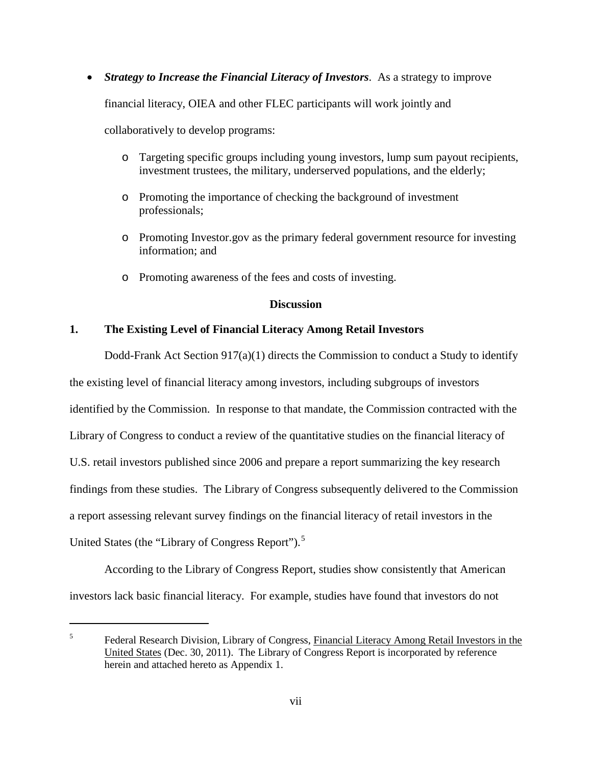• *Strategy to Increase the Financial Literacy of Investors*. As a strategy to improve

financial literacy, OIEA and other FLEC participants will work jointly and

collaboratively to develop programs:

 $\overline{a}$ 

- o Targeting specific groups including young investors, lump sum payout recipients, investment trustees, the military, underserved populations, and the elderly;
- o Promoting the importance of checking the background of investment professionals;
- o Promoting Investor.gov as the primary federal government resource for investing information; and
- o Promoting awareness of the fees and costs of investing.

#### **Discussion**

### **1. The Existing Level of Financial Literacy Among Retail Investors**

Dodd-Frank Act Section 917(a)(1) directs the Commission to conduct a Study to identify the existing level of financial literacy among investors, including subgroups of investors identified by the Commission. In response to that mandate, the Commission contracted with the Library of Congress to conduct a review of the quantitative studies on the financial literacy of U.S. retail investors published since 2006 and prepare a report summarizing the key research findings from these studies. The Library of Congress subsequently delivered to the Commission a report assessing relevant survey findings on the financial literacy of retail investors in the United States (the "Library of Congress Report").<sup>[5](#page-7-0)</sup>

According to the Library of Congress Report, studies show consistently that American investors lack basic financial literacy. For example, studies have found that investors do not

<span id="page-7-0"></span><sup>&</sup>lt;sup>5</sup> Federal Research Division, Library of Congress, Financial Literacy Among Retail Investors in the United States (Dec. 30, 2011). The Library of Congress Report is incorporated by reference herein and attached hereto as Appendix 1.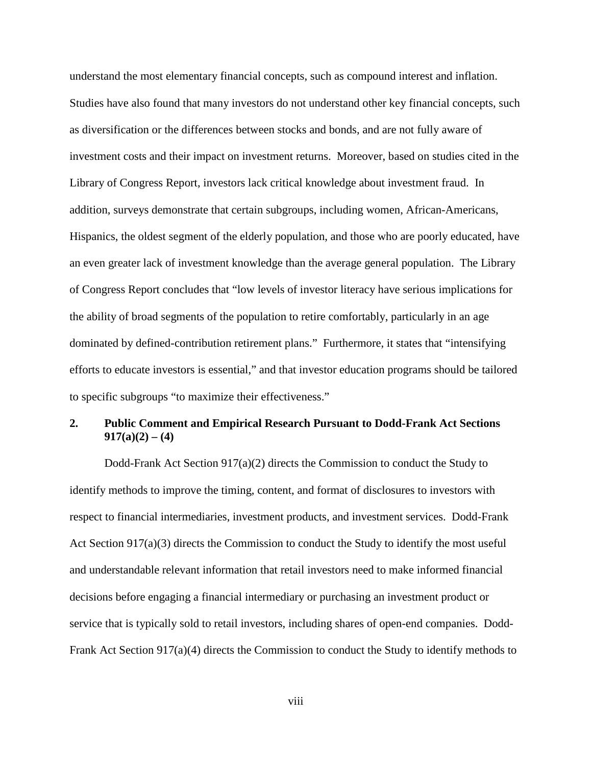understand the most elementary financial concepts, such as compound interest and inflation. Studies have also found that many investors do not understand other key financial concepts, such as diversification or the differences between stocks and bonds, and are not fully aware of investment costs and their impact on investment returns. Moreover, based on studies cited in the Library of Congress Report, investors lack critical knowledge about investment fraud. In addition, surveys demonstrate that certain subgroups, including women, African-Americans, Hispanics, the oldest segment of the elderly population, and those who are poorly educated, have an even greater lack of investment knowledge than the average general population. The Library of Congress Report concludes that "low levels of investor literacy have serious implications for the ability of broad segments of the population to retire comfortably, particularly in an age dominated by defined-contribution retirement plans." Furthermore, it states that "intensifying efforts to educate investors is essential," and that investor education programs should be tailored to specific subgroups "to maximize their effectiveness."

# **2. Public Comment and Empirical Research Pursuant to Dodd-Frank Act Sections 917(a)(2) – (4)**

Dodd-Frank Act Section 917(a)(2) directs the Commission to conduct the Study to identify methods to improve the timing, content, and format of disclosures to investors with respect to financial intermediaries, investment products, and investment services. Dodd-Frank Act Section 917(a)(3) directs the Commission to conduct the Study to identify the most useful and understandable relevant information that retail investors need to make informed financial decisions before engaging a financial intermediary or purchasing an investment product or service that is typically sold to retail investors, including shares of open-end companies. Dodd-Frank Act Section 917(a)(4) directs the Commission to conduct the Study to identify methods to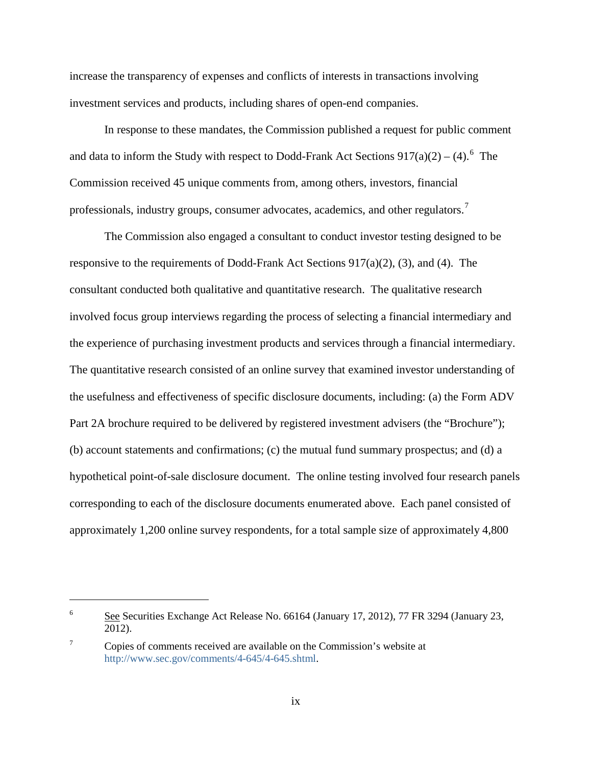increase the transparency of expenses and conflicts of interests in transactions involving investment services and products, including shares of open-end companies.

In response to these mandates, the Commission published a request for public comment and data to inform the Study with respect to Dodd-Frank Act Sections  $917(a)(2) - (4)$ .<sup>[6](#page-9-0)</sup> The Commission received 45 unique comments from, among others, investors, financial professionals, industry groups, consumer advocates, academics, and other regulators.<sup>[7](#page-9-1)</sup>

The Commission also engaged a consultant to conduct investor testing designed to be responsive to the requirements of Dodd-Frank Act Sections 917(a)(2), (3), and (4). The consultant conducted both qualitative and quantitative research. The qualitative research involved focus group interviews regarding the process of selecting a financial intermediary and the experience of purchasing investment products and services through a financial intermediary. The quantitative research consisted of an online survey that examined investor understanding of the usefulness and effectiveness of specific disclosure documents, including: (a) the Form ADV Part 2A brochure required to be delivered by registered investment advisers (the "Brochure"); (b) account statements and confirmations; (c) the mutual fund summary prospectus; and (d) a hypothetical point-of-sale disclosure document. The online testing involved four research panels corresponding to each of the disclosure documents enumerated above. Each panel consisted of approximately 1,200 online survey respondents, for a total sample size of approximately 4,800

<span id="page-9-0"></span><sup>&</sup>lt;sup>6</sup> See Securities Exchange Act Release No. 66164 (January 17, 2012), 77 FR 3294 (January 23, 2012).

<span id="page-9-1"></span><sup>7</sup> Copies of comments received are available on the Commission's website at [http://www.sec.gov/comments/4-645/4-645.shtml.](http://www.sec.gov/comments/4-645/4-645.shtml)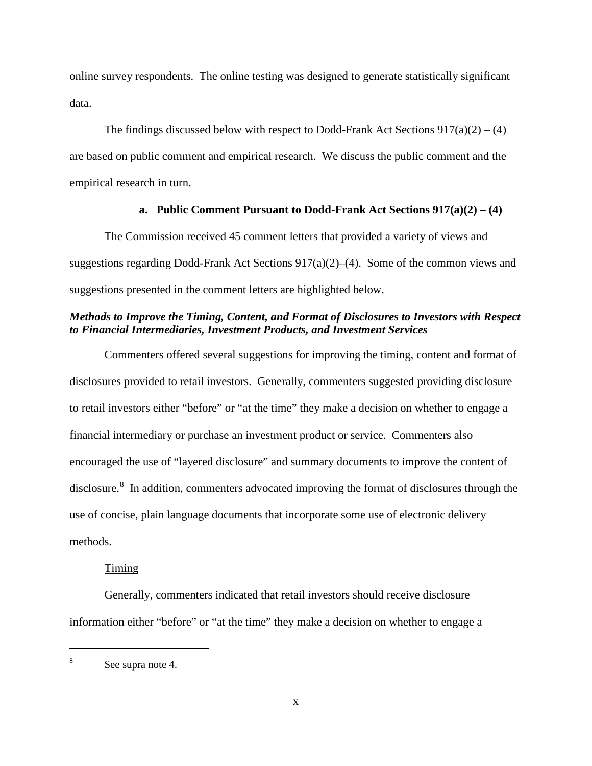online survey respondents. The online testing was designed to generate statistically significant data.

The findings discussed below with respect to Dodd-Frank Act Sections  $917(a)(2) - (4)$ are based on public comment and empirical research. We discuss the public comment and the empirical research in turn.

### **a. Public Comment Pursuant to Dodd-Frank Act Sections 917(a)(2) – (4)**

The Commission received 45 comment letters that provided a variety of views and suggestions regarding Dodd-Frank Act Sections 917(a)(2)–(4). Some of the common views and suggestions presented in the comment letters are highlighted below.

# *Methods to Improve the Timing, Content, and Format of Disclosures to Investors with Respect to Financial Intermediaries, Investment Products, and Investment Services*

Commenters offered several suggestions for improving the timing, content and format of disclosures provided to retail investors. Generally, commenters suggested providing disclosure to retail investors either "before" or "at the time" they make a decision on whether to engage a financial intermediary or purchase an investment product or service. Commenters also encouraged the use of "layered disclosure" and summary documents to improve the content of disclosure.<sup>[8](#page-10-0)</sup> In addition, commenters advocated improving the format of disclosures through the use of concise, plain language documents that incorporate some use of electronic delivery methods.

#### **Timing**

Generally, commenters indicated that retail investors should receive disclosure information either "before" or "at the time" they make a decision on whether to engage a

<span id="page-10-0"></span><sup>&</sup>lt;sup>8</sup> See supra note 4.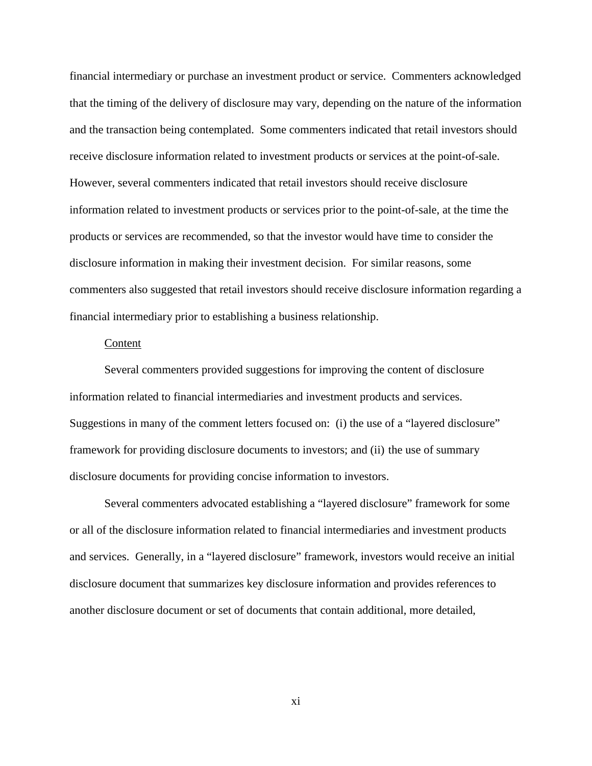financial intermediary or purchase an investment product or service. Commenters acknowledged that the timing of the delivery of disclosure may vary, depending on the nature of the information and the transaction being contemplated. Some commenters indicated that retail investors should receive disclosure information related to investment products or services at the point-of-sale. However, several commenters indicated that retail investors should receive disclosure information related to investment products or services prior to the point-of-sale, at the time the products or services are recommended, so that the investor would have time to consider the disclosure information in making their investment decision. For similar reasons, some commenters also suggested that retail investors should receive disclosure information regarding a financial intermediary prior to establishing a business relationship.

#### Content

Several commenters provided suggestions for improving the content of disclosure information related to financial intermediaries and investment products and services. Suggestions in many of the comment letters focused on: (i) the use of a "layered disclosure" framework for providing disclosure documents to investors; and (ii) the use of summary disclosure documents for providing concise information to investors.

Several commenters advocated establishing a "layered disclosure" framework for some or all of the disclosure information related to financial intermediaries and investment products and services. Generally, in a "layered disclosure" framework, investors would receive an initial disclosure document that summarizes key disclosure information and provides references to another disclosure document or set of documents that contain additional, more detailed,

xi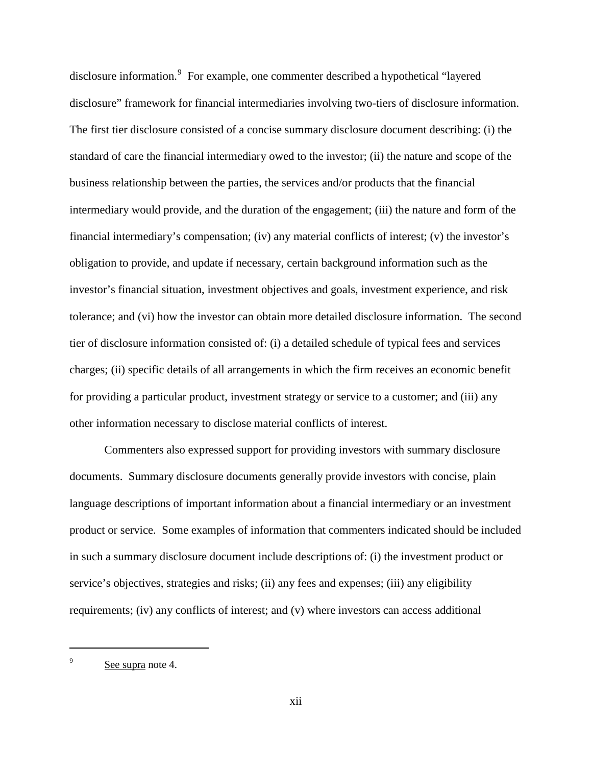disclosure information.<sup>[9](#page-12-0)</sup> For example, one commenter described a hypothetical "layered disclosure" framework for financial intermediaries involving two-tiers of disclosure information. The first tier disclosure consisted of a concise summary disclosure document describing: (i) the standard of care the financial intermediary owed to the investor; (ii) the nature and scope of the business relationship between the parties, the services and/or products that the financial intermediary would provide, and the duration of the engagement; (iii) the nature and form of the financial intermediary's compensation; (iv) any material conflicts of interest; (v) the investor's obligation to provide, and update if necessary, certain background information such as the investor's financial situation, investment objectives and goals, investment experience, and risk tolerance; and (vi) how the investor can obtain more detailed disclosure information. The second tier of disclosure information consisted of: (i) a detailed schedule of typical fees and services charges; (ii) specific details of all arrangements in which the firm receives an economic benefit for providing a particular product, investment strategy or service to a customer; and (iii) any other information necessary to disclose material conflicts of interest.

Commenters also expressed support for providing investors with summary disclosure documents. Summary disclosure documents generally provide investors with concise, plain language descriptions of important information about a financial intermediary or an investment product or service. Some examples of information that commenters indicated should be included in such a summary disclosure document include descriptions of: (i) the investment product or service's objectives, strategies and risks; (ii) any fees and expenses; (iii) any eligibility requirements; (iv) any conflicts of interest; and (v) where investors can access additional

<span id="page-12-0"></span><sup>&</sup>lt;sup>9</sup> See supra note 4.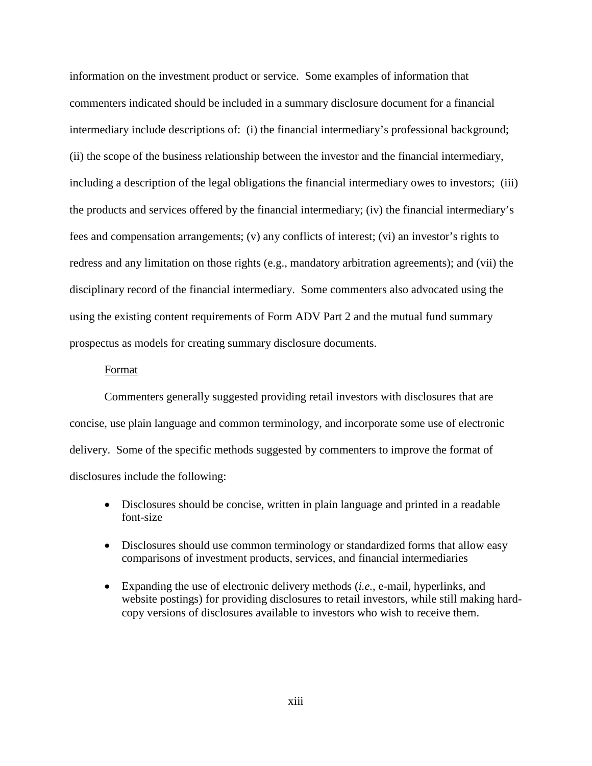information on the investment product or service. Some examples of information that commenters indicated should be included in a summary disclosure document for a financial intermediary include descriptions of: (i) the financial intermediary's professional background; (ii) the scope of the business relationship between the investor and the financial intermediary, including a description of the legal obligations the financial intermediary owes to investors; (iii) the products and services offered by the financial intermediary; (iv) the financial intermediary's fees and compensation arrangements; (v) any conflicts of interest; (vi) an investor's rights to redress and any limitation on those rights (e.g., mandatory arbitration agreements); and (vii) the disciplinary record of the financial intermediary. Some commenters also advocated using the using the existing content requirements of Form ADV Part 2 and the mutual fund summary prospectus as models for creating summary disclosure documents.

#### Format

Commenters generally suggested providing retail investors with disclosures that are concise, use plain language and common terminology, and incorporate some use of electronic delivery. Some of the specific methods suggested by commenters to improve the format of disclosures include the following:

- Disclosures should be concise, written in plain language and printed in a readable font-size
- Disclosures should use common terminology or standardized forms that allow easy comparisons of investment products, services, and financial intermediaries
- Expanding the use of electronic delivery methods (*i.e.*, e-mail, hyperlinks, and website postings) for providing disclosures to retail investors, while still making hardcopy versions of disclosures available to investors who wish to receive them.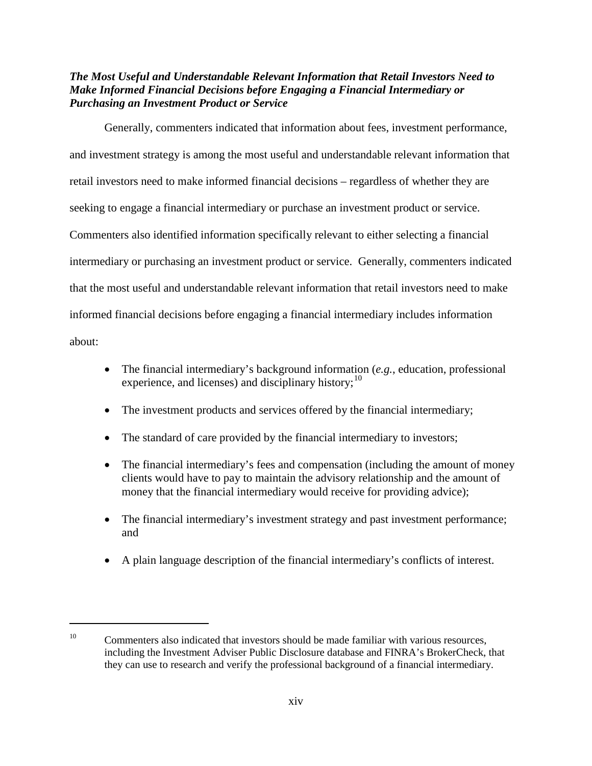# *The Most Useful and Understandable Relevant Information that Retail Investors Need to Make Informed Financial Decisions before Engaging a Financial Intermediary or Purchasing an Investment Product or Service*

Generally, commenters indicated that information about fees, investment performance, and investment strategy is among the most useful and understandable relevant information that retail investors need to make informed financial decisions – regardless of whether they are seeking to engage a financial intermediary or purchase an investment product or service. Commenters also identified information specifically relevant to either selecting a financial intermediary or purchasing an investment product or service. Generally, commenters indicated that the most useful and understandable relevant information that retail investors need to make informed financial decisions before engaging a financial intermediary includes information about:

- The financial intermediary's background information (*e.g.*, education, professional experience, and licenses) and disciplinary history; $10$
- The investment products and services offered by the financial intermediary;
- The standard of care provided by the financial intermediary to investors;
- The financial intermediary's fees and compensation (including the amount of money clients would have to pay to maintain the advisory relationship and the amount of money that the financial intermediary would receive for providing advice);
- The financial intermediary's investment strategy and past investment performance; and
- A plain language description of the financial intermediary's conflicts of interest.

<span id="page-14-0"></span> $10$  Commenters also indicated that investors should be made familiar with various resources, including the Investment Adviser Public Disclosure database and FINRA's BrokerCheck, that they can use to research and verify the professional background of a financial intermediary.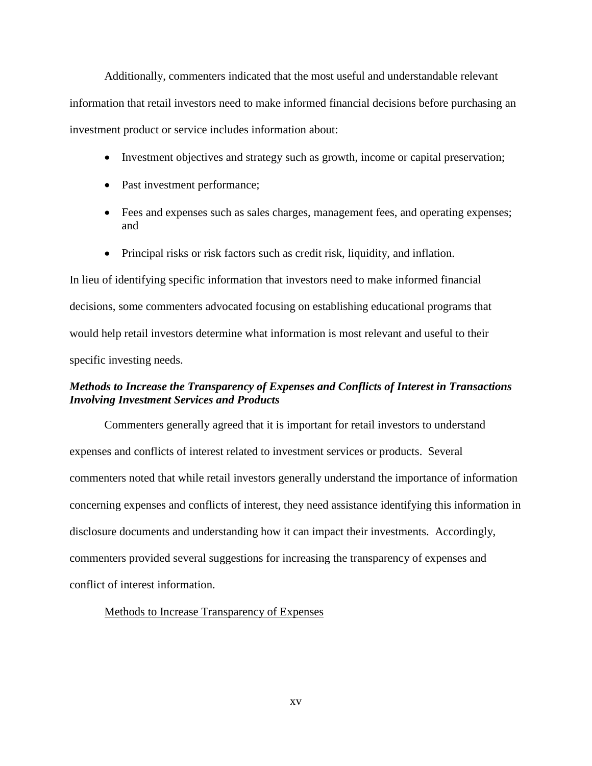Additionally, commenters indicated that the most useful and understandable relevant information that retail investors need to make informed financial decisions before purchasing an investment product or service includes information about:

- Investment objectives and strategy such as growth, income or capital preservation;
- Past investment performance;
- Fees and expenses such as sales charges, management fees, and operating expenses; and
- Principal risks or risk factors such as credit risk, liquidity, and inflation.

In lieu of identifying specific information that investors need to make informed financial decisions, some commenters advocated focusing on establishing educational programs that would help retail investors determine what information is most relevant and useful to their specific investing needs.

# *Methods to Increase the Transparency of Expenses and Conflicts of Interest in Transactions Involving Investment Services and Products*

Commenters generally agreed that it is important for retail investors to understand expenses and conflicts of interest related to investment services or products. Several commenters noted that while retail investors generally understand the importance of information concerning expenses and conflicts of interest, they need assistance identifying this information in disclosure documents and understanding how it can impact their investments. Accordingly, commenters provided several suggestions for increasing the transparency of expenses and conflict of interest information.

### Methods to Increase Transparency of Expenses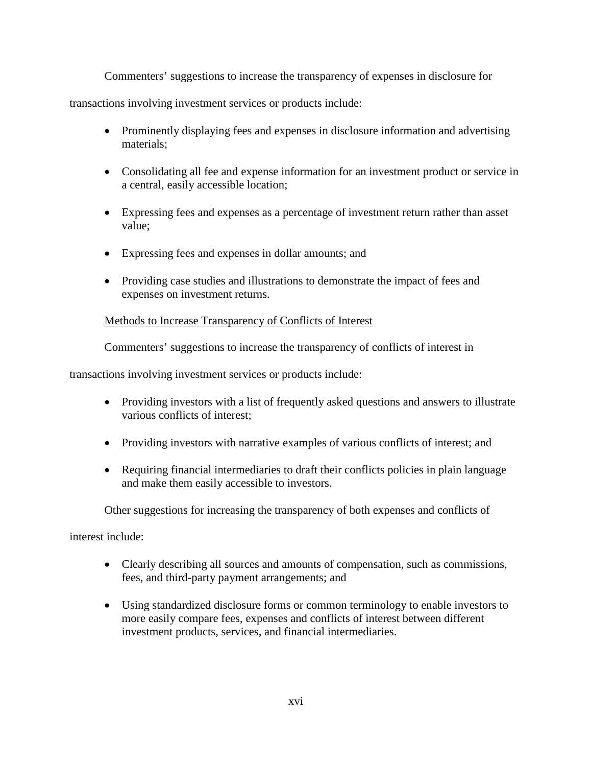Commenters' suggestions to increase the transparency of expenses in disclosure for

transactions involving investment services or products include:

- Prominently displaying fees and expenses in disclosure information and advertising materials;
- Consolidating all fee and expense information for an investment product or service in a central, easily accessible location;
- Expressing fees and expenses as a percentage of investment return rather than asset value;
- Expressing fees and expenses in dollar amounts; and
- Providing case studies and illustrations to demonstrate the impact of fees and expenses on investment returns.

### Methods to Increase Transparency of Conflicts of Interest

Commenters' suggestions to increase the transparency of conflicts of interest in

transactions involving investment services or products include:

- Providing investors with a list of frequently asked questions and answers to illustrate various conflicts of interest;
- Providing investors with narrative examples of various conflicts of interest; and
- Requiring financial intermediaries to draft their conflicts policies in plain language and make them easily accessible to investors.

Other suggestions for increasing the transparency of both expenses and conflicts of

interest include:

- Clearly describing all sources and amounts of compensation, such as commissions, fees, and third-party payment arrangements; and
- Using standardized disclosure forms or common terminology to enable investors to more easily compare fees, expenses and conflicts of interest between different investment products, services, and financial intermediaries.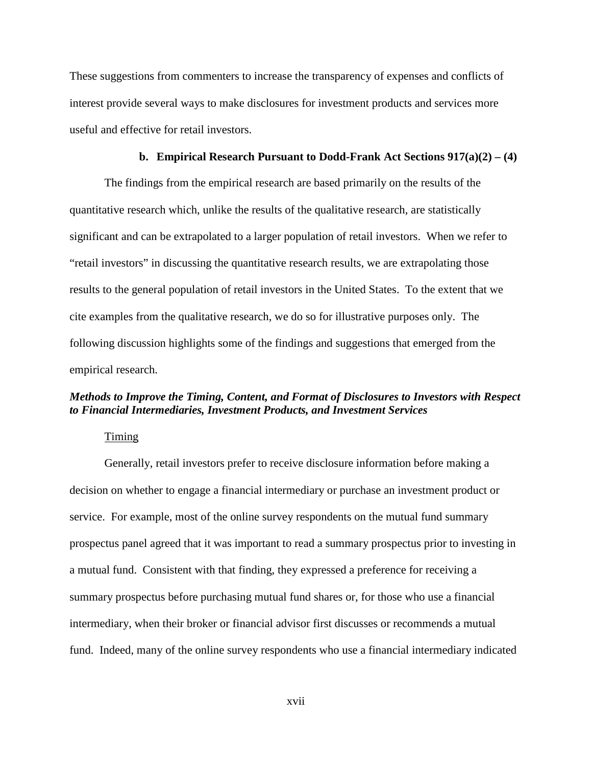These suggestions from commenters to increase the transparency of expenses and conflicts of interest provide several ways to make disclosures for investment products and services more useful and effective for retail investors.

#### **b. Empirical Research Pursuant to Dodd-Frank Act Sections 917(a)(2) – (4)**

The findings from the empirical research are based primarily on the results of the quantitative research which, unlike the results of the qualitative research, are statistically significant and can be extrapolated to a larger population of retail investors. When we refer to "retail investors" in discussing the quantitative research results, we are extrapolating those results to the general population of retail investors in the United States. To the extent that we cite examples from the qualitative research, we do so for illustrative purposes only. The following discussion highlights some of the findings and suggestions that emerged from the empirical research.

# *Methods to Improve the Timing, Content, and Format of Disclosures to Investors with Respect to Financial Intermediaries, Investment Products, and Investment Services*

### Timing

Generally, retail investors prefer to receive disclosure information before making a decision on whether to engage a financial intermediary or purchase an investment product or service. For example, most of the online survey respondents on the mutual fund summary prospectus panel agreed that it was important to read a summary prospectus prior to investing in a mutual fund. Consistent with that finding, they expressed a preference for receiving a summary prospectus before purchasing mutual fund shares or, for those who use a financial intermediary, when their broker or financial advisor first discusses or recommends a mutual fund. Indeed, many of the online survey respondents who use a financial intermediary indicated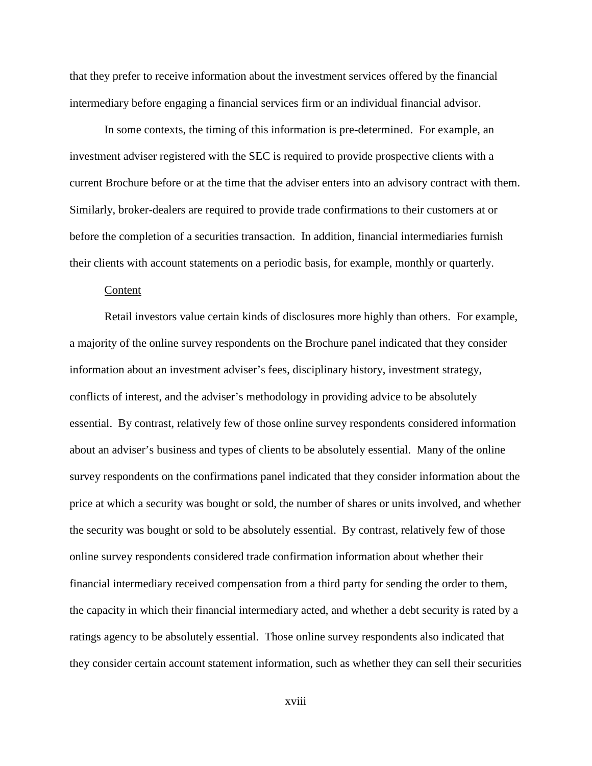that they prefer to receive information about the investment services offered by the financial intermediary before engaging a financial services firm or an individual financial advisor.

In some contexts, the timing of this information is pre-determined. For example, an investment adviser registered with the SEC is required to provide prospective clients with a current Brochure before or at the time that the adviser enters into an advisory contract with them. Similarly, broker-dealers are required to provide trade confirmations to their customers at or before the completion of a securities transaction. In addition, financial intermediaries furnish their clients with account statements on a periodic basis, for example, monthly or quarterly.

#### Content

Retail investors value certain kinds of disclosures more highly than others. For example, a majority of the online survey respondents on the Brochure panel indicated that they consider information about an investment adviser's fees, disciplinary history, investment strategy, conflicts of interest, and the adviser's methodology in providing advice to be absolutely essential. By contrast, relatively few of those online survey respondents considered information about an adviser's business and types of clients to be absolutely essential. Many of the online survey respondents on the confirmations panel indicated that they consider information about the price at which a security was bought or sold, the number of shares or units involved, and whether the security was bought or sold to be absolutely essential. By contrast, relatively few of those online survey respondents considered trade confirmation information about whether their financial intermediary received compensation from a third party for sending the order to them, the capacity in which their financial intermediary acted, and whether a debt security is rated by a ratings agency to be absolutely essential. Those online survey respondents also indicated that they consider certain account statement information, such as whether they can sell their securities

xviii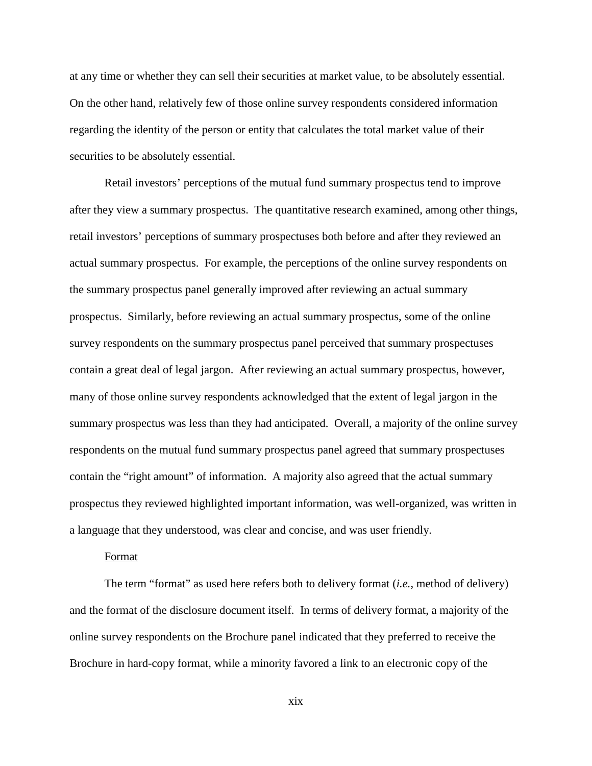at any time or whether they can sell their securities at market value, to be absolutely essential. On the other hand, relatively few of those online survey respondents considered information regarding the identity of the person or entity that calculates the total market value of their securities to be absolutely essential.

Retail investors' perceptions of the mutual fund summary prospectus tend to improve after they view a summary prospectus. The quantitative research examined, among other things, retail investors' perceptions of summary prospectuses both before and after they reviewed an actual summary prospectus. For example, the perceptions of the online survey respondents on the summary prospectus panel generally improved after reviewing an actual summary prospectus. Similarly, before reviewing an actual summary prospectus, some of the online survey respondents on the summary prospectus panel perceived that summary prospectuses contain a great deal of legal jargon. After reviewing an actual summary prospectus, however, many of those online survey respondents acknowledged that the extent of legal jargon in the summary prospectus was less than they had anticipated. Overall, a majority of the online survey respondents on the mutual fund summary prospectus panel agreed that summary prospectuses contain the "right amount" of information. A majority also agreed that the actual summary prospectus they reviewed highlighted important information, was well-organized, was written in a language that they understood, was clear and concise, and was user friendly.

#### Format

The term "format" as used here refers both to delivery format (*i.e.*, method of delivery) and the format of the disclosure document itself. In terms of delivery format, a majority of the online survey respondents on the Brochure panel indicated that they preferred to receive the Brochure in hard-copy format, while a minority favored a link to an electronic copy of the

xix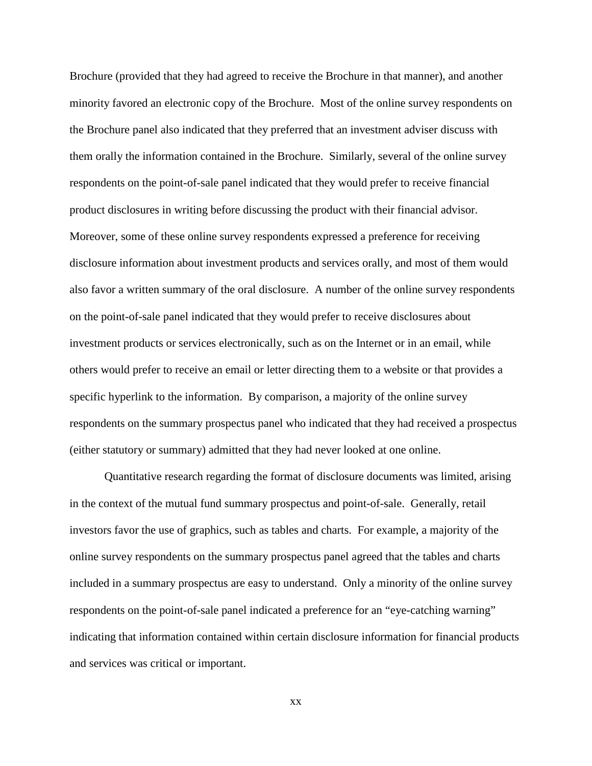Brochure (provided that they had agreed to receive the Brochure in that manner), and another minority favored an electronic copy of the Brochure. Most of the online survey respondents on the Brochure panel also indicated that they preferred that an investment adviser discuss with them orally the information contained in the Brochure. Similarly, several of the online survey respondents on the point-of-sale panel indicated that they would prefer to receive financial product disclosures in writing before discussing the product with their financial advisor. Moreover, some of these online survey respondents expressed a preference for receiving disclosure information about investment products and services orally, and most of them would also favor a written summary of the oral disclosure. A number of the online survey respondents on the point-of-sale panel indicated that they would prefer to receive disclosures about investment products or services electronically, such as on the Internet or in an email, while others would prefer to receive an email or letter directing them to a website or that provides a specific hyperlink to the information. By comparison, a majority of the online survey respondents on the summary prospectus panel who indicated that they had received a prospectus (either statutory or summary) admitted that they had never looked at one online.

Quantitative research regarding the format of disclosure documents was limited, arising in the context of the mutual fund summary prospectus and point-of-sale. Generally, retail investors favor the use of graphics, such as tables and charts. For example, a majority of the online survey respondents on the summary prospectus panel agreed that the tables and charts included in a summary prospectus are easy to understand. Only a minority of the online survey respondents on the point-of-sale panel indicated a preference for an "eye-catching warning" indicating that information contained within certain disclosure information for financial products and services was critical or important.

xx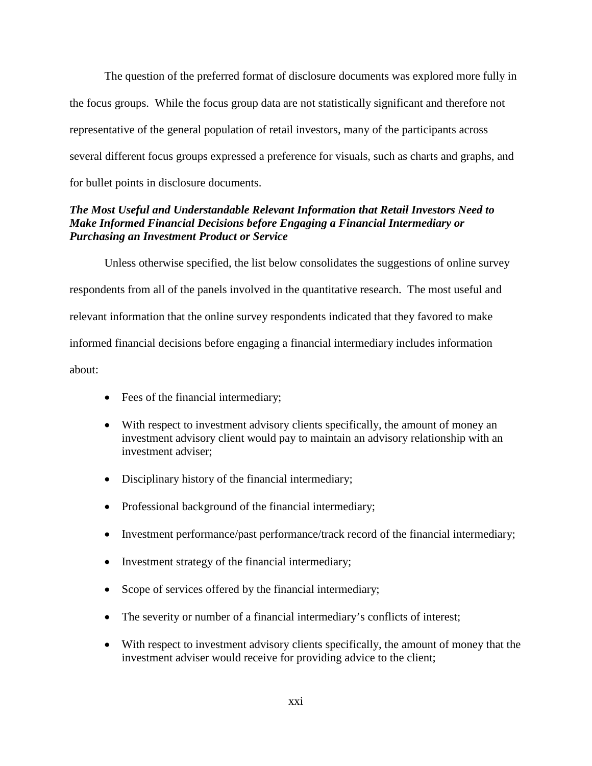The question of the preferred format of disclosure documents was explored more fully in the focus groups. While the focus group data are not statistically significant and therefore not representative of the general population of retail investors, many of the participants across several different focus groups expressed a preference for visuals, such as charts and graphs, and for bullet points in disclosure documents.

# *The Most Useful and Understandable Relevant Information that Retail Investors Need to Make Informed Financial Decisions before Engaging a Financial Intermediary or Purchasing an Investment Product or Service*

Unless otherwise specified, the list below consolidates the suggestions of online survey respondents from all of the panels involved in the quantitative research. The most useful and relevant information that the online survey respondents indicated that they favored to make informed financial decisions before engaging a financial intermediary includes information about:

- Fees of the financial intermediary;
- With respect to investment advisory clients specifically, the amount of money an investment advisory client would pay to maintain an advisory relationship with an investment adviser;
- Disciplinary history of the financial intermediary;
- Professional background of the financial intermediary;
- Investment performance/past performance/track record of the financial intermediary;
- Investment strategy of the financial intermediary;
- Scope of services offered by the financial intermediary;
- The severity or number of a financial intermediary's conflicts of interest;
- With respect to investment advisory clients specifically, the amount of money that the investment adviser would receive for providing advice to the client;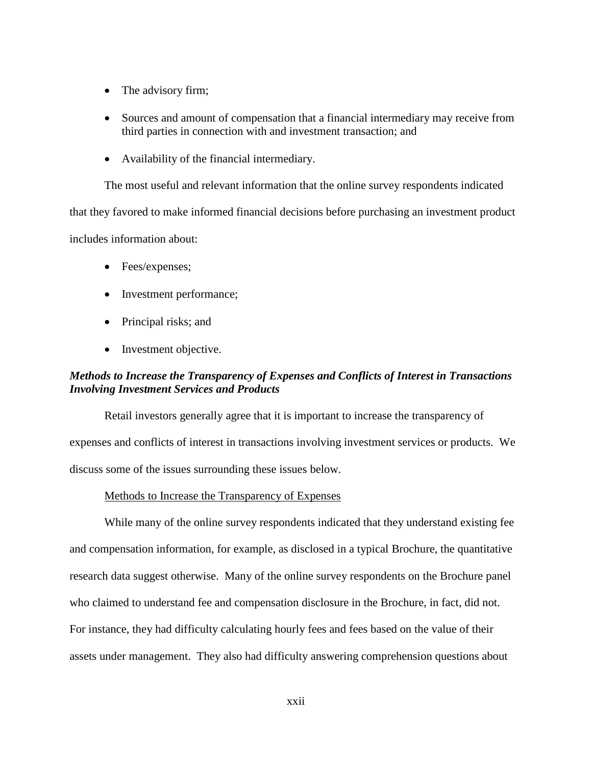- The advisory firm;
- Sources and amount of compensation that a financial intermediary may receive from third parties in connection with and investment transaction; and
- Availability of the financial intermediary.

The most useful and relevant information that the online survey respondents indicated

that they favored to make informed financial decisions before purchasing an investment product includes information about:

- Fees/expenses;
- Investment performance;
- Principal risks; and
- Investment objective.

# *Methods to Increase the Transparency of Expenses and Conflicts of Interest in Transactions Involving Investment Services and Products*

Retail investors generally agree that it is important to increase the transparency of expenses and conflicts of interest in transactions involving investment services or products. We discuss some of the issues surrounding these issues below.

#### Methods to Increase the Transparency of Expenses

While many of the online survey respondents indicated that they understand existing fee and compensation information, for example, as disclosed in a typical Brochure, the quantitative research data suggest otherwise. Many of the online survey respondents on the Brochure panel who claimed to understand fee and compensation disclosure in the Brochure, in fact, did not. For instance, they had difficulty calculating hourly fees and fees based on the value of their assets under management. They also had difficulty answering comprehension questions about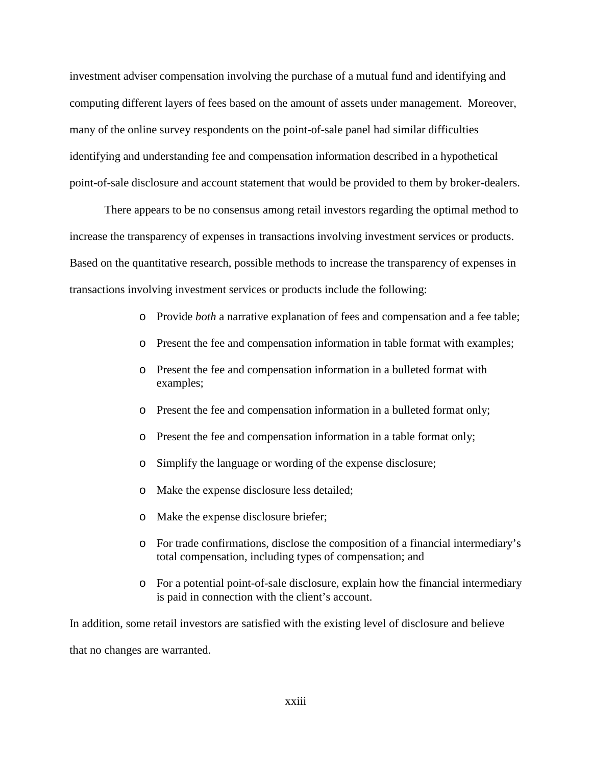investment adviser compensation involving the purchase of a mutual fund and identifying and computing different layers of fees based on the amount of assets under management. Moreover, many of the online survey respondents on the point-of-sale panel had similar difficulties identifying and understanding fee and compensation information described in a hypothetical point-of-sale disclosure and account statement that would be provided to them by broker-dealers.

There appears to be no consensus among retail investors regarding the optimal method to increase the transparency of expenses in transactions involving investment services or products. Based on the quantitative research, possible methods to increase the transparency of expenses in transactions involving investment services or products include the following:

- o Provide *both* a narrative explanation of fees and compensation and a fee table;
- o Present the fee and compensation information in table format with examples;
- o Present the fee and compensation information in a bulleted format with examples;
- o Present the fee and compensation information in a bulleted format only;
- o Present the fee and compensation information in a table format only;
- o Simplify the language or wording of the expense disclosure;
- o Make the expense disclosure less detailed;
- o Make the expense disclosure briefer;
- o For trade confirmations, disclose the composition of a financial intermediary's total compensation, including types of compensation; and
- o For a potential point-of-sale disclosure, explain how the financial intermediary is paid in connection with the client's account.

In addition, some retail investors are satisfied with the existing level of disclosure and believe that no changes are warranted.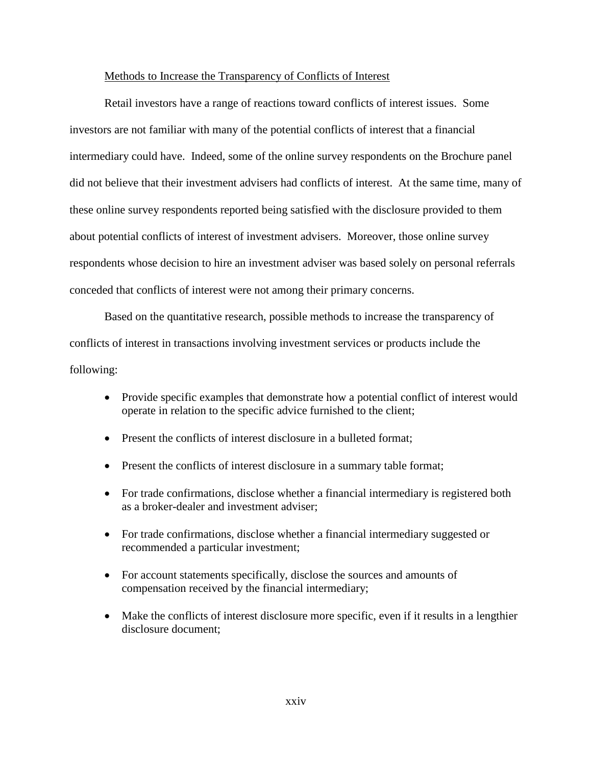#### Methods to Increase the Transparency of Conflicts of Interest

Retail investors have a range of reactions toward conflicts of interest issues. Some investors are not familiar with many of the potential conflicts of interest that a financial intermediary could have. Indeed, some of the online survey respondents on the Brochure panel did not believe that their investment advisers had conflicts of interest. At the same time, many of these online survey respondents reported being satisfied with the disclosure provided to them about potential conflicts of interest of investment advisers. Moreover, those online survey respondents whose decision to hire an investment adviser was based solely on personal referrals conceded that conflicts of interest were not among their primary concerns.

Based on the quantitative research, possible methods to increase the transparency of conflicts of interest in transactions involving investment services or products include the following:

- Provide specific examples that demonstrate how a potential conflict of interest would operate in relation to the specific advice furnished to the client;
- Present the conflicts of interest disclosure in a bulleted format;
- Present the conflicts of interest disclosure in a summary table format;
- For trade confirmations, disclose whether a financial intermediary is registered both as a broker-dealer and investment adviser;
- For trade confirmations, disclose whether a financial intermediary suggested or recommended a particular investment;
- For account statements specifically, disclose the sources and amounts of compensation received by the financial intermediary;
- Make the conflicts of interest disclosure more specific, even if it results in a lengthier disclosure document;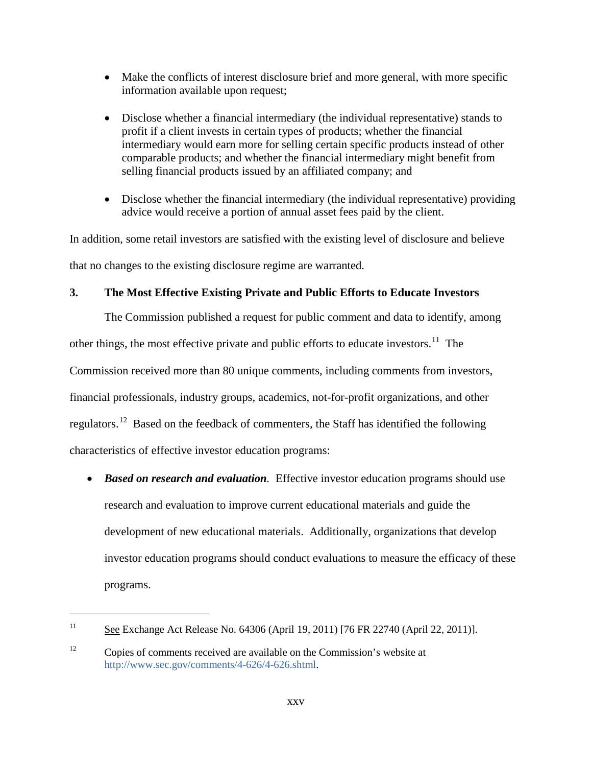- Make the conflicts of interest disclosure brief and more general, with more specific information available upon request;
- Disclose whether a financial intermediary (the individual representative) stands to profit if a client invests in certain types of products; whether the financial intermediary would earn more for selling certain specific products instead of other comparable products; and whether the financial intermediary might benefit from selling financial products issued by an affiliated company; and
- Disclose whether the financial intermediary (the individual representative) providing advice would receive a portion of annual asset fees paid by the client.

In addition, some retail investors are satisfied with the existing level of disclosure and believe that no changes to the existing disclosure regime are warranted.

### **3. The Most Effective Existing Private and Public Efforts to Educate Investors**

The Commission published a request for public comment and data to identify, among other things, the most effective private and public efforts to educate investors.<sup>11</sup> The Commission received more than 80 unique comments, including comments from investors, financial professionals, industry groups, academics, not-for-profit organizations, and other regulators.[12](#page-25-1) Based on the feedback of commenters, the Staff has identified the following characteristics of effective investor education programs:

• *Based on research and evaluation.* Effective investor education programs should use research and evaluation to improve current educational materials and guide the development of new educational materials. Additionally, organizations that develop investor education programs should conduct evaluations to measure the efficacy of these programs.

<span id="page-25-0"></span><sup>&</sup>lt;sup>11</sup> See Exchange Act Release No. 64306 (April 19, 2011) [76 FR 22740 (April 22, 2011)].

<span id="page-25-1"></span><sup>&</sup>lt;sup>12</sup> Copies of comments received are available on the Commission's website at [http://www.sec.gov/comments/4-626/4-626.shtml.](http://www.sec.gov/comments/4-626/4-626.shtml)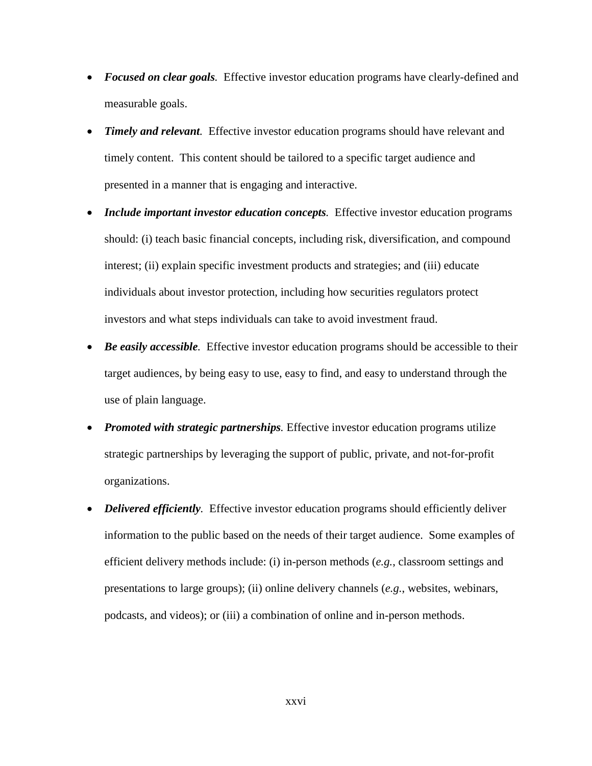- *Focused on clear goals.* Effective investor education programs have clearly-defined and measurable goals.
- *Timely and relevant.* Effective investor education programs should have relevant and timely content. This content should be tailored to a specific target audience and presented in a manner that is engaging and interactive.
- *Include important investor education concepts*. Effective investor education programs should: (i) teach basic financial concepts, including risk, diversification, and compound interest; (ii) explain specific investment products and strategies; and (iii) educate individuals about investor protection, including how securities regulators protect investors and what steps individuals can take to avoid investment fraud.
- *Be easily accessible.* Effective investor education programs should be accessible to their target audiences, by being easy to use, easy to find, and easy to understand through the use of plain language.
- *Promoted with strategic partnerships*. Effective investor education programs utilize strategic partnerships by leveraging the support of public, private, and not-for-profit organizations.
- *Delivered efficiently*. Effective investor education programs should efficiently deliver information to the public based on the needs of their target audience. Some examples of efficient delivery methods include: (i) in-person methods (*e.g.*, classroom settings and presentations to large groups); (ii) online delivery channels (*e.g.*, websites, webinars, podcasts, and videos); or (iii) a combination of online and in-person methods.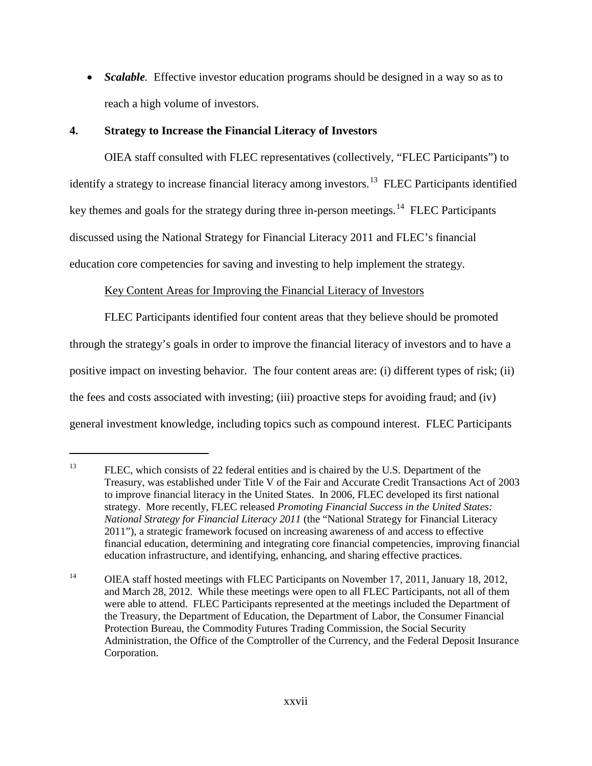• *Scalable.* Effective investor education programs should be designed in a way so as to reach a high volume of investors.

# **4. Strategy to Increase the Financial Literacy of Investors**

 $\overline{a}$ 

OIEA staff consulted with FLEC representatives (collectively, "FLEC Participants") to identify a strategy to increase financial literacy among investors.<sup>13</sup> FLEC Participants identified key themes and goals for the strategy during three in-person meetings.<sup>[14](#page-27-1)</sup> FLEC Participants discussed using the National Strategy for Financial Literacy 2011 and FLEC's financial education core competencies for saving and investing to help implement the strategy.

# Key Content Areas for Improving the Financial Literacy of Investors

FLEC Participants identified four content areas that they believe should be promoted through the strategy's goals in order to improve the financial literacy of investors and to have a positive impact on investing behavior. The four content areas are: (i) different types of risk; (ii) the fees and costs associated with investing; (iii) proactive steps for avoiding fraud; and (iv) general investment knowledge, including topics such as compound interest. FLEC Participants

<span id="page-27-0"></span><sup>&</sup>lt;sup>13</sup> FLEC, which consists of 22 federal entities and is chaired by the U.S. Department of the Treasury, was established under Title V of the Fair and Accurate Credit Transactions Act of 2003 to improve financial literacy in the United States. In 2006, FLEC developed its first national strategy. More recently, FLEC released *Promoting Financial Success in the United States: National Strategy for Financial Literacy 2011* (the "National Strategy for Financial Literacy 2011"), a strategic framework focused on increasing awareness of and access to effective financial education, determining and integrating core financial competencies, improving financial education infrastructure, and identifying, enhancing, and sharing effective practices.

<span id="page-27-1"></span><sup>&</sup>lt;sup>14</sup> OIEA staff hosted meetings with FLEC Participants on November 17, 2011, January 18, 2012, and March 28, 2012. While these meetings were open to all FLEC Participants, not all of them were able to attend. FLEC Participants represented at the meetings included the Department of the Treasury, the Department of Education, the Department of Labor, the Consumer Financial Protection Bureau, the Commodity Futures Trading Commission, the Social Security Administration, the Office of the Comptroller of the Currency, and the Federal Deposit Insurance Corporation.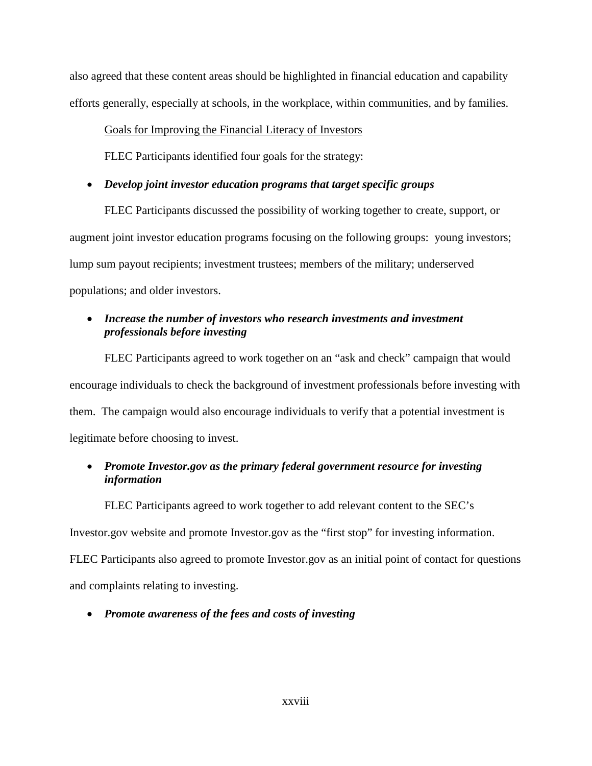also agreed that these content areas should be highlighted in financial education and capability efforts generally, especially at schools, in the workplace, within communities, and by families.

### Goals for Improving the Financial Literacy of Investors

FLEC Participants identified four goals for the strategy:

# • *Develop joint investor education programs that target specific groups*

FLEC Participants discussed the possibility of working together to create, support, or augment joint investor education programs focusing on the following groups: young investors; lump sum payout recipients; investment trustees; members of the military; underserved populations; and older investors.

# • *Increase the number of investors who research investments and investment professionals before investing*

FLEC Participants agreed to work together on an "ask and check" campaign that would encourage individuals to check the background of investment professionals before investing with them. The campaign would also encourage individuals to verify that a potential investment is legitimate before choosing to invest.

# • *Promote Investor.gov as the primary federal government resource for investing information*

FLEC Participants agreed to work together to add relevant content to the SEC's

Investor.gov website and promote Investor.gov as the "first stop" for investing information.

FLEC Participants also agreed to promote Investor.gov as an initial point of contact for questions and complaints relating to investing.

# • *Promote awareness of the fees and costs of investing*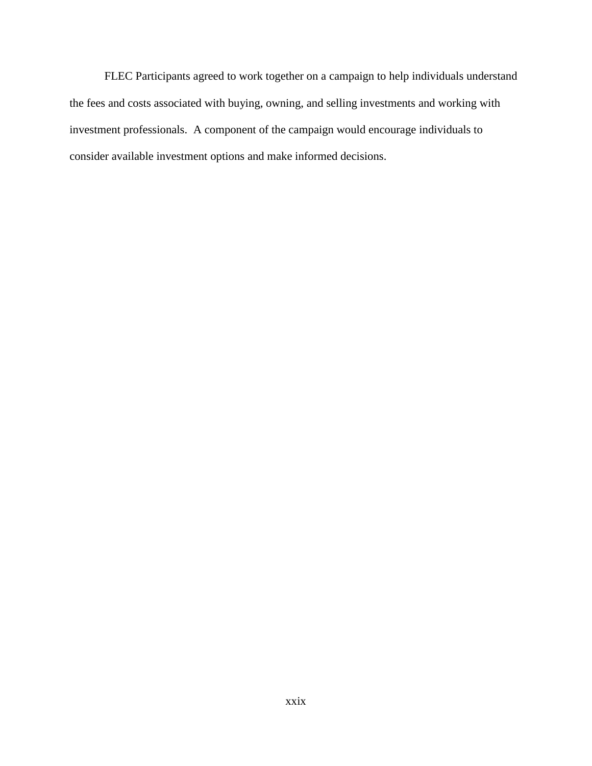FLEC Participants agreed to work together on a campaign to help individuals understand the fees and costs associated with buying, owning, and selling investments and working with investment professionals. A component of the campaign would encourage individuals to consider available investment options and make informed decisions.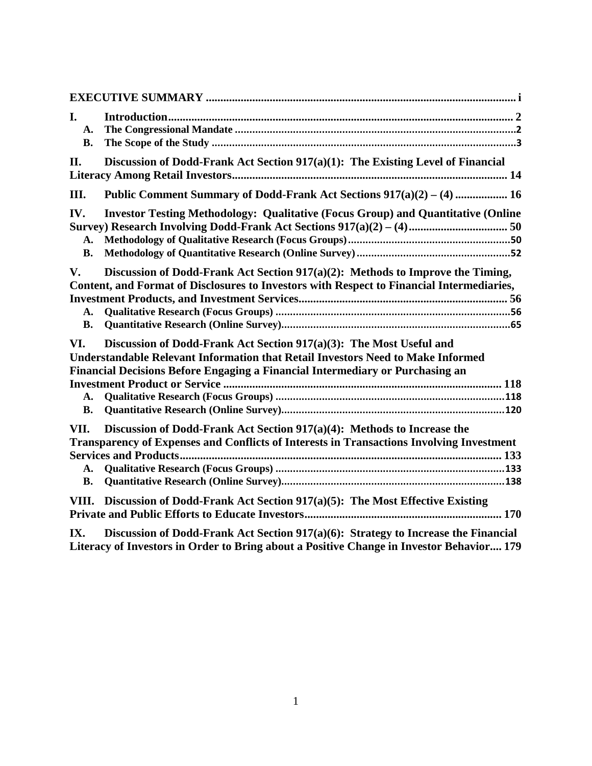| I.<br>A.<br><b>B.</b>                                                                  |                                                                                                                                                                                                                                                |
|----------------------------------------------------------------------------------------|------------------------------------------------------------------------------------------------------------------------------------------------------------------------------------------------------------------------------------------------|
| Discussion of Dodd-Frank Act Section 917(a)(1): The Existing Level of Financial<br>II. |                                                                                                                                                                                                                                                |
| III.                                                                                   | Public Comment Summary of Dodd-Frank Act Sections $917(a)(2) - (4)$ 16                                                                                                                                                                         |
| IV.<br>A.<br><b>B.</b>                                                                 | <b>Investor Testing Methodology: Qualitative (Focus Group) and Quantitative (Online</b>                                                                                                                                                        |
| V.<br>A.<br><b>B.</b>                                                                  | Discussion of Dodd-Frank Act Section 917(a)(2): Methods to Improve the Timing,<br>Content, and Format of Disclosures to Investors with Respect to Financial Intermediaries,                                                                    |
| VI.<br>A.<br><b>B.</b>                                                                 | Discussion of Dodd-Frank Act Section 917(a)(3): The Most Useful and<br><b>Understandable Relevant Information that Retail Investors Need to Make Informed</b><br>Financial Decisions Before Engaging a Financial Intermediary or Purchasing an |
| VII.<br>A.<br><b>B.</b>                                                                | Discussion of Dodd-Frank Act Section 917(a)(4): Methods to Increase the<br>Transparency of Expenses and Conflicts of Interests in Transactions Involving Investment                                                                            |
| VIII.                                                                                  | Discussion of Dodd-Frank Act Section 917(a)(5): The Most Effective Existing                                                                                                                                                                    |
| IX.                                                                                    | Discussion of Dodd-Frank Act Section 917(a)(6): Strategy to Increase the Financial                                                                                                                                                             |

**[Literacy of Investors in Order to Bring about a Positive Change in Investor Behavior....](#page-208-0) 179**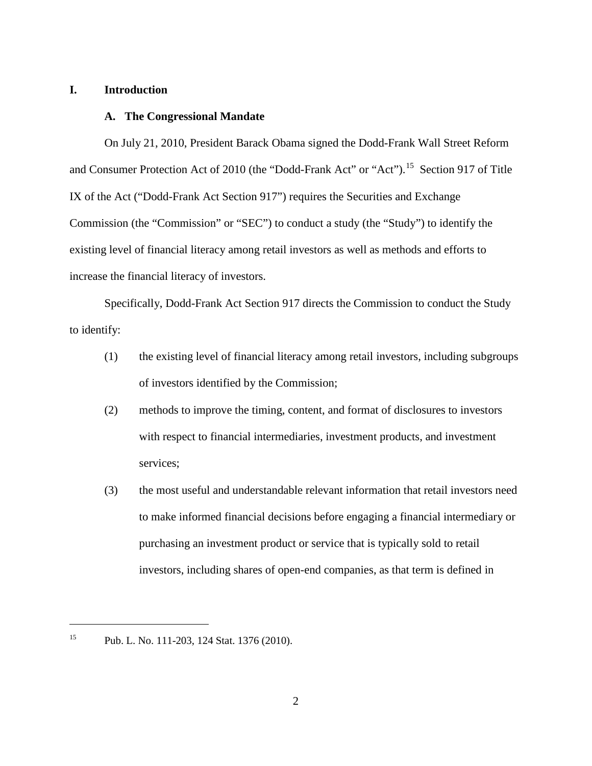#### <span id="page-31-0"></span>**I. Introduction**

#### <span id="page-31-1"></span>**A. The Congressional Mandate**

On July 21, 2010, President Barack Obama signed the Dodd-Frank Wall Street Reform and Consumer Protection Act of 2010 (the "Dodd-Frank Act" or "Act").<sup>[15](#page-31-2)</sup> Section 917 of Title IX of the Act ("Dodd-Frank Act Section 917") requires the Securities and Exchange Commission (the "Commission" or "SEC") to conduct a study (the "Study") to identify the existing level of financial literacy among retail investors as well as methods and efforts to increase the financial literacy of investors.

Specifically, Dodd-Frank Act Section 917 directs the Commission to conduct the Study to identify:

- (1) the existing level of financial literacy among retail investors, including subgroups of investors identified by the Commission;
- (2) methods to improve the timing, content, and format of disclosures to investors with respect to financial intermediaries, investment products, and investment services;
- (3) the most useful and understandable relevant information that retail investors need to make informed financial decisions before engaging a financial intermediary or purchasing an investment product or service that is typically sold to retail investors, including shares of open-end companies, as that term is defined in

<span id="page-31-2"></span><sup>15</sup> Pub. L. No. 111-203, 124 Stat. 1376 (2010).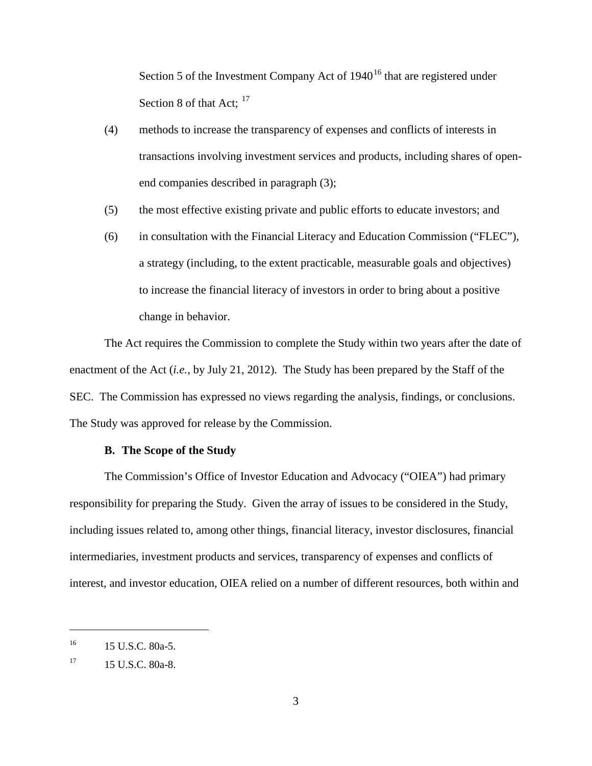Section 5 of the Investment Company Act of  $1940^{16}$  $1940^{16}$  $1940^{16}$  that are registered under Section 8 of that Act;  $17$ 

- (4) methods to increase the transparency of expenses and conflicts of interests in transactions involving investment services and products, including shares of openend companies described in paragraph (3);
- (5) the most effective existing private and public efforts to educate investors; and
- (6) in consultation with the Financial Literacy and Education Commission ("FLEC"), a strategy (including, to the extent practicable, measurable goals and objectives) to increase the financial literacy of investors in order to bring about a positive change in behavior.

The Act requires the Commission to complete the Study within two years after the date of enactment of the Act (*i.e.*, by July 21, 2012). The Study has been prepared by the Staff of the SEC. The Commission has expressed no views regarding the analysis, findings, or conclusions. The Study was approved for release by the Commission.

### **B. The Scope of the Study**

<span id="page-32-0"></span>The Commission's Office of Investor Education and Advocacy ("OIEA") had primary responsibility for preparing the Study. Given the array of issues to be considered in the Study, including issues related to, among other things, financial literacy, investor disclosures, financial intermediaries, investment products and services, transparency of expenses and conflicts of interest, and investor education, OIEA relied on a number of different resources, both within and

<span id="page-32-1"></span> $^{16}$  15 U.S.C. 80a-5.

<span id="page-32-2"></span> $17 \t15$  U.S.C. 80a-8.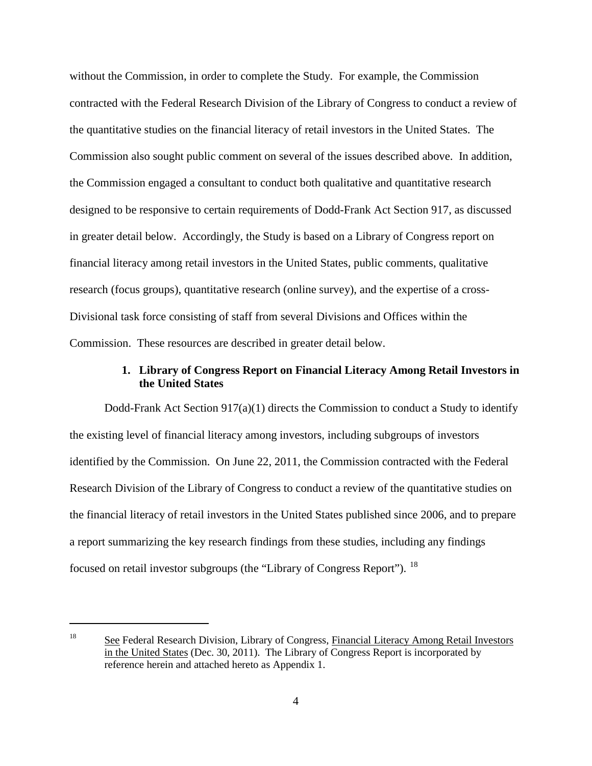without the Commission, in order to complete the Study. For example, the Commission contracted with the Federal Research Division of the Library of Congress to conduct a review of the quantitative studies on the financial literacy of retail investors in the United States. The Commission also sought public comment on several of the issues described above. In addition, the Commission engaged a consultant to conduct both qualitative and quantitative research designed to be responsive to certain requirements of Dodd-Frank Act Section 917, as discussed in greater detail below. Accordingly, the Study is based on a Library of Congress report on financial literacy among retail investors in the United States, public comments, qualitative research (focus groups), quantitative research (online survey), and the expertise of a cross-Divisional task force consisting of staff from several Divisions and Offices within the Commission. These resources are described in greater detail below.

# **1. Library of Congress Report on Financial Literacy Among Retail Investors in the United States**

Dodd-Frank Act Section 917(a)(1) directs the Commission to conduct a Study to identify the existing level of financial literacy among investors, including subgroups of investors identified by the Commission. On June 22, 2011, the Commission contracted with the Federal Research Division of the Library of Congress to conduct a review of the quantitative studies on the financial literacy of retail investors in the United States published since 2006, and to prepare a report summarizing the key research findings from these studies, including any findings focused on retail investor subgroups (the "Library of Congress Report"). [18](#page-33-0)

<span id="page-33-0"></span><sup>&</sup>lt;sup>18</sup> See Federal Research Division, Library of Congress, Financial Literacy Among Retail Investors in the United States (Dec. 30, 2011). The Library of Congress Report is incorporated by reference herein and attached hereto as Appendix 1.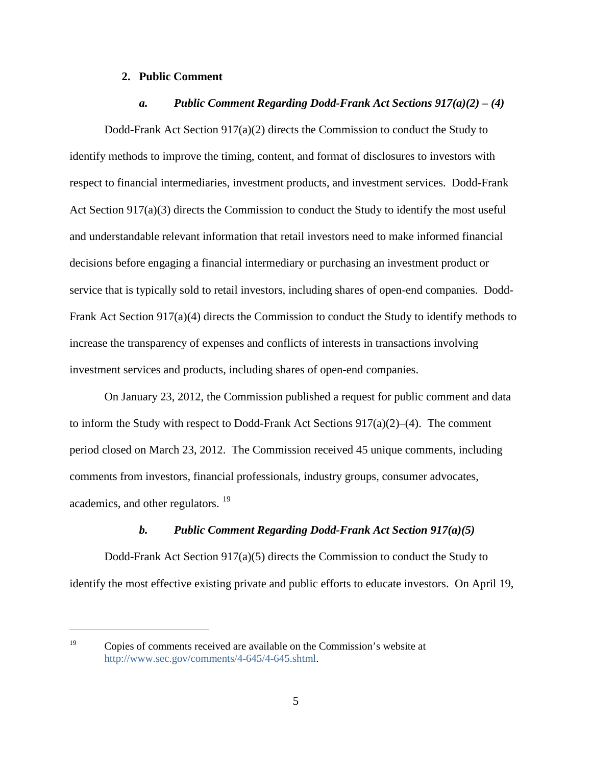#### **2. Public Comment**

#### *a. Public Comment Regarding Dodd-Frank Act Sections 917(a)(2) – (4)*

Dodd-Frank Act Section 917(a)(2) directs the Commission to conduct the Study to identify methods to improve the timing, content, and format of disclosures to investors with respect to financial intermediaries, investment products, and investment services. Dodd-Frank Act Section 917(a)(3) directs the Commission to conduct the Study to identify the most useful and understandable relevant information that retail investors need to make informed financial decisions before engaging a financial intermediary or purchasing an investment product or service that is typically sold to retail investors, including shares of open-end companies. Dodd-Frank Act Section 917(a)(4) directs the Commission to conduct the Study to identify methods to increase the transparency of expenses and conflicts of interests in transactions involving investment services and products, including shares of open-end companies.

On January 23, 2012, the Commission published a request for public comment and data to inform the Study with respect to Dodd-Frank Act Sections  $917(a)(2)–(4)$ . The comment period closed on March 23, 2012. The Commission received 45 unique comments, including comments from investors, financial professionals, industry groups, consumer advocates, academics, and other regulators. [19](#page-34-0)

#### *b. Public Comment Regarding Dodd-Frank Act Section 917(a)(5)*

Dodd-Frank Act Section 917(a)(5) directs the Commission to conduct the Study to identify the most effective existing private and public efforts to educate investors. On April 19,

<span id="page-34-0"></span><sup>&</sup>lt;sup>19</sup> Copies of comments received are available on the Commission's website at [http://www.sec.gov/comments/4-645/4-645.shtml.](http://www.sec.gov/comments/4-645/4-645.shtml)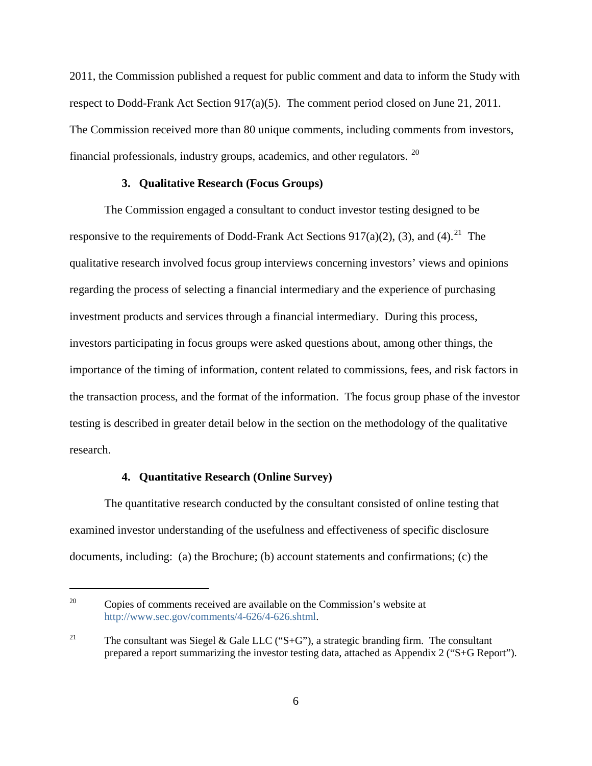2011, the Commission published a request for public comment and data to inform the Study with respect to Dodd-Frank Act Section 917(a)(5). The comment period closed on June 21, 2011. The Commission received more than 80 unique comments, including comments from investors, financial professionals, industry groups, academics, and other regulators. [20](#page-35-0)

#### **3. Qualitative Research (Focus Groups)**

The Commission engaged a consultant to conduct investor testing designed to be responsive to the requirements of Dodd-Frank Act Sections 917(a)(2), (3), and (4).<sup>21</sup> The qualitative research involved focus group interviews concerning investors' views and opinions regarding the process of selecting a financial intermediary and the experience of purchasing investment products and services through a financial intermediary. During this process, investors participating in focus groups were asked questions about, among other things, the importance of the timing of information, content related to commissions, fees, and risk factors in the transaction process, and the format of the information. The focus group phase of the investor testing is described in greater detail below in the section on the methodology of the qualitative research.

### **4. Quantitative Research (Online Survey)**

 $\overline{a}$ 

The quantitative research conducted by the consultant consisted of online testing that examined investor understanding of the usefulness and effectiveness of specific disclosure documents, including: (a) the Brochure; (b) account statements and confirmations; (c) the

<span id="page-35-0"></span><sup>&</sup>lt;sup>20</sup> Copies of comments received are available on the Commission's website at [http://www.sec.gov/comments/4-626/4-626.shtml.](http://www.sec.gov/comments/4-626/4-626.shtml)

<span id="page-35-1"></span><sup>&</sup>lt;sup>21</sup> The consultant was Siegel & Gale LLC ("S+G"), a strategic branding firm. The consultant prepared a report summarizing the investor testing data, attached as Appendix 2 ("S+G Report").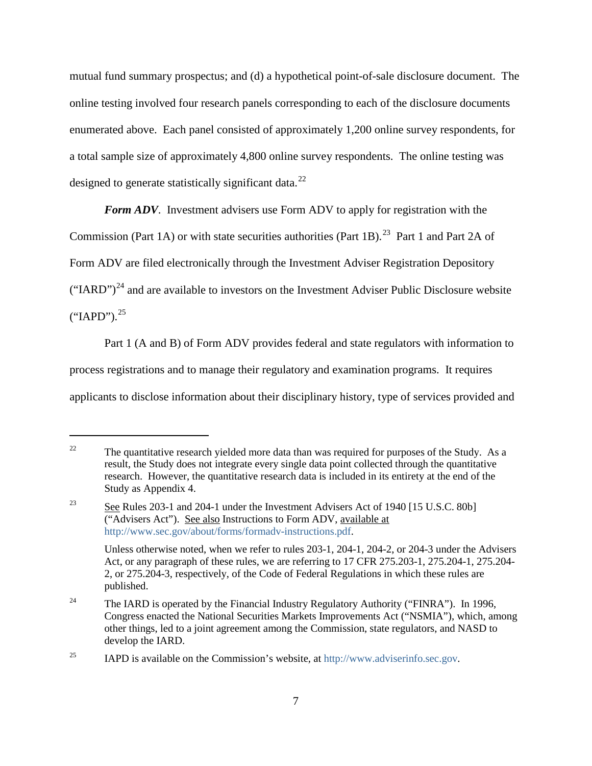mutual fund summary prospectus; and (d) a hypothetical point-of-sale disclosure document. The online testing involved four research panels corresponding to each of the disclosure documents enumerated above. Each panel consisted of approximately 1,200 online survey respondents, for a total sample size of approximately 4,800 online survey respondents. The online testing was designed to generate statistically significant data.<sup>[22](#page-36-0)</sup>

*Form ADV*. Investment advisers use Form ADV to apply for registration with the

Commission (Part 1A) or with state securities authorities (Part 1B).<sup>[23](#page-36-1)</sup> Part 1 and Part 2A of

Form ADV are filed electronically through the Investment Adviser Registration Depository

 $("IARD")<sup>24</sup>$  $("IARD")<sup>24</sup>$  $("IARD")<sup>24</sup>$  and are available to investors on the Investment Adviser Public Disclosure website

 $("IAPD")$ .<sup>[25](#page-36-3)</sup>

 $\overline{a}$ 

Part 1 (A and B) of Form ADV provides federal and state regulators with information to

process registrations and to manage their regulatory and examination programs. It requires

applicants to disclose information about their disciplinary history, type of services provided and

<span id="page-36-0"></span><sup>&</sup>lt;sup>22</sup> The quantitative research yielded more data than was required for purposes of the Study. As a result, the Study does not integrate every single data point collected through the quantitative research. However, the quantitative research data is included in its entirety at the end of the Study as Appendix 4.

<span id="page-36-1"></span><sup>&</sup>lt;sup>23</sup> See Rules 203-1 and 204-1 under the Investment Advisers Act of 1940 [15 U.S.C. 80b] ("Advisers Act"). See also Instructions to Form ADV, available at [http://www.sec.gov/about/forms/formadv-instructions.pdf.](http://www.sec.gov/about/forms/formadv-instructions.pdf)

Unless otherwise noted, when we refer to rules 203-1, 204-1, 204-2, or 204-3 under the Advisers Act, or any paragraph of these rules, we are referring to 17 CFR 275.203-1, 275.204-1, 275.204- 2, or 275.204-3, respectively, of the Code of Federal Regulations in which these rules are published.

<span id="page-36-2"></span><sup>&</sup>lt;sup>24</sup> The IARD is operated by the Financial Industry Regulatory Authority ("FINRA"). In 1996, Congress enacted the National Securities Markets Improvements Act ("NSMIA"), which, among other things, led to a joint agreement among the Commission, state regulators, and NASD to develop the IARD.

<span id="page-36-3"></span><sup>&</sup>lt;sup>25</sup> IAPD is available on the Commission's website, at [http://www.adviserinfo.sec.gov.](http://www.adviserinfo.sec.gov/)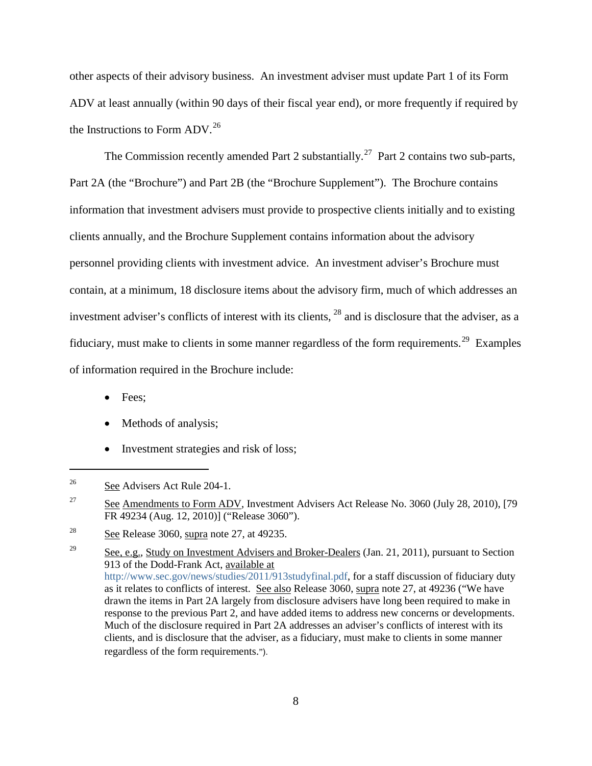other aspects of their advisory business. An investment adviser must update Part 1 of its Form ADV at least annually (within 90 days of their fiscal year end), or more frequently if required by the Instructions to Form ADV.<sup>[26](#page-37-0)</sup>

The Commission recently amended Part 2 substantially.<sup>27</sup> Part 2 contains two sub-parts, Part 2A (the "Brochure") and Part 2B (the "Brochure Supplement"). The Brochure contains information that investment advisers must provide to prospective clients initially and to existing clients annually, and the Brochure Supplement contains information about the advisory personnel providing clients with investment advice. An investment adviser's Brochure must contain, at a minimum, 18 disclosure items about the advisory firm, much of which addresses an investment adviser's conflicts of interest with its clients, [28](#page-37-2) and is disclosure that the adviser, as a fiduciary, must make to clients in some manner regardless of the form requirements.[29](#page-37-3) Examples of information required in the Brochure include:

• Fees:

- Methods of analysis;
- Investment strategies and risk of loss;

<span id="page-37-0"></span><sup>&</sup>lt;sup>26</sup> See Advisers Act Rule 204-1.

<span id="page-37-1"></span> $\frac{27}{27}$  See Amendments to Form ADV, Investment Advisers Act Release No. 3060 (July 28, 2010), [79] FR 49234 (Aug. 12, 2010)] ("Release 3060").

<span id="page-37-2"></span><sup>&</sup>lt;sup>28</sup> See Release 3060, supra note 27, at 49235.

<span id="page-37-3"></span><sup>&</sup>lt;sup>29</sup> See, e.g., Study on Investment Advisers and Broker-Dealers (Jan. 21, 2011), pursuant to Section 913 of the Dodd-Frank Act, available at [http://www.sec.gov/news/studies/2011/913studyfinal.pdf,](http://www.sec.gov/news/studies/2011/913studyfinal.pdf) for a staff discussion of fiduciary duty as it relates to conflicts of interest. See also Release 3060, supra note 27, at 49236 ("We have drawn the items in Part 2A largely from disclosure advisers have long been required to make in response to the previous Part 2, and have added items to address new concerns or developments. Much of the disclosure required in Part 2A addresses an adviser's conflicts of interest with its clients, and is disclosure that the adviser, as a fiduciary, must make to clients in some manner regardless of the form requirements.").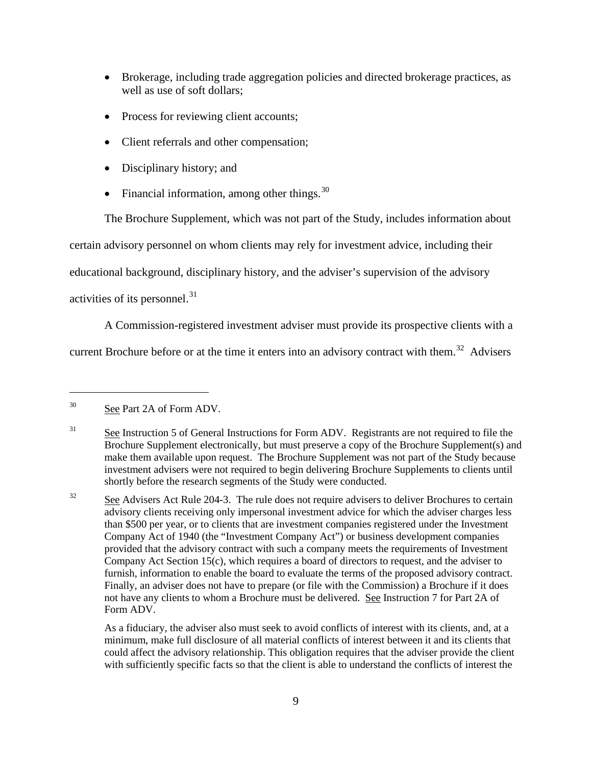- Brokerage, including trade aggregation policies and directed brokerage practices, as well as use of soft dollars;
- Process for reviewing client accounts;
- Client referrals and other compensation;
- Disciplinary history; and
- Financial information, among other things.  $30$

The Brochure Supplement, which was not part of the Study, includes information about

certain advisory personnel on whom clients may rely for investment advice, including their

educational background, disciplinary history, and the adviser's supervision of the advisory

activities of its personnel. $31$ 

A Commission-registered investment adviser must provide its prospective clients with a

current Brochure before or at the time it enters into an advisory contract with them.<sup>[32](#page-38-2)</sup> Advisers

<span id="page-38-0"></span><sup>&</sup>lt;sup>30</sup> See Part 2A of Form ADV.

<span id="page-38-1"></span><sup>&</sup>lt;sup>31</sup> See Instruction 5 of General Instructions for Form ADV. Registrants are not required to file the Brochure Supplement electronically, but must preserve a copy of the Brochure Supplement(s) and make them available upon request. The Brochure Supplement was not part of the Study because investment advisers were not required to begin delivering Brochure Supplements to clients until shortly before the research segments of the Study were conducted.

<span id="page-38-2"></span> $32$  See Advisers Act Rule 204-3. The rule does not require advisers to deliver Brochures to certain advisory clients receiving only impersonal investment advice for which the adviser charges less than \$500 per year, or to clients that are investment companies registered under the Investment Company Act of 1940 (the "Investment Company Act") or business development companies provided that the advisory contract with such a company meets the requirements of Investment Company Act Section 15(c), which requires a board of directors to request, and the adviser to furnish, information to enable the board to evaluate the terms of the proposed advisory contract. Finally, an adviser does not have to prepare (or file with the Commission) a Brochure if it does not have any clients to whom a Brochure must be delivered. See Instruction 7 for Part 2A of Form ADV.

As a fiduciary, the adviser also must seek to avoid conflicts of interest with its clients, and, at a minimum, make full disclosure of all material conflicts of interest between it and its clients that could affect the advisory relationship. This obligation requires that the adviser provide the client with sufficiently specific facts so that the client is able to understand the conflicts of interest the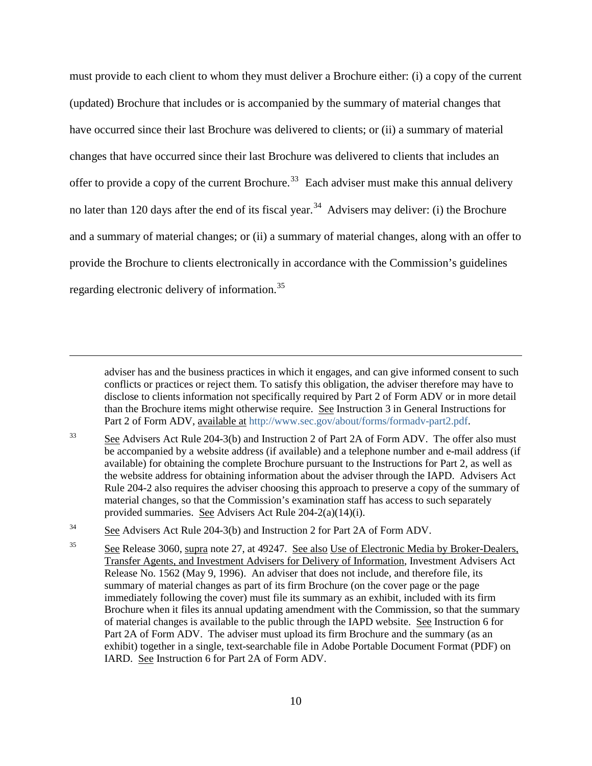must provide to each client to whom they must deliver a Brochure either: (i) a copy of the current (updated) Brochure that includes or is accompanied by the summary of material changes that have occurred since their last Brochure was delivered to clients; or (ii) a summary of material changes that have occurred since their last Brochure was delivered to clients that includes an offer to provide a copy of the current Brochure.<sup>[33](#page-39-0)</sup> Each adviser must make this annual delivery no later than 120 days after the end of its fiscal year.<sup>34</sup> Advisers may deliver: (i) the Brochure and a summary of material changes; or (ii) a summary of material changes, along with an offer to provide the Brochure to clients electronically in accordance with the Commission's guidelines regarding electronic delivery of information.[35](#page-39-2)

adviser has and the business practices in which it engages, and can give informed consent to such conflicts or practices or reject them. To satisfy this obligation, the adviser therefore may have to disclose to clients information not specifically required by Part 2 of Form ADV or in more detail than the Brochure items might otherwise require. See Instruction 3 in General Instructions for Part 2 of Form ADV, available at [http://www.sec.gov/about/forms/formadv-part2.pdf.](http://www.sec.gov/about/forms/formadv-part2.pdf)

<span id="page-39-0"></span> $\frac{33}{2}$  See Advisers Act Rule 204-3(b) and Instruction 2 of Part 2A of Form ADV. The offer also must be accompanied by a website address (if available) and a telephone number and e-mail address (if available) for obtaining the complete Brochure pursuant to the Instructions for Part 2, as well as the website address for obtaining information about the adviser through the IAPD. Advisers Act Rule 204-2 also requires the adviser choosing this approach to preserve a copy of the summary of material changes, so that the Commission's examination staff has access to such separately provided summaries. See Advisers Act Rule 204-2(a)(14)(i).

<span id="page-39-1"></span><sup>34</sup> See Advisers Act Rule 204-3(b) and Instruction 2 for Part 2A of Form ADV.

 $\overline{a}$ 

<span id="page-39-2"></span><sup>35</sup> See Release 3060, supra note 27, at 49247. See also Use of Electronic Media by Broker-Dealers, Transfer Agents, and Investment Advisers for Delivery of Information, Investment Advisers Act Release No. 1562 (May 9, 1996). An adviser that does not include, and therefore file, its summary of material changes as part of its firm Brochure (on the cover page or the page immediately following the cover) must file its summary as an exhibit, included with its firm Brochure when it files its annual updating amendment with the Commission, so that the summary of material changes is available to the public through the IAPD website. See Instruction 6 for Part 2A of Form ADV. The adviser must upload its firm Brochure and the summary (as an exhibit) together in a single, text-searchable file in Adobe Portable Document Format (PDF) on IARD. See Instruction 6 for Part 2A of Form ADV.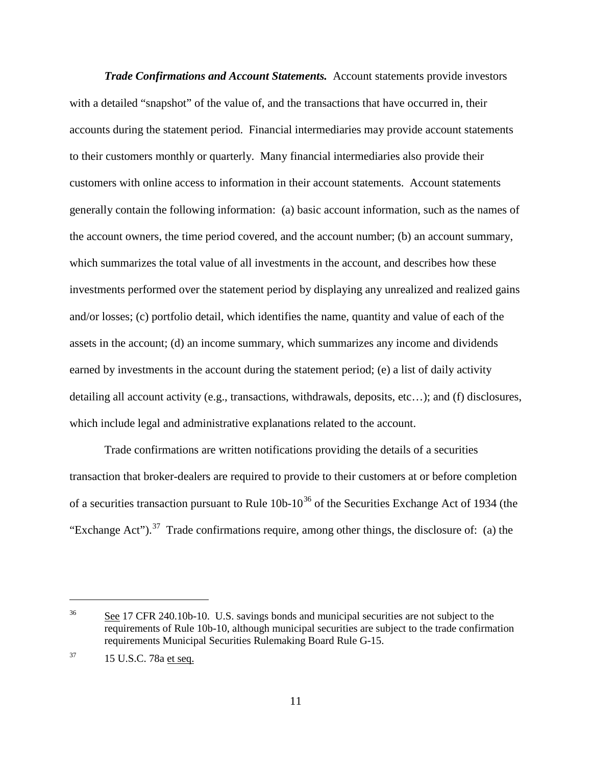*Trade Confirmations and Account Statements.* Account statements provide investors with a detailed "snapshot" of the value of, and the transactions that have occurred in, their accounts during the statement period. Financial intermediaries may provide account statements to their customers monthly or quarterly. Many financial intermediaries also provide their customers with online access to information in their account statements. Account statements generally contain the following information: (a) basic account information, such as the names of the account owners, the time period covered, and the account number; (b) an account summary, which summarizes the total value of all investments in the account, and describes how these investments performed over the statement period by displaying any unrealized and realized gains and/or losses; (c) portfolio detail, which identifies the name, quantity and value of each of the assets in the account; (d) an income summary, which summarizes any income and dividends earned by investments in the account during the statement period; (e) a list of daily activity detailing all account activity (e.g., transactions, withdrawals, deposits, etc…); and (f) disclosures, which include legal and administrative explanations related to the account.

Trade confirmations are written notifications providing the details of a securities transaction that broker-dealers are required to provide to their customers at or before completion of a securities transaction pursuant to Rule  $10b-10^{36}$  $10b-10^{36}$  $10b-10^{36}$  of the Securities Exchange Act of 1934 (the "Exchange Act").<sup>37</sup> Trade confirmations require, among other things, the disclosure of: (a) the

<span id="page-40-0"></span><sup>&</sup>lt;sup>36</sup> See 17 CFR 240.10b-10. U.S. savings bonds and municipal securities are not subject to the requirements of Rule 10b-10, although municipal securities are subject to the trade confirmation requirements Municipal Securities Rulemaking Board Rule G-15.

<span id="page-40-1"></span> $37$  15 U.S.C. 78a et seq.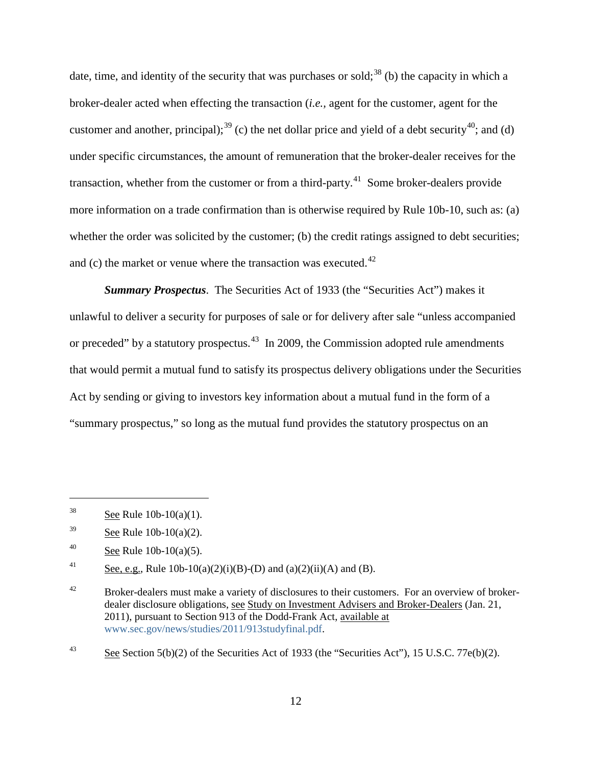date, time, and identity of the security that was purchases or sold;<sup>[38](#page-41-0)</sup> (b) the capacity in which a broker-dealer acted when effecting the transaction (*i.e.,* agent for the customer, agent for the customer and another, principal);<sup>[39](#page-41-1)</sup> (c) the net dollar price and yield of a debt security<sup>40</sup>; and (d) under specific circumstances, the amount of remuneration that the broker-dealer receives for the transaction, whether from the customer or from a third-party.<sup>41</sup> Some broker-dealers provide more information on a trade confirmation than is otherwise required by Rule 10b-10, such as: (a) whether the order was solicited by the customer; (b) the credit ratings assigned to debt securities; and (c) the market or venue where the transaction was executed.<sup>[42](#page-41-4)</sup>

*Summary Prospectus*. The Securities Act of 1933 (the "Securities Act") makes it unlawful to deliver a security for purposes of sale or for delivery after sale "unless accompanied or preceded" by a statutory prospectus.<sup>43</sup> In 2009, the Commission adopted rule amendments that would permit a mutual fund to satisfy its prospectus delivery obligations under the Securities Act by sending or giving to investors key information about a mutual fund in the form of a "summary prospectus," so long as the mutual fund provides the statutory prospectus on an

<span id="page-41-0"></span><sup>&</sup>lt;sup>38</sup> See Rule  $10b-10(a)(1)$ .

<span id="page-41-1"></span> $39$  See Rule 10b-10(a)(2).

<span id="page-41-2"></span><sup>40</sup> See Rule  $10b-10(a)(5)$ .

<span id="page-41-3"></span><sup>&</sup>lt;sup>41</sup> See, e.g., Rule 10b-10(a)(2)(i)(B)-(D) and (a)(2)(ii)(A) and (B).

<span id="page-41-4"></span> $42$  Broker-dealers must make a variety of disclosures to their customers. For an overview of brokerdealer disclosure obligations, see Study on Investment Advisers and Broker-Dealers (Jan. 21, 2011), pursuant to Section 913 of the Dodd-Frank Act, available at [www.sec.gov/news/studies/2011/913studyfinal.pdf.](http://www.sec.gov/news/studies/2011/913studyfinal.pdf)

<span id="page-41-5"></span> $\frac{43}{2}$  See Section 5(b)(2) of the Securities Act of 1933 (the "Securities Act"), 15 U.S.C. 77e(b)(2).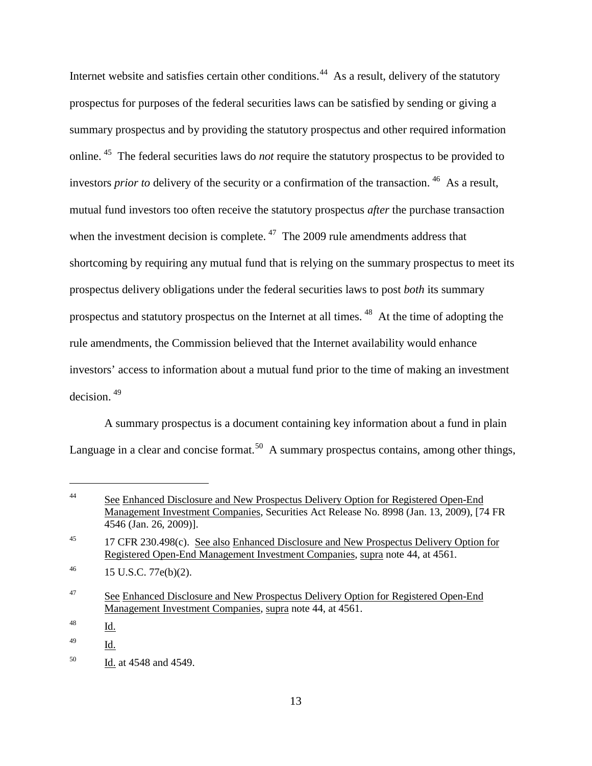Internet website and satisfies certain other conditions.<sup>[44](#page-42-0)</sup> As a result, delivery of the statutory prospectus for purposes of the federal securities laws can be satisfied by sending or giving a summary prospectus and by providing the statutory prospectus and other required information online. [45](#page-42-1) The federal securities laws do *not* require the statutory prospectus to be provided to investors *prior to* delivery of the security or a confirmation of the transaction. [46](#page-42-2) As a result, mutual fund investors too often receive the statutory prospectus *after* the purchase transaction when the investment decision is complete.  $47$  The 2009 rule amendments address that shortcoming by requiring any mutual fund that is relying on the summary prospectus to meet its prospectus delivery obligations under the federal securities laws to post *both* its summary prospectus and statutory prospectus on the Internet at all times. [48](#page-42-4) At the time of adopting the rule amendments, the Commission believed that the Internet availability would enhance investors' access to information about a mutual fund prior to the time of making an investment decision. [49](#page-42-5)

A summary prospectus is a document containing key information about a fund in plain Language in a clear and concise format.<sup>[50](#page-42-6)</sup> A summary prospectus contains, among other things,

<span id="page-42-0"></span><sup>&</sup>lt;sup>44</sup> See Enhanced Disclosure and New Prospectus Delivery Option for Registered Open-End Management Investment Companies, Securities Act Release No. 8998 (Jan. 13, 2009), [74 FR 4546 (Jan. 26, 2009)].

<span id="page-42-1"></span><sup>&</sup>lt;sup>45</sup> 17 CFR 230.498(c). <u>See also Enhanced Disclosure and New Prospectus Delivery Option for</u> Registered Open-End Management Investment Companies, supra note 44, at 4561.

<span id="page-42-2"></span> $^{46}$  15 U.S.C. 77e(b)(2).

<span id="page-42-3"></span><sup>&</sup>lt;sup>47</sup> See Enhanced Disclosure and New Prospectus Delivery Option for Registered Open-End Management Investment Companies, supra note 44, at 4561.

<span id="page-42-4"></span> $\frac{48}{\text{Id.}}$ 

<span id="page-42-5"></span><sup>49</sup> Id.

<span id="page-42-6"></span><sup>50</sup> Id. at 4548 and 4549.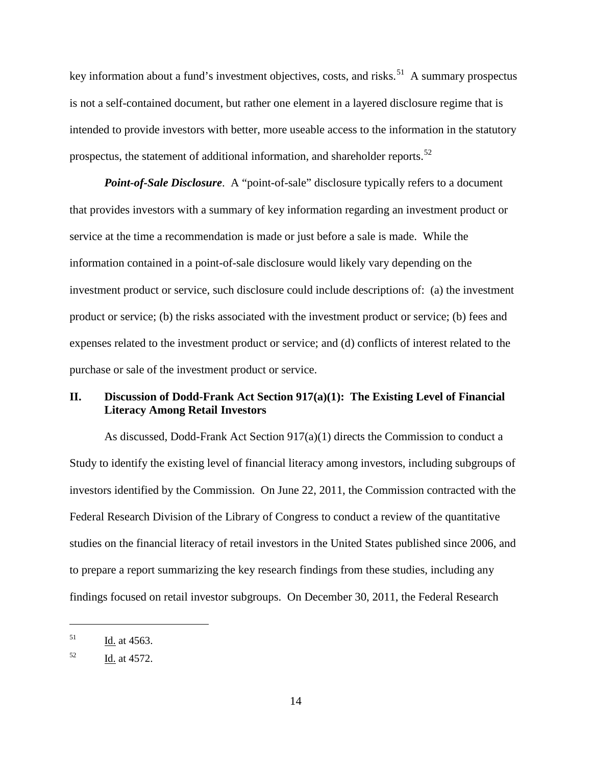key information about a fund's investment objectives, costs, and risks.<sup>51</sup> A summary prospectus is not a self-contained document, but rather one element in a layered disclosure regime that is intended to provide investors with better, more useable access to the information in the statutory prospectus, the statement of additional information, and shareholder reports.<sup>[52](#page-43-1)</sup>

*Point-of-Sale Disclosure*. A "point-of-sale" disclosure typically refers to a document that provides investors with a summary of key information regarding an investment product or service at the time a recommendation is made or just before a sale is made. While the information contained in a point-of-sale disclosure would likely vary depending on the investment product or service, such disclosure could include descriptions of: (a) the investment product or service; (b) the risks associated with the investment product or service; (b) fees and expenses related to the investment product or service; and (d) conflicts of interest related to the purchase or sale of the investment product or service.

## **II. Discussion of Dodd-Frank Act Section 917(a)(1): The Existing Level of Financial Literacy Among Retail Investors**

As discussed, Dodd-Frank Act Section  $917(a)(1)$  directs the Commission to conduct a Study to identify the existing level of financial literacy among investors, including subgroups of investors identified by the Commission. On June 22, 2011, the Commission contracted with the Federal Research Division of the Library of Congress to conduct a review of the quantitative studies on the financial literacy of retail investors in the United States published since 2006, and to prepare a report summarizing the key research findings from these studies, including any findings focused on retail investor subgroups. On December 30, 2011, the Federal Research

<span id="page-43-0"></span> $1d.$  at 4563.

<span id="page-43-1"></span> $52$  Id. at 4572.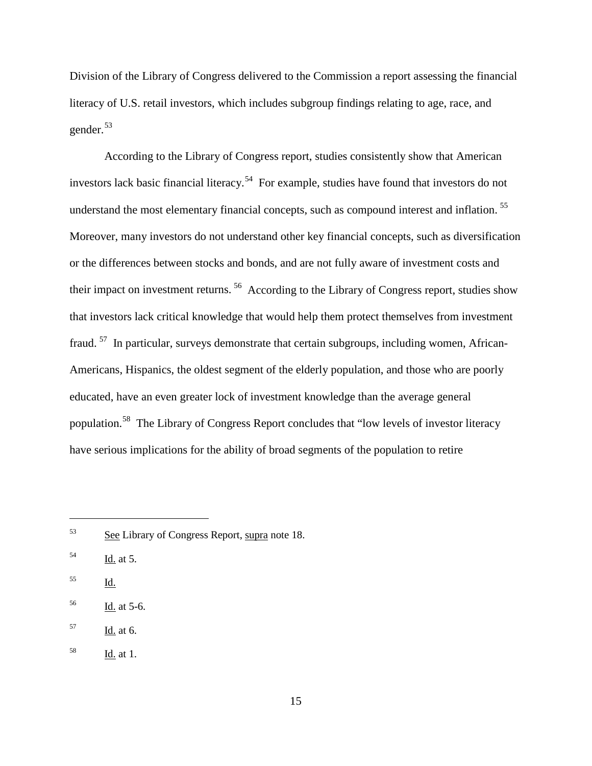Division of the Library of Congress delivered to the Commission a report assessing the financial literacy of U.S. retail investors, which includes subgroup findings relating to age, race, and gender.[53](#page-44-0)

According to the Library of Congress report, studies consistently show that American investors lack basic financial literacy.<sup>54</sup> For example, studies have found that investors do not understand the most elementary financial concepts, such as compound interest and inflation.<sup>55</sup> Moreover, many investors do not understand other key financial concepts, such as diversification or the differences between stocks and bonds, and are not fully aware of investment costs and their impact on investment returns. [56](#page-44-3) According to the Library of Congress report, studies show that investors lack critical knowledge that would help them protect themselves from investment fraud. [57](#page-44-4) In particular, surveys demonstrate that certain subgroups, including women, African-Americans, Hispanics, the oldest segment of the elderly population, and those who are poorly educated, have an even greater lock of investment knowledge than the average general population.<sup>[58](#page-44-5)</sup> The Library of Congress Report concludes that "low levels of investor literacy have serious implications for the ability of broad segments of the population to retire

<span id="page-44-2"></span><sup>55</sup> Id.

- <span id="page-44-3"></span><sup>56</sup> Id. at 5-6.
- <span id="page-44-4"></span> $^{57}$  Id. at 6.
- <span id="page-44-5"></span> $\frac{58}{\underline{\text{Id.}}}$  at 1.

<span id="page-44-0"></span><sup>53</sup> See Library of Congress Report, supra note 18.

<span id="page-44-1"></span> $\frac{Id.}{ }$  at 5.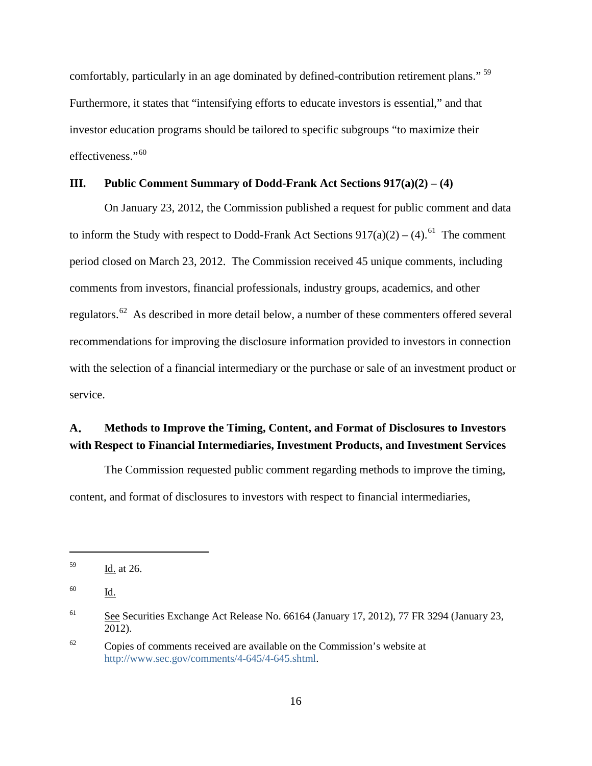comfortably, particularly in an age dominated by defined-contribution retirement plans."<sup>[59](#page-45-0)</sup> Furthermore, it states that "intensifying efforts to educate investors is essential," and that investor education programs should be tailored to specific subgroups "to maximize their effectiveness."<sup>60</sup>

## **III. Public Comment Summary of Dodd-Frank Act Sections 917(a)(2) – (4)**

On January 23, 2012, the Commission published a request for public comment and data to inform the Study with respect to Dodd-Frank Act Sections  $917(a)(2) - (4)$ .<sup>61</sup> The comment period closed on March 23, 2012. The Commission received 45 unique comments, including comments from investors, financial professionals, industry groups, academics, and other regulators.[62](#page-45-3) As described in more detail below, a number of these commenters offered several recommendations for improving the disclosure information provided to investors in connection with the selection of a financial intermediary or the purchase or sale of an investment product or service.

# **A**. **Methods to Improve the Timing, Content, and Format of Disclosures to Investors with Respect to Financial Intermediaries, Investment Products, and Investment Services**

The Commission requested public comment regarding methods to improve the timing, content, and format of disclosures to investors with respect to financial intermediaries,

<span id="page-45-0"></span><sup>59</sup> Id. at 26.

<span id="page-45-1"></span><sup>60</sup> Id.

<span id="page-45-2"></span><sup>&</sup>lt;sup>61</sup> See Securities Exchange Act Release No. 66164 (January 17, 2012), 77 FR 3294 (January 23, 2012).

<span id="page-45-3"></span> $62$  Copies of comments received are available on the Commission's website at [http://www.sec.gov/comments/4-645/4-645.shtml.](http://www.sec.gov/comments/4-645/4-645.shtml)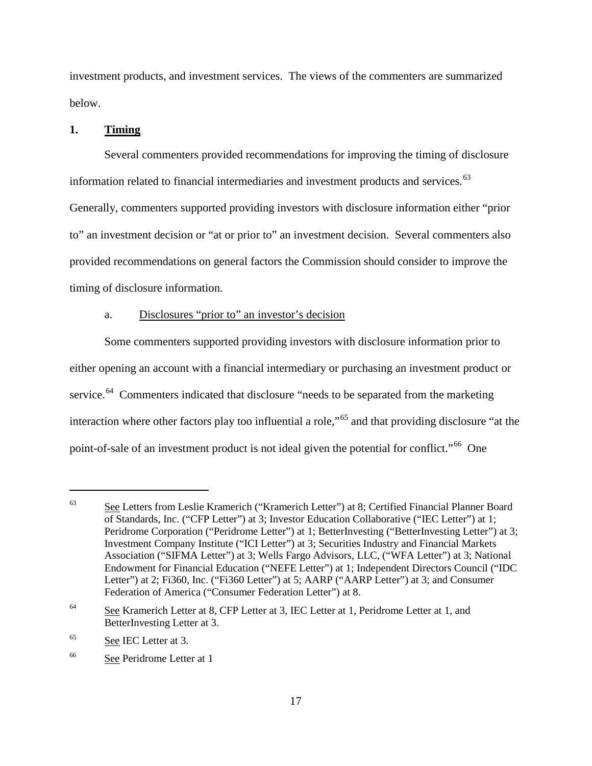investment products, and investment services. The views of the commenters are summarized below.

### **1. Timing**

Several commenters provided recommendations for improving the timing of disclosure information related to financial intermediaries and investment products and services.<sup>[63](#page-46-0)</sup> Generally, commenters supported providing investors with disclosure information either "prior to" an investment decision or "at or prior to" an investment decision. Several commenters also provided recommendations on general factors the Commission should consider to improve the timing of disclosure information.

#### a. Disclosures "prior to" an investor's decision

Some commenters supported providing investors with disclosure information prior to either opening an account with a financial intermediary or purchasing an investment product or service.<sup>64</sup> Commenters indicated that disclosure "needs to be separated from the marketing interaction where other factors play too influential a role,"[65](#page-46-2) and that providing disclosure "at the point-of-sale of an investment product is not ideal given the potential for conflict."[66](#page-46-3) One

<span id="page-46-0"></span><sup>&</sup>lt;sup>63</sup> See Letters from Leslie Kramerich ("Kramerich Letter") at 8; Certified Financial Planner Board of Standards, Inc. ("CFP Letter") at 3; Investor Education Collaborative ("IEC Letter") at 1; Peridrome Corporation ("Peridrome Letter") at 1; BetterInvesting ("BetterInvesting Letter") at 3; Investment Company Institute ("ICI Letter") at 3; Securities Industry and Financial Markets Association ("SIFMA Letter") at 3; Wells Fargo Advisors, LLC, ("WFA Letter") at 3; National Endowment for Financial Education ("NEFE Letter") at 1; Independent Directors Council ("IDC Letter") at 2; Fi360, Inc. ("Fi360 Letter") at 5; AARP ("AARP Letter") at 3; and Consumer Federation of America ("Consumer Federation Letter") at 8.

<span id="page-46-1"></span><sup>&</sup>lt;sup>64</sup> See Kramerich Letter at 8, CFP Letter at 3, IEC Letter at 1, Peridrome Letter at 1, and BetterInvesting Letter at 3.

<span id="page-46-2"></span><sup>65</sup> See IEC Letter at 3.

<span id="page-46-3"></span><sup>66</sup> See Peridrome Letter at 1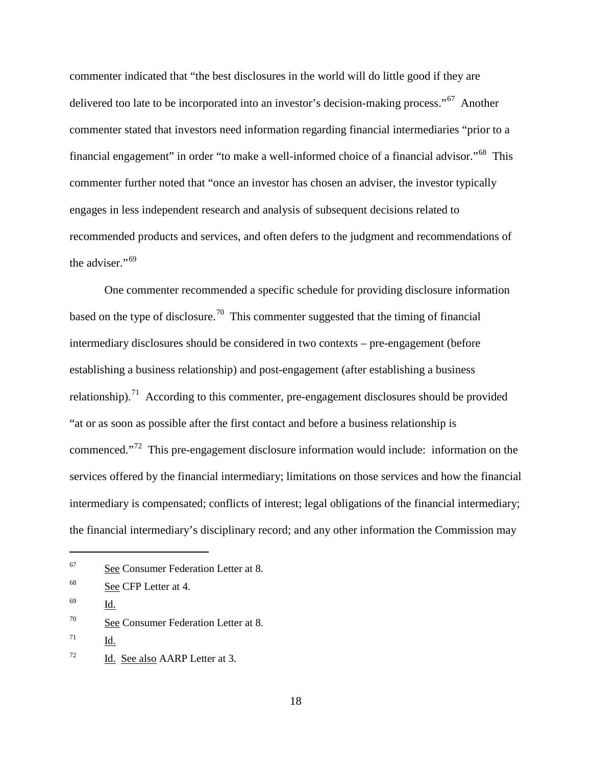commenter indicated that "the best disclosures in the world will do little good if they are delivered too late to be incorporated into an investor's decision-making process."<sup>67</sup> Another commenter stated that investors need information regarding financial intermediaries "prior to a financial engagement" in order "to make a well-informed choice of a financial advisor."[68](#page-47-1) This commenter further noted that "once an investor has chosen an adviser, the investor typically engages in less independent research and analysis of subsequent decisions related to recommended products and services, and often defers to the judgment and recommendations of the adviser." $69$ 

One commenter recommended a specific schedule for providing disclosure information based on the type of disclosure.<sup>70</sup> This commenter suggested that the timing of financial intermediary disclosures should be considered in two contexts – pre-engagement (before establishing a business relationship) and post-engagement (after establishing a business relationship).<sup>[71](#page-47-4)</sup> According to this commenter, pre-engagement disclosures should be provided "at or as soon as possible after the first contact and before a business relationship is commenced."[72](#page-47-5) This pre-engagement disclosure information would include: information on the services offered by the financial intermediary; limitations on those services and how the financial intermediary is compensated; conflicts of interest; legal obligations of the financial intermediary; the financial intermediary's disciplinary record; and any other information the Commission may

<span id="page-47-0"></span><sup>67</sup> See Consumer Federation Letter at 8.

<span id="page-47-1"></span><sup>68</sup> See CFP Letter at 4.

<span id="page-47-2"></span> $^{69}$  Id.

<span id="page-47-3"></span><sup>&</sup>lt;sup>70</sup> See Consumer Federation Letter at 8.

<span id="page-47-4"></span> $71$  Id.

<span id="page-47-5"></span> $^{72}$  Id. See also AARP Letter at 3.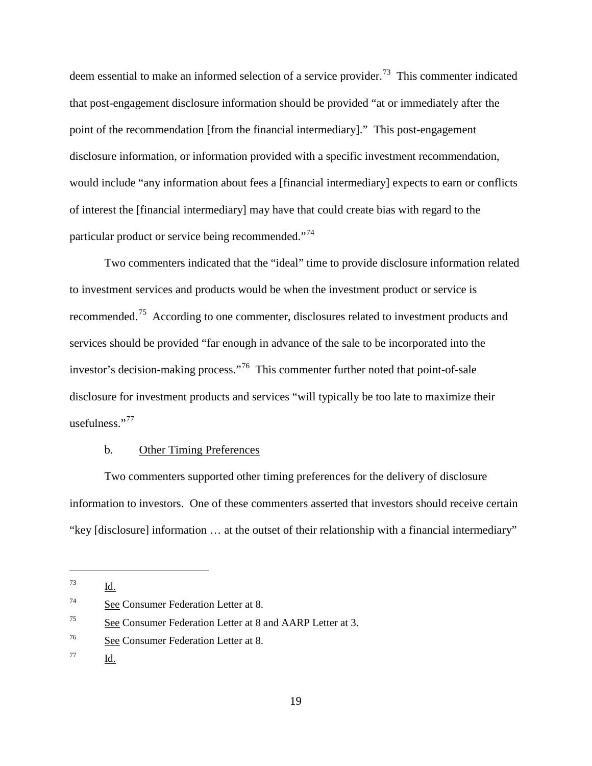deem essential to make an informed selection of a service provider.<sup>[73](#page-48-0)</sup> This commenter indicated that post-engagement disclosure information should be provided "at or immediately after the point of the recommendation [from the financial intermediary]." This post-engagement disclosure information, or information provided with a specific investment recommendation, would include "any information about fees a [financial intermediary] expects to earn or conflicts of interest the [financial intermediary] may have that could create bias with regard to the particular product or service being recommended."[74](#page-48-1)

Two commenters indicated that the "ideal" time to provide disclosure information related to investment services and products would be when the investment product or service is recommended.[75](#page-48-2) According to one commenter, disclosures related to investment products and services should be provided "far enough in advance of the sale to be incorporated into the investor's decision-making process."<sup>[76](#page-48-3)</sup> This commenter further noted that point-of-sale disclosure for investment products and services "will typically be too late to maximize their usefulness." $77$ 

#### b. Other Timing Preferences

Two commenters supported other timing preferences for the delivery of disclosure information to investors. One of these commenters asserted that investors should receive certain "key [disclosure] information … at the outset of their relationship with a financial intermediary"

<span id="page-48-0"></span><sup>73</sup> Id.

<span id="page-48-1"></span><sup>74</sup> See Consumer Federation Letter at 8.

<span id="page-48-2"></span><sup>75</sup> See Consumer Federation Letter at 8 and AARP Letter at 3.

<span id="page-48-3"></span><sup>76</sup> See Consumer Federation Letter at 8.

<span id="page-48-4"></span><sup>77</sup> Id.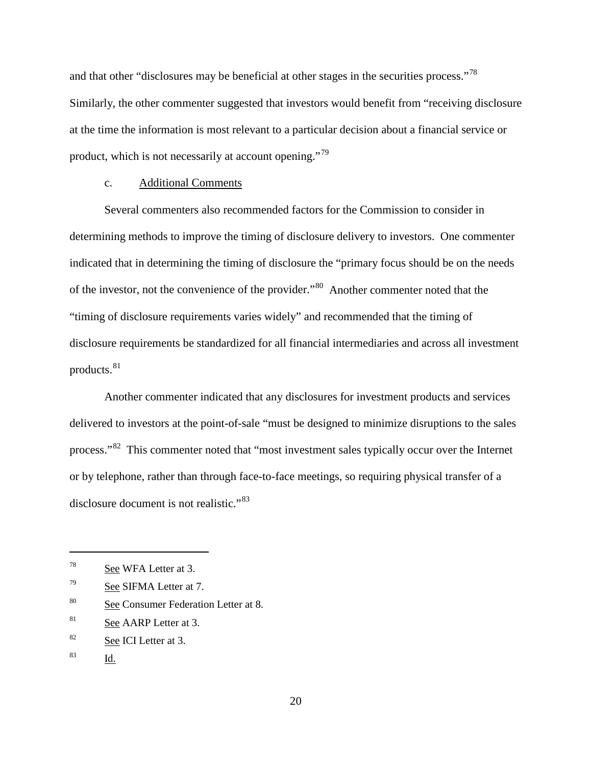and that other "disclosures may be beneficial at other stages in the securities process."<sup>[78](#page-49-0)</sup> Similarly, the other commenter suggested that investors would benefit from "receiving disclosure at the time the information is most relevant to a particular decision about a financial service or product, which is not necessarily at account opening."[79](#page-49-1)

#### c. Additional Comments

Several commenters also recommended factors for the Commission to consider in determining methods to improve the timing of disclosure delivery to investors. One commenter indicated that in determining the timing of disclosure the "primary focus should be on the needs of the investor, not the convenience of the provider."[80](#page-49-2) Another commenter noted that the "timing of disclosure requirements varies widely" and recommended that the timing of disclosure requirements be standardized for all financial intermediaries and across all investment products.<sup>[81](#page-49-3)</sup>

Another commenter indicated that any disclosures for investment products and services delivered to investors at the point-of-sale "must be designed to minimize disruptions to the sales process."[82](#page-49-4) This commenter noted that "most investment sales typically occur over the Internet or by telephone, rather than through face-to-face meetings, so requiring physical transfer of a disclosure document is not realistic."[83](#page-49-5)

<span id="page-49-2"></span><sup>80</sup> See Consumer Federation Letter at 8.

<span id="page-49-5"></span><sup>83</sup> Id.

<span id="page-49-0"></span> $78$  See WFA Letter at 3.

<span id="page-49-1"></span> $79$  See SIFMA Letter at 7.

<span id="page-49-3"></span><sup>&</sup>lt;sup>81</sup> See AARP Letter at 3.

<span id="page-49-4"></span><sup>82</sup> See ICI Letter at 3.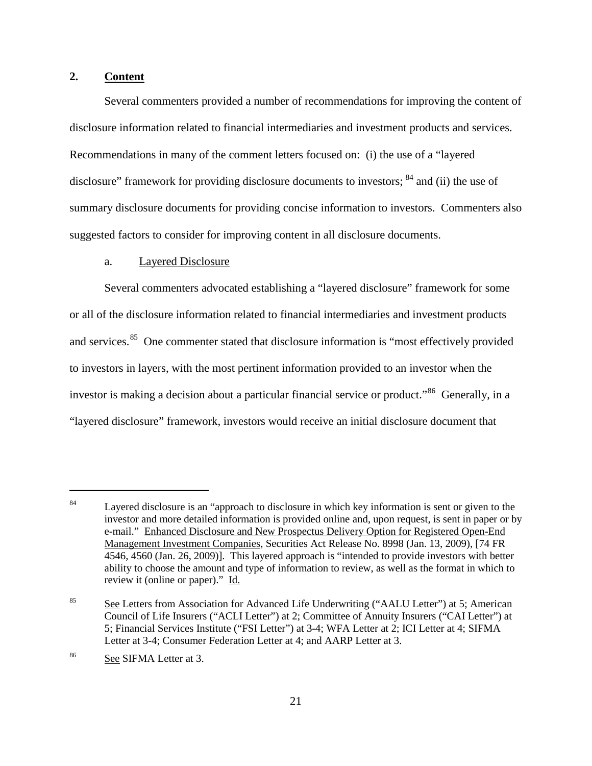## **2. Content**

Several commenters provided a number of recommendations for improving the content of disclosure information related to financial intermediaries and investment products and services. Recommendations in many of the comment letters focused on: (i) the use of a "layered disclosure" framework for providing disclosure documents to investors; <sup>[84](#page-50-0)</sup> and (ii) the use of summary disclosure documents for providing concise information to investors. Commenters also suggested factors to consider for improving content in all disclosure documents.

### a. Layered Disclosure

Several commenters advocated establishing a "layered disclosure" framework for some or all of the disclosure information related to financial intermediaries and investment products and services.<sup>85</sup> One commenter stated that disclosure information is "most effectively provided to investors in layers, with the most pertinent information provided to an investor when the investor is making a decision about a particular financial service or product.<sup>86</sup> Generally, in a "layered disclosure" framework, investors would receive an initial disclosure document that

<span id="page-50-0"></span><sup>&</sup>lt;sup>84</sup> Layered disclosure is an "approach to disclosure in which key information is sent or given to the investor and more detailed information is provided online and, upon request, is sent in paper or by e-mail." Enhanced Disclosure and New Prospectus Delivery Option for Registered Open-End Management Investment Companies, Securities Act Release No. 8998 (Jan. 13, 2009), [74 FR 4546, 4560 (Jan. 26, 2009)]. This layered approach is "intended to provide investors with better ability to choose the amount and type of information to review, as well as the format in which to review it (online or paper)." Id.

<span id="page-50-1"></span><sup>&</sup>lt;sup>85</sup> See Letters from Association for Advanced Life Underwriting ("AALU Letter") at 5; American Council of Life Insurers ("ACLI Letter") at 2; Committee of Annuity Insurers ("CAI Letter") at 5; Financial Services Institute ("FSI Letter") at 3-4; WFA Letter at 2; ICI Letter at 4; SIFMA Letter at 3-4; Consumer Federation Letter at 4; and AARP Letter at 3.

<span id="page-50-2"></span><sup>86</sup> See SIFMA Letter at 3.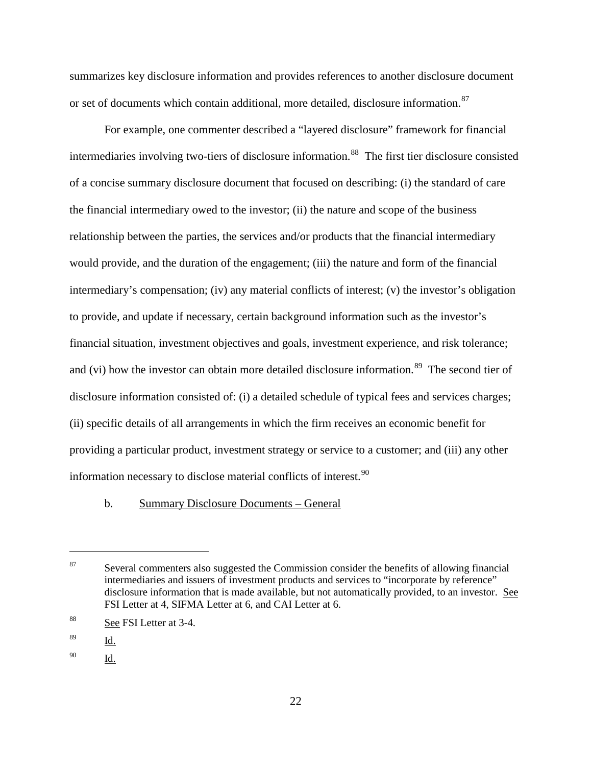summarizes key disclosure information and provides references to another disclosure document or set of documents which contain additional, more detailed, disclosure information.<sup>87</sup>

For example, one commenter described a "layered disclosure" framework for financial intermediaries involving two-tiers of disclosure information.<sup>[88](#page-51-1)</sup> The first tier disclosure consisted of a concise summary disclosure document that focused on describing: (i) the standard of care the financial intermediary owed to the investor; (ii) the nature and scope of the business relationship between the parties, the services and/or products that the financial intermediary would provide, and the duration of the engagement; (iii) the nature and form of the financial intermediary's compensation; (iv) any material conflicts of interest; (v) the investor's obligation to provide, and update if necessary, certain background information such as the investor's financial situation, investment objectives and goals, investment experience, and risk tolerance; and (vi) how the investor can obtain more detailed disclosure information.<sup>89</sup> The second tier of disclosure information consisted of: (i) a detailed schedule of typical fees and services charges; (ii) specific details of all arrangements in which the firm receives an economic benefit for providing a particular product, investment strategy or service to a customer; and (iii) any other information necessary to disclose material conflicts of interest.  $90$ 

#### b. Summary Disclosure Documents – General

<span id="page-51-1"></span><sup>88</sup> See FSI Letter at 3-4.

 $\overline{a}$ 

<span id="page-51-3"></span><sup>90</sup> Id.

<span id="page-51-0"></span> $87$  Several commenters also suggested the Commission consider the benefits of allowing financial intermediaries and issuers of investment products and services to "incorporate by reference" disclosure information that is made available, but not automatically provided, to an investor. See FSI Letter at 4, SIFMA Letter at 6, and CAI Letter at 6.

<span id="page-51-2"></span><sup>89</sup> Id.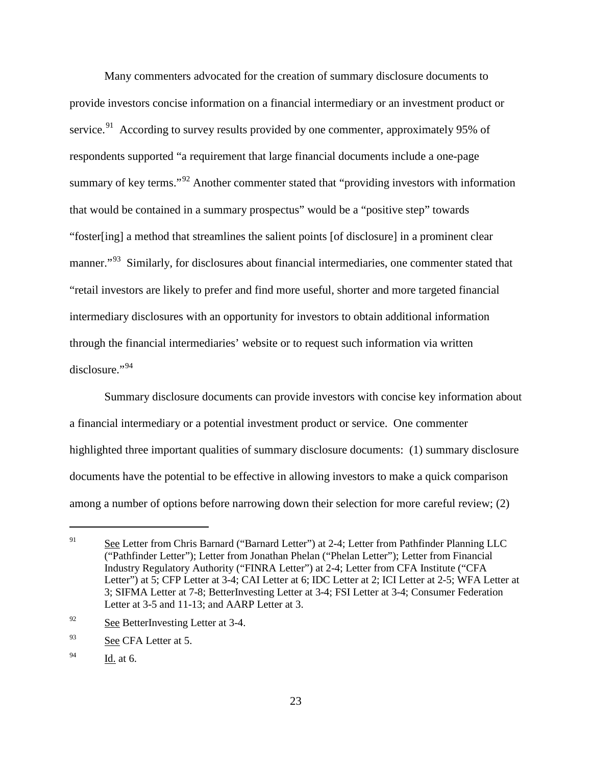Many commenters advocated for the creation of summary disclosure documents to provide investors concise information on a financial intermediary or an investment product or service.<sup>91</sup> According to survey results provided by one commenter, approximately 95% of respondents supported "a requirement that large financial documents include a one-page summary of key terms."<sup>[92](#page-52-1)</sup> Another commenter stated that "providing investors with information that would be contained in a summary prospectus" would be a "positive step" towards "foster[ing] a method that streamlines the salient points [of disclosure] in a prominent clear manner."<sup>[93](#page-52-2)</sup> Similarly, for disclosures about financial intermediaries, one commenter stated that "retail investors are likely to prefer and find more useful, shorter and more targeted financial intermediary disclosures with an opportunity for investors to obtain additional information through the financial intermediaries' website or to request such information via written disclosure."[94](#page-52-3)

Summary disclosure documents can provide investors with concise key information about a financial intermediary or a potential investment product or service. One commenter highlighted three important qualities of summary disclosure documents: (1) summary disclosure documents have the potential to be effective in allowing investors to make a quick comparison among a number of options before narrowing down their selection for more careful review; (2)

<span id="page-52-0"></span><sup>&</sup>lt;sup>91</sup> See Letter from Chris Barnard ("Barnard Letter") at 2-4; Letter from Pathfinder Planning LLC ("Pathfinder Letter"); Letter from Jonathan Phelan ("Phelan Letter"); Letter from Financial Industry Regulatory Authority ("FINRA Letter") at 2-4; Letter from CFA Institute ("CFA Letter") at 5; CFP Letter at 3-4; CAI Letter at 6; IDC Letter at 2; ICI Letter at 2-5; WFA Letter at 3; SIFMA Letter at 7-8; BetterInvesting Letter at 3-4; FSI Letter at 3-4; Consumer Federation Letter at 3-5 and 11-13; and AARP Letter at 3.

<span id="page-52-1"></span><sup>&</sup>lt;sup>92</sup> See BetterInvesting Letter at 3-4.

<span id="page-52-2"></span><sup>93</sup> See CFA Letter at 5.

<span id="page-52-3"></span> $^{94}$  Id. at 6.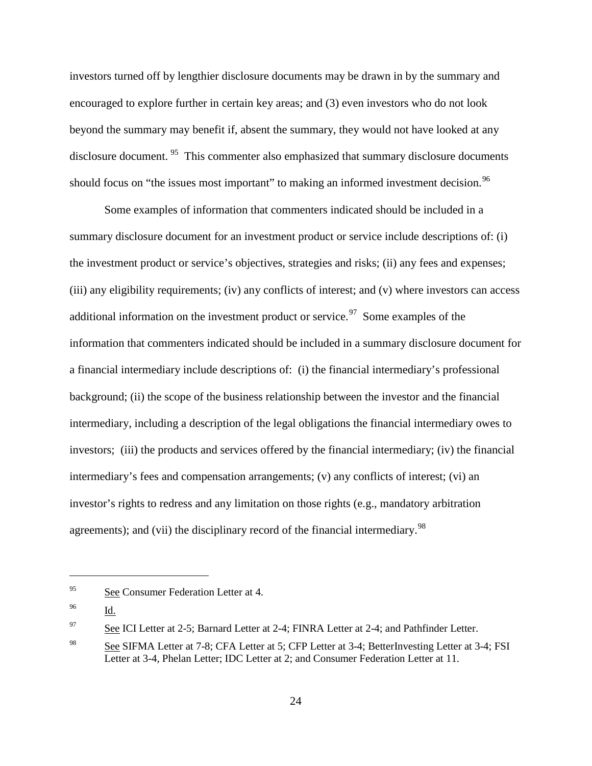investors turned off by lengthier disclosure documents may be drawn in by the summary and encouraged to explore further in certain key areas; and (3) even investors who do not look beyond the summary may benefit if, absent the summary, they would not have looked at any disclosure document. <sup>95</sup> This commenter also emphasized that summary disclosure documents should focus on "the issues most important" to making an informed investment decision.<sup>[96](#page-53-1)</sup>

Some examples of information that commenters indicated should be included in a summary disclosure document for an investment product or service include descriptions of: (i) the investment product or service's objectives, strategies and risks; (ii) any fees and expenses; (iii) any eligibility requirements; (iv) any conflicts of interest; and (v) where investors can access additional information on the investment product or service.<sup>[97](#page-53-2)</sup> Some examples of the information that commenters indicated should be included in a summary disclosure document for a financial intermediary include descriptions of: (i) the financial intermediary's professional background; (ii) the scope of the business relationship between the investor and the financial intermediary, including a description of the legal obligations the financial intermediary owes to investors; (iii) the products and services offered by the financial intermediary; (iv) the financial intermediary's fees and compensation arrangements; (v) any conflicts of interest; (vi) an investor's rights to redress and any limitation on those rights (e.g., mandatory arbitration agreements); and (vii) the disciplinary record of the financial intermediary.<sup>98</sup>

<span id="page-53-0"></span><sup>&</sup>lt;sup>95</sup> See Consumer Federation Letter at 4.

<span id="page-53-1"></span><sup>96</sup> Id.

<span id="page-53-2"></span><sup>&</sup>lt;sup>97</sup> See ICI Letter at 2-5; Barnard Letter at 2-4; FINRA Letter at 2-4; and Pathfinder Letter.

<span id="page-53-3"></span><sup>98</sup> See SIFMA Letter at 7-8; CFA Letter at 5; CFP Letter at 3-4; BetterInvesting Letter at 3-4; FSI Letter at 3-4, Phelan Letter; IDC Letter at 2; and Consumer Federation Letter at 11.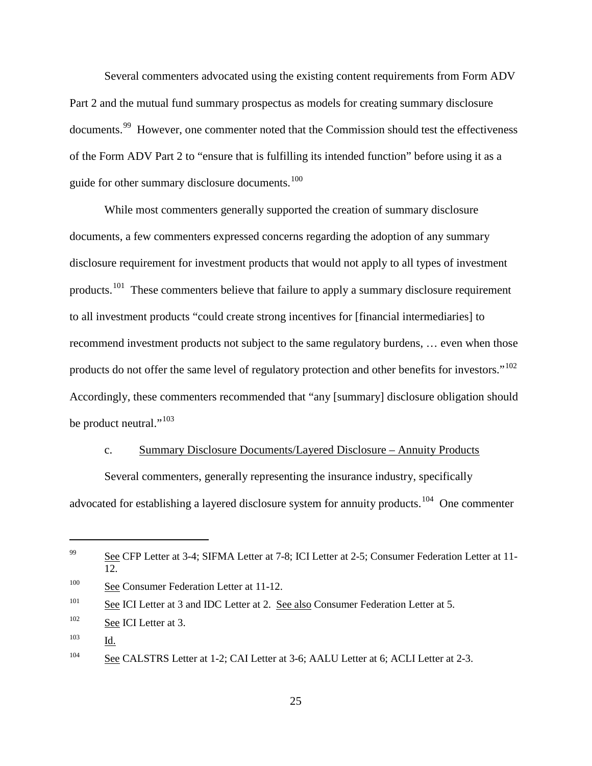Several commenters advocated using the existing content requirements from Form ADV Part 2 and the mutual fund summary prospectus as models for creating summary disclosure documents.<sup>99</sup> However, one commenter noted that the Commission should test the effectiveness of the Form ADV Part 2 to "ensure that is fulfilling its intended function" before using it as a guide for other summary disclosure documents.<sup>[100](#page-54-1)</sup>

While most commenters generally supported the creation of summary disclosure documents, a few commenters expressed concerns regarding the adoption of any summary disclosure requirement for investment products that would not apply to all types of investment products.<sup>[101](#page-54-2)</sup> These commenters believe that failure to apply a summary disclosure requirement to all investment products "could create strong incentives for [financial intermediaries] to recommend investment products not subject to the same regulatory burdens, … even when those products do not offer the same level of regulatory protection and other benefits for investors."<sup>102</sup> Accordingly, these commenters recommended that "any [summary] disclosure obligation should be product neutral."<sup>[103](#page-54-4)</sup>

#### c. Summary Disclosure Documents/Layered Disclosure – Annuity Products

Several commenters, generally representing the insurance industry, specifically advocated for establishing a layered disclosure system for annuity products.<sup>104</sup> One commenter

<span id="page-54-0"></span><sup>&</sup>lt;sup>99</sup> See CFP Letter at 3-4; SIFMA Letter at 7-8; ICI Letter at 2-5; Consumer Federation Letter at 11-12.

<span id="page-54-1"></span><sup>&</sup>lt;sup>100</sup> See Consumer Federation Letter at 11-12.

<span id="page-54-2"></span><sup>&</sup>lt;sup>101</sup> See ICI Letter at 3 and IDC Letter at 2. See also Consumer Federation Letter at 5.

<span id="page-54-3"></span> $102$  See ICI Letter at 3.

<span id="page-54-4"></span><sup>103</sup> Id.

<span id="page-54-5"></span><sup>&</sup>lt;sup>104</sup> See CALSTRS Letter at 1-2; CAI Letter at 3-6; AALU Letter at 6; ACLI Letter at 2-3.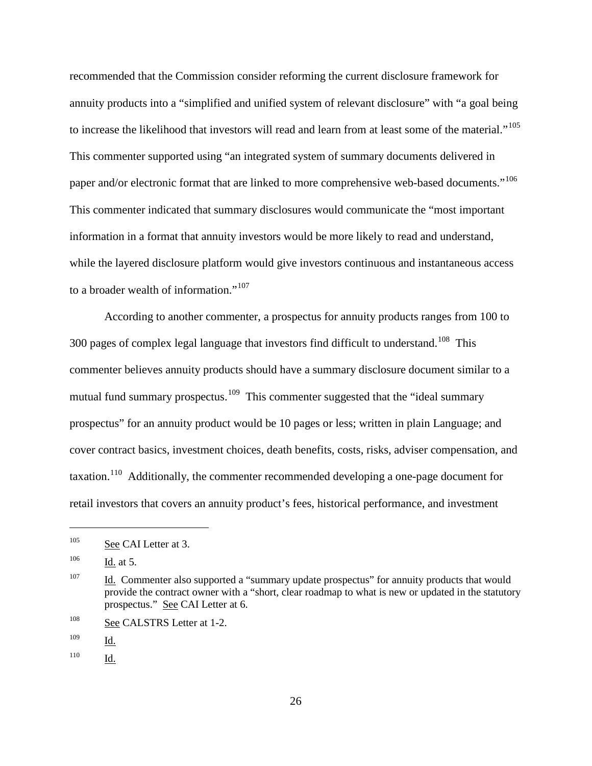recommended that the Commission consider reforming the current disclosure framework for annuity products into a "simplified and unified system of relevant disclosure" with "a goal being to increase the likelihood that investors will read and learn from at least some of the material."<sup>[105](#page-55-0)</sup> This commenter supported using "an integrated system of summary documents delivered in paper and/or electronic format that are linked to more comprehensive web-based documents."<sup>[106](#page-55-1)</sup> This commenter indicated that summary disclosures would communicate the "most important information in a format that annuity investors would be more likely to read and understand, while the layered disclosure platform would give investors continuous and instantaneous access to a broader wealth of information."<sup>[107](#page-55-2)</sup>

According to another commenter, a prospectus for annuity products ranges from 100 to 300 pages of complex legal language that investors find difficult to understand.<sup>[108](#page-55-3)</sup> This commenter believes annuity products should have a summary disclosure document similar to a mutual fund summary prospectus.<sup>[109](#page-55-4)</sup> This commenter suggested that the "ideal summary" prospectus" for an annuity product would be 10 pages or less; written in plain Language; and cover contract basics, investment choices, death benefits, costs, risks, adviser compensation, and taxation.<sup>[110](#page-55-5)</sup> Additionally, the commenter recommended developing a one-page document for retail investors that covers an annuity product's fees, historical performance, and investment

<span id="page-55-0"></span> $^{105}$  See CAI Letter at 3.

<span id="page-55-1"></span> $106$  Id. at 5.

<span id="page-55-2"></span> $107$  Id. Commenter also supported a "summary update prospectus" for annuity products that would provide the contract owner with a "short, clear roadmap to what is new or updated in the statutory prospectus." See CAI Letter at 6.

<span id="page-55-3"></span><sup>&</sup>lt;sup>108</sup> See CALSTRS Letter at 1-2.

<span id="page-55-4"></span><sup>109</sup> Id.

<span id="page-55-5"></span><sup>110</sup> Id.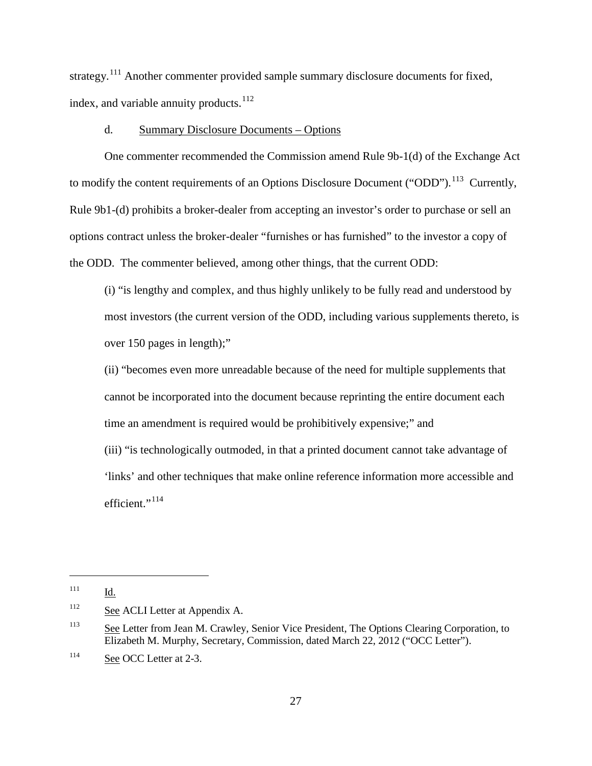strategy.<sup>[111](#page-56-0)</sup> Another commenter provided sample summary disclosure documents for fixed, index, and variable annuity products.<sup>112</sup>

### d. Summary Disclosure Documents – Options

One commenter recommended the Commission amend Rule 9b-1(d) of the Exchange Act to modify the content requirements of an Options Disclosure Document ("ODD").<sup>113</sup> Currently, Rule 9b1-(d) prohibits a broker-dealer from accepting an investor's order to purchase or sell an options contract unless the broker-dealer "furnishes or has furnished" to the investor a copy of the ODD. The commenter believed, among other things, that the current ODD:

(i) "is lengthy and complex, and thus highly unlikely to be fully read and understood by most investors (the current version of the ODD, including various supplements thereto, is over 150 pages in length);"

(ii) "becomes even more unreadable because of the need for multiple supplements that cannot be incorporated into the document because reprinting the entire document each time an amendment is required would be prohibitively expensive;" and

(iii) "is technologically outmoded, in that a printed document cannot take advantage of 'links' and other techniques that make online reference information more accessible and efficient."<sup>[114](#page-56-3)</sup>

<span id="page-56-0"></span><sup>111</sup> Id.

<span id="page-56-1"></span><sup>&</sup>lt;sup>112</sup> See ACLI Letter at Appendix A.

<span id="page-56-2"></span><sup>&</sup>lt;sup>113</sup> See Letter from Jean M. Crawley, Senior Vice President, The Options Clearing Corporation, to Elizabeth M. Murphy, Secretary, Commission, dated March 22, 2012 ("OCC Letter").

<span id="page-56-3"></span><sup>&</sup>lt;sup>114</sup> See OCC Letter at 2-3.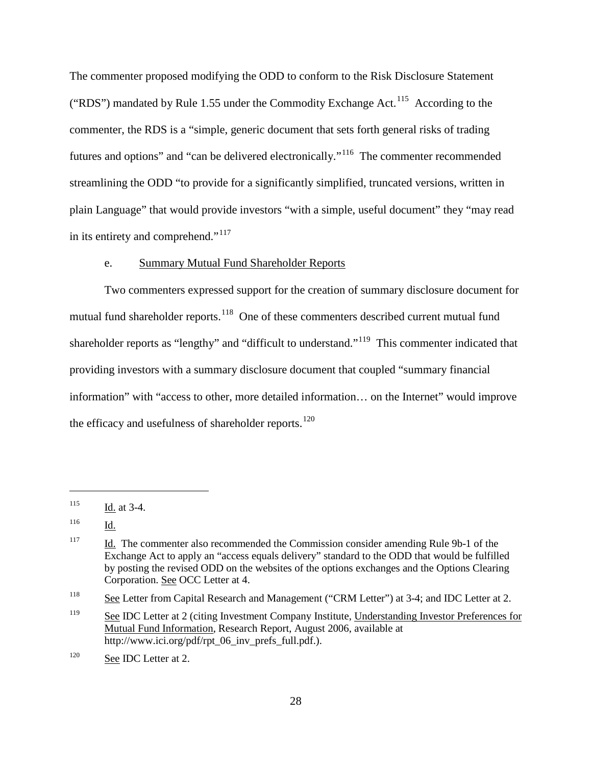The commenter proposed modifying the ODD to conform to the Risk Disclosure Statement ("RDS") mandated by Rule 1.55 under the Commodity Exchange Act.<sup>[115](#page-57-0)</sup> According to the commenter, the RDS is a "simple, generic document that sets forth general risks of trading futures and options" and "can be delivered electronically."[116](#page-57-1) The commenter recommended streamlining the ODD "to provide for a significantly simplified, truncated versions, written in plain Language" that would provide investors "with a simple, useful document" they "may read in its entirety and comprehend."[117](#page-57-2)

### e. Summary Mutual Fund Shareholder Reports

Two commenters expressed support for the creation of summary disclosure document for mutual fund shareholder reports.<sup>[118](#page-57-3)</sup> One of these commenters described current mutual fund shareholder reports as "lengthy" and "difficult to understand."[119](#page-57-4) This commenter indicated that providing investors with a summary disclosure document that coupled "summary financial information" with "access to other, more detailed information… on the Internet" would improve the efficacy and usefulness of shareholder reports.<sup>[120](#page-57-5)</sup>

<span id="page-57-0"></span> $115$  Id. at 3-4.

<span id="page-57-1"></span><sup>116</sup> Id.

<span id="page-57-2"></span><sup>&</sup>lt;sup>117</sup> Id. The commenter also recommended the Commission consider amending Rule 9b-1 of the Exchange Act to apply an "access equals delivery" standard to the ODD that would be fulfilled by posting the revised ODD on the websites of the options exchanges and the Options Clearing Corporation. See OCC Letter at 4.

<span id="page-57-3"></span><sup>&</sup>lt;sup>118</sup> See Letter from Capital Research and Management ("CRM Letter") at 3-4; and IDC Letter at 2.

<span id="page-57-4"></span><sup>&</sup>lt;sup>119</sup> See IDC Letter at 2 (citing Investment Company Institute, Understanding Investor Preferences for Mutual Fund Information, Research Report, August 2006, available at http://www.ici.org/pdf/rpt\_06\_inv\_prefs\_full.pdf.).

<span id="page-57-5"></span><sup>&</sup>lt;sup>120</sup> See IDC Letter at 2.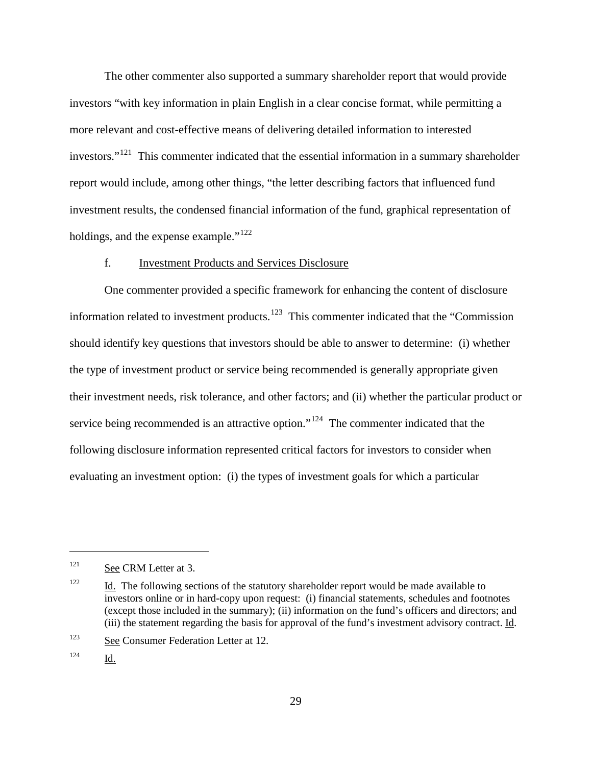The other commenter also supported a summary shareholder report that would provide investors "with key information in plain English in a clear concise format, while permitting a more relevant and cost-effective means of delivering detailed information to interested investors."<sup>[121](#page-58-0)</sup> This commenter indicated that the essential information in a summary shareholder report would include, among other things, "the letter describing factors that influenced fund investment results, the condensed financial information of the fund, graphical representation of holdings, and the expense example."<sup>[122](#page-58-1)</sup>

#### f. Investment Products and Services Disclosure

One commenter provided a specific framework for enhancing the content of disclosure information related to investment products.<sup>[123](#page-58-2)</sup> This commenter indicated that the "Commission should identify key questions that investors should be able to answer to determine: (i) whether the type of investment product or service being recommended is generally appropriate given their investment needs, risk tolerance, and other factors; and (ii) whether the particular product or service being recommended is an attractive option."<sup>[124](#page-58-3)</sup> The commenter indicated that the following disclosure information represented critical factors for investors to consider when evaluating an investment option: (i) the types of investment goals for which a particular

<span id="page-58-0"></span><sup>&</sup>lt;sup>121</sup> See CRM Letter at 3.

<span id="page-58-1"></span> $122$  Id. The following sections of the statutory shareholder report would be made available to investors online or in hard-copy upon request: (i) financial statements, schedules and footnotes (except those included in the summary); (ii) information on the fund's officers and directors; and (iii) the statement regarding the basis for approval of the fund's investment advisory contract.  $\underline{Id}$ .

<span id="page-58-2"></span><sup>123</sup> See Consumer Federation Letter at 12.

<span id="page-58-3"></span> $124$  Id.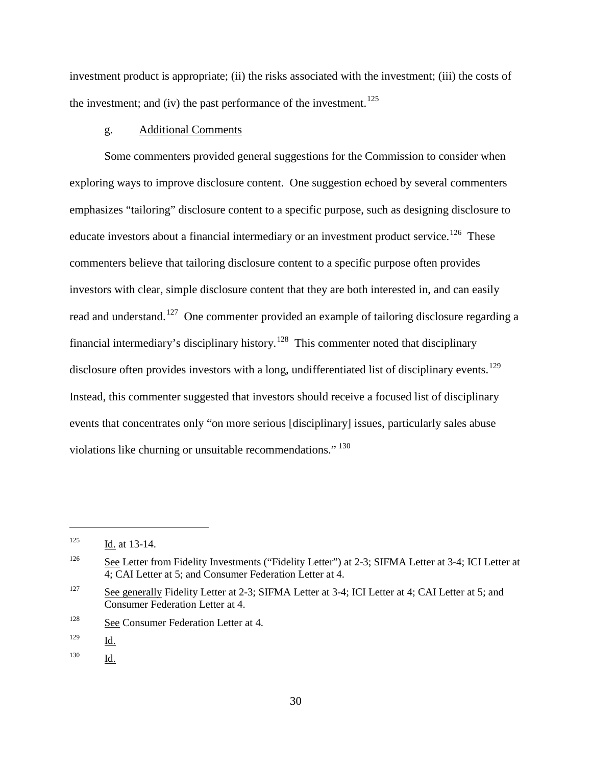investment product is appropriate; (ii) the risks associated with the investment; (iii) the costs of the investment; and (iv) the past performance of the investment.<sup>[125](#page-59-0)</sup>

### g. Additional Comments

Some commenters provided general suggestions for the Commission to consider when exploring ways to improve disclosure content. One suggestion echoed by several commenters emphasizes "tailoring" disclosure content to a specific purpose, such as designing disclosure to educate investors about a financial intermediary or an investment product service.<sup>126</sup> These commenters believe that tailoring disclosure content to a specific purpose often provides investors with clear, simple disclosure content that they are both interested in, and can easily read and understand.<sup>[127](#page-59-2)</sup> One commenter provided an example of tailoring disclosure regarding a financial intermediary's disciplinary history.<sup>128</sup> This commenter noted that disciplinary disclosure often provides investors with a long, undifferentiated list of disciplinary events.<sup>[129](#page-59-4)</sup> Instead, this commenter suggested that investors should receive a focused list of disciplinary events that concentrates only "on more serious [disciplinary] issues, particularly sales abuse violations like churning or unsuitable recommendations." [130](#page-59-5) 

<span id="page-59-0"></span> $125$  Id. at 13-14.

<span id="page-59-1"></span><sup>&</sup>lt;sup>126</sup> See Letter from Fidelity Investments ("Fidelity Letter") at 2-3; SIFMA Letter at 3-4; ICI Letter at 4; CAI Letter at 5; and Consumer Federation Letter at 4.

<span id="page-59-2"></span><sup>&</sup>lt;sup>127</sup> See generally Fidelity Letter at 2-3; SIFMA Letter at 3-4; ICI Letter at 4; CAI Letter at 5; and Consumer Federation Letter at 4.

<span id="page-59-3"></span><sup>&</sup>lt;sup>128</sup> See Consumer Federation Letter at 4.

<span id="page-59-4"></span><sup>129</sup> Id.

<span id="page-59-5"></span><sup>130</sup> Id.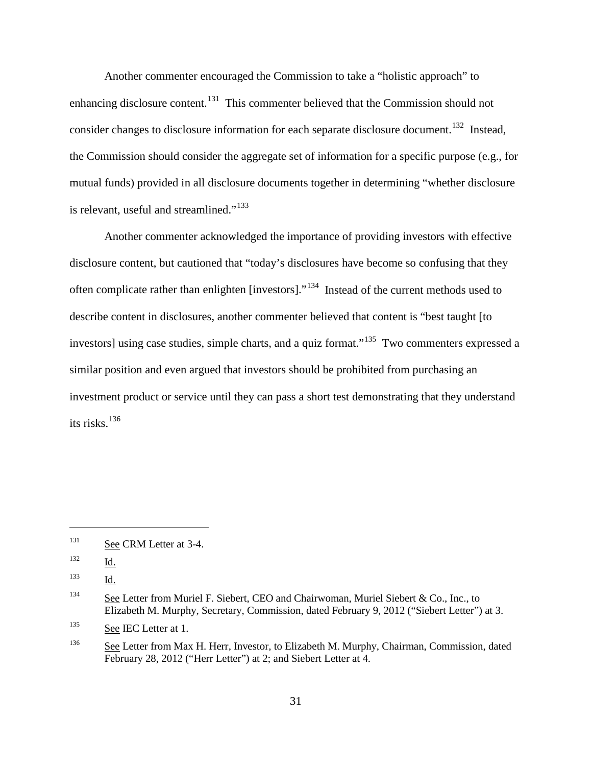Another commenter encouraged the Commission to take a "holistic approach" to enhancing disclosure content.<sup>[131](#page-60-0)</sup> This commenter believed that the Commission should not consider changes to disclosure information for each separate disclosure document.<sup>[132](#page-60-1)</sup> Instead, the Commission should consider the aggregate set of information for a specific purpose (e.g., for mutual funds) provided in all disclosure documents together in determining "whether disclosure is relevant, useful and streamlined."<sup>[133](#page-60-2)</sup>

Another commenter acknowledged the importance of providing investors with effective disclosure content, but cautioned that "today's disclosures have become so confusing that they often complicate rather than enlighten [investors]."[134](#page-60-3) Instead of the current methods used to describe content in disclosures, another commenter believed that content is "best taught [to investors] using case studies, simple charts, and a quiz format."<sup>[135](#page-60-4)</sup> Two commenters expressed a similar position and even argued that investors should be prohibited from purchasing an investment product or service until they can pass a short test demonstrating that they understand its risks. $136$ 

<span id="page-60-0"></span><sup>&</sup>lt;sup>131</sup> See CRM Letter at 3-4.

<span id="page-60-1"></span> $\frac{132}{\underline{Id}}$ .

<span id="page-60-2"></span><sup>133</sup> Id.

<span id="page-60-3"></span><sup>&</sup>lt;sup>134</sup> See Letter from Muriel F. Siebert, CEO and Chairwoman, Muriel Siebert & Co., Inc., to Elizabeth M. Murphy, Secretary, Commission, dated February 9, 2012 ("Siebert Letter") at 3.

<span id="page-60-4"></span><sup>&</sup>lt;sup>135</sup> See IEC Letter at 1.

<span id="page-60-5"></span><sup>&</sup>lt;sup>136</sup> See Letter from Max H. Herr, Investor, to Elizabeth M. Murphy, Chairman, Commission, dated February 28, 2012 ("Herr Letter") at 2; and Siebert Letter at 4.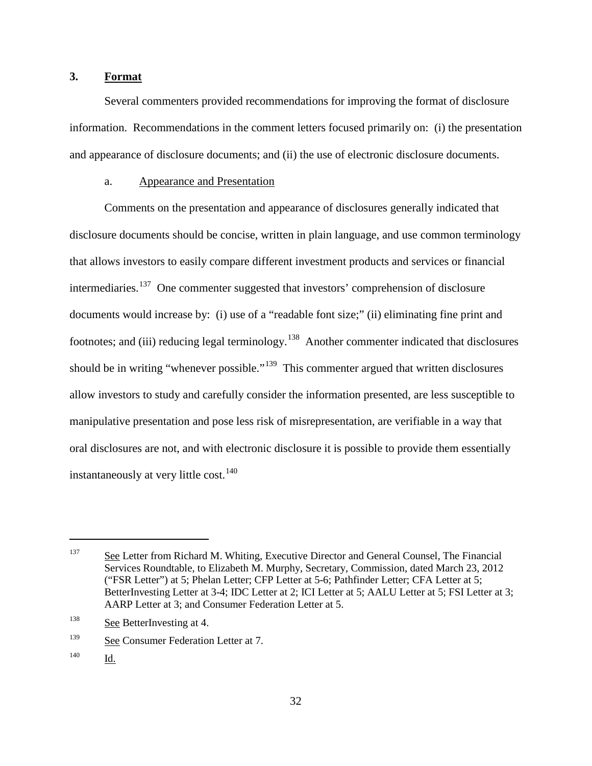## **3. Format**

Several commenters provided recommendations for improving the format of disclosure information. Recommendations in the comment letters focused primarily on: (i) the presentation and appearance of disclosure documents; and (ii) the use of electronic disclosure documents.

### a. Appearance and Presentation

Comments on the presentation and appearance of disclosures generally indicated that disclosure documents should be concise, written in plain language, and use common terminology that allows investors to easily compare different investment products and services or financial intermediaries.<sup>[137](#page-61-0)</sup> One commenter suggested that investors' comprehension of disclosure documents would increase by: (i) use of a "readable font size;" (ii) eliminating fine print and footnotes; and (iii) reducing legal terminology.<sup>138</sup> Another commenter indicated that disclosures should be in writing "whenever possible."<sup>139</sup> This commenter argued that written disclosures allow investors to study and carefully consider the information presented, are less susceptible to manipulative presentation and pose less risk of misrepresentation, are verifiable in a way that oral disclosures are not, and with electronic disclosure it is possible to provide them essentially instantaneously at very little cost.<sup>[140](#page-61-3)</sup>

<span id="page-61-0"></span><sup>&</sup>lt;sup>137</sup> See Letter from Richard M. Whiting, Executive Director and General Counsel, The Financial Services Roundtable, to Elizabeth M. Murphy, Secretary, Commission, dated March 23, 2012 ("FSR Letter") at 5; Phelan Letter; CFP Letter at 5-6; Pathfinder Letter; CFA Letter at 5; BetterInvesting Letter at 3-4; IDC Letter at 2; ICI Letter at 5; AALU Letter at 5; FSI Letter at 3; AARP Letter at 3; and Consumer Federation Letter at 5.

<span id="page-61-1"></span><sup>&</sup>lt;sup>138</sup> See BetterInvesting at 4.

<span id="page-61-2"></span><sup>139</sup> See Consumer Federation Letter at 7.

<span id="page-61-3"></span><sup>140</sup> Id.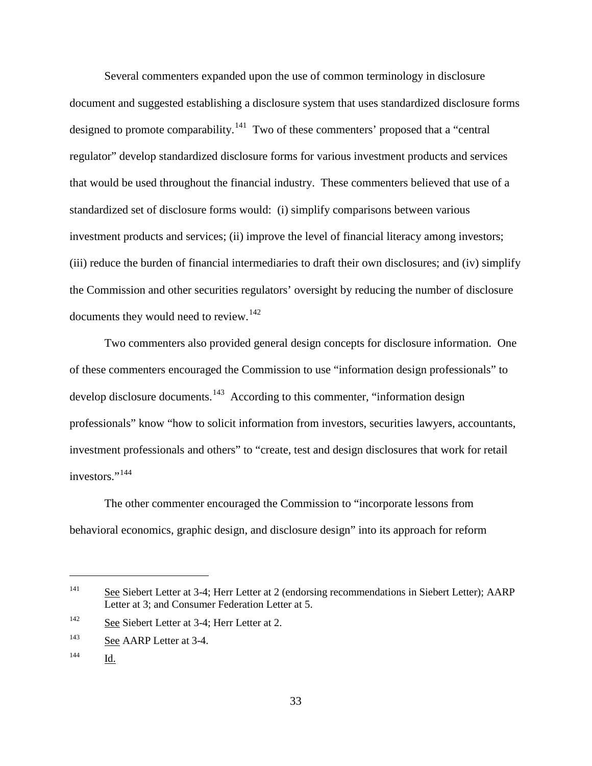Several commenters expanded upon the use of common terminology in disclosure document and suggested establishing a disclosure system that uses standardized disclosure forms designed to promote comparability.<sup>[141](#page-62-0)</sup> Two of these commenters' proposed that a "central" regulator" develop standardized disclosure forms for various investment products and services that would be used throughout the financial industry. These commenters believed that use of a standardized set of disclosure forms would: (i) simplify comparisons between various investment products and services; (ii) improve the level of financial literacy among investors; (iii) reduce the burden of financial intermediaries to draft their own disclosures; and (iv) simplify the Commission and other securities regulators' oversight by reducing the number of disclosure documents they would need to review.<sup>[142](#page-62-1)</sup>

Two commenters also provided general design concepts for disclosure information. One of these commenters encouraged the Commission to use "information design professionals" to develop disclosure documents.<sup>[143](#page-62-2)</sup> According to this commenter, "information design professionals" know "how to solicit information from investors, securities lawyers, accountants, investment professionals and others" to "create, test and design disclosures that work for retail investors."<sup>[144](#page-62-3)</sup>

The other commenter encouraged the Commission to "incorporate lessons from behavioral economics, graphic design, and disclosure design" into its approach for reform

<span id="page-62-0"></span><sup>&</sup>lt;sup>141</sup> See Siebert Letter at 3-4; Herr Letter at 2 (endorsing recommendations in Siebert Letter); AARP Letter at 3; and Consumer Federation Letter at 5.

<span id="page-62-1"></span><sup>142</sup> See Siebert Letter at 3-4; Herr Letter at 2.

<span id="page-62-2"></span><sup>&</sup>lt;sup>143</sup> See AARP Letter at 3-4.

<span id="page-62-3"></span><sup>144</sup> Id.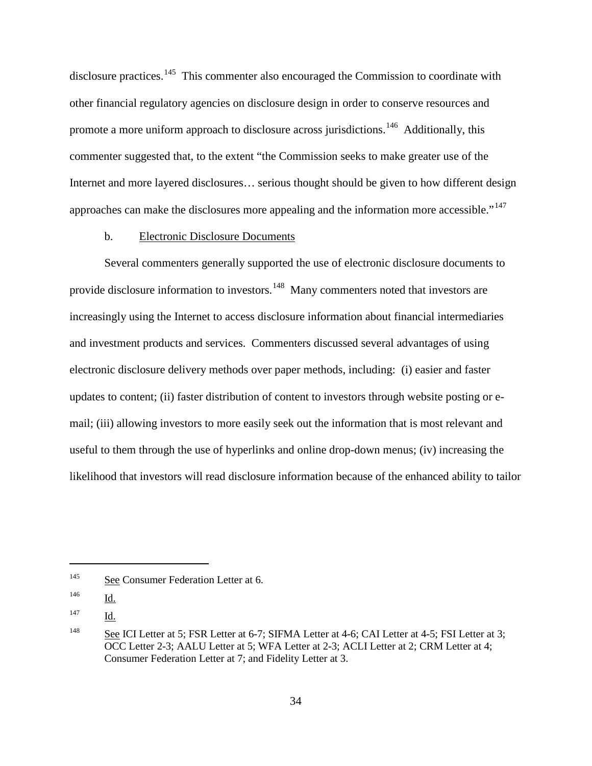disclosure practices.<sup>[145](#page-63-0)</sup> This commenter also encouraged the Commission to coordinate with other financial regulatory agencies on disclosure design in order to conserve resources and promote a more uniform approach to disclosure across jurisdictions.<sup>146</sup> Additionally, this commenter suggested that, to the extent "the Commission seeks to make greater use of the Internet and more layered disclosures… serious thought should be given to how different design approaches can make the disclosures more appealing and the information more accessible."<sup>[147](#page-63-2)</sup>

### b. Electronic Disclosure Documents

Several commenters generally supported the use of electronic disclosure documents to provide disclosure information to investors.<sup>[148](#page-63-3)</sup> Many commenters noted that investors are increasingly using the Internet to access disclosure information about financial intermediaries and investment products and services. Commenters discussed several advantages of using electronic disclosure delivery methods over paper methods, including: (i) easier and faster updates to content; (ii) faster distribution of content to investors through website posting or email; (iii) allowing investors to more easily seek out the information that is most relevant and useful to them through the use of hyperlinks and online drop-down menus; (iv) increasing the likelihood that investors will read disclosure information because of the enhanced ability to tailor

<span id="page-63-0"></span><sup>&</sup>lt;sup>145</sup> See Consumer Federation Letter at 6.

<span id="page-63-1"></span><sup>146</sup> Id.

<span id="page-63-2"></span><sup>147</sup> Id.

<span id="page-63-3"></span><sup>&</sup>lt;sup>148</sup> See ICI Letter at 5; FSR Letter at 6-7; SIFMA Letter at 4-6; CAI Letter at 4-5; FSI Letter at 3; OCC Letter 2-3; AALU Letter at 5; WFA Letter at 2-3; ACLI Letter at 2; CRM Letter at 4; Consumer Federation Letter at 7; and Fidelity Letter at 3.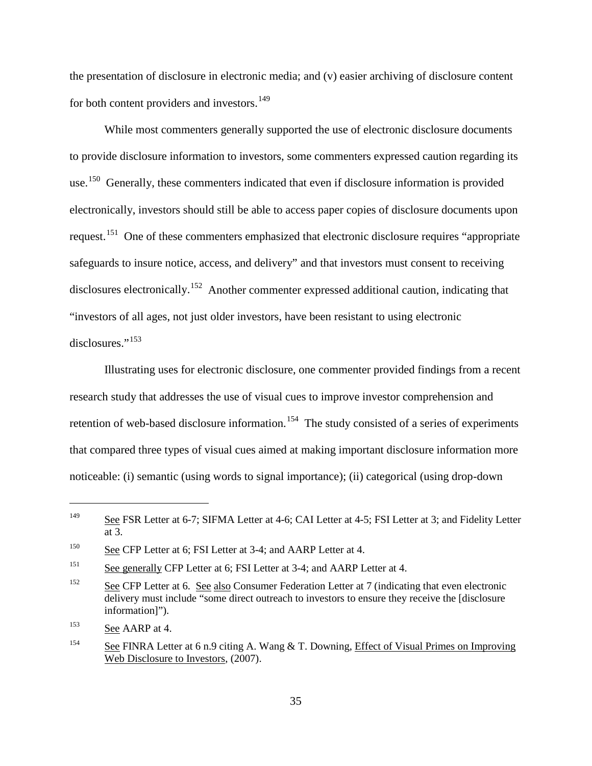the presentation of disclosure in electronic media; and (v) easier archiving of disclosure content for both content providers and investors.<sup>[149](#page-64-0)</sup>

While most commenters generally supported the use of electronic disclosure documents to provide disclosure information to investors, some commenters expressed caution regarding its use.<sup>150</sup> Generally, these commenters indicated that even if disclosure information is provided electronically, investors should still be able to access paper copies of disclosure documents upon request.[151](#page-64-2) One of these commenters emphasized that electronic disclosure requires "appropriate safeguards to insure notice, access, and delivery" and that investors must consent to receiving disclosures electronically.<sup>[152](#page-64-3)</sup> Another commenter expressed additional caution, indicating that "investors of all ages, not just older investors, have been resistant to using electronic disclosures."<sup>[153](#page-64-4)</sup>

Illustrating uses for electronic disclosure, one commenter provided findings from a recent research study that addresses the use of visual cues to improve investor comprehension and retention of web-based disclosure information.<sup>[154](#page-64-5)</sup> The study consisted of a series of experiments that compared three types of visual cues aimed at making important disclosure information more noticeable: (i) semantic (using words to signal importance); (ii) categorical (using drop-down

<span id="page-64-0"></span><sup>&</sup>lt;sup>149</sup> See FSR Letter at 6-7; SIFMA Letter at 4-6; CAI Letter at 4-5; FSI Letter at 3; and Fidelity Letter at 3.

<span id="page-64-1"></span><sup>&</sup>lt;sup>150</sup> See CFP Letter at 6; FSI Letter at 3-4; and AARP Letter at 4.

<span id="page-64-2"></span><sup>&</sup>lt;sup>151</sup> See generally CFP Letter at 6; FSI Letter at 3-4; and AARP Letter at 4.

<span id="page-64-3"></span><sup>&</sup>lt;sup>152</sup> See CFP Letter at 6. See also Consumer Federation Letter at 7 (indicating that even electronic delivery must include "some direct outreach to investors to ensure they receive the [disclosure information]").

<span id="page-64-4"></span><sup>&</sup>lt;sup>153</sup> See AARP at 4.

<span id="page-64-5"></span><sup>&</sup>lt;sup>154</sup> See FINRA Letter at 6 n.9 citing A. Wang & T. Downing, Effect of Visual Primes on Improving Web Disclosure to Investors, (2007).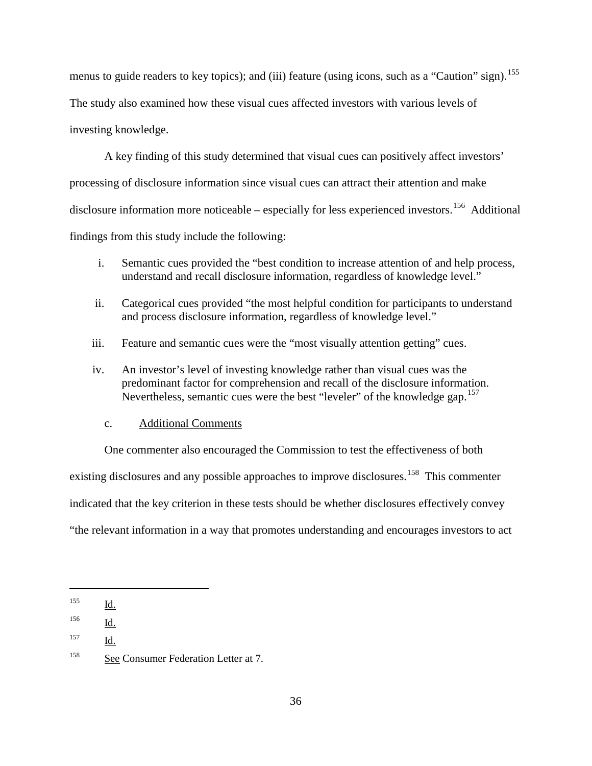menus to guide readers to key topics); and (iii) feature (using icons, such as a "Caution" sign).<sup>[155](#page-65-0)</sup> The study also examined how these visual cues affected investors with various levels of investing knowledge.

A key finding of this study determined that visual cues can positively affect investors' processing of disclosure information since visual cues can attract their attention and make disclosure information more noticeable – especially for less experienced investors.<sup>[156](#page-65-1)</sup> Additional findings from this study include the following:

- i. Semantic cues provided the "best condition to increase attention of and help process, understand and recall disclosure information, regardless of knowledge level."
- ii. Categorical cues provided "the most helpful condition for participants to understand and process disclosure information, regardless of knowledge level."
- iii. Feature and semantic cues were the "most visually attention getting" cues.
- iv. An investor's level of investing knowledge rather than visual cues was the predominant factor for comprehension and recall of the disclosure information. Nevertheless, semantic cues were the best "leveler" of the knowledge gap.  $157$

### c. Additional Comments

One commenter also encouraged the Commission to test the effectiveness of both existing disclosures and any possible approaches to improve disclosures.<sup>158</sup> This commenter indicated that the key criterion in these tests should be whether disclosures effectively convey "the relevant information in a way that promotes understanding and encourages investors to act

<span id="page-65-0"></span><sup>155</sup> Id.

<span id="page-65-1"></span> $\frac{156}{\underline{\mathsf{Id}}}}$ .

<span id="page-65-2"></span><sup>157</sup> Id.

<span id="page-65-3"></span><sup>158</sup> See Consumer Federation Letter at 7.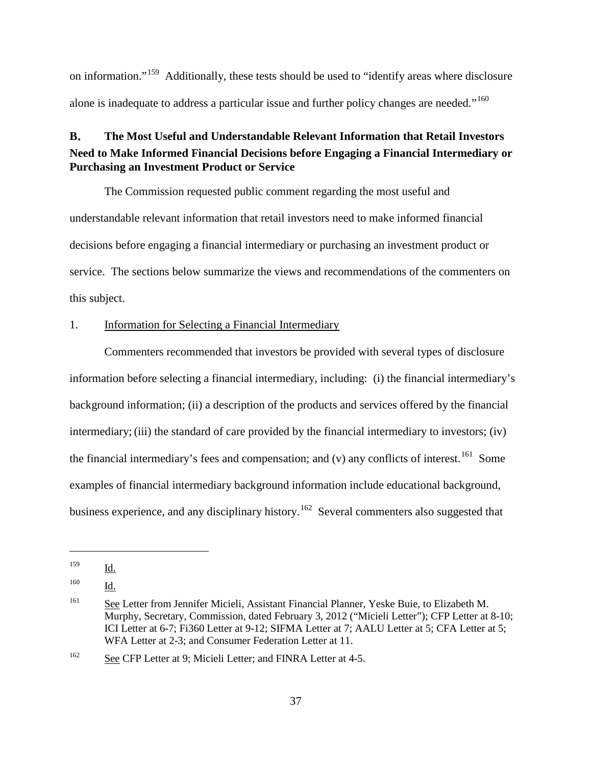on information."[159](#page-66-0) Additionally, these tests should be used to "identify areas where disclosure alone is inadequate to address a particular issue and further policy changes are needed."<sup>[160](#page-66-1)</sup>

# **B**. **The Most Useful and Understandable Relevant Information that Retail Investors Need to Make Informed Financial Decisions before Engaging a Financial Intermediary or Purchasing an Investment Product or Service**

The Commission requested public comment regarding the most useful and understandable relevant information that retail investors need to make informed financial decisions before engaging a financial intermediary or purchasing an investment product or service. The sections below summarize the views and recommendations of the commenters on this subject.

### 1. Information for Selecting a Financial Intermediary

Commenters recommended that investors be provided with several types of disclosure information before selecting a financial intermediary, including: (i) the financial intermediary's background information; (ii) a description of the products and services offered by the financial intermediary; (iii) the standard of care provided by the financial intermediary to investors; (iv) the financial intermediary's fees and compensation; and (v) any conflicts of interest.<sup>[161](#page-66-2)</sup> Some examples of financial intermediary background information include educational background, business experience, and any disciplinary history.<sup>[162](#page-66-3)</sup> Several commenters also suggested that

<span id="page-66-0"></span><sup>159</sup> Id.

<span id="page-66-1"></span><sup>160</sup> Id.

<span id="page-66-2"></span><sup>&</sup>lt;sup>161</sup> See Letter from Jennifer Micieli, Assistant Financial Planner, Yeske Buie, to Elizabeth M. Murphy, Secretary, Commission, dated February 3, 2012 ("Micieli Letter"); CFP Letter at 8-10; ICI Letter at 6-7; Fi360 Letter at 9-12; SIFMA Letter at 7; AALU Letter at 5; CFA Letter at 5; WFA Letter at 2-3; and Consumer Federation Letter at 11.

<span id="page-66-3"></span><sup>&</sup>lt;sup>162</sup> See CFP Letter at 9; Micieli Letter; and FINRA Letter at 4-5.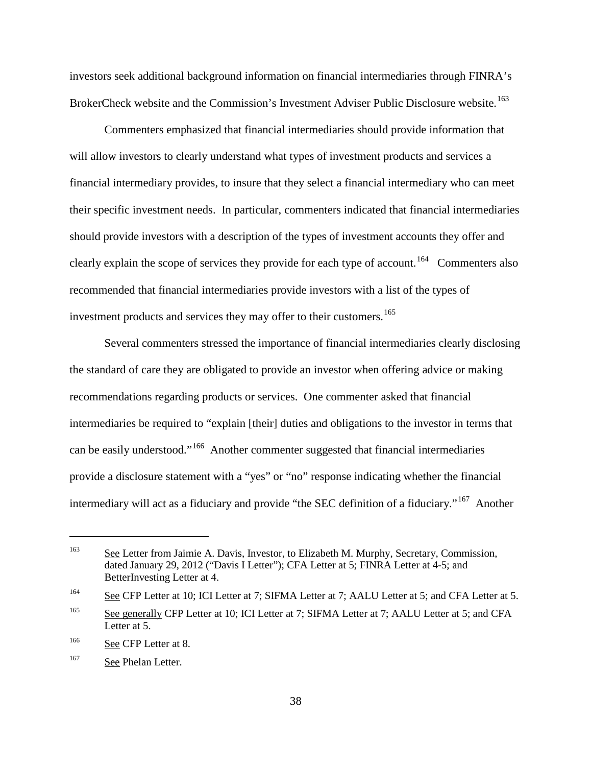investors seek additional background information on financial intermediaries through FINRA's BrokerCheck website and the Commission's Investment Adviser Public Disclosure website.<sup>[163](#page-67-0)</sup>

Commenters emphasized that financial intermediaries should provide information that will allow investors to clearly understand what types of investment products and services a financial intermediary provides, to insure that they select a financial intermediary who can meet their specific investment needs. In particular, commenters indicated that financial intermediaries should provide investors with a description of the types of investment accounts they offer and clearly explain the scope of services they provide for each type of account.<sup>164</sup> Commenters also recommended that financial intermediaries provide investors with a list of the types of investment products and services they may offer to their customers.<sup>[165](#page-67-2)</sup>

Several commenters stressed the importance of financial intermediaries clearly disclosing the standard of care they are obligated to provide an investor when offering advice or making recommendations regarding products or services. One commenter asked that financial intermediaries be required to "explain [their] duties and obligations to the investor in terms that can be easily understood."[166](#page-67-3) Another commenter suggested that financial intermediaries provide a disclosure statement with a "yes" or "no" response indicating whether the financial intermediary will act as a fiduciary and provide "the SEC definition of a fiduciary."<sup>[167](#page-67-4)</sup> Another

<span id="page-67-0"></span><sup>&</sup>lt;sup>163</sup> See Letter from Jaimie A. Davis, Investor, to Elizabeth M. Murphy, Secretary, Commission, dated January 29, 2012 ("Davis I Letter"); CFA Letter at 5; FINRA Letter at 4-5; and BetterInvesting Letter at 4.

<span id="page-67-1"></span><sup>&</sup>lt;sup>164</sup> See CFP Letter at 10; ICI Letter at 7; SIFMA Letter at 7; AALU Letter at 5; and CFA Letter at 5.

<span id="page-67-2"></span><sup>&</sup>lt;sup>165</sup> See generally CFP Letter at 10; ICI Letter at 7; SIFMA Letter at 7; AALU Letter at 5; and CFA Letter at 5.

<span id="page-67-3"></span><sup>&</sup>lt;sup>166</sup> See CFP Letter at 8.

<span id="page-67-4"></span><sup>167</sup> See Phelan Letter.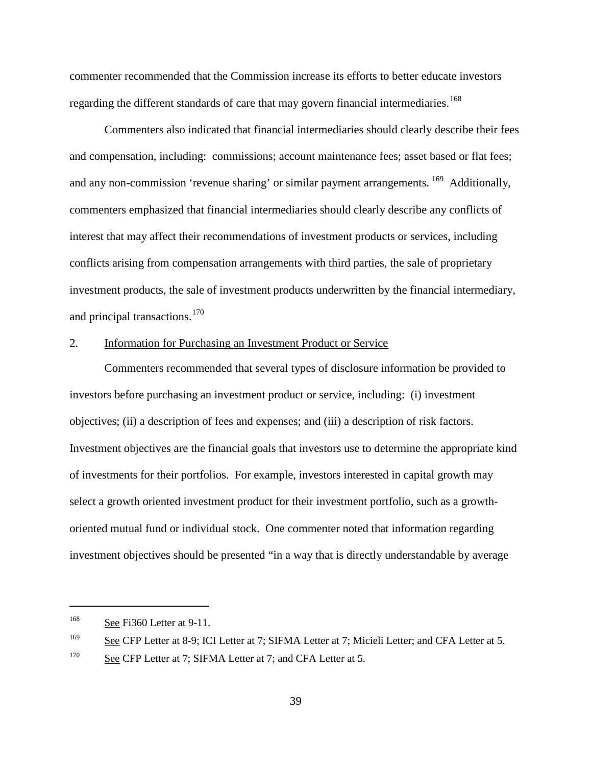commenter recommended that the Commission increase its efforts to better educate investors regarding the different standards of care that may govern financial intermediaries.<sup>[168](#page-68-0)</sup>

Commenters also indicated that financial intermediaries should clearly describe their fees and compensation, including: commissions; account maintenance fees; asset based or flat fees; and any non-commission 'revenue sharing' or similar payment arrangements. <sup>[169](#page-68-1)</sup> Additionally, commenters emphasized that financial intermediaries should clearly describe any conflicts of interest that may affect their recommendations of investment products or services, including conflicts arising from compensation arrangements with third parties, the sale of proprietary investment products, the sale of investment products underwritten by the financial intermediary, and principal transactions.<sup>[170](#page-68-2)</sup>

### 2. Information for Purchasing an Investment Product or Service

Commenters recommended that several types of disclosure information be provided to investors before purchasing an investment product or service, including: (i) investment objectives; (ii) a description of fees and expenses; and (iii) a description of risk factors. Investment objectives are the financial goals that investors use to determine the appropriate kind of investments for their portfolios. For example, investors interested in capital growth may select a growth oriented investment product for their investment portfolio, such as a growthoriented mutual fund or individual stock. One commenter noted that information regarding investment objectives should be presented "in a way that is directly understandable by average

<span id="page-68-0"></span><sup>168</sup> See Fi360 Letter at 9-11.

<span id="page-68-1"></span><sup>&</sup>lt;sup>169</sup> See CFP Letter at 8-9; ICI Letter at 7; SIFMA Letter at 7; Micieli Letter; and CFA Letter at 5.

<span id="page-68-2"></span><sup>&</sup>lt;sup>170</sup> See CFP Letter at 7; SIFMA Letter at 7; and CFA Letter at 5.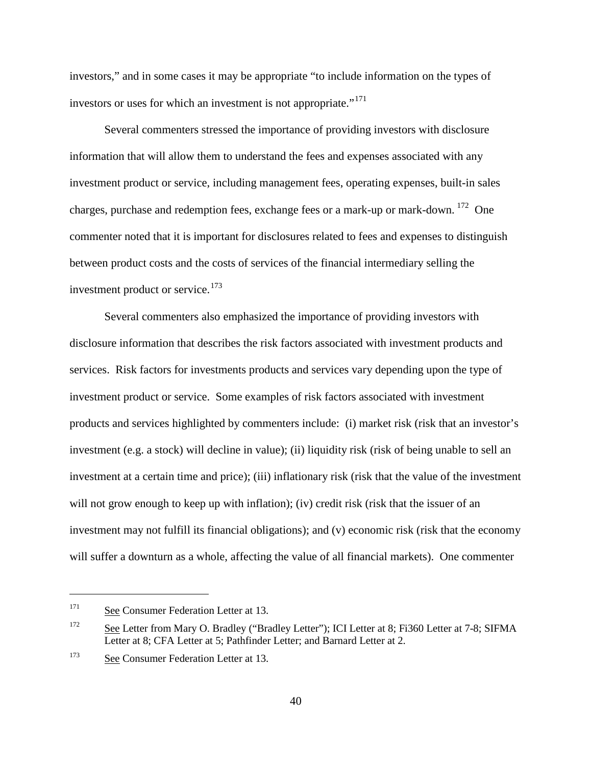investors," and in some cases it may be appropriate "to include information on the types of investors or uses for which an investment is not appropriate."<sup>[171](#page-69-0)</sup>

Several commenters stressed the importance of providing investors with disclosure information that will allow them to understand the fees and expenses associated with any investment product or service, including management fees, operating expenses, built-in sales charges, purchase and redemption fees, exchange fees or a mark-up or mark-down. [172](#page-69-1) One commenter noted that it is important for disclosures related to fees and expenses to distinguish between product costs and the costs of services of the financial intermediary selling the investment product or service.<sup>[173](#page-69-2)</sup>

Several commenters also emphasized the importance of providing investors with disclosure information that describes the risk factors associated with investment products and services. Risk factors for investments products and services vary depending upon the type of investment product or service. Some examples of risk factors associated with investment products and services highlighted by commenters include: (i) market risk (risk that an investor's investment (e.g. a stock) will decline in value); (ii) liquidity risk (risk of being unable to sell an investment at a certain time and price); (iii) inflationary risk (risk that the value of the investment will not grow enough to keep up with inflation); (iv) credit risk (risk that the issuer of an investment may not fulfill its financial obligations); and (v) economic risk (risk that the economy will suffer a downturn as a whole, affecting the value of all financial markets). One commenter

<span id="page-69-0"></span><sup>&</sup>lt;sup>171</sup> See Consumer Federation Letter at 13.

<span id="page-69-1"></span><sup>&</sup>lt;sup>172</sup> See Letter from Mary O. Bradley ("Bradley Letter"); ICI Letter at 8; Fi360 Letter at 7-8; SIFMA Letter at 8; CFA Letter at 5; Pathfinder Letter; and Barnard Letter at 2.

<span id="page-69-2"></span><sup>173</sup> See Consumer Federation Letter at 13.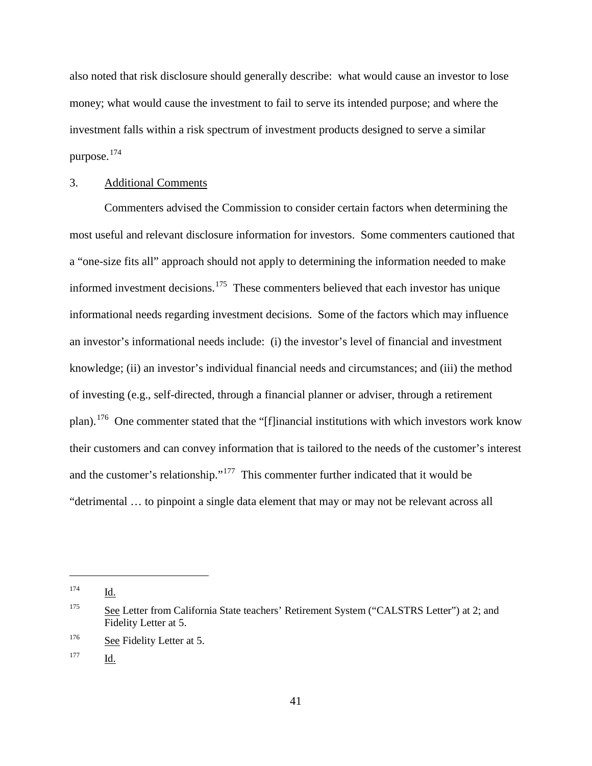also noted that risk disclosure should generally describe: what would cause an investor to lose money; what would cause the investment to fail to serve its intended purpose; and where the investment falls within a risk spectrum of investment products designed to serve a similar purpose.[174](#page-70-0)

### 3. Additional Comments

Commenters advised the Commission to consider certain factors when determining the most useful and relevant disclosure information for investors. Some commenters cautioned that a "one-size fits all" approach should not apply to determining the information needed to make informed investment decisions.<sup>[175](#page-70-1)</sup> These commenters believed that each investor has unique informational needs regarding investment decisions. Some of the factors which may influence an investor's informational needs include: (i) the investor's level of financial and investment knowledge; (ii) an investor's individual financial needs and circumstances; and (iii) the method of investing (e.g., self-directed, through a financial planner or adviser, through a retirement plan).[176](#page-70-2) One commenter stated that the "[f]inancial institutions with which investors work know their customers and can convey information that is tailored to the needs of the customer's interest and the customer's relationship."<sup>[177](#page-70-3)</sup> This commenter further indicated that it would be "detrimental … to pinpoint a single data element that may or may not be relevant across all

<span id="page-70-0"></span><sup>174</sup> Id.

<span id="page-70-1"></span><sup>&</sup>lt;sup>175</sup> See Letter from California State teachers' Retirement System ("CALSTRS Letter") at 2; and Fidelity Letter at 5.

<span id="page-70-2"></span><sup>&</sup>lt;sup>176</sup> See Fidelity Letter at 5.

<span id="page-70-3"></span><sup>177</sup> Id.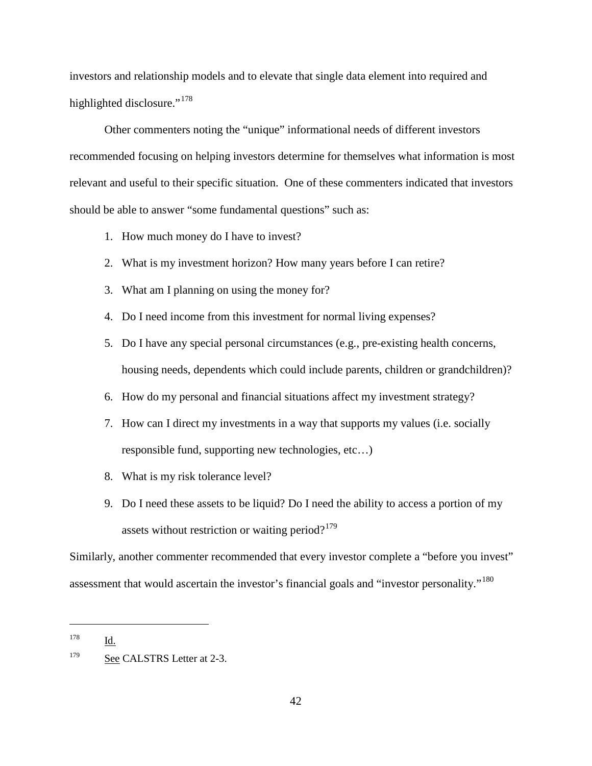investors and relationship models and to elevate that single data element into required and highlighted disclosure."<sup>[178](#page-71-0)</sup>

Other commenters noting the "unique" informational needs of different investors recommended focusing on helping investors determine for themselves what information is most relevant and useful to their specific situation. One of these commenters indicated that investors should be able to answer "some fundamental questions" such as:

- 1. How much money do I have to invest?
- 2. What is my investment horizon? How many years before I can retire?
- 3. What am I planning on using the money for?
- 4. Do I need income from this investment for normal living expenses?
- 5. Do I have any special personal circumstances (e.g., pre-existing health concerns, housing needs, dependents which could include parents, children or grandchildren)?
- 6. How do my personal and financial situations affect my investment strategy?
- 7. How can I direct my investments in a way that supports my values (i.e. socially responsible fund, supporting new technologies, etc…)
- 8. What is my risk tolerance level?
- 9. Do I need these assets to be liquid? Do I need the ability to access a portion of my assets without restriction or waiting period? $179$

Similarly, another commenter recommended that every investor complete a "before you invest" assessment that would ascertain the investor's financial goals and "investor personality."<sup>180</sup>

<span id="page-71-2"></span><span id="page-71-0"></span><sup>178</sup> Id.

<span id="page-71-1"></span><sup>&</sup>lt;sup>179</sup> See CALSTRS Letter at 2-3.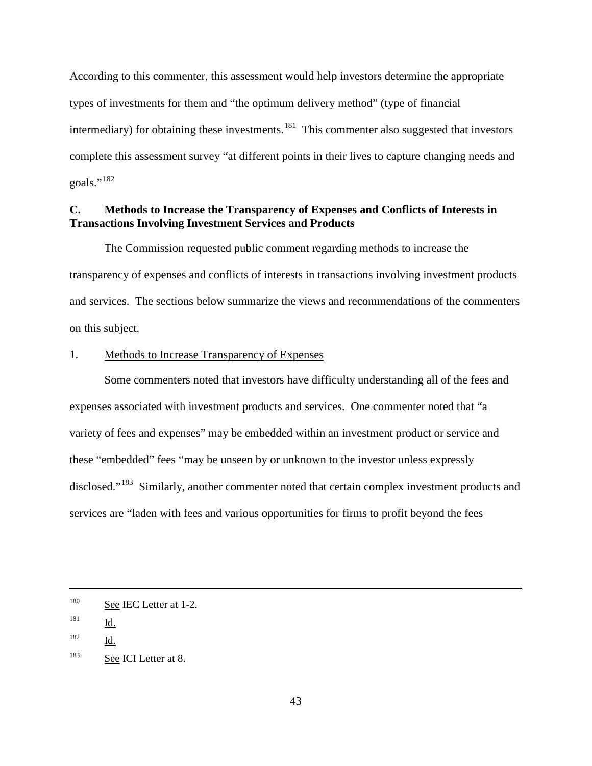According to this commenter, this assessment would help investors determine the appropriate types of investments for them and "the optimum delivery method" (type of financial intermediary) for obtaining these investments.<sup>[181](#page-72-0)</sup> This commenter also suggested that investors complete this assessment survey "at different points in their lives to capture changing needs and goals."<sup>[182](#page-72-1)</sup>

# **C. Methods to Increase the Transparency of Expenses and Conflicts of Interests in Transactions Involving Investment Services and Products**

The Commission requested public comment regarding methods to increase the transparency of expenses and conflicts of interests in transactions involving investment products and services. The sections below summarize the views and recommendations of the commenters on this subject.

#### 1. Methods to Increase Transparency of Expenses

Some commenters noted that investors have difficulty understanding all of the fees and expenses associated with investment products and services. One commenter noted that "a variety of fees and expenses" may be embedded within an investment product or service and these "embedded" fees "may be unseen by or unknown to the investor unless expressly disclosed."<sup>183</sup> Similarly, another commenter noted that certain complex investment products and services are "laden with fees and various opportunities for firms to profit beyond the fees

<sup>&</sup>lt;sup>180</sup> See IEC Letter at 1-2.

<span id="page-72-0"></span> $\frac{181}{\underline{\mathsf{Id}}}}$ .

<span id="page-72-1"></span><sup>182</sup> Id.

<span id="page-72-2"></span><sup>&</sup>lt;sup>183</sup> See ICI Letter at 8.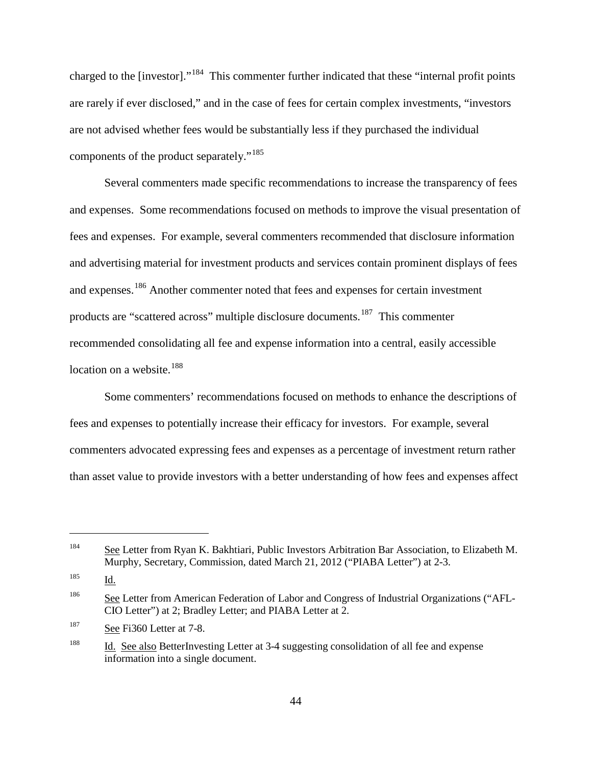charged to the [investor]."[184](#page-73-0) This commenter further indicated that these "internal profit points are rarely if ever disclosed," and in the case of fees for certain complex investments, "investors are not advised whether fees would be substantially less if they purchased the individual components of the product separately."[185](#page-73-1)

Several commenters made specific recommendations to increase the transparency of fees and expenses. Some recommendations focused on methods to improve the visual presentation of fees and expenses. For example, several commenters recommended that disclosure information and advertising material for investment products and services contain prominent displays of fees and expenses.[186](#page-73-2) Another commenter noted that fees and expenses for certain investment products are "scattered across" multiple disclosure documents.<sup>187</sup> This commenter recommended consolidating all fee and expense information into a central, easily accessible location on a website.<sup>[188](#page-73-4)</sup>

Some commenters' recommendations focused on methods to enhance the descriptions of fees and expenses to potentially increase their efficacy for investors. For example, several commenters advocated expressing fees and expenses as a percentage of investment return rather than asset value to provide investors with a better understanding of how fees and expenses affect

<span id="page-73-0"></span><sup>184</sup> See Letter from Ryan K. Bakhtiari, Public Investors Arbitration Bar Association, to Elizabeth M. Murphy, Secretary, Commission, dated March 21, 2012 ("PIABA Letter") at 2-3.

<span id="page-73-1"></span><sup>185</sup> Id.

<span id="page-73-2"></span><sup>&</sup>lt;sup>186</sup> See Letter from American Federation of Labor and Congress of Industrial Organizations ("AFL-CIO Letter") at 2; Bradley Letter; and PIABA Letter at 2.

<span id="page-73-3"></span><sup>&</sup>lt;sup>187</sup> See Fi360 Letter at 7-8.

<span id="page-73-4"></span><sup>&</sup>lt;sup>188</sup> Id. See also BetterInvesting Letter at 3-4 suggesting consolidation of all fee and expense information into a single document.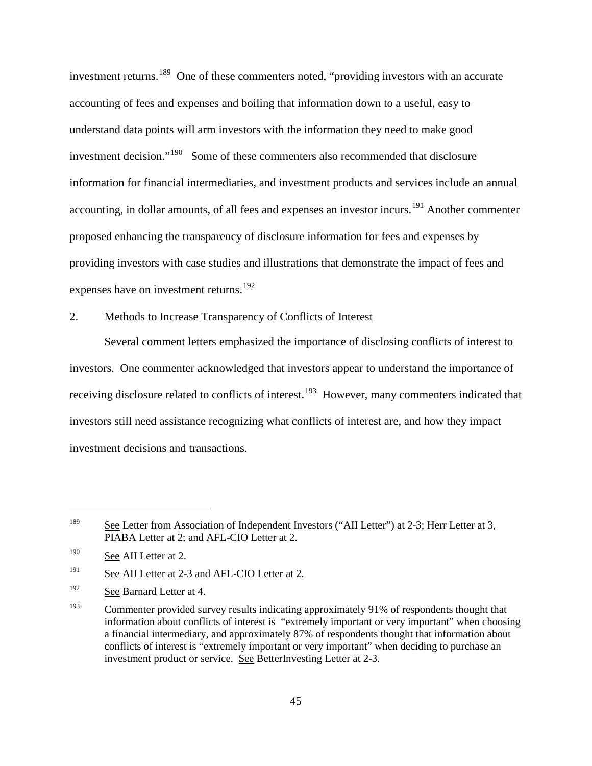investment returns.<sup>189</sup> One of these commenters noted, "providing investors with an accurate accounting of fees and expenses and boiling that information down to a useful, easy to understand data points will arm investors with the information they need to make good investment decision."[190](#page-74-1) Some of these commenters also recommended that disclosure information for financial intermediaries, and investment products and services include an annual accounting, in dollar amounts, of all fees and expenses an investor incurs.<sup>[191](#page-74-2)</sup> Another commenter proposed enhancing the transparency of disclosure information for fees and expenses by providing investors with case studies and illustrations that demonstrate the impact of fees and expenses have on investment returns.<sup>[192](#page-74-3)</sup>

# 2. Methods to Increase Transparency of Conflicts of Interest

Several comment letters emphasized the importance of disclosing conflicts of interest to investors. One commenter acknowledged that investors appear to understand the importance of receiving disclosure related to conflicts of interest.<sup>193</sup> However, many commenters indicated that investors still need assistance recognizing what conflicts of interest are, and how they impact investment decisions and transactions.

<span id="page-74-0"></span><sup>&</sup>lt;sup>189</sup> See Letter from Association of Independent Investors ("AII Letter") at 2-3; Herr Letter at 3, PIABA Letter at 2; and AFL-CIO Letter at 2.

<span id="page-74-1"></span><sup>&</sup>lt;sup>190</sup> See AII Letter at 2.

<span id="page-74-2"></span><sup>&</sup>lt;sup>191</sup> See AII Letter at 2-3 and AFL-CIO Letter at 2.

<span id="page-74-3"></span><sup>&</sup>lt;sup>192</sup> See Barnard Letter at 4.

<span id="page-74-4"></span><sup>&</sup>lt;sup>193</sup> Commenter provided survey results indicating approximately 91% of respondents thought that information about conflicts of interest is "extremely important or very important" when choosing a financial intermediary, and approximately 87% of respondents thought that information about conflicts of interest is "extremely important or very important" when deciding to purchase an investment product or service. See BetterInvesting Letter at 2-3.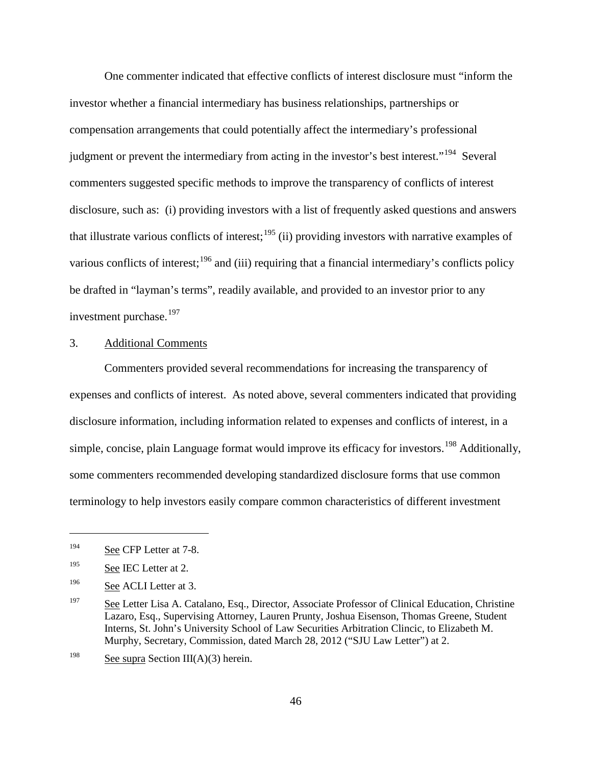One commenter indicated that effective conflicts of interest disclosure must "inform the investor whether a financial intermediary has business relationships, partnerships or compensation arrangements that could potentially affect the intermediary's professional judgment or prevent the intermediary from acting in the investor's best interest."<sup>194</sup> Several commenters suggested specific methods to improve the transparency of conflicts of interest disclosure, such as: (i) providing investors with a list of frequently asked questions and answers that illustrate various conflicts of interest;<sup>[195](#page-75-1)</sup> (ii) providing investors with narrative examples of various conflicts of interest;<sup>[196](#page-75-2)</sup> and (iii) requiring that a financial intermediary's conflicts policy be drafted in "layman's terms", readily available, and provided to an investor prior to any investment purchase.<sup>[197](#page-75-3)</sup>

# 3. Additional Comments

Commenters provided several recommendations for increasing the transparency of expenses and conflicts of interest. As noted above, several commenters indicated that providing disclosure information, including information related to expenses and conflicts of interest, in a simple, concise, plain Language format would improve its efficacy for investors.<sup>[198](#page-75-4)</sup> Additionally, some commenters recommended developing standardized disclosure forms that use common terminology to help investors easily compare common characteristics of different investment

<span id="page-75-0"></span><sup>&</sup>lt;sup>194</sup> See CFP Letter at 7-8.

<span id="page-75-1"></span><sup>&</sup>lt;sup>195</sup> See IEC Letter at 2.

<span id="page-75-2"></span><sup>&</sup>lt;sup>196</sup> See ACLI Letter at 3.

<span id="page-75-3"></span><sup>&</sup>lt;sup>197</sup> See Letter Lisa A. Catalano, Esq., Director, Associate Professor of Clinical Education, Christine Lazaro, Esq., Supervising Attorney, Lauren Prunty, Joshua Eisenson, Thomas Greene, Student Interns, St. John's University School of Law Securities Arbitration Clincic, to Elizabeth M. Murphy, Secretary, Commission, dated March 28, 2012 ("SJU Law Letter") at 2.

<span id="page-75-4"></span><sup>&</sup>lt;sup>198</sup> See supra Section III(A)(3) herein.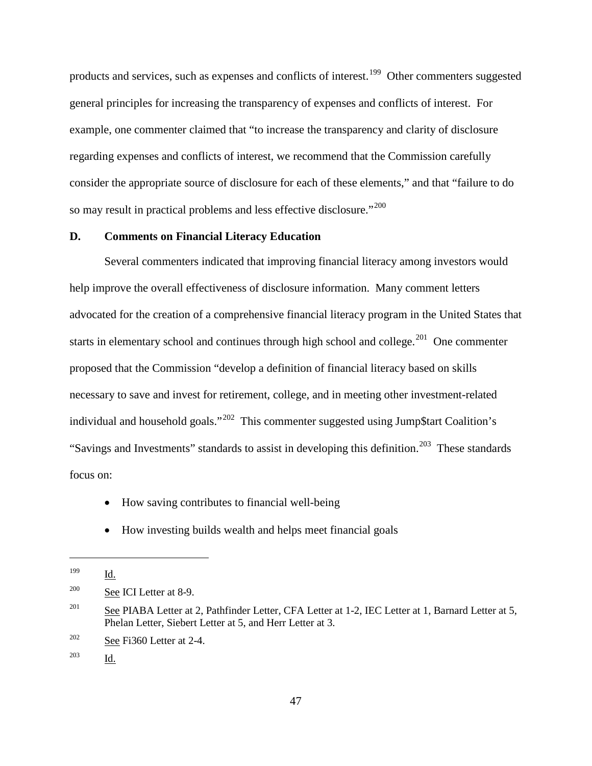products and services, such as expenses and conflicts of interest.<sup>[199](#page-76-0)</sup> Other commenters suggested general principles for increasing the transparency of expenses and conflicts of interest. For example, one commenter claimed that "to increase the transparency and clarity of disclosure regarding expenses and conflicts of interest, we recommend that the Commission carefully consider the appropriate source of disclosure for each of these elements," and that "failure to do so may result in practical problems and less effective disclosure."<sup>[200](#page-76-1)</sup>

# **D. Comments on Financial Literacy Education**

Several commenters indicated that improving financial literacy among investors would help improve the overall effectiveness of disclosure information. Many comment letters advocated for the creation of a comprehensive financial literacy program in the United States that starts in elementary school and continues through high school and college.<sup>[201](#page-76-2)</sup> One commenter proposed that the Commission "develop a definition of financial literacy based on skills necessary to save and invest for retirement, college, and in meeting other investment-related individual and household goals."<sup>202</sup> This commenter suggested using Jump\$tart Coalition's "Savings and Investments" standards to assist in developing this definition.<sup>[203](#page-76-4)</sup> These standards focus on:

- How saving contributes to financial well-being
- How investing builds wealth and helps meet financial goals

 $\overline{a}$ 

<span id="page-76-4"></span><sup>203</sup> Id.

<span id="page-76-0"></span><sup>199</sup> Id.

<span id="page-76-1"></span><sup>200</sup> See ICI Letter at 8-9.

<span id="page-76-2"></span><sup>&</sup>lt;sup>201</sup> See PIABA Letter at 2, Pathfinder Letter, CFA Letter at 1-2, IEC Letter at 1, Barnard Letter at 5, Phelan Letter, Siebert Letter at 5, and Herr Letter at 3.

<span id="page-76-3"></span><sup>&</sup>lt;sup>202</sup> See Fi360 Letter at 2-4.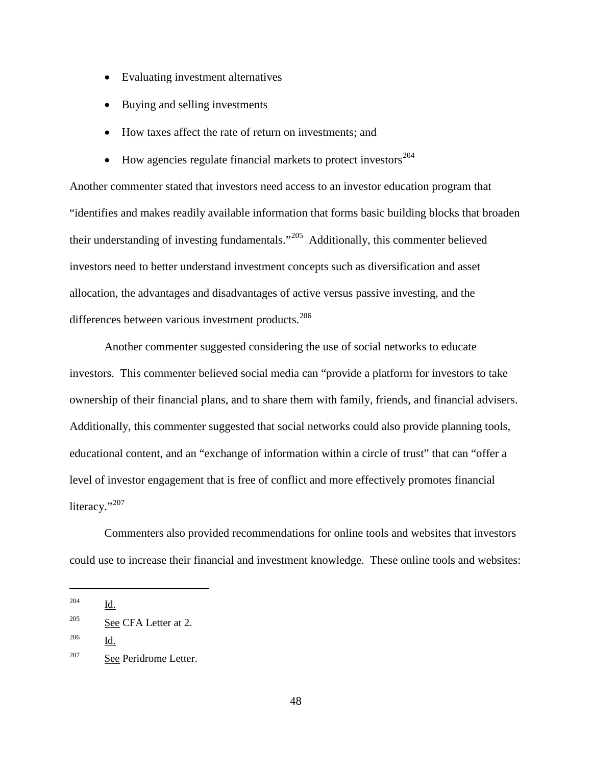- Evaluating investment alternatives
- Buying and selling investments
- How taxes affect the rate of return on investments; and
- How agencies regulate financial markets to protect investors $^{204}$  $^{204}$  $^{204}$

Another commenter stated that investors need access to an investor education program that "identifies and makes readily available information that forms basic building blocks that broaden their understanding of investing fundamentals."[205](#page-77-1) Additionally, this commenter believed investors need to better understand investment concepts such as diversification and asset allocation, the advantages and disadvantages of active versus passive investing, and the differences between various investment products.<sup>[206](#page-77-2)</sup>

Another commenter suggested considering the use of social networks to educate investors. This commenter believed social media can "provide a platform for investors to take ownership of their financial plans, and to share them with family, friends, and financial advisers. Additionally, this commenter suggested that social networks could also provide planning tools, educational content, and an "exchange of information within a circle of trust" that can "offer a level of investor engagement that is free of conflict and more effectively promotes financial literacy."<sup>[207](#page-77-3)</sup>

Commenters also provided recommendations for online tools and websites that investors could use to increase their financial and investment knowledge. These online tools and websites:

<span id="page-77-0"></span><sup>204</sup> Id.

<span id="page-77-1"></span> $205$  See CFA Letter at 2.

<span id="page-77-2"></span><sup>206</sup> Id.

<span id="page-77-3"></span><sup>207</sup> See Peridrome Letter.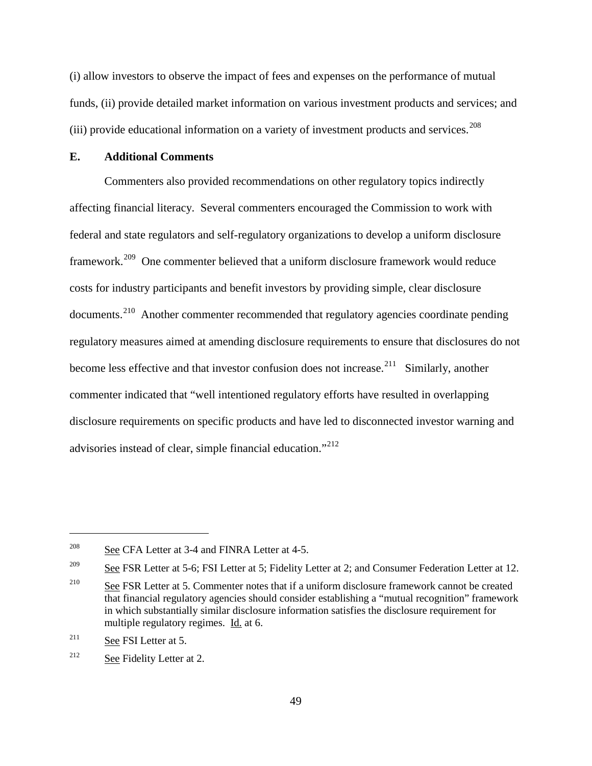(i) allow investors to observe the impact of fees and expenses on the performance of mutual funds, (ii) provide detailed market information on various investment products and services; and (iii) provide educational information on a variety of investment products and services.<sup>[208](#page-78-0)</sup>

## **E. Additional Comments**

Commenters also provided recommendations on other regulatory topics indirectly affecting financial literacy. Several commenters encouraged the Commission to work with federal and state regulators and self-regulatory organizations to develop a uniform disclosure framework.[209](#page-78-1) One commenter believed that a uniform disclosure framework would reduce costs for industry participants and benefit investors by providing simple, clear disclosure documents.[210](#page-78-2) Another commenter recommended that regulatory agencies coordinate pending regulatory measures aimed at amending disclosure requirements to ensure that disclosures do not become less effective and that investor confusion does not increase.<sup>[211](#page-78-3)</sup> Similarly, another commenter indicated that "well intentioned regulatory efforts have resulted in overlapping disclosure requirements on specific products and have led to disconnected investor warning and advisories instead of clear, simple financial education."<sup>[212](#page-78-4)</sup>

<span id="page-78-0"></span><sup>&</sup>lt;sup>208</sup> See CFA Letter at 3-4 and FINRA Letter at 4-5.

<span id="page-78-1"></span><sup>&</sup>lt;sup>209</sup> See FSR Letter at 5-6; FSI Letter at 5; Fidelity Letter at 2; and Consumer Federation Letter at 12.

<span id="page-78-2"></span><sup>&</sup>lt;sup>210</sup> See FSR Letter at 5. Commenter notes that if a uniform disclosure framework cannot be created that financial regulatory agencies should consider establishing a "mutual recognition" framework in which substantially similar disclosure information satisfies the disclosure requirement for multiple regulatory regimes. Id. at 6.

<span id="page-78-3"></span><sup>&</sup>lt;sup>211</sup> See FSI Letter at 5.

<span id="page-78-4"></span><sup>&</sup>lt;sup>212</sup> See Fidelity Letter at 2.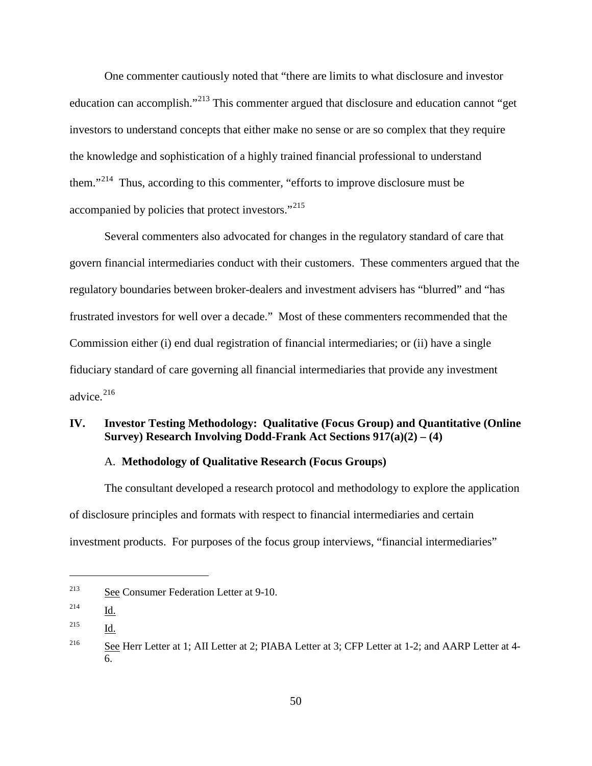One commenter cautiously noted that "there are limits to what disclosure and investor education can accomplish."[213](#page-79-0) This commenter argued that disclosure and education cannot "get investors to understand concepts that either make no sense or are so complex that they require the knowledge and sophistication of a highly trained financial professional to understand them."<sup>[214](#page-79-1)</sup> Thus, according to this commenter, "efforts to improve disclosure must be accompanied by policies that protect investors."[215](#page-79-2)

Several commenters also advocated for changes in the regulatory standard of care that govern financial intermediaries conduct with their customers. These commenters argued that the regulatory boundaries between broker-dealers and investment advisers has "blurred" and "has frustrated investors for well over a decade." Most of these commenters recommended that the Commission either (i) end dual registration of financial intermediaries; or (ii) have a single fiduciary standard of care governing all financial intermediaries that provide any investment advice. $216$ 

# **IV. Investor Testing Methodology: Qualitative (Focus Group) and Quantitative (Online Survey) Research Involving Dodd-Frank Act Sections 917(a)(2) – (4)**

# A. **Methodology of Qualitative Research (Focus Groups)**

The consultant developed a research protocol and methodology to explore the application of disclosure principles and formats with respect to financial intermediaries and certain investment products. For purposes of the focus group interviews, "financial intermediaries"

<span id="page-79-0"></span><sup>213</sup> See Consumer Federation Letter at 9-10.

<span id="page-79-1"></span><sup>214</sup> Id.

<span id="page-79-2"></span><sup>215</sup> Id.

<span id="page-79-3"></span><sup>&</sup>lt;sup>216</sup> See Herr Letter at 1; AII Letter at 2; PIABA Letter at 3; CFP Letter at 1-2; and AARP Letter at 4-6.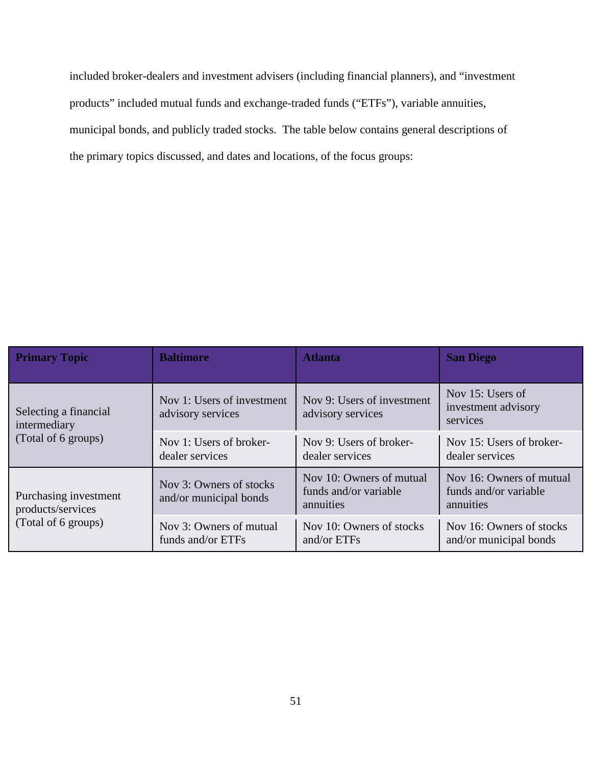included broker-dealers and investment advisers (including financial planners), and "investment products" included mutual funds and exchange-traded funds ("ETFs"), variable annuities, municipal bonds, and publicly traded stocks. The table below contains general descriptions of the primary topics discussed, and dates and locations, of the focus groups:

| <b>Primary Topic</b>                                              | <b>Baltimore</b>                                  | <b>Atlanta</b>                                                 | <b>San Diego</b>                                               |
|-------------------------------------------------------------------|---------------------------------------------------|----------------------------------------------------------------|----------------------------------------------------------------|
| Selecting a financial<br>intermediary<br>(Total of 6 groups)      | Nov 1: Users of investment<br>advisory services   | Nov 9: Users of investment<br>advisory services                | Nov 15: Users of<br>investment advisory<br>services            |
|                                                                   | Nov 1: Users of broker-<br>dealer services        | Nov 9: Users of broker-<br>dealer services                     | Nov 15: Users of broker-<br>dealer services                    |
| Purchasing investment<br>products/services<br>(Total of 6 groups) | Nov 3: Owners of stocks<br>and/or municipal bonds | Nov 10: Owners of mutual<br>funds and/or variable<br>annuities | Nov 16: Owners of mutual<br>funds and/or variable<br>annuities |
|                                                                   | Nov 3: Owners of mutual<br>funds and/or ETFs      | Nov 10: Owners of stocks<br>and/or ETFs                        | Nov 16: Owners of stocks<br>and/or municipal bonds             |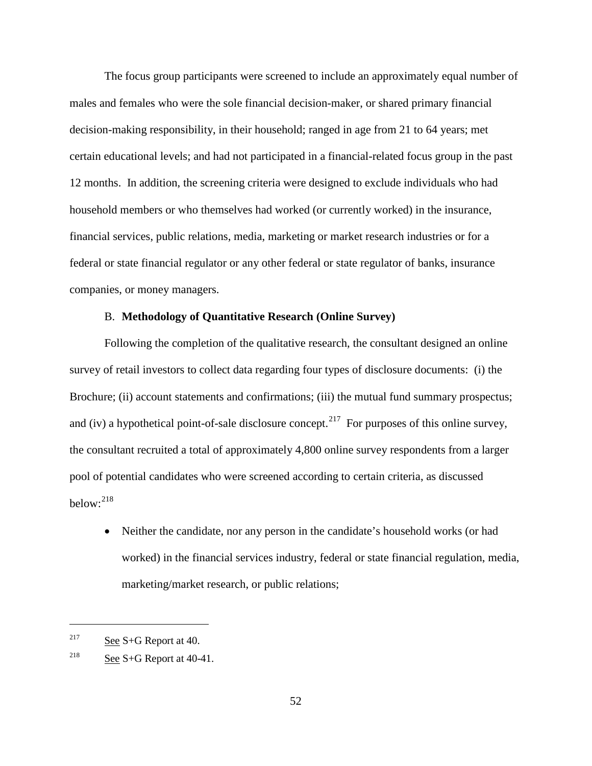The focus group participants were screened to include an approximately equal number of males and females who were the sole financial decision-maker, or shared primary financial decision-making responsibility, in their household; ranged in age from 21 to 64 years; met certain educational levels; and had not participated in a financial-related focus group in the past 12 months. In addition, the screening criteria were designed to exclude individuals who had household members or who themselves had worked (or currently worked) in the insurance, financial services, public relations, media, marketing or market research industries or for a federal or state financial regulator or any other federal or state regulator of banks, insurance companies, or money managers.

## B. **Methodology of Quantitative Research (Online Survey)**

Following the completion of the qualitative research, the consultant designed an online survey of retail investors to collect data regarding four types of disclosure documents: (i) the Brochure; (ii) account statements and confirmations; (iii) the mutual fund summary prospectus; and (iv) a hypothetical point-of-sale disclosure concept.<sup>[217](#page-81-0)</sup> For purposes of this online survey, the consultant recruited a total of approximately 4,800 online survey respondents from a larger pool of potential candidates who were screened according to certain criteria, as discussed below: [218](#page-81-1)

• Neither the candidate, nor any person in the candidate's household works (or had worked) in the financial services industry, federal or state financial regulation, media, marketing/market research, or public relations;

<span id="page-81-0"></span><sup>&</sup>lt;sup>217</sup> See S+G Report at 40.

<span id="page-81-1"></span><sup>&</sup>lt;sup>218</sup> See S+G Report at  $40-41$ .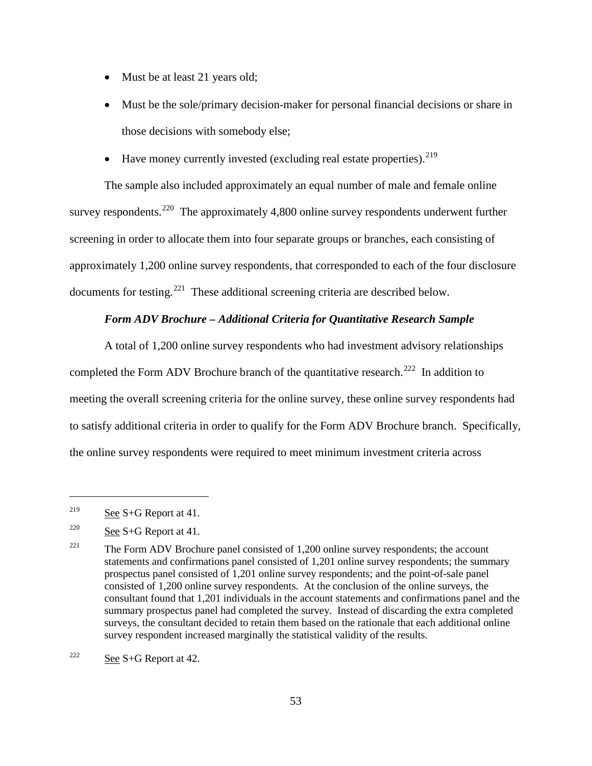- Must be at least 21 years old;
- Must be the sole/primary decision-maker for personal financial decisions or share in those decisions with somebody else;
- Have money currently invested (excluding real estate properties).  $^{219}$  $^{219}$  $^{219}$

The sample also included approximately an equal number of male and female online survey respondents.<sup>[220](#page-82-1)</sup> The approximately 4,800 online survey respondents underwent further screening in order to allocate them into four separate groups or branches, each consisting of approximately 1,200 online survey respondents, that corresponded to each of the four disclosure documents for testing.[221](#page-82-2) These additional screening criteria are described below.

## *Form ADV Brochure – Additional Criteria for Quantitative Research Sample*

A total of 1,200 online survey respondents who had investment advisory relationships completed the Form ADV Brochure branch of the quantitative research.<sup>222</sup> In addition to meeting the overall screening criteria for the online survey, these online survey respondents had to satisfy additional criteria in order to qualify for the Form ADV Brochure branch. Specifically, the online survey respondents were required to meet minimum investment criteria across

<span id="page-82-0"></span><sup>&</sup>lt;sup>219</sup> See S+G Report at 41.

<span id="page-82-1"></span><sup>&</sup>lt;sup>220</sup> See S+G Report at 41.

<span id="page-82-2"></span><sup>&</sup>lt;sup>221</sup> The Form ADV Brochure panel consisted of 1,200 online survey respondents; the account statements and confirmations panel consisted of 1,201 online survey respondents; the summary prospectus panel consisted of 1,201 online survey respondents; and the point-of-sale panel consisted of 1,200 online survey respondents. At the conclusion of the online surveys, the consultant found that 1,201 individuals in the account statements and confirmations panel and the summary prospectus panel had completed the survey. Instead of discarding the extra completed surveys, the consultant decided to retain them based on the rationale that each additional online survey respondent increased marginally the statistical validity of the results.

<span id="page-82-3"></span> $222$  See S+G Report at 42.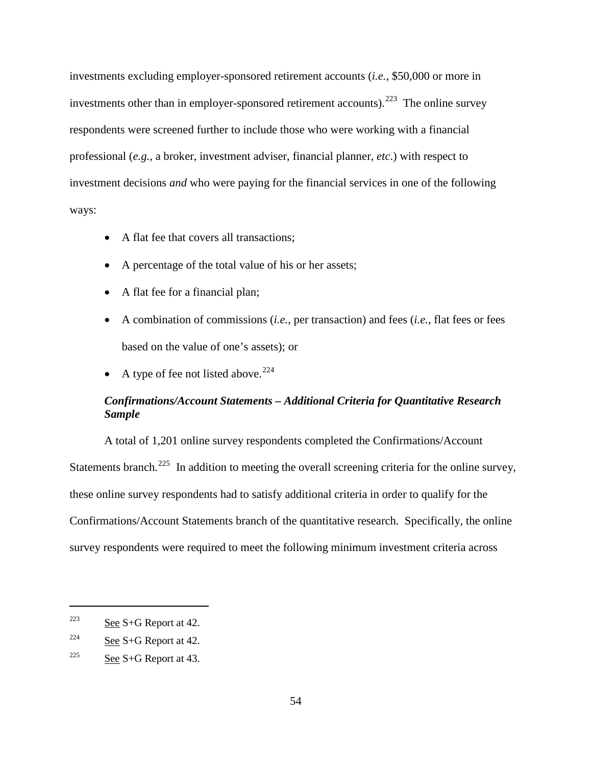investments excluding employer-sponsored retirement accounts (*i.e.*, \$50,000 or more in investments other than in employer-sponsored retirement accounts).  $223$  The online survey respondents were screened further to include those who were working with a financial professional (*e.g.*, a broker, investment adviser, financial planner, *etc*.) with respect to investment decisions *and* who were paying for the financial services in one of the following ways:

- A flat fee that covers all transactions:
- A percentage of the total value of his or her assets;
- A flat fee for a financial plan;
- A combination of commissions (*i.e.*, per transaction) and fees (*i.e.*, flat fees or fees based on the value of one's assets); or
- A type of fee not listed above.<sup>[224](#page-83-1)</sup>

# *Confirmations/Account Statements – Additional Criteria for Quantitative Research Sample*

A total of 1,201 online survey respondents completed the Confirmations/Account Statements branch.<sup>[225](#page-83-2)</sup> In addition to meeting the overall screening criteria for the online survey, these online survey respondents had to satisfy additional criteria in order to qualify for the Confirmations/Account Statements branch of the quantitative research. Specifically, the online survey respondents were required to meet the following minimum investment criteria across

<span id="page-83-0"></span> $2^{223}$  See S+G Report at 42.

<span id="page-83-1"></span><sup>&</sup>lt;sup>224</sup> See S+G Report at 42.

<span id="page-83-2"></span> $225$  See S+G Report at 43.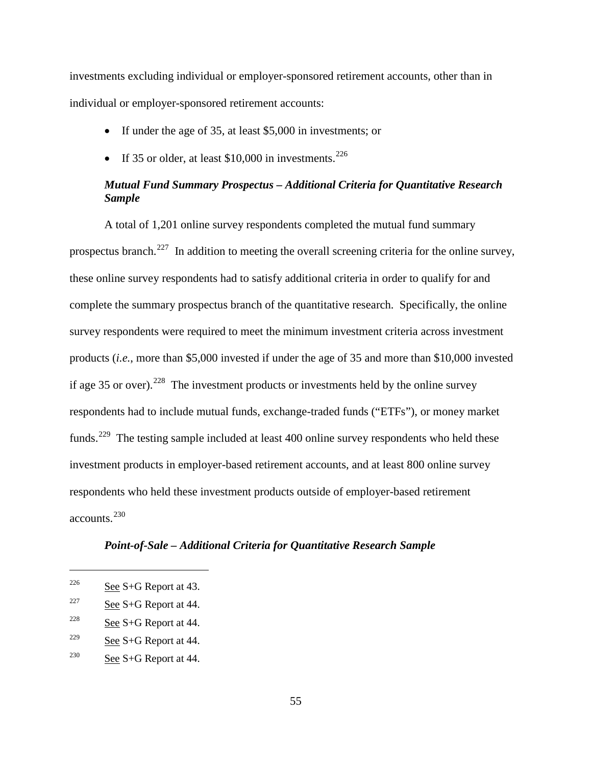investments excluding individual or employer-sponsored retirement accounts, other than in individual or employer-sponsored retirement accounts:

- If under the age of 35, at least \$5,000 in investments; or
- If 35 or older, at least \$10,000 in investments.<sup>[226](#page-84-0)</sup>

# *Mutual Fund Summary Prospectus – Additional Criteria for Quantitative Research Sample*

A total of 1,201 online survey respondents completed the mutual fund summary prospectus branch.<sup>227</sup> In addition to meeting the overall screening criteria for the online survey, these online survey respondents had to satisfy additional criteria in order to qualify for and complete the summary prospectus branch of the quantitative research. Specifically, the online survey respondents were required to meet the minimum investment criteria across investment products (*i.e.*, more than \$5,000 invested if under the age of 35 and more than \$10,000 invested if age 35 or over).<sup>[228](#page-84-2)</sup> The investment products or investments held by the online survey respondents had to include mutual funds, exchange-traded funds ("ETFs"), or money market funds.<sup>[229](#page-84-3)</sup> The testing sample included at least 400 online survey respondents who held these investment products in employer-based retirement accounts, and at least 800 online survey respondents who held these investment products outside of employer-based retirement accounts.<sup>[230](#page-84-4)</sup>

# *Point-of-Sale – Additional Criteria for Quantitative Research Sample*

- <span id="page-84-2"></span> $228$  See S+G Report at 44.
- <span id="page-84-3"></span><sup>229</sup> See S+G Report at 44.
- <span id="page-84-4"></span> $230$  See S+G Report at 44.

<span id="page-84-0"></span><sup>&</sup>lt;sup>226</sup> See S+G Report at 43.

<span id="page-84-1"></span><sup>&</sup>lt;sup>227</sup> See S+G Report at 44.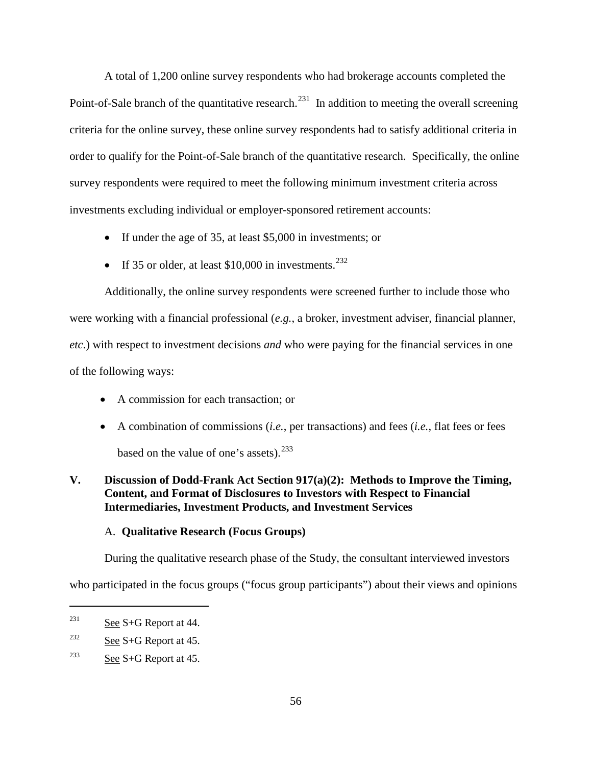A total of 1,200 online survey respondents who had brokerage accounts completed the Point-of-Sale branch of the quantitative research.<sup>231</sup> In addition to meeting the overall screening criteria for the online survey, these online survey respondents had to satisfy additional criteria in order to qualify for the Point-of-Sale branch of the quantitative research. Specifically, the online survey respondents were required to meet the following minimum investment criteria across investments excluding individual or employer-sponsored retirement accounts:

- If under the age of 35, at least \$5,000 in investments; or
- If 35 or older, at least \$10,000 in investments.<sup>[232](#page-85-1)</sup>

Additionally, the online survey respondents were screened further to include those who were working with a financial professional (*e.g.*, a broker, investment adviser, financial planner, *etc*.) with respect to investment decisions *and* who were paying for the financial services in one of the following ways:

- A commission for each transaction; or
- A combination of commissions (*i.e.*, per transactions) and fees (*i.e.*, flat fees or fees based on the value of one's assets).  $^{233}$  $^{233}$  $^{233}$

# **V. Discussion of Dodd-Frank Act Section 917(a)(2): Methods to Improve the Timing, Content, and Format of Disclosures to Investors with Respect to Financial Intermediaries, Investment Products, and Investment Services**

# A. **Qualitative Research (Focus Groups)**

During the qualitative research phase of the Study, the consultant interviewed investors

who participated in the focus groups ("focus group participants") about their views and opinions

<span id="page-85-0"></span> $231$  See S+G Report at 44.

<span id="page-85-1"></span><sup>&</sup>lt;sup>232</sup> See S+G Report at 45.

<span id="page-85-2"></span><sup>&</sup>lt;sup>233</sup> See S+G Report at 45.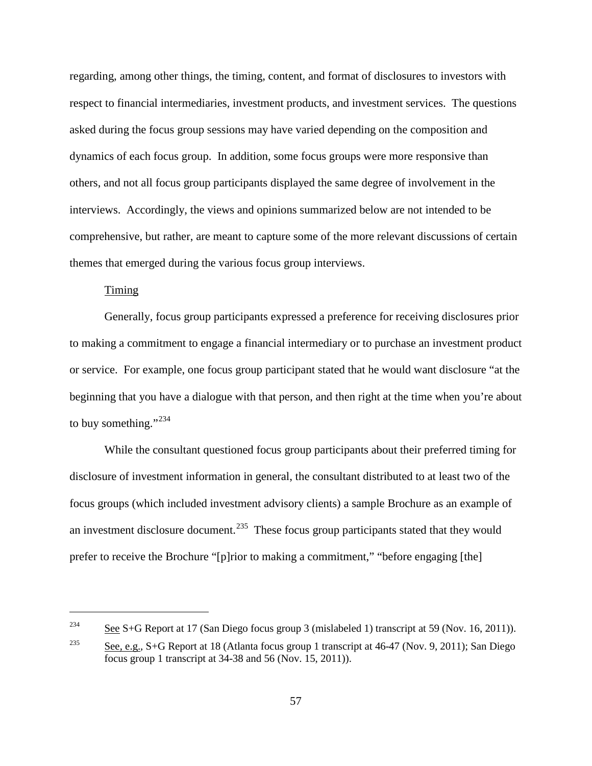regarding, among other things, the timing, content, and format of disclosures to investors with respect to financial intermediaries, investment products, and investment services. The questions asked during the focus group sessions may have varied depending on the composition and dynamics of each focus group. In addition, some focus groups were more responsive than others, and not all focus group participants displayed the same degree of involvement in the interviews. Accordingly, the views and opinions summarized below are not intended to be comprehensive, but rather, are meant to capture some of the more relevant discussions of certain themes that emerged during the various focus group interviews.

# Timing

 $\overline{a}$ 

Generally, focus group participants expressed a preference for receiving disclosures prior to making a commitment to engage a financial intermediary or to purchase an investment product or service. For example, one focus group participant stated that he would want disclosure "at the beginning that you have a dialogue with that person, and then right at the time when you're about to buy something."<sup>[234](#page-86-0)</sup>

While the consultant questioned focus group participants about their preferred timing for disclosure of investment information in general, the consultant distributed to at least two of the focus groups (which included investment advisory clients) a sample Brochure as an example of an investment disclosure document.<sup>235</sup> These focus group participants stated that they would prefer to receive the Brochure "[p]rior to making a commitment," "before engaging [the]

<span id="page-86-0"></span><sup>&</sup>lt;sup>234</sup> See S+G Report at 17 (San Diego focus group 3 (mislabeled 1) transcript at 59 (Nov. 16, 2011)).

<span id="page-86-1"></span><sup>&</sup>lt;sup>235</sup> See, e.g., S+G Report at 18 (Atlanta focus group 1 transcript at  $46-47$  (Nov. 9, 2011); San Diego focus group 1 transcript at 34-38 and 56 (Nov. 15, 2011)).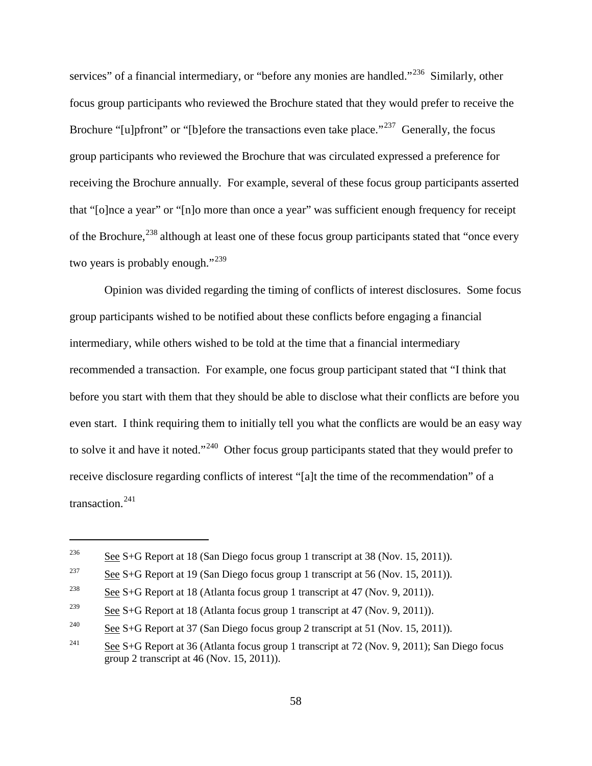services" of a financial intermediary, or "before any monies are handled."<sup>[236](#page-87-0)</sup> Similarly, other focus group participants who reviewed the Brochure stated that they would prefer to receive the Brochure "[u]pfront" or "[b]efore the transactions even take place."<sup>237</sup> Generally, the focus group participants who reviewed the Brochure that was circulated expressed a preference for receiving the Brochure annually. For example, several of these focus group participants asserted that "[o]nce a year" or "[n]o more than once a year" was sufficient enough frequency for receipt of the Brochure,<sup>[238](#page-87-2)</sup> although at least one of these focus group participants stated that "once every two years is probably enough."<sup>[239](#page-87-3)</sup>

Opinion was divided regarding the timing of conflicts of interest disclosures. Some focus group participants wished to be notified about these conflicts before engaging a financial intermediary, while others wished to be told at the time that a financial intermediary recommended a transaction. For example, one focus group participant stated that "I think that before you start with them that they should be able to disclose what their conflicts are before you even start. I think requiring them to initially tell you what the conflicts are would be an easy way to solve it and have it noted."[240](#page-87-4) Other focus group participants stated that they would prefer to receive disclosure regarding conflicts of interest "[a]t the time of the recommendation" of a transaction.<sup>[241](#page-87-5)</sup>

<span id="page-87-0"></span><sup>&</sup>lt;sup>236</sup> See S+G Report at 18 (San Diego focus group 1 transcript at 38 (Nov. 15, 2011)).

<span id="page-87-1"></span><sup>&</sup>lt;sup>237</sup> See S+G Report at 19 (San Diego focus group 1 transcript at 56 (Nov. 15, 2011)).

<span id="page-87-2"></span><sup>&</sup>lt;sup>238</sup> See S+G Report at 18 (Atlanta focus group 1 transcript at 47 (Nov. 9, 2011)).

<span id="page-87-3"></span><sup>&</sup>lt;sup>239</sup> See S+G Report at 18 (Atlanta focus group 1 transcript at 47 (Nov. 9, 2011)).

<span id="page-87-4"></span><sup>&</sup>lt;sup>240</sup> See S+G Report at 37 (San Diego focus group 2 transcript at 51 (Nov. 15, 2011)).

<span id="page-87-5"></span><sup>&</sup>lt;sup>241</sup> See S+G Report at 36 (Atlanta focus group 1 transcript at 72 (Nov. 9, 2011); San Diego focus group 2 transcript at 46 (Nov. 15, 2011)).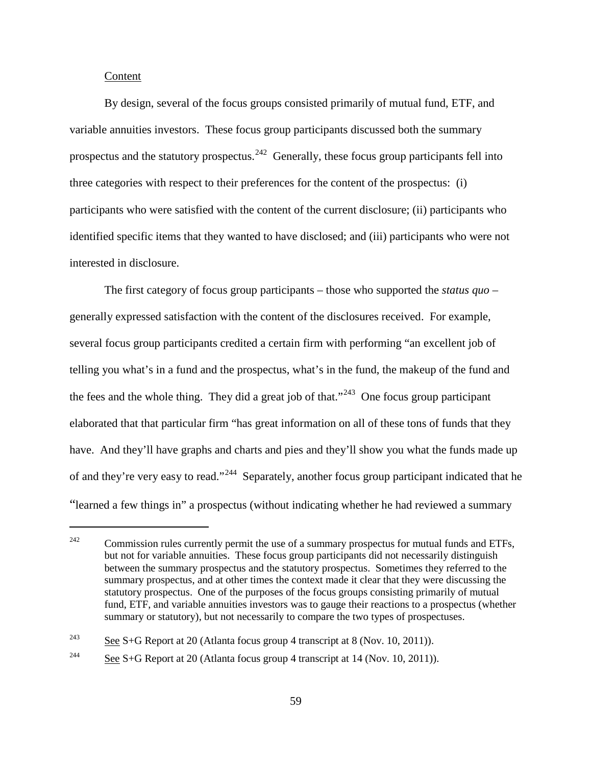#### Content

 $\overline{a}$ 

By design, several of the focus groups consisted primarily of mutual fund, ETF, and variable annuities investors. These focus group participants discussed both the summary prospectus and the statutory prospectus.<sup>[242](#page-88-0)</sup> Generally, these focus group participants fell into three categories with respect to their preferences for the content of the prospectus: (i) participants who were satisfied with the content of the current disclosure; (ii) participants who identified specific items that they wanted to have disclosed; and (iii) participants who were not interested in disclosure.

The first category of focus group participants – those who supported the *status quo –* generally expressed satisfaction with the content of the disclosures received. For example, several focus group participants credited a certain firm with performing "an excellent job of telling you what's in a fund and the prospectus, what's in the fund, the makeup of the fund and the fees and the whole thing. They did a great job of that."<sup>243</sup> One focus group participant elaborated that that particular firm "has great information on all of these tons of funds that they have. And they'll have graphs and charts and pies and they'll show you what the funds made up of and they're very easy to read."<sup>[244](#page-88-2)</sup> Separately, another focus group participant indicated that he "learned a few things in" a prospectus (without indicating whether he had reviewed a summary

<span id="page-88-0"></span> $242$  Commission rules currently permit the use of a summary prospectus for mutual funds and ETFs, but not for variable annuities. These focus group participants did not necessarily distinguish between the summary prospectus and the statutory prospectus. Sometimes they referred to the summary prospectus, and at other times the context made it clear that they were discussing the statutory prospectus. One of the purposes of the focus groups consisting primarily of mutual fund, ETF, and variable annuities investors was to gauge their reactions to a prospectus (whether summary or statutory), but not necessarily to compare the two types of prospectuses.

<span id="page-88-1"></span><sup>&</sup>lt;sup>243</sup> See S+G Report at 20 (Atlanta focus group 4 transcript at 8 (Nov. 10, 2011)).

<span id="page-88-2"></span><sup>&</sup>lt;sup>244</sup> See S+G Report at 20 (Atlanta focus group 4 transcript at 14 (Nov. 10, 2011)).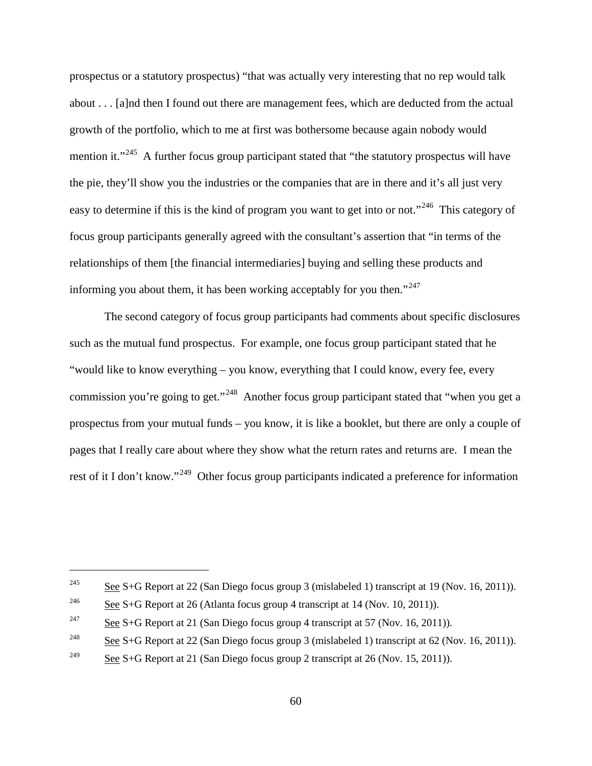prospectus or a statutory prospectus) "that was actually very interesting that no rep would talk about . . . [a]nd then I found out there are management fees, which are deducted from the actual growth of the portfolio, which to me at first was bothersome because again nobody would mention it."<sup>[245](#page-89-0)</sup> A further focus group participant stated that "the statutory prospectus will have the pie, they'll show you the industries or the companies that are in there and it's all just very easy to determine if this is the kind of program you want to get into or not."<sup>[246](#page-89-1)</sup> This category of focus group participants generally agreed with the consultant's assertion that "in terms of the relationships of them [the financial intermediaries] buying and selling these products and informing you about them, it has been working acceptably for you then." $247$ 

The second category of focus group participants had comments about specific disclosures such as the mutual fund prospectus. For example, one focus group participant stated that he "would like to know everything – you know, everything that I could know, every fee, every commission you're going to get."<sup>248</sup> Another focus group participant stated that "when you get a prospectus from your mutual funds – you know, it is like a booklet, but there are only a couple of pages that I really care about where they show what the return rates and returns are. I mean the rest of it I don't know."<sup>[249](#page-89-4)</sup> Other focus group participants indicated a preference for information

<span id="page-89-0"></span><sup>&</sup>lt;sup>245</sup> See S+G Report at 22 (San Diego focus group 3 (mislabeled 1) transcript at 19 (Nov. 16, 2011)).

<span id="page-89-1"></span><sup>&</sup>lt;sup>246</sup> See S+G Report at 26 (Atlanta focus group 4 transcript at 14 (Nov. 10, 2011)).

<span id="page-89-2"></span><sup>&</sup>lt;sup>247</sup> See S+G Report at 21 (San Diego focus group 4 transcript at 57 (Nov. 16, 2011)).

<span id="page-89-3"></span><sup>&</sup>lt;sup>248</sup> See S+G Report at 22 (San Diego focus group 3 (mislabeled 1) transcript at 62 (Nov. 16, 2011)).

<span id="page-89-4"></span><sup>&</sup>lt;sup>249</sup> See S+G Report at 21 (San Diego focus group 2 transcript at 26 (Nov. 15, 2011)).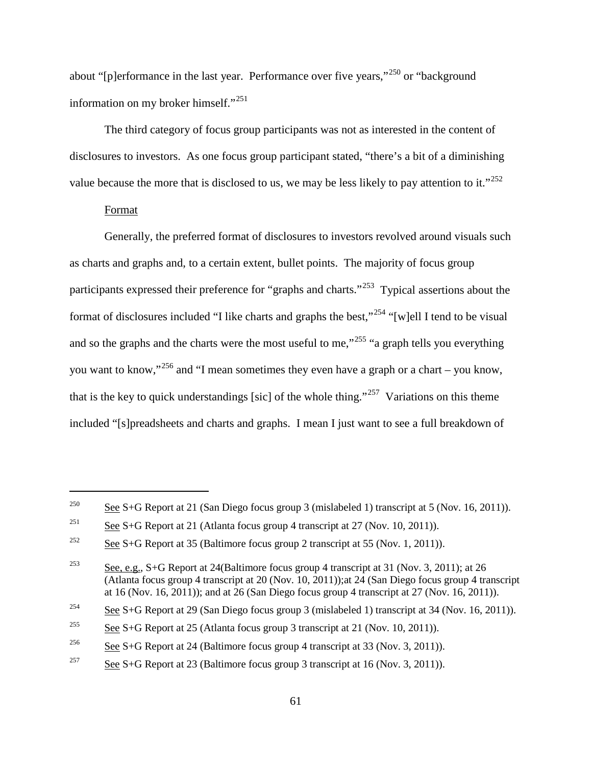about "[p]erformance in the last year. Performance over five years,"<sup>[250](#page-90-0)</sup> or "background" information on my broker himself."<sup>[251](#page-90-1)</sup>

The third category of focus group participants was not as interested in the content of disclosures to investors. As one focus group participant stated, "there's a bit of a diminishing value because the more that is disclosed to us, we may be less likely to pay attention to it."<sup>[252](#page-90-2)</sup>

#### Format

 $\overline{a}$ 

Generally, the preferred format of disclosures to investors revolved around visuals such as charts and graphs and, to a certain extent, bullet points. The majority of focus group participants expressed their preference for "graphs and charts."[253](#page-90-3) Typical assertions about the format of disclosures included "I like charts and graphs the best,"<sup>[254](#page-90-4)</sup> "[w]ell I tend to be visual and so the graphs and the charts were the most useful to me,<sup> $255$ </sup> "a graph tells you everything you want to know,"<sup>[256](#page-90-6)</sup> and "I mean sometimes they even have a graph or a chart – you know, that is the key to quick understandings [sic] of the whole thing."<sup>257</sup> Variations on this theme included "[s]preadsheets and charts and graphs. I mean I just want to see a full breakdown of

<span id="page-90-0"></span><sup>&</sup>lt;sup>250</sup> See S+G Report at 21 (San Diego focus group 3 (mislabeled 1) transcript at 5 (Nov. 16, 2011)).

<span id="page-90-1"></span><sup>&</sup>lt;sup>251</sup> See S+G Report at 21 (Atlanta focus group 4 transcript at 27 (Nov. 10, 2011)).

<span id="page-90-2"></span><sup>&</sup>lt;sup>252</sup> See S+G Report at 35 (Baltimore focus group 2 transcript at 55 (Nov. 1, 2011)).

<span id="page-90-3"></span><sup>&</sup>lt;sup>253</sup> See, e.g., S+G Report at 24(Baltimore focus group 4 transcript at 31 (Nov. 3, 2011); at 26 (Atlanta focus group 4 transcript at 20 (Nov. 10, 2011));at 24 (San Diego focus group 4 transcript at 16 (Nov. 16, 2011)); and at 26 (San Diego focus group 4 transcript at 27 (Nov. 16, 2011)).

<span id="page-90-4"></span><sup>&</sup>lt;sup>254</sup> See S+G Report at 29 (San Diego focus group 3 (mislabeled 1) transcript at 34 (Nov. 16, 2011)).

<span id="page-90-5"></span><sup>&</sup>lt;sup>255</sup> See S+G Report at 25 (Atlanta focus group 3 transcript at 21 (Nov. 10, 2011)).

<span id="page-90-6"></span><sup>&</sup>lt;sup>256</sup> See S+G Report at 24 (Baltimore focus group 4 transcript at 33 (Nov. 3, 2011)).

<span id="page-90-7"></span><sup>&</sup>lt;sup>257</sup> See S+G Report at 23 (Baltimore focus group 3 transcript at 16 (Nov. 3, 2011)).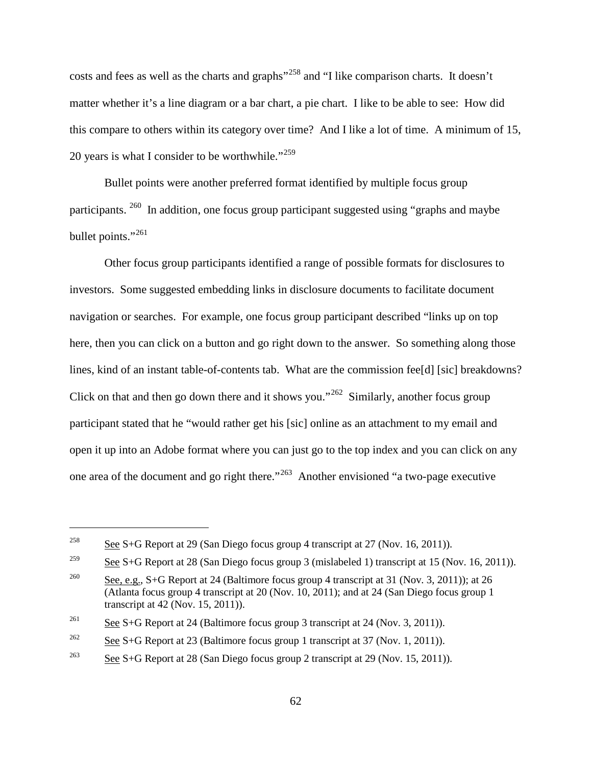costs and fees as well as the charts and graphs"[258](#page-91-0) and "I like comparison charts. It doesn't matter whether it's a line diagram or a bar chart, a pie chart. I like to be able to see: How did this compare to others within its category over time? And I like a lot of time. A minimum of 15, 20 years is what I consider to be worthwhile." $259$ 

Bullet points were another preferred format identified by multiple focus group participants. [260](#page-91-2) In addition, one focus group participant suggested using "graphs and maybe bullet points."<sup>[261](#page-91-3)</sup>

Other focus group participants identified a range of possible formats for disclosures to investors. Some suggested embedding links in disclosure documents to facilitate document navigation or searches. For example, one focus group participant described "links up on top here, then you can click on a button and go right down to the answer. So something along those lines, kind of an instant table-of-contents tab. What are the commission fee[d] [sic] breakdowns? Click on that and then go down there and it shows you."<sup>262</sup> Similarly, another focus group participant stated that he "would rather get his [sic] online as an attachment to my email and open it up into an Adobe format where you can just go to the top index and you can click on any one area of the document and go right there."[263](#page-91-5) Another envisioned "a two-page executive

<span id="page-91-0"></span><sup>&</sup>lt;sup>258</sup> See S+G Report at 29 (San Diego focus group 4 transcript at 27 (Nov. 16, 2011)).

<span id="page-91-1"></span><sup>&</sup>lt;sup>259</sup> See S+G Report at 28 (San Diego focus group 3 (mislabeled 1) transcript at 15 (Nov. 16, 2011)).

<span id="page-91-2"></span><sup>&</sup>lt;sup>260</sup> See, e.g., S+G Report at 24 (Baltimore focus group 4 transcript at 31 (Nov. 3, 2011)); at 26 (Atlanta focus group 4 transcript at 20 (Nov. 10, 2011); and at 24 (San Diego focus group 1 transcript at 42 (Nov. 15, 2011)).

<span id="page-91-3"></span><sup>&</sup>lt;sup>261</sup> See S+G Report at 24 (Baltimore focus group 3 transcript at 24 (Nov. 3, 2011)).

<span id="page-91-4"></span><sup>&</sup>lt;sup>262</sup> See S+G Report at 23 (Baltimore focus group 1 transcript at 37 (Nov. 1, 2011)).

<span id="page-91-5"></span><sup>&</sup>lt;sup>263</sup> See S+G Report at 28 (San Diego focus group 2 transcript at 29 (Nov. 15, 2011)).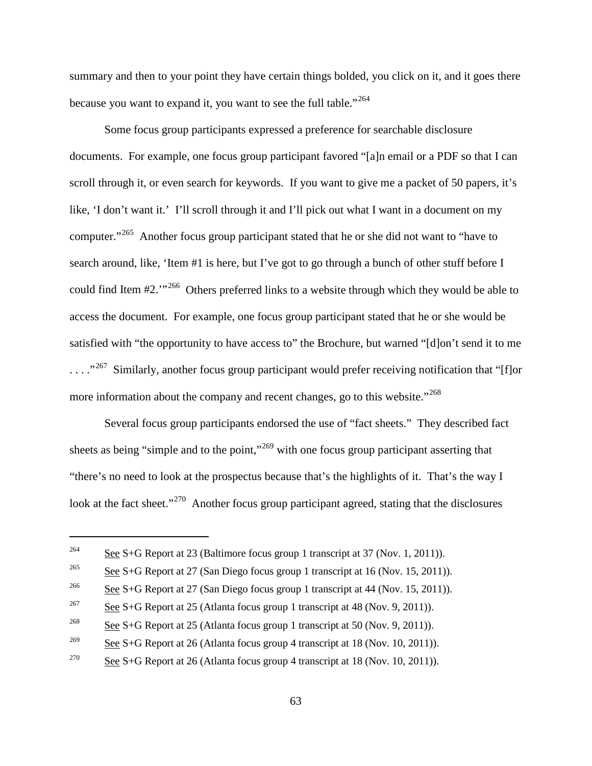summary and then to your point they have certain things bolded, you click on it, and it goes there because you want to expand it, you want to see the full table."<sup>[264](#page-92-0)</sup>

Some focus group participants expressed a preference for searchable disclosure documents. For example, one focus group participant favored "[a]n email or a PDF so that I can scroll through it, or even search for keywords. If you want to give me a packet of 50 papers, it's like, 'I don't want it.' I'll scroll through it and I'll pick out what I want in a document on my computer."[265](#page-92-1) Another focus group participant stated that he or she did not want to "have to search around, like, 'Item #1 is here, but I've got to go through a bunch of other stuff before I could find Item #2.'"[266](#page-92-2) Others preferred links to a website through which they would be able to access the document. For example, one focus group participant stated that he or she would be satisfied with "the opportunity to have access to" the Brochure, but warned "[d]on't send it to me ...."<sup>[267](#page-92-3)</sup> Similarly, another focus group participant would prefer receiving notification that "[f]or more information about the company and recent changes, go to this website."<sup>[268](#page-92-4)</sup>

Several focus group participants endorsed the use of "fact sheets." They described fact sheets as being "simple and to the point,"<sup>[269](#page-92-5)</sup> with one focus group participant asserting that "there's no need to look at the prospectus because that's the highlights of it. That's the way I look at the fact sheet."<sup>[270](#page-92-6)</sup> Another focus group participant agreed, stating that the disclosures

<span id="page-92-0"></span><sup>&</sup>lt;sup>264</sup> See S+G Report at 23 (Baltimore focus group 1 transcript at 37 (Nov. 1, 2011)).

<span id="page-92-1"></span><sup>&</sup>lt;sup>265</sup> See S+G Report at 27 (San Diego focus group 1 transcript at 16 (Nov. 15, 2011)).

<span id="page-92-2"></span><sup>&</sup>lt;sup>266</sup> See S+G Report at 27 (San Diego focus group 1 transcript at 44 (Nov. 15, 2011)).

<span id="page-92-3"></span><sup>&</sup>lt;sup>267</sup> See S+G Report at 25 (Atlanta focus group 1 transcript at 48 (Nov. 9, 2011)).

<span id="page-92-4"></span><sup>&</sup>lt;sup>268</sup> See S+G Report at 25 (Atlanta focus group 1 transcript at 50 (Nov. 9, 2011)).

<span id="page-92-5"></span><sup>&</sup>lt;sup>269</sup> See S+G Report at 26 (Atlanta focus group 4 transcript at 18 (Nov. 10, 2011)).

<span id="page-92-6"></span><sup>&</sup>lt;sup>270</sup> See S+G Report at 26 (Atlanta focus group 4 transcript at 18 (Nov. 10, 2011)).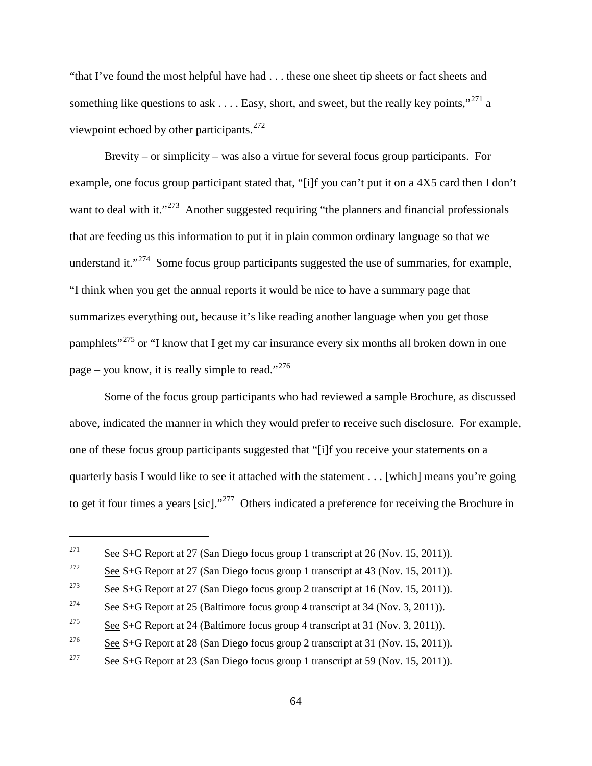"that I've found the most helpful have had . . . these one sheet tip sheets or fact sheets and something like questions to ask  $\dots$ . Easy, short, and sweet, but the really key points,"<sup>[271](#page-93-0)</sup> a viewpoint echoed by other participants. $^{272}$  $^{272}$  $^{272}$ 

Brevity – or simplicity – was also a virtue for several focus group participants. For example, one focus group participant stated that, "[i]f you can't put it on a 4X5 card then I don't want to deal with it."<sup>273</sup> Another suggested requiring "the planners and financial professionals" that are feeding us this information to put it in plain common ordinary language so that we understand it."<sup>[274](#page-93-3)</sup> Some focus group participants suggested the use of summaries, for example, "I think when you get the annual reports it would be nice to have a summary page that summarizes everything out, because it's like reading another language when you get those pamphlets<sup>"[275](#page-93-4)</sup> or "I know that I get my car insurance every six months all broken down in one page – you know, it is really simple to read."<sup>[276](#page-93-5)</sup>

Some of the focus group participants who had reviewed a sample Brochure, as discussed above, indicated the manner in which they would prefer to receive such disclosure. For example, one of these focus group participants suggested that "[i]f you receive your statements on a quarterly basis I would like to see it attached with the statement . . . [which] means you're going to get it four times a years [sic]."[277](#page-93-6) Others indicated a preference for receiving the Brochure in

<span id="page-93-0"></span><sup>&</sup>lt;sup>271</sup> See S+G Report at 27 (San Diego focus group 1 transcript at 26 (Nov. 15, 2011)).

<span id="page-93-1"></span><sup>&</sup>lt;sup>272</sup> See S+G Report at 27 (San Diego focus group 1 transcript at 43 (Nov. 15, 2011)).

<span id="page-93-2"></span><sup>&</sup>lt;sup>273</sup> See S+G Report at 27 (San Diego focus group 2 transcript at 16 (Nov. 15, 2011)).

<span id="page-93-3"></span><sup>&</sup>lt;sup>274</sup> See S+G Report at 25 (Baltimore focus group 4 transcript at 34 (Nov. 3, 2011)).

<span id="page-93-4"></span><sup>&</sup>lt;sup>275</sup> See S+G Report at 24 (Baltimore focus group 4 transcript at 31 (Nov. 3, 2011)).

<span id="page-93-5"></span><sup>&</sup>lt;sup>276</sup> See S+G Report at 28 (San Diego focus group 2 transcript at 31 (Nov. 15, 2011)).

<span id="page-93-6"></span><sup>&</sup>lt;sup>277</sup> See S+G Report at 23 (San Diego focus group 1 transcript at 59 (Nov. 15, 2011)).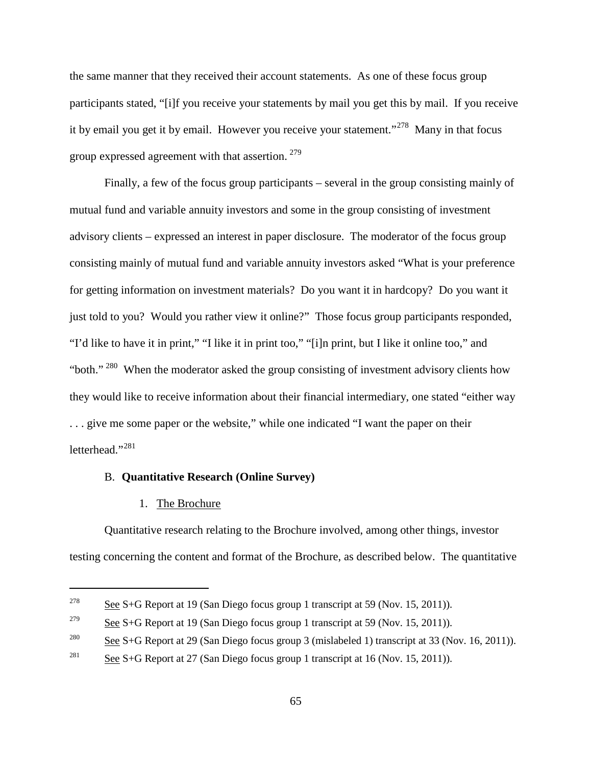the same manner that they received their account statements. As one of these focus group participants stated, "[i]f you receive your statements by mail you get this by mail. If you receive it by email you get it by email. However you receive your statement."[278](#page-94-0) Many in that focus group expressed agreement with that assertion. [279](#page-94-1)

Finally, a few of the focus group participants – several in the group consisting mainly of mutual fund and variable annuity investors and some in the group consisting of investment advisory clients – expressed an interest in paper disclosure. The moderator of the focus group consisting mainly of mutual fund and variable annuity investors asked "What is your preference for getting information on investment materials? Do you want it in hardcopy? Do you want it just told to you? Would you rather view it online?" Those focus group participants responded, "I'd like to have it in print," "I like it in print too," "[i]n print, but I like it online too," and "both."  $280$  When the moderator asked the group consisting of investment advisory clients how they would like to receive information about their financial intermediary, one stated "either way . . . give me some paper or the website," while one indicated "I want the paper on their letterhead."<sup>[281](#page-94-3)</sup>

#### B. **Quantitative Research (Online Survey)**

#### 1. The Brochure

 $\overline{a}$ 

Quantitative research relating to the Brochure involved, among other things, investor testing concerning the content and format of the Brochure, as described below. The quantitative

<span id="page-94-0"></span><sup>&</sup>lt;sup>278</sup> See S+G Report at 19 (San Diego focus group 1 transcript at 59 (Nov. 15, 2011)).

<span id="page-94-1"></span><sup>&</sup>lt;sup>279</sup> See S+G Report at 19 (San Diego focus group 1 transcript at 59 (Nov. 15, 2011)).

<span id="page-94-2"></span><sup>&</sup>lt;sup>280</sup> See S+G Report at 29 (San Diego focus group 3 (mislabeled 1) transcript at 33 (Nov. 16, 2011)).

<span id="page-94-3"></span><sup>&</sup>lt;sup>281</sup> See S+G Report at 27 (San Diego focus group 1 transcript at 16 (Nov. 15, 2011)).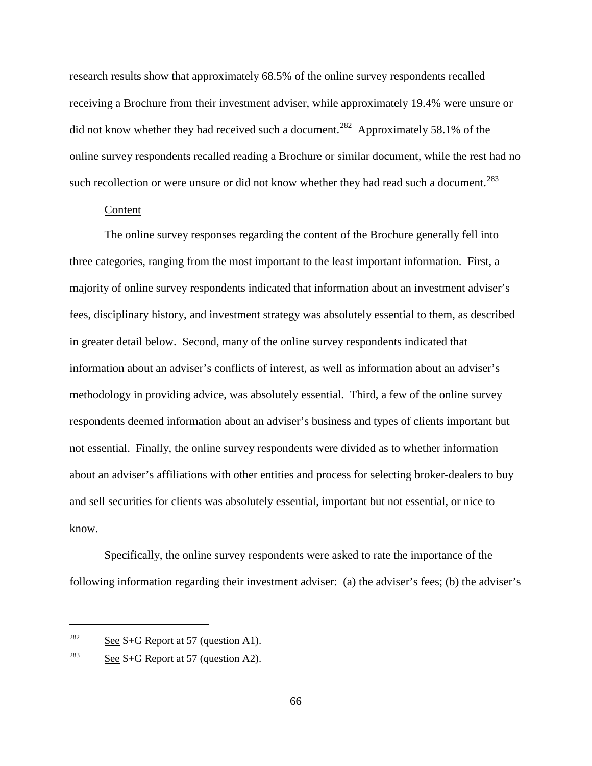research results show that approximately 68.5% of the online survey respondents recalled receiving a Brochure from their investment adviser, while approximately 19.4% were unsure or did not know whether they had received such a document.<sup>[282](#page-95-0)</sup> Approximately 58.1% of the online survey respondents recalled reading a Brochure or similar document, while the rest had no such recollection or were unsure or did not know whether they had read such a document.<sup>[283](#page-95-1)</sup>

#### Content

The online survey responses regarding the content of the Brochure generally fell into three categories, ranging from the most important to the least important information. First, a majority of online survey respondents indicated that information about an investment adviser's fees, disciplinary history, and investment strategy was absolutely essential to them, as described in greater detail below. Second, many of the online survey respondents indicated that information about an adviser's conflicts of interest, as well as information about an adviser's methodology in providing advice, was absolutely essential. Third, a few of the online survey respondents deemed information about an adviser's business and types of clients important but not essential. Finally, the online survey respondents were divided as to whether information about an adviser's affiliations with other entities and process for selecting broker-dealers to buy and sell securities for clients was absolutely essential, important but not essential, or nice to know.

Specifically, the online survey respondents were asked to rate the importance of the following information regarding their investment adviser: (a) the adviser's fees; (b) the adviser's

<span id="page-95-0"></span><sup>&</sup>lt;sup>282</sup> See S+G Report at 57 (question A1).

<span id="page-95-1"></span><sup>&</sup>lt;sup>283</sup> See S+G Report at 57 (question A2).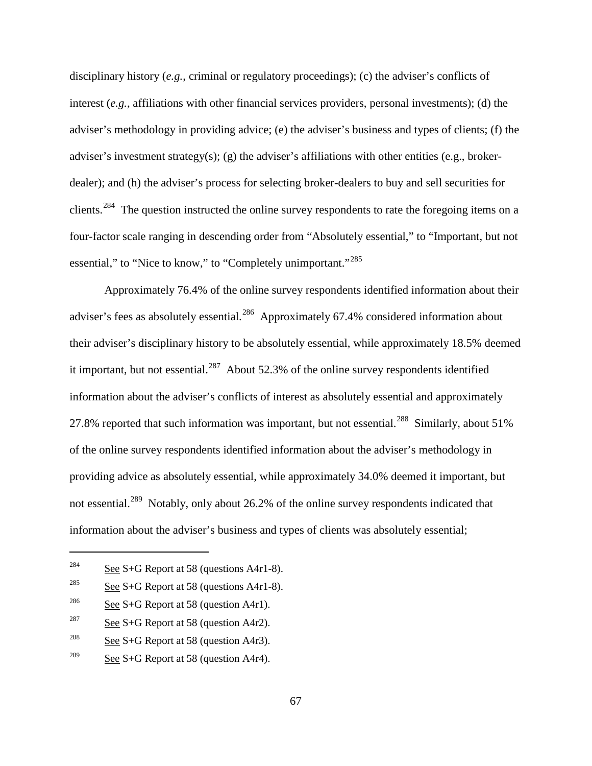disciplinary history (*e.g.*, criminal or regulatory proceedings); (c) the adviser's conflicts of interest (*e.g.*, affiliations with other financial services providers, personal investments); (d) the adviser's methodology in providing advice; (e) the adviser's business and types of clients; (f) the adviser's investment strategy(s); (g) the adviser's affiliations with other entities (e.g., brokerdealer); and (h) the adviser's process for selecting broker-dealers to buy and sell securities for clients.<sup>[284](#page-96-0)</sup> The question instructed the online survey respondents to rate the foregoing items on a four-factor scale ranging in descending order from "Absolutely essential," to "Important, but not essential," to "Nice to know," to "Completely unimportant."<sup>[285](#page-96-1)</sup>

Approximately 76.4% of the online survey respondents identified information about their adviser's fees as absolutely essential.<sup>[286](#page-96-2)</sup> Approximately 67.4% considered information about their adviser's disciplinary history to be absolutely essential, while approximately 18.5% deemed it important, but not essential. $^{287}$  $^{287}$  $^{287}$  About 52.3% of the online survey respondents identified information about the adviser's conflicts of interest as absolutely essential and approximately 27.8% reported that such information was important, but not essential.<sup>288</sup> Similarly, about 51% of the online survey respondents identified information about the adviser's methodology in providing advice as absolutely essential, while approximately 34.0% deemed it important, but not essential.<sup>[289](#page-96-5)</sup> Notably, only about 26.2% of the online survey respondents indicated that information about the adviser's business and types of clients was absolutely essential;

<span id="page-96-0"></span><sup>&</sup>lt;sup>284</sup> See S+G Report at 58 (questions A4r1-8).

<span id="page-96-1"></span><sup>&</sup>lt;sup>285</sup> See S+G Report at 58 (questions A4r1-8).

<span id="page-96-2"></span><sup>&</sup>lt;sup>286</sup> See S+G Report at 58 (question A4r1).

<span id="page-96-3"></span><sup>&</sup>lt;sup>287</sup> See S+G Report at 58 (question A4r2).

<span id="page-96-4"></span><sup>&</sup>lt;sup>288</sup> See S+G Report at 58 (question A4r3).

<span id="page-96-5"></span><sup>&</sup>lt;sup>289</sup> See S+G Report at 58 (question A4r4).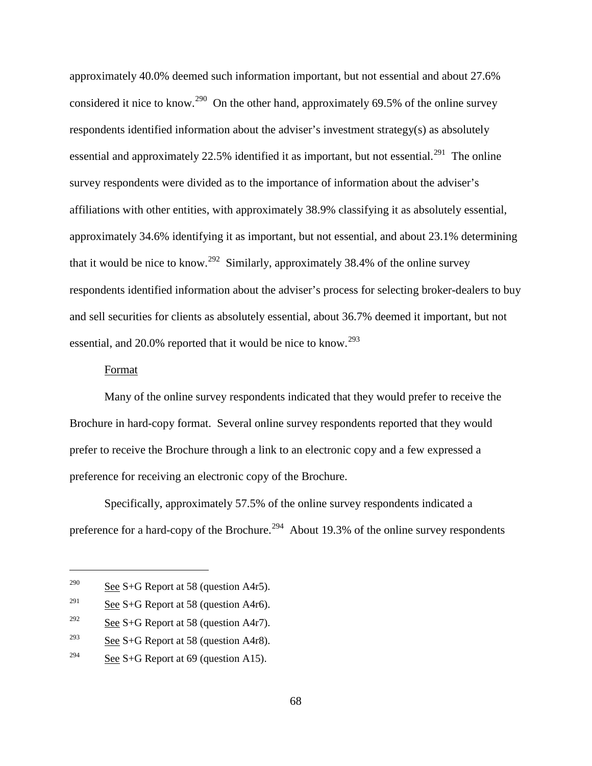approximately 40.0% deemed such information important, but not essential and about 27.6% considered it nice to know.<sup>[290](#page-97-0)</sup> On the other hand, approximately 69.5% of the online survey respondents identified information about the adviser's investment strategy(s) as absolutely essential and approximately 22.5% identified it as important, but not essential.<sup>[291](#page-97-1)</sup> The online survey respondents were divided as to the importance of information about the adviser's affiliations with other entities, with approximately 38.9% classifying it as absolutely essential, approximately 34.6% identifying it as important, but not essential, and about 23.1% determining that it would be nice to know.<sup>292</sup> Similarly, approximately 38.4% of the online survey respondents identified information about the adviser's process for selecting broker-dealers to buy and sell securities for clients as absolutely essential, about 36.7% deemed it important, but not essential, and 20.0% reported that it would be nice to know.<sup>[293](#page-97-3)</sup>

#### Format

 $\overline{a}$ 

Many of the online survey respondents indicated that they would prefer to receive the Brochure in hard-copy format. Several online survey respondents reported that they would prefer to receive the Brochure through a link to an electronic copy and a few expressed a preference for receiving an electronic copy of the Brochure.

Specifically, approximately 57.5% of the online survey respondents indicated a preference for a hard-copy of the Brochure.<sup>294</sup> About 19.3% of the online survey respondents

<span id="page-97-0"></span><sup>&</sup>lt;sup>290</sup> See S+G Report at 58 (question A4r5).

<span id="page-97-1"></span><sup>&</sup>lt;sup>291</sup> See S+G Report at 58 (question A4r6).

<span id="page-97-2"></span><sup>&</sup>lt;sup>292</sup> See S+G Report at 58 (question A4r7).

<span id="page-97-3"></span><sup>&</sup>lt;sup>293</sup> See S+G Report at 58 (question A4r8).

<span id="page-97-4"></span><sup>&</sup>lt;sup>294</sup> See S+G Report at 69 (question A15).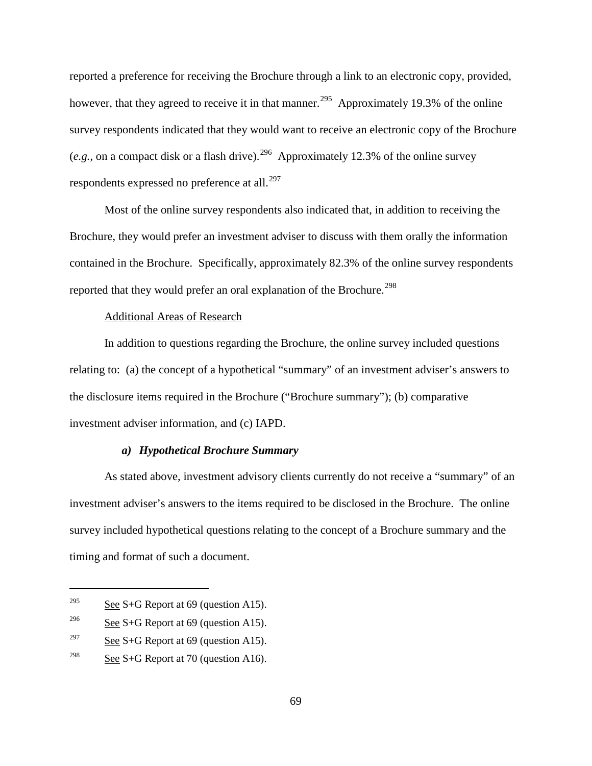reported a preference for receiving the Brochure through a link to an electronic copy, provided, however, that they agreed to receive it in that manner.<sup>295</sup> Approximately 19.3% of the online survey respondents indicated that they would want to receive an electronic copy of the Brochure (*e.g.*, on a compact disk or a flash drive).<sup>[296](#page-98-1)</sup> Approximately 12.3% of the online survey respondents expressed no preference at all.<sup>[297](#page-98-2)</sup>

Most of the online survey respondents also indicated that, in addition to receiving the Brochure, they would prefer an investment adviser to discuss with them orally the information contained in the Brochure. Specifically, approximately 82.3% of the online survey respondents reported that they would prefer an oral explanation of the Brochure.<sup>[298](#page-98-3)</sup>

#### Additional Areas of Research

In addition to questions regarding the Brochure, the online survey included questions relating to: (a) the concept of a hypothetical "summary" of an investment adviser's answers to the disclosure items required in the Brochure ("Brochure summary"); (b) comparative investment adviser information, and (c) IAPD.

## *a) Hypothetical Brochure Summary*

As stated above, investment advisory clients currently do not receive a "summary" of an investment adviser's answers to the items required to be disclosed in the Brochure. The online survey included hypothetical questions relating to the concept of a Brochure summary and the timing and format of such a document.

<span id="page-98-0"></span><sup>&</sup>lt;sup>295</sup> See S+G Report at 69 (question A15).

<span id="page-98-1"></span><sup>&</sup>lt;sup>296</sup> See S+G Report at 69 (question A15).

<span id="page-98-2"></span><sup>&</sup>lt;sup>297</sup> See S+G Report at 69 (question A15).

<span id="page-98-3"></span><sup>&</sup>lt;sup>298</sup> See S+G Report at 70 (question A16).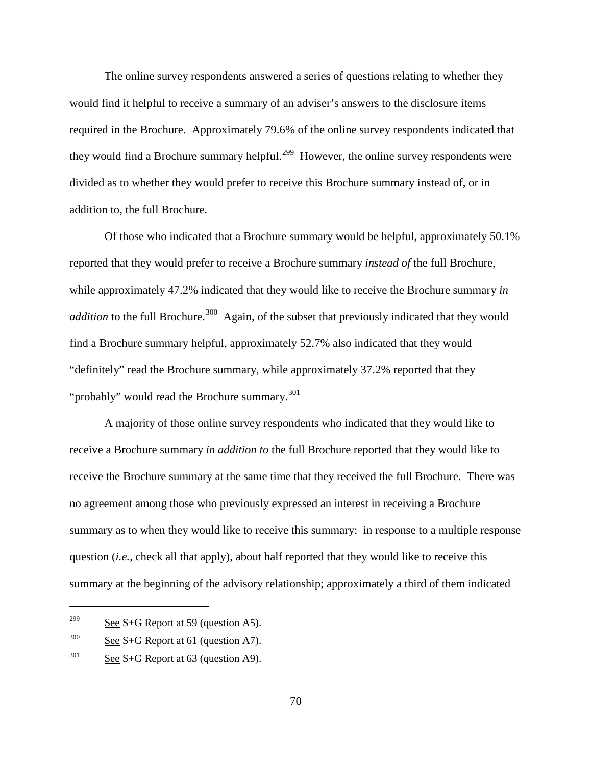The online survey respondents answered a series of questions relating to whether they would find it helpful to receive a summary of an adviser's answers to the disclosure items required in the Brochure. Approximately 79.6% of the online survey respondents indicated that they would find a Brochure summary helpful.<sup>[299](#page-99-0)</sup> However, the online survey respondents were divided as to whether they would prefer to receive this Brochure summary instead of, or in addition to, the full Brochure.

Of those who indicated that a Brochure summary would be helpful, approximately 50.1% reported that they would prefer to receive a Brochure summary *instead of* the full Brochure, while approximately 47.2% indicated that they would like to receive the Brochure summary *in addition* to the full Brochure.<sup>[300](#page-99-1)</sup> Again, of the subset that previously indicated that they would find a Brochure summary helpful, approximately 52.7% also indicated that they would "definitely" read the Brochure summary, while approximately 37.2% reported that they "probably" would read the Brochure summary. $301$ 

A majority of those online survey respondents who indicated that they would like to receive a Brochure summary *in addition to* the full Brochure reported that they would like to receive the Brochure summary at the same time that they received the full Brochure. There was no agreement among those who previously expressed an interest in receiving a Brochure summary as to when they would like to receive this summary: in response to a multiple response question (*i.e.*, check all that apply), about half reported that they would like to receive this summary at the beginning of the advisory relationship; approximately a third of them indicated

<span id="page-99-0"></span> $299$  See S+G Report at 59 (question A5).

<span id="page-99-1"></span> $300$  See S+G Report at 61 (question A7).

<span id="page-99-2"></span> $301$  See S+G Report at 63 (question A9).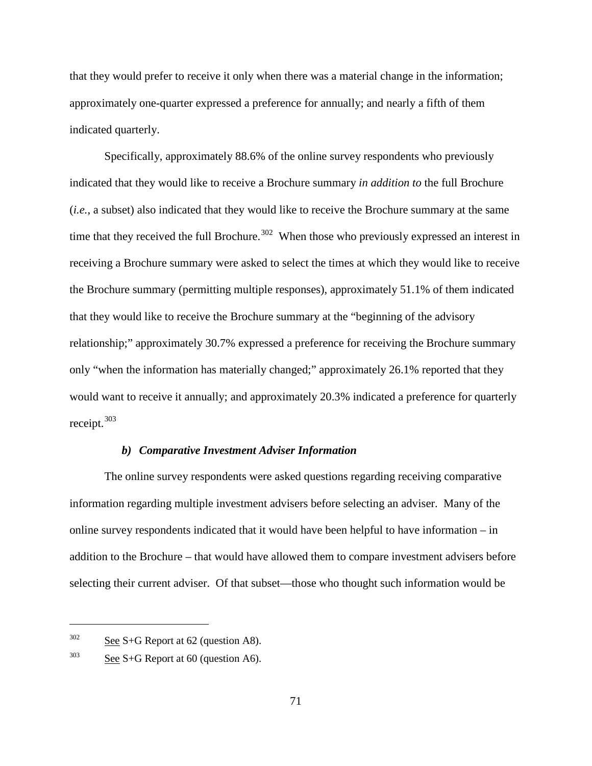that they would prefer to receive it only when there was a material change in the information; approximately one-quarter expressed a preference for annually; and nearly a fifth of them indicated quarterly.

Specifically, approximately 88.6% of the online survey respondents who previously indicated that they would like to receive a Brochure summary *in addition to* the full Brochure (*i.e.*, a subset) also indicated that they would like to receive the Brochure summary at the same time that they received the full Brochure.<sup>[302](#page-100-0)</sup> When those who previously expressed an interest in receiving a Brochure summary were asked to select the times at which they would like to receive the Brochure summary (permitting multiple responses), approximately 51.1% of them indicated that they would like to receive the Brochure summary at the "beginning of the advisory relationship;" approximately 30.7% expressed a preference for receiving the Brochure summary only "when the information has materially changed;" approximately 26.1% reported that they would want to receive it annually; and approximately 20.3% indicated a preference for quarterly receipt.[303](#page-100-1)

#### *b) Comparative Investment Adviser Information*

The online survey respondents were asked questions regarding receiving comparative information regarding multiple investment advisers before selecting an adviser. Many of the online survey respondents indicated that it would have been helpful to have information – in addition to the Brochure – that would have allowed them to compare investment advisers before selecting their current adviser. Of that subset—those who thought such information would be

<span id="page-100-0"></span> $302$  See S+G Report at 62 (question A8).

<span id="page-100-1"></span> $303$  See S+G Report at 60 (question A6).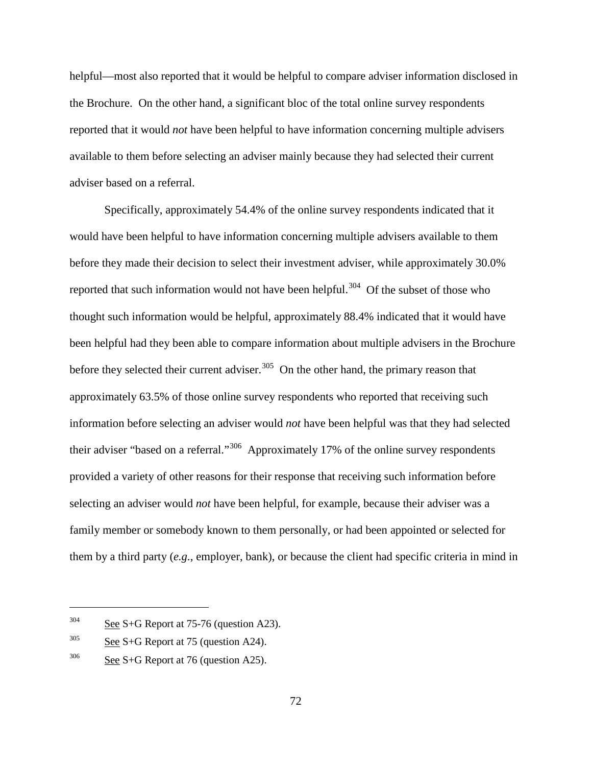helpful—most also reported that it would be helpful to compare adviser information disclosed in the Brochure. On the other hand, a significant bloc of the total online survey respondents reported that it would *not* have been helpful to have information concerning multiple advisers available to them before selecting an adviser mainly because they had selected their current adviser based on a referral.

Specifically, approximately 54.4% of the online survey respondents indicated that it would have been helpful to have information concerning multiple advisers available to them before they made their decision to select their investment adviser, while approximately 30.0% reported that such information would not have been helpful.<sup>[304](#page-101-0)</sup> Of the subset of those who thought such information would be helpful, approximately 88.4% indicated that it would have been helpful had they been able to compare information about multiple advisers in the Brochure before they selected their current adviser.<sup>[305](#page-101-1)</sup> On the other hand, the primary reason that approximately 63.5% of those online survey respondents who reported that receiving such information before selecting an adviser would *not* have been helpful was that they had selected their adviser "based on a referral."[306](#page-101-2) Approximately 17% of the online survey respondents provided a variety of other reasons for their response that receiving such information before selecting an adviser would *not* have been helpful, for example, because their adviser was a family member or somebody known to them personally, or had been appointed or selected for them by a third party (*e.g.*, employer, bank), or because the client had specific criteria in mind in

<span id="page-101-0"></span> $304$  See S+G Report at 75-76 (question A23).

<span id="page-101-1"></span> $305$  See S+G Report at 75 (question A24).

<span id="page-101-2"></span> $306$  See S+G Report at 76 (question A25).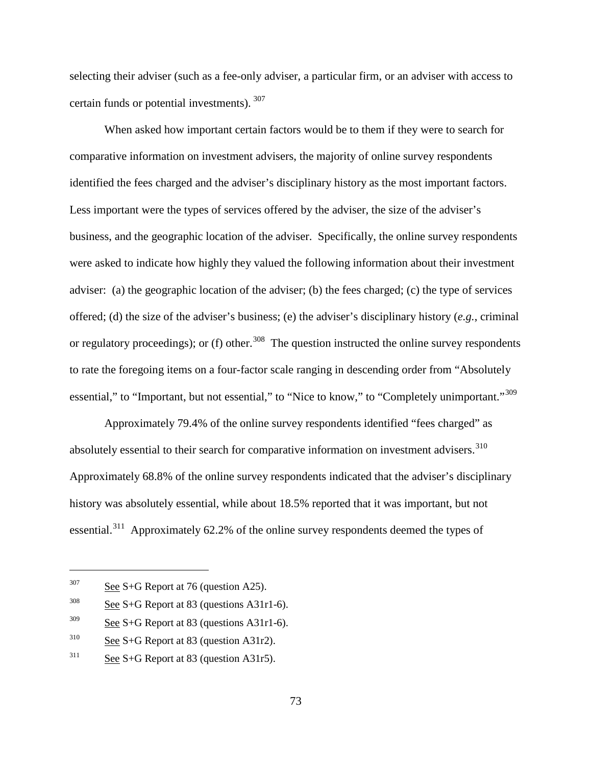selecting their adviser (such as a fee-only adviser, a particular firm, or an adviser with access to certain funds or potential investments). [307](#page-102-0)

When asked how important certain factors would be to them if they were to search for comparative information on investment advisers, the majority of online survey respondents identified the fees charged and the adviser's disciplinary history as the most important factors. Less important were the types of services offered by the adviser, the size of the adviser's business, and the geographic location of the adviser. Specifically, the online survey respondents were asked to indicate how highly they valued the following information about their investment adviser: (a) the geographic location of the adviser; (b) the fees charged; (c) the type of services offered; (d) the size of the adviser's business; (e) the adviser's disciplinary history (*e.g.*, criminal or regulatory proceedings); or (f) other.<sup>[308](#page-102-1)</sup> The question instructed the online survey respondents to rate the foregoing items on a four-factor scale ranging in descending order from "Absolutely essential," to "Important, but not essential," to "Nice to know," to "Completely unimportant."<sup>[309](#page-102-2)</sup>

Approximately 79.4% of the online survey respondents identified "fees charged" as absolutely essential to their search for comparative information on investment advisers.<sup>[310](#page-102-3)</sup> Approximately 68.8% of the online survey respondents indicated that the adviser's disciplinary history was absolutely essential, while about 18.5% reported that it was important, but not essential.[311](#page-102-4) Approximately 62.2% of the online survey respondents deemed the types of

<span id="page-102-0"></span> $307$  See S+G Report at 76 (question A25).

<span id="page-102-1"></span> $308$  See S+G Report at 83 (questions A31r1-6).

<span id="page-102-2"></span> $309$  See S+G Report at 83 (questions A31r1-6).

<span id="page-102-3"></span><sup>310</sup> See S+G Report at 83 (question A31r2).

<span id="page-102-4"></span> $311$  See S+G Report at 83 (question A31r5).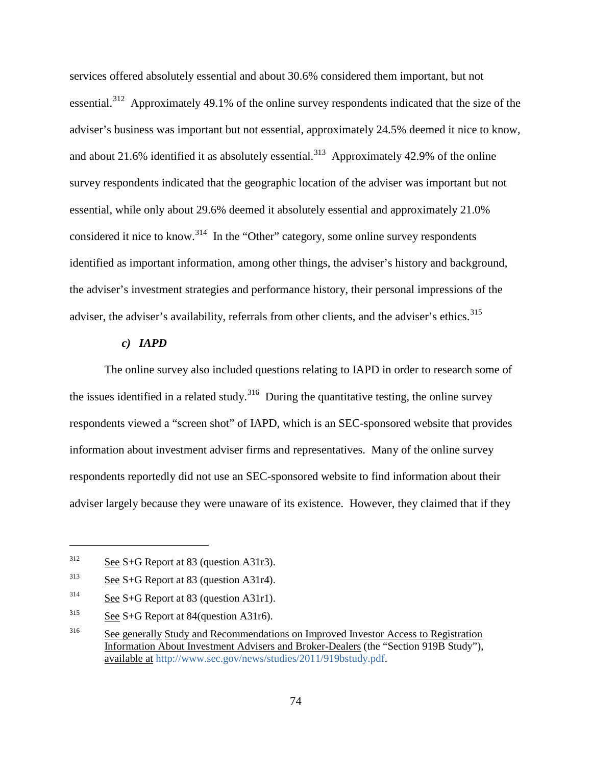services offered absolutely essential and about 30.6% considered them important, but not essential.[312](#page-103-0) Approximately 49.1% of the online survey respondents indicated that the size of the adviser's business was important but not essential, approximately 24.5% deemed it nice to know, and about 21.6% identified it as absolutely essential.<sup>[313](#page-103-1)</sup> Approximately 42.9% of the online survey respondents indicated that the geographic location of the adviser was important but not essential, while only about 29.6% deemed it absolutely essential and approximately 21.0% considered it nice to know.[314](#page-103-2) In the "Other" category, some online survey respondents identified as important information, among other things, the adviser's history and background, the adviser's investment strategies and performance history, their personal impressions of the adviser, the adviser's availability, referrals from other clients, and the adviser's ethics.<sup>[315](#page-103-3)</sup>

## *c) IAPD*

The online survey also included questions relating to IAPD in order to research some of the issues identified in a related study.<sup>[316](#page-103-4)</sup> During the quantitative testing, the online survey respondents viewed a "screen shot" of IAPD, which is an SEC-sponsored website that provides information about investment adviser firms and representatives. Many of the online survey respondents reportedly did not use an SEC-sponsored website to find information about their adviser largely because they were unaware of its existence. However, they claimed that if they

<span id="page-103-0"></span> $312$  See S+G Report at 83 (question A31r3).

<span id="page-103-1"></span><sup>313</sup> See S+G Report at 83 (question A31r4).

<span id="page-103-2"></span> $314$  See S+G Report at 83 (question A31r1).

<span id="page-103-3"></span> $315$  See S+G Report at 84(question A31r6).

<span id="page-103-4"></span><sup>&</sup>lt;sup>316</sup> See generally Study and Recommendations on Improved Investor Access to Registration Information About Investment Advisers and Broker-Dealers (the "Section 919B Study"), available at [http://www.sec.gov/news/studies/2011/919bstudy.pdf.](http://www.sec.gov/news/studies/2011/919bstudy.pdf)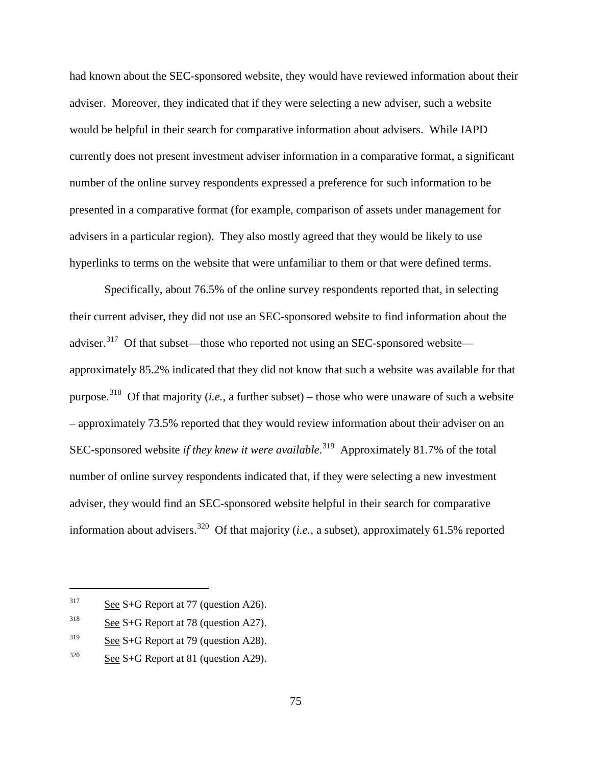had known about the SEC-sponsored website, they would have reviewed information about their adviser. Moreover, they indicated that if they were selecting a new adviser, such a website would be helpful in their search for comparative information about advisers. While IAPD currently does not present investment adviser information in a comparative format, a significant number of the online survey respondents expressed a preference for such information to be presented in a comparative format (for example, comparison of assets under management for advisers in a particular region). They also mostly agreed that they would be likely to use hyperlinks to terms on the website that were unfamiliar to them or that were defined terms.

Specifically, about 76.5% of the online survey respondents reported that, in selecting their current adviser, they did not use an SEC-sponsored website to find information about the adviser.<sup>[317](#page-104-0)</sup> Of that subset—those who reported not using an SEC-sponsored website approximately 85.2% indicated that they did not know that such a website was available for that purpose.<sup>318</sup> Of that majority (*i.e.*, a further subset) – those who were unaware of such a website – approximately 73.5% reported that they would review information about their adviser on an SEC-sponsored website *if they knew it were available*.<sup>[319](#page-104-2)</sup> Approximately 81.7% of the total number of online survey respondents indicated that, if they were selecting a new investment adviser, they would find an SEC-sponsored website helpful in their search for comparative information about advisers.<sup>[320](#page-104-3)</sup> Of that majority (*i.e.*, a subset), approximately 61.5% reported

<span id="page-104-0"></span> $317$  See S+G Report at 77 (question A26).

<span id="page-104-1"></span> $318$  See S+G Report at 78 (question A27).

<span id="page-104-2"></span> $319$  See S+G Report at 79 (question A28).

<span id="page-104-3"></span> $320$  See S+G Report at 81 (question A29).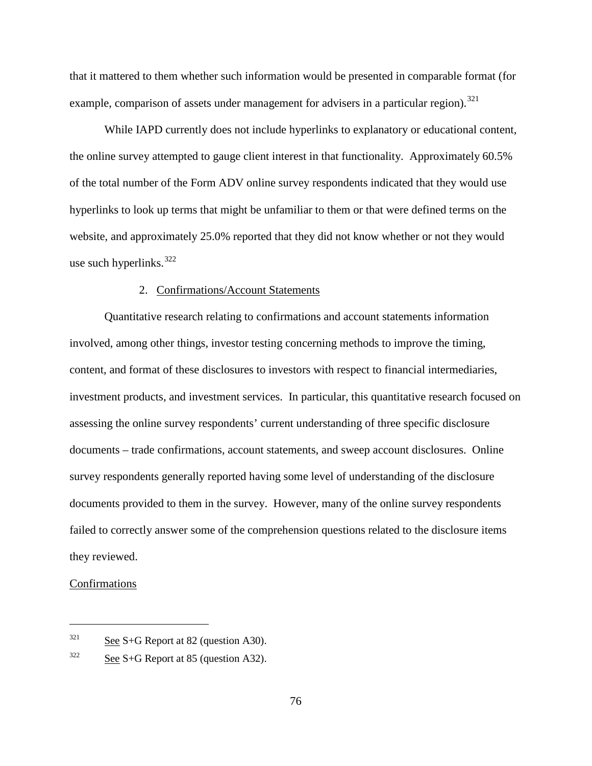that it mattered to them whether such information would be presented in comparable format (for example, comparison of assets under management for advisers in a particular region).<sup>[321](#page-105-0)</sup>

While IAPD currently does not include hyperlinks to explanatory or educational content, the online survey attempted to gauge client interest in that functionality. Approximately 60.5% of the total number of the Form ADV online survey respondents indicated that they would use hyperlinks to look up terms that might be unfamiliar to them or that were defined terms on the website, and approximately 25.0% reported that they did not know whether or not they would use such hyperlinks.  $322$ 

#### 2. Confirmations/Account Statements

Quantitative research relating to confirmations and account statements information involved, among other things, investor testing concerning methods to improve the timing, content, and format of these disclosures to investors with respect to financial intermediaries, investment products, and investment services. In particular, this quantitative research focused on assessing the online survey respondents' current understanding of three specific disclosure documents – trade confirmations, account statements, and sweep account disclosures. Online survey respondents generally reported having some level of understanding of the disclosure documents provided to them in the survey. However, many of the online survey respondents failed to correctly answer some of the comprehension questions related to the disclosure items they reviewed.

#### Confirmations

<span id="page-105-0"></span> $321$  See S+G Report at 82 (question A30).

<span id="page-105-1"></span> $322$  See S+G Report at 85 (question A32).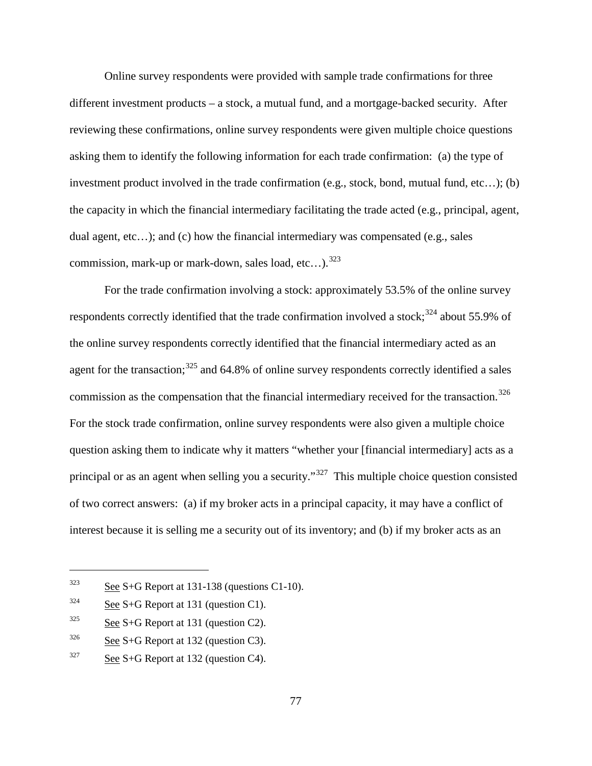Online survey respondents were provided with sample trade confirmations for three different investment products – a stock, a mutual fund, and a mortgage-backed security. After reviewing these confirmations, online survey respondents were given multiple choice questions asking them to identify the following information for each trade confirmation: (a) the type of investment product involved in the trade confirmation (e.g., stock, bond, mutual fund, etc…); (b) the capacity in which the financial intermediary facilitating the trade acted (e.g., principal, agent, dual agent, etc…); and (c) how the financial intermediary was compensated (e.g., sales commission, mark-up or mark-down, sales load, etc...).<sup>[323](#page-106-0)</sup>

For the trade confirmation involving a stock: approximately 53.5% of the online survey respondents correctly identified that the trade confirmation involved a stock;<sup>[324](#page-106-1)</sup> about 55.9% of the online survey respondents correctly identified that the financial intermediary acted as an agent for the transaction;<sup>[325](#page-106-2)</sup> and 64.8% of online survey respondents correctly identified a sales commission as the compensation that the financial intermediary received for the transaction.<sup>[326](#page-106-3)</sup> For the stock trade confirmation, online survey respondents were also given a multiple choice question asking them to indicate why it matters "whether your [financial intermediary] acts as a principal or as an agent when selling you a security."<sup>[327](#page-106-4)</sup> This multiple choice question consisted of two correct answers: (a) if my broker acts in a principal capacity, it may have a conflict of interest because it is selling me a security out of its inventory; and (b) if my broker acts as an

<span id="page-106-0"></span> $323$  See S+G Report at 131-138 (questions C1-10).

<span id="page-106-1"></span> $324$  See S+G Report at 131 (question C1).

<span id="page-106-2"></span> $325$  See S+G Report at 131 (question C2).

<span id="page-106-3"></span> $326$  See S+G Report at 132 (question C3).

<span id="page-106-4"></span> $327$  See S+G Report at 132 (question C4).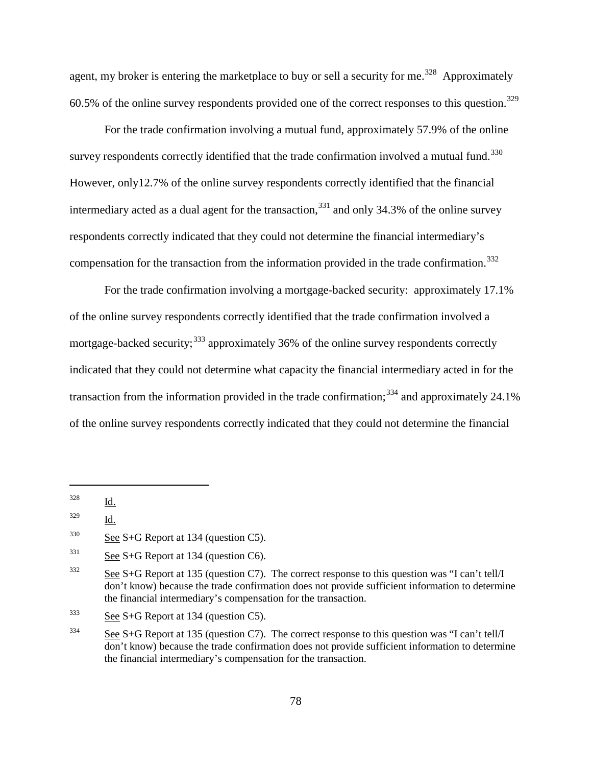agent, my broker is entering the marketplace to buy or sell a security for me.<sup>328</sup> Approximately 60.5% of the online survey respondents provided one of the correct responses to this question.<sup>[329](#page-107-1)</sup>

For the trade confirmation involving a mutual fund, approximately 57.9% of the online survey respondents correctly identified that the trade confirmation involved a mutual fund.<sup>[330](#page-107-2)</sup> However, only12.7% of the online survey respondents correctly identified that the financial intermediary acted as a dual agent for the transaction,  $331$  and only 34.3% of the online survey respondents correctly indicated that they could not determine the financial intermediary's compensation for the transaction from the information provided in the trade confirmation.<sup>[332](#page-107-4)</sup>

For the trade confirmation involving a mortgage-backed security: approximately 17.1% of the online survey respondents correctly identified that the trade confirmation involved a mortgage-backed security;<sup>[333](#page-107-5)</sup> approximately 36% of the online survey respondents correctly indicated that they could not determine what capacity the financial intermediary acted in for the transaction from the information provided in the trade confirmation;<sup>[334](#page-107-6)</sup> and approximately 24.1% of the online survey respondents correctly indicated that they could not determine the financial

<span id="page-107-0"></span><sup>328</sup> Id.

<span id="page-107-1"></span><sup>329</sup> Id.

<span id="page-107-2"></span> $330$  See S+G Report at 134 (question C5).

<span id="page-107-3"></span> $331$  See S+G Report at 134 (question C6).

<span id="page-107-4"></span><sup>&</sup>lt;sup>332</sup> See S+G Report at 135 (question C7). The correct response to this question was "I can't tell/I don't know) because the trade confirmation does not provide sufficient information to determine the financial intermediary's compensation for the transaction.

<span id="page-107-5"></span> $333$  See S+G Report at 134 (question C5).

<span id="page-107-6"></span><sup>334</sup> See S+G Report at 135 (question C7). The correct response to this question was "I can't tell/I don't know) because the trade confirmation does not provide sufficient information to determine the financial intermediary's compensation for the transaction.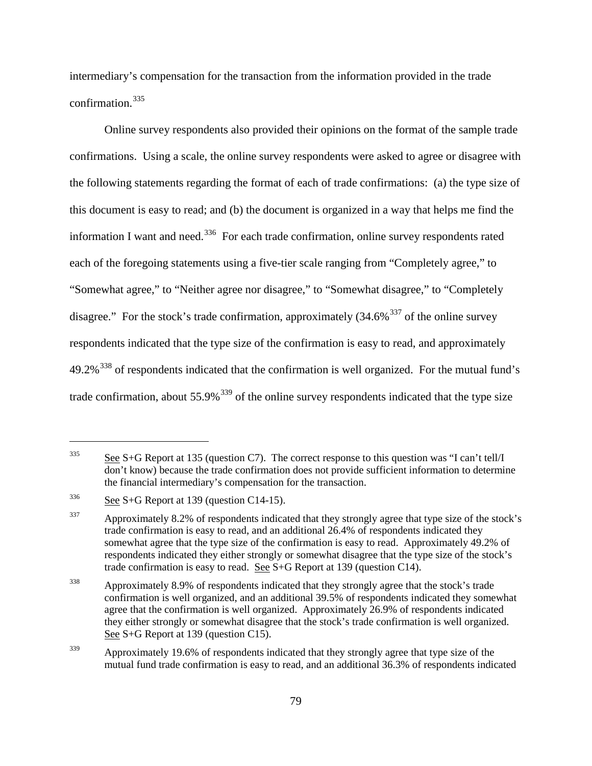intermediary's compensation for the transaction from the information provided in the trade confirmation.[335](#page-108-0)

Online survey respondents also provided their opinions on the format of the sample trade confirmations. Using a scale, the online survey respondents were asked to agree or disagree with the following statements regarding the format of each of trade confirmations: (a) the type size of this document is easy to read; and (b) the document is organized in a way that helps me find the information I want and need.<sup>336</sup> For each trade confirmation, online survey respondents rated each of the foregoing statements using a five-tier scale ranging from "Completely agree," to "Somewhat agree," to "Neither agree nor disagree," to "Somewhat disagree," to "Completely disagree." For the stock's trade confirmation, approximately  $(34.6\%^{337})$  $(34.6\%^{337})$  $(34.6\%^{337})$  of the online survey respondents indicated that the type size of the confirmation is easy to read, and approximately  $49.2\%$ <sup>[338](#page-108-3)</sup> of respondents indicated that the confirmation is well organized. For the mutual fund's trade confirmation, about  $55.9\%$ <sup>[339](#page-108-4)</sup> of the online survey respondents indicated that the type size

<span id="page-108-0"></span> $\frac{335}{2}$  See S+G Report at 135 (question C7). The correct response to this question was "I can't tell/I don't know) because the trade confirmation does not provide sufficient information to determine the financial intermediary's compensation for the transaction.

<span id="page-108-1"></span> $336$  See S+G Report at 139 (question C14-15).

<span id="page-108-2"></span><sup>&</sup>lt;sup>337</sup> Approximately 8.2% of respondents indicated that they strongly agree that type size of the stock's trade confirmation is easy to read, and an additional 26.4% of respondents indicated they somewhat agree that the type size of the confirmation is easy to read. Approximately 49.2% of respondents indicated they either strongly or somewhat disagree that the type size of the stock's trade confirmation is easy to read. See S+G Report at 139 (question C14).

<span id="page-108-3"></span><sup>&</sup>lt;sup>338</sup> Approximately 8.9% of respondents indicated that they strongly agree that the stock's trade confirmation is well organized, and an additional 39.5% of respondents indicated they somewhat agree that the confirmation is well organized. Approximately 26.9% of respondents indicated they either strongly or somewhat disagree that the stock's trade confirmation is well organized. See S+G Report at 139 (question C15).

<span id="page-108-4"></span><sup>&</sup>lt;sup>339</sup> Approximately 19.6% of respondents indicated that they strongly agree that type size of the mutual fund trade confirmation is easy to read, and an additional 36.3% of respondents indicated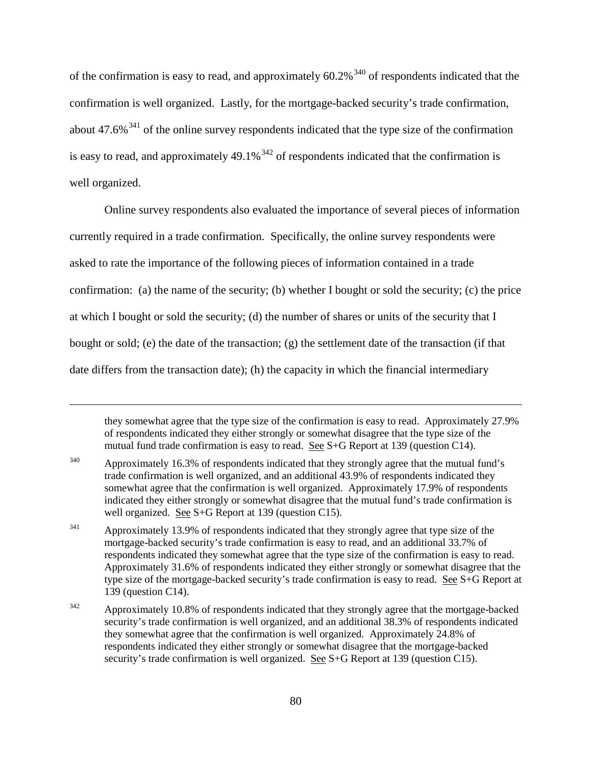of the confirmation is easy to read, and approximately  $60.2\%$ <sup>[340](#page-109-0)</sup> of respondents indicated that the confirmation is well organized. Lastly, for the mortgage-backed security's trade confirmation, about  $47.6\%$ <sup>[341](#page-109-1)</sup> of the online survey respondents indicated that the type size of the confirmation is easy to read, and approximately  $49.1\%$ <sup>[342](#page-109-2)</sup> of respondents indicated that the confirmation is well organized.

Online survey respondents also evaluated the importance of several pieces of information currently required in a trade confirmation. Specifically, the online survey respondents were asked to rate the importance of the following pieces of information contained in a trade confirmation: (a) the name of the security; (b) whether I bought or sold the security; (c) the price at which I bought or sold the security; (d) the number of shares or units of the security that I bought or sold; (e) the date of the transaction; (g) the settlement date of the transaction (if that date differs from the transaction date); (h) the capacity in which the financial intermediary

they somewhat agree that the type size of the confirmation is easy to read. Approximately 27.9% of respondents indicated they either strongly or somewhat disagree that the type size of the mutual fund trade confirmation is easy to read. See S+G Report at 139 (question C14).

<span id="page-109-0"></span><sup>&</sup>lt;sup>340</sup> Approximately 16.3% of respondents indicated that they strongly agree that the mutual fund's trade confirmation is well organized, and an additional 43.9% of respondents indicated they somewhat agree that the confirmation is well organized. Approximately 17.9% of respondents indicated they either strongly or somewhat disagree that the mutual fund's trade confirmation is well organized. See S+G Report at 139 (question C15).

<span id="page-109-1"></span><sup>&</sup>lt;sup>341</sup> Approximately 13.9% of respondents indicated that they strongly agree that type size of the mortgage-backed security's trade confirmation is easy to read, and an additional 33.7% of respondents indicated they somewhat agree that the type size of the confirmation is easy to read. Approximately 31.6% of respondents indicated they either strongly or somewhat disagree that the type size of the mortgage-backed security's trade confirmation is easy to read. See S+G Report at 139 (question C14).

<span id="page-109-2"></span> $342$  Approximately 10.8% of respondents indicated that they strongly agree that the mortgage-backed security's trade confirmation is well organized, and an additional 38.3% of respondents indicated they somewhat agree that the confirmation is well organized. Approximately 24.8% of respondents indicated they either strongly or somewhat disagree that the mortgage-backed security's trade confirmation is well organized. See S+G Report at 139 (question C15).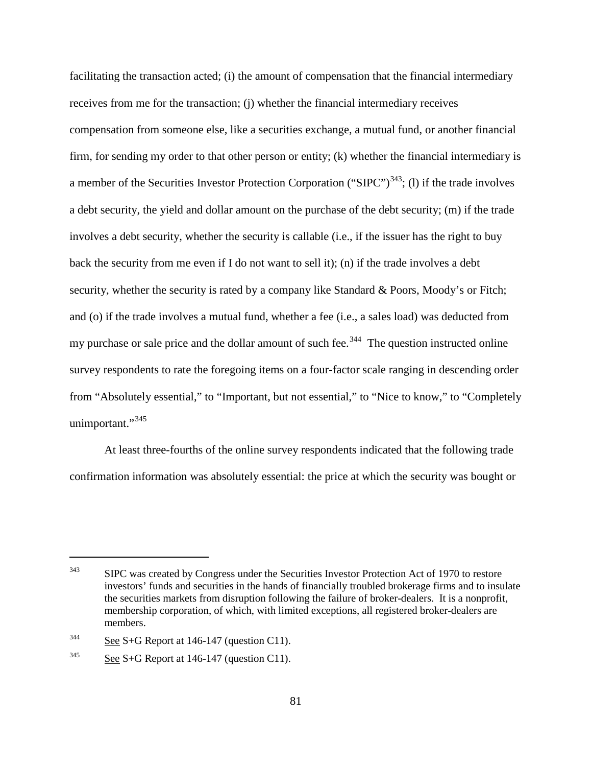facilitating the transaction acted; (i) the amount of compensation that the financial intermediary receives from me for the transaction; (j) whether the financial intermediary receives compensation from someone else, like a securities exchange, a mutual fund, or another financial firm, for sending my order to that other person or entity; (k) whether the financial intermediary is a member of the Securities Investor Protection Corporation ("SIPC") $^{343}$  $^{343}$  $^{343}$ ; (1) if the trade involves a debt security, the yield and dollar amount on the purchase of the debt security; (m) if the trade involves a debt security, whether the security is callable (i.e., if the issuer has the right to buy back the security from me even if I do not want to sell it); (n) if the trade involves a debt security, whether the security is rated by a company like Standard & Poors, Moody's or Fitch; and (o) if the trade involves a mutual fund, whether a fee (i.e., a sales load) was deducted from my purchase or sale price and the dollar amount of such fee.<sup>[344](#page-110-1)</sup> The question instructed online survey respondents to rate the foregoing items on a four-factor scale ranging in descending order from "Absolutely essential," to "Important, but not essential," to "Nice to know," to "Completely unimportant."<sup>[345](#page-110-2)</sup>

At least three-fourths of the online survey respondents indicated that the following trade confirmation information was absolutely essential: the price at which the security was bought or

<span id="page-110-0"></span><sup>&</sup>lt;sup>343</sup> SIPC was created by Congress under the Securities Investor Protection Act of 1970 to restore investors' funds and securities in the hands of financially troubled brokerage firms and to insulate the securities markets from disruption following the failure of broker-dealers. It is a nonprofit, membership corporation, of which, with limited exceptions, all registered broker-dealers are members.

<span id="page-110-1"></span> $344$  See S+G Report at 146-147 (question C11).

<span id="page-110-2"></span> $345$  See S+G Report at 146-147 (question C11).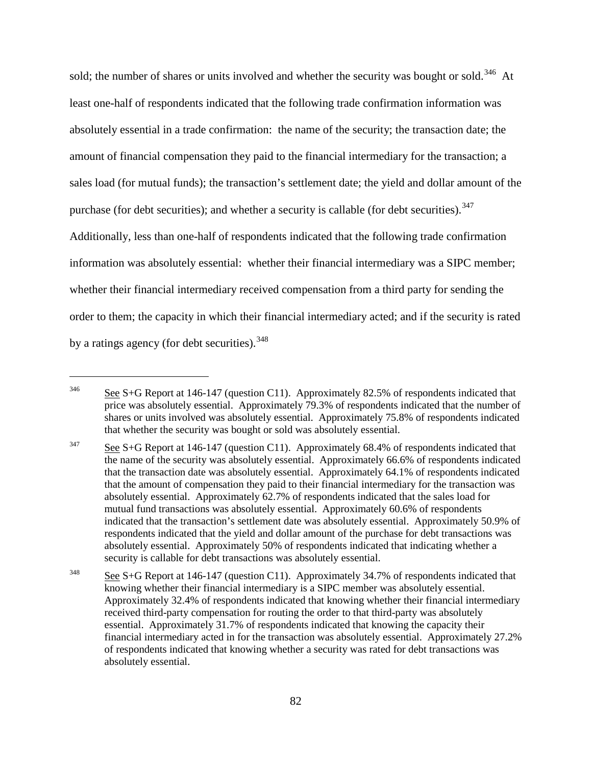sold; the number of shares or units involved and whether the security was bought or sold.<sup>[346](#page-111-0)</sup> At least one-half of respondents indicated that the following trade confirmation information was absolutely essential in a trade confirmation: the name of the security; the transaction date; the amount of financial compensation they paid to the financial intermediary for the transaction; a sales load (for mutual funds); the transaction's settlement date; the yield and dollar amount of the purchase (for debt securities); and whether a security is callable (for debt securities).  $347$ Additionally, less than one-half of respondents indicated that the following trade confirmation information was absolutely essential: whether their financial intermediary was a SIPC member; whether their financial intermediary received compensation from a third party for sending the order to them; the capacity in which their financial intermediary acted; and if the security is rated by a ratings agency (for debt securities).  $348$ 

<span id="page-111-0"></span><sup>&</sup>lt;sup>346</sup> See S+G Report at 146-147 (question C11). Approximately 82.5% of respondents indicated that price was absolutely essential. Approximately 79.3% of respondents indicated that the number of shares or units involved was absolutely essential. Approximately 75.8% of respondents indicated that whether the security was bought or sold was absolutely essential.

<span id="page-111-1"></span><sup>&</sup>lt;sup>347</sup> See S+G Report at 146-147 (question C11). Approximately 68.4% of respondents indicated that the name of the security was absolutely essential. Approximately 66.6% of respondents indicated that the transaction date was absolutely essential. Approximately 64.1% of respondents indicated that the amount of compensation they paid to their financial intermediary for the transaction was absolutely essential. Approximately 62.7% of respondents indicated that the sales load for mutual fund transactions was absolutely essential. Approximately 60.6% of respondents indicated that the transaction's settlement date was absolutely essential. Approximately 50.9% of respondents indicated that the yield and dollar amount of the purchase for debt transactions was absolutely essential. Approximately 50% of respondents indicated that indicating whether a security is callable for debt transactions was absolutely essential.

<span id="page-111-2"></span><sup>&</sup>lt;sup>348</sup> See S+G Report at 146-147 (question C11). Approximately 34.7% of respondents indicated that knowing whether their financial intermediary is a SIPC member was absolutely essential. Approximately 32.4% of respondents indicated that knowing whether their financial intermediary received third-party compensation for routing the order to that third-party was absolutely essential. Approximately 31.7% of respondents indicated that knowing the capacity their financial intermediary acted in for the transaction was absolutely essential. Approximately 27.2% of respondents indicated that knowing whether a security was rated for debt transactions was absolutely essential.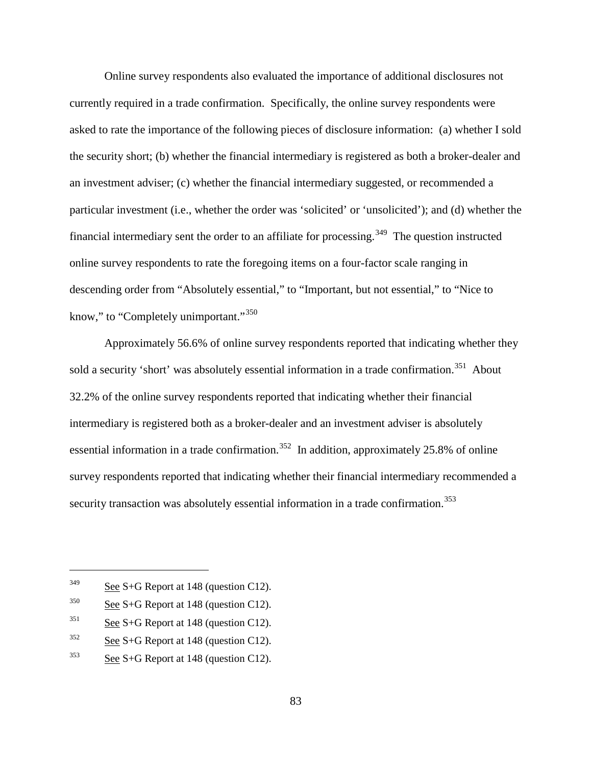Online survey respondents also evaluated the importance of additional disclosures not currently required in a trade confirmation. Specifically, the online survey respondents were asked to rate the importance of the following pieces of disclosure information: (a) whether I sold the security short; (b) whether the financial intermediary is registered as both a broker-dealer and an investment adviser; (c) whether the financial intermediary suggested, or recommended a particular investment (i.e., whether the order was 'solicited' or 'unsolicited'); and (d) whether the financial intermediary sent the order to an affiliate for processing.<sup>349</sup> The question instructed online survey respondents to rate the foregoing items on a four-factor scale ranging in descending order from "Absolutely essential," to "Important, but not essential," to "Nice to know," to "Completely unimportant." [350](#page-112-1)

Approximately 56.6% of online survey respondents reported that indicating whether they sold a security 'short' was absolutely essential information in a trade confirmation.<sup>351</sup> About 32.2% of the online survey respondents reported that indicating whether their financial intermediary is registered both as a broker-dealer and an investment adviser is absolutely essential information in a trade confirmation.<sup>[352](#page-112-3)</sup> In addition, approximately 25.8% of online survey respondents reported that indicating whether their financial intermediary recommended a security transaction was absolutely essential information in a trade confirmation.<sup>[353](#page-112-4)</sup>

<span id="page-112-0"></span> $349$  See S+G Report at 148 (question C12).

<span id="page-112-1"></span> $350$  See S+G Report at 148 (question C12).

<span id="page-112-2"></span> $351$  See S+G Report at 148 (question C12).

<span id="page-112-3"></span> $352$  See S+G Report at 148 (question C12).

<span id="page-112-4"></span> $353$  See S+G Report at 148 (question C12).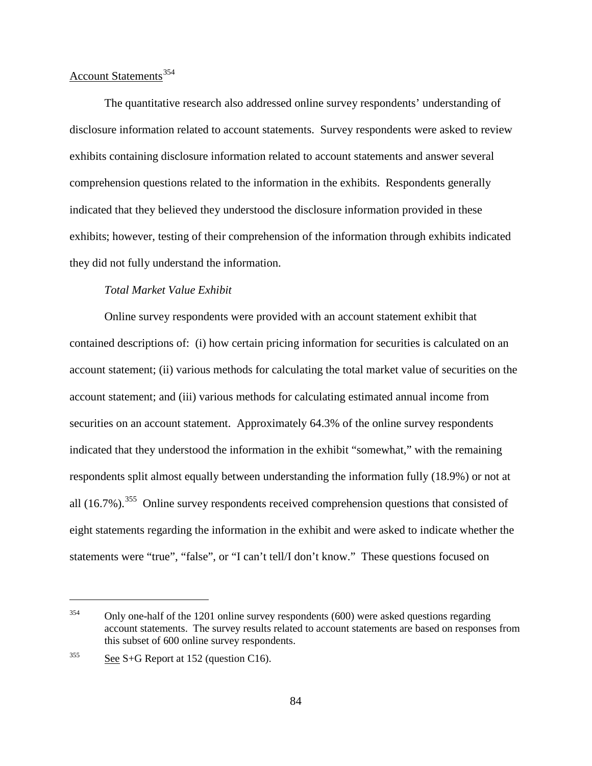# Account Statements<sup>[354](#page-113-0)</sup>

The quantitative research also addressed online survey respondents' understanding of disclosure information related to account statements. Survey respondents were asked to review exhibits containing disclosure information related to account statements and answer several comprehension questions related to the information in the exhibits. Respondents generally indicated that they believed they understood the disclosure information provided in these exhibits; however, testing of their comprehension of the information through exhibits indicated they did not fully understand the information.

# *Total Market Value Exhibit*

Online survey respondents were provided with an account statement exhibit that contained descriptions of: (i) how certain pricing information for securities is calculated on an account statement; (ii) various methods for calculating the total market value of securities on the account statement; and (iii) various methods for calculating estimated annual income from securities on an account statement. Approximately 64.3% of the online survey respondents indicated that they understood the information in the exhibit "somewhat," with the remaining respondents split almost equally between understanding the information fully (18.9%) or not at all (16.7%).<sup>355</sup> Online survey respondents received comprehension questions that consisted of eight statements regarding the information in the exhibit and were asked to indicate whether the statements were "true", "false", or "I can't tell/I don't know." These questions focused on

<span id="page-113-0"></span> $354$  Only one-half of the 1201 online survey respondents (600) were asked questions regarding account statements. The survey results related to account statements are based on responses from this subset of 600 online survey respondents.

<span id="page-113-1"></span> $355$  See S+G Report at 152 (question C16).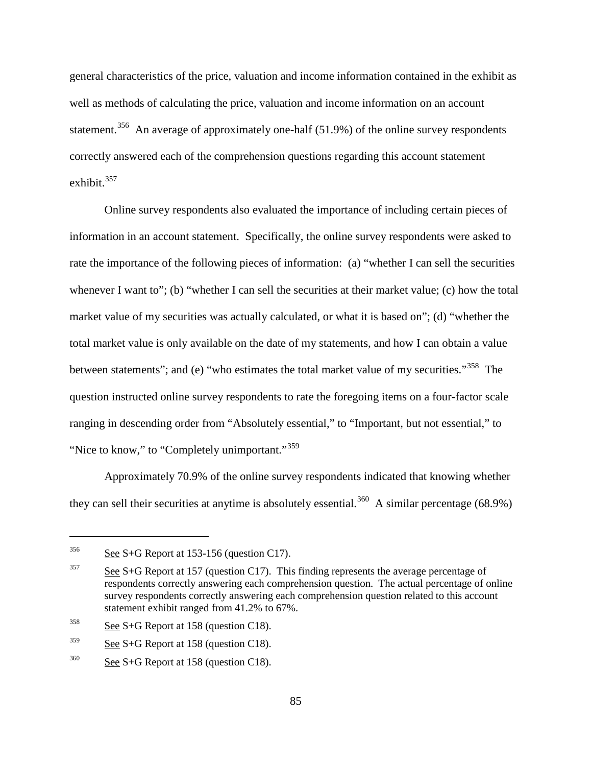general characteristics of the price, valuation and income information contained in the exhibit as well as methods of calculating the price, valuation and income information on an account statement.<sup>356</sup> An average of approximately one-half (51.9%) of the online survey respondents correctly answered each of the comprehension questions regarding this account statement exhibit. $357$ 

Online survey respondents also evaluated the importance of including certain pieces of information in an account statement. Specifically, the online survey respondents were asked to rate the importance of the following pieces of information: (a) "whether I can sell the securities whenever I want to"; (b) "whether I can sell the securities at their market value; (c) how the total market value of my securities was actually calculated, or what it is based on"; (d) "whether the total market value is only available on the date of my statements, and how I can obtain a value between statements"; and (e) "who estimates the total market value of my securities."<sup>358</sup> The question instructed online survey respondents to rate the foregoing items on a four-factor scale ranging in descending order from "Absolutely essential," to "Important, but not essential," to "Nice to know," to "Completely unimportant."<sup>[359](#page-114-3)</sup>

Approximately 70.9% of the online survey respondents indicated that knowing whether they can sell their securities at anytime is absolutely essential.<sup>360</sup> A similar percentage (68.9%)

<span id="page-114-0"></span> $356$  See S+G Report at 153-156 (question C17).

<span id="page-114-1"></span> $357$  See S+G Report at 157 (question C17). This finding represents the average percentage of respondents correctly answering each comprehension question. The actual percentage of online survey respondents correctly answering each comprehension question related to this account statement exhibit ranged from 41.2% to 67%.

<span id="page-114-2"></span> $358$  See S+G Report at 158 (question C18).

<span id="page-114-3"></span> $359$  See S+G Report at 158 (question C18).

<span id="page-114-4"></span> $360$  See S+G Report at 158 (question C18).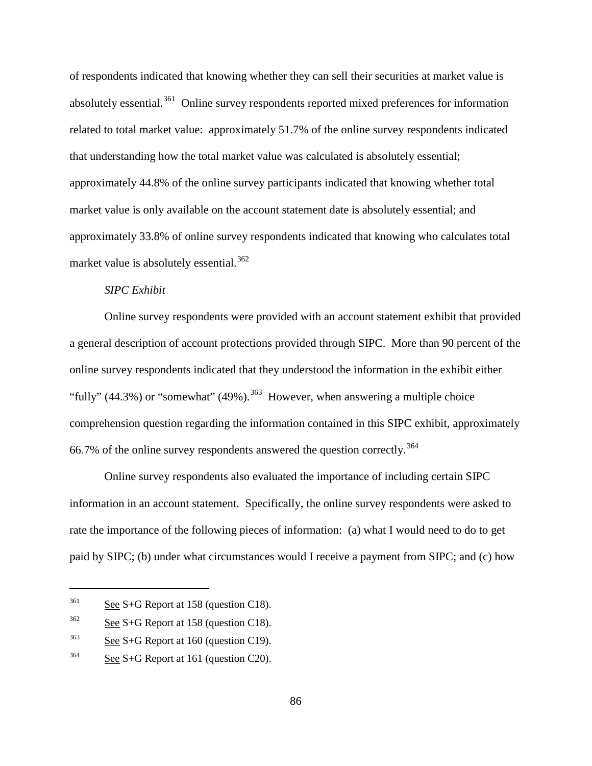of respondents indicated that knowing whether they can sell their securities at market value is absolutely essential.<sup>[361](#page-115-0)</sup> Online survey respondents reported mixed preferences for information related to total market value: approximately 51.7% of the online survey respondents indicated that understanding how the total market value was calculated is absolutely essential; approximately 44.8% of the online survey participants indicated that knowing whether total market value is only available on the account statement date is absolutely essential; and approximately 33.8% of online survey respondents indicated that knowing who calculates total market value is absolutely essential.<sup>[362](#page-115-1)</sup>

#### *SIPC Exhibit*

Online survey respondents were provided with an account statement exhibit that provided a general description of account protections provided through SIPC. More than 90 percent of the online survey respondents indicated that they understood the information in the exhibit either "fully" (44.3%) or "somewhat" (49%).<sup>[363](#page-115-2)</sup> However, when answering a multiple choice comprehension question regarding the information contained in this SIPC exhibit, approximately 66.7% of the online survey respondents answered the question correctly.<sup>[364](#page-115-3)</sup>

Online survey respondents also evaluated the importance of including certain SIPC information in an account statement. Specifically, the online survey respondents were asked to rate the importance of the following pieces of information: (a) what I would need to do to get paid by SIPC; (b) under what circumstances would I receive a payment from SIPC; and (c) how

<span id="page-115-0"></span> $361$  See S+G Report at 158 (question C18).

<span id="page-115-1"></span> $362$  See S+G Report at 158 (question C18).

<span id="page-115-2"></span> $363$  See S+G Report at 160 (question C19).

<span id="page-115-3"></span> $364$  See S+G Report at 161 (question C20).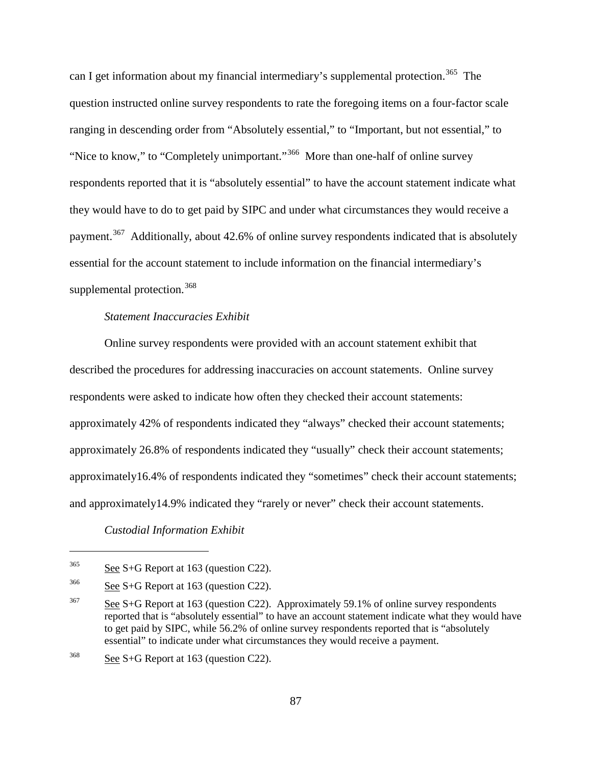can I get information about my financial intermediary's supplemental protection.<sup>[365](#page-116-0)</sup> The question instructed online survey respondents to rate the foregoing items on a four-factor scale ranging in descending order from "Absolutely essential," to "Important, but not essential," to "Nice to know," to "Completely unimportant."<sup>366</sup> More than one-half of online survey respondents reported that it is "absolutely essential" to have the account statement indicate what they would have to do to get paid by SIPC and under what circumstances they would receive a payment.<sup>[367](#page-116-2)</sup> Additionally, about 42.6% of online survey respondents indicated that is absolutely essential for the account statement to include information on the financial intermediary's supplemental protection.<sup>[368](#page-116-3)</sup>

#### *Statement Inaccuracies Exhibit*

Online survey respondents were provided with an account statement exhibit that described the procedures for addressing inaccuracies on account statements. Online survey respondents were asked to indicate how often they checked their account statements: approximately 42% of respondents indicated they "always" checked their account statements; approximately 26.8% of respondents indicated they "usually" check their account statements; approximately16.4% of respondents indicated they "sometimes" check their account statements; and approximately14.9% indicated they "rarely or never" check their account statements.

#### *Custodial Information Exhibit*

<span id="page-116-0"></span> $365$  See S+G Report at 163 (question C22).

<span id="page-116-1"></span> $366$  See S+G Report at 163 (question C22).

<span id="page-116-2"></span><sup>&</sup>lt;sup>367</sup> See S+G Report at 163 (question C22). Approximately 59.1% of online survey respondents reported that is "absolutely essential" to have an account statement indicate what they would have to get paid by SIPC, while 56.2% of online survey respondents reported that is "absolutely essential" to indicate under what circumstances they would receive a payment.

<span id="page-116-3"></span> $368$  See S+G Report at 163 (question C22).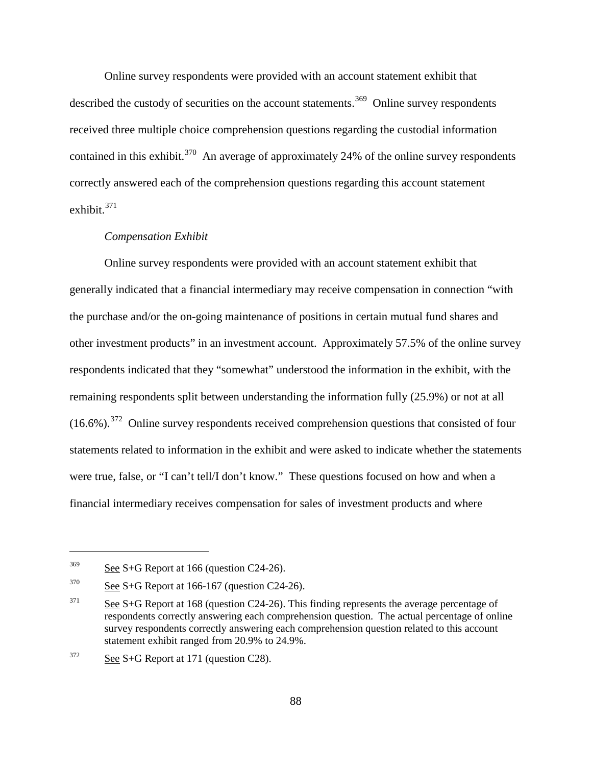Online survey respondents were provided with an account statement exhibit that described the custody of securities on the account statements.<sup>369</sup> Online survey respondents received three multiple choice comprehension questions regarding the custodial information contained in this exhibit.<sup>[370](#page-117-1)</sup> An average of approximately 24% of the online survey respondents correctly answered each of the comprehension questions regarding this account statement exhibit.[371](#page-117-2)

#### *Compensation Exhibit*

Online survey respondents were provided with an account statement exhibit that generally indicated that a financial intermediary may receive compensation in connection "with the purchase and/or the on-going maintenance of positions in certain mutual fund shares and other investment products" in an investment account. Approximately 57.5% of the online survey respondents indicated that they "somewhat" understood the information in the exhibit, with the remaining respondents split between understanding the information fully (25.9%) or not at all  $(16.6\%)$ <sup>372</sup> Online survey respondents received comprehension questions that consisted of four statements related to information in the exhibit and were asked to indicate whether the statements were true, false, or "I can't tell/I don't know." These questions focused on how and when a financial intermediary receives compensation for sales of investment products and where

<span id="page-117-0"></span> $369$  See S+G Report at 166 (question C24-26).

<span id="page-117-1"></span> $370$  See S+G Report at 166-167 (question C24-26).

<span id="page-117-2"></span> $371$  See S+G Report at 168 (question C24-26). This finding represents the average percentage of respondents correctly answering each comprehension question. The actual percentage of online survey respondents correctly answering each comprehension question related to this account statement exhibit ranged from 20.9% to 24.9%.

<span id="page-117-3"></span> $372$  See S+G Report at 171 (question C28).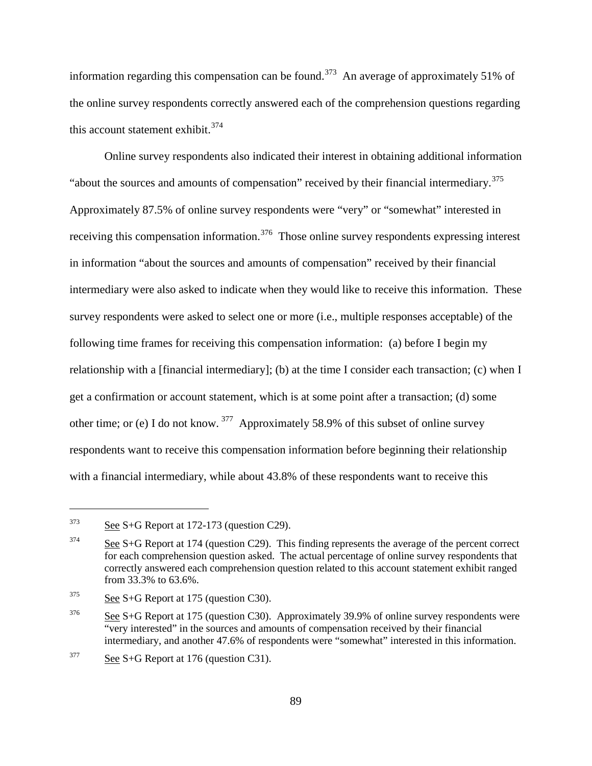information regarding this compensation can be found.<sup>[373](#page-118-0)</sup> An average of approximately 51% of the online survey respondents correctly answered each of the comprehension questions regarding this account statement exhibit.  $374$ 

Online survey respondents also indicated their interest in obtaining additional information "about the sources and amounts of compensation" received by their financial intermediary.<sup>[375](#page-118-2)</sup> Approximately 87.5% of online survey respondents were "very" or "somewhat" interested in receiving this compensation information.<sup>[376](#page-118-3)</sup> Those online survey respondents expressing interest in information "about the sources and amounts of compensation" received by their financial intermediary were also asked to indicate when they would like to receive this information. These survey respondents were asked to select one or more (i.e., multiple responses acceptable) of the following time frames for receiving this compensation information: (a) before I begin my relationship with a [financial intermediary]; (b) at the time I consider each transaction; (c) when I get a confirmation or account statement, which is at some point after a transaction; (d) some other time; or (e) I do not know. [377](#page-118-4) Approximately 58.9% of this subset of online survey respondents want to receive this compensation information before beginning their relationship with a financial intermediary, while about 43.8% of these respondents want to receive this

<span id="page-118-0"></span> $\frac{\text{See } S + G \text{ Report at } 172-173 \text{ (question C29)}}{256}$ 

<span id="page-118-1"></span> $374$  See S+G Report at 174 (question C29). This finding represents the average of the percent correct for each comprehension question asked. The actual percentage of online survey respondents that correctly answered each comprehension question related to this account statement exhibit ranged from 33.3% to 63.6%.

<span id="page-118-2"></span> $375$  See S+G Report at 175 (question C30).

<span id="page-118-3"></span><sup>&</sup>lt;sup>376</sup> See S+G Report at 175 (question C30). Approximately 39.9% of online survey respondents were "very interested" in the sources and amounts of compensation received by their financial intermediary, and another 47.6% of respondents were "somewhat" interested in this information.

<span id="page-118-4"></span> $377$  See S+G Report at 176 (question C31).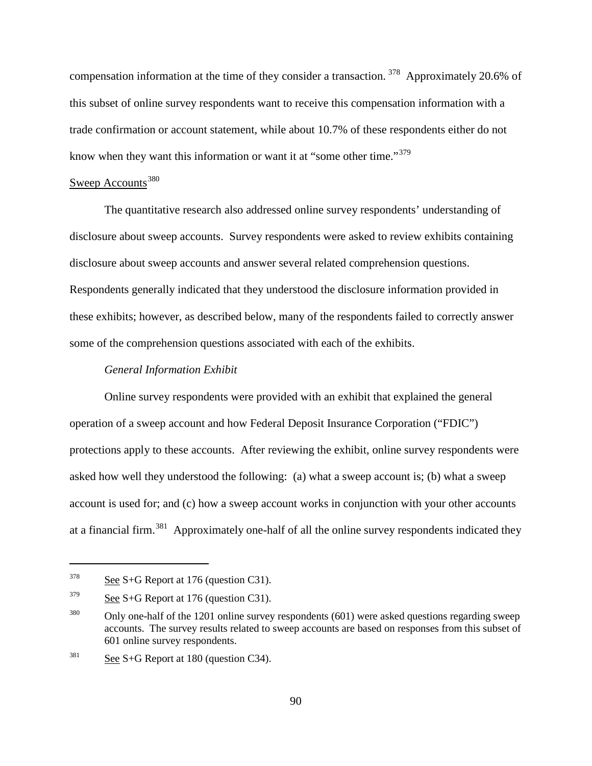compensation information at the time of they consider a transaction. [378](#page-119-0) Approximately 20.6% of this subset of online survey respondents want to receive this compensation information with a trade confirmation or account statement, while about 10.7% of these respondents either do not know when they want this information or want it at "some other time."<sup>[379](#page-119-1)</sup>

# Sweep Accounts<sup>[380](#page-119-2)</sup>

The quantitative research also addressed online survey respondents' understanding of disclosure about sweep accounts. Survey respondents were asked to review exhibits containing disclosure about sweep accounts and answer several related comprehension questions. Respondents generally indicated that they understood the disclosure information provided in these exhibits; however, as described below, many of the respondents failed to correctly answer some of the comprehension questions associated with each of the exhibits.

#### *General Information Exhibit*

Online survey respondents were provided with an exhibit that explained the general operation of a sweep account and how Federal Deposit Insurance Corporation ("FDIC") protections apply to these accounts. After reviewing the exhibit, online survey respondents were asked how well they understood the following: (a) what a sweep account is; (b) what a sweep account is used for; and (c) how a sweep account works in conjunction with your other accounts at a financial firm.[381](#page-119-3) Approximately one-half of all the online survey respondents indicated they

<span id="page-119-0"></span> $378$  See S+G Report at 176 (question C31).

<span id="page-119-1"></span> $379$  See S+G Report at 176 (question C31).

<span id="page-119-2"></span> $380$  Only one-half of the 1201 online survey respondents (601) were asked questions regarding sweep accounts. The survey results related to sweep accounts are based on responses from this subset of 601 online survey respondents.

<span id="page-119-3"></span> $381$  See S+G Report at 180 (question C34).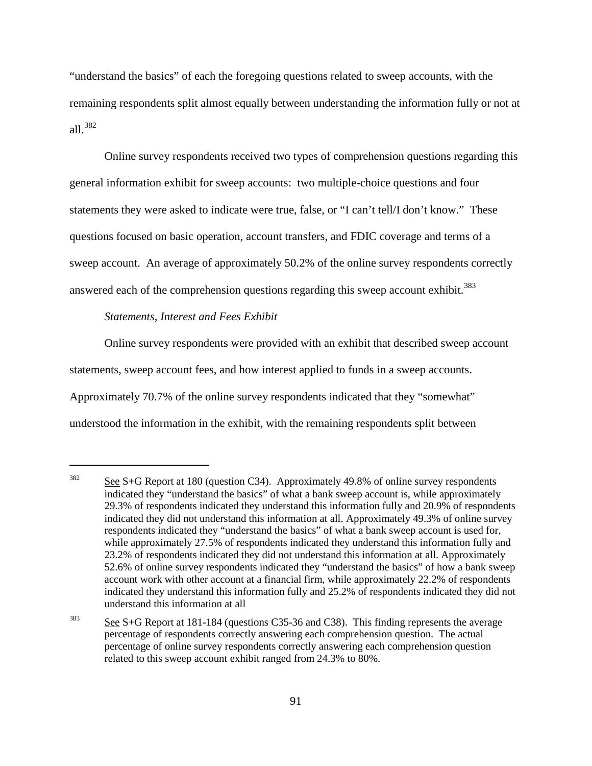"understand the basics" of each the foregoing questions related to sweep accounts, with the remaining respondents split almost equally between understanding the information fully or not at all.[382](#page-120-0)

Online survey respondents received two types of comprehension questions regarding this general information exhibit for sweep accounts: two multiple-choice questions and four statements they were asked to indicate were true, false, or "I can't tell/I don't know." These questions focused on basic operation, account transfers, and FDIC coverage and terms of a sweep account. An average of approximately 50.2% of the online survey respondents correctly answered each of the comprehension questions regarding this sweep account exhibit.<sup>[383](#page-120-1)</sup>

# *Statements, Interest and Fees Exhibit*

 $\overline{a}$ 

Online survey respondents were provided with an exhibit that described sweep account statements, sweep account fees, and how interest applied to funds in a sweep accounts. Approximately 70.7% of the online survey respondents indicated that they "somewhat" understood the information in the exhibit, with the remaining respondents split between

<span id="page-120-0"></span><sup>&</sup>lt;sup>382</sup> See S+G Report at 180 (question C34). Approximately 49.8% of online survey respondents indicated they "understand the basics" of what a bank sweep account is, while approximately 29.3% of respondents indicated they understand this information fully and 20.9% of respondents indicated they did not understand this information at all. Approximately 49.3% of online survey respondents indicated they "understand the basics" of what a bank sweep account is used for, while approximately 27.5% of respondents indicated they understand this information fully and 23.2% of respondents indicated they did not understand this information at all. Approximately 52.6% of online survey respondents indicated they "understand the basics" of how a bank sweep account work with other account at a financial firm, while approximately 22.2% of respondents indicated they understand this information fully and 25.2% of respondents indicated they did not understand this information at all

<span id="page-120-1"></span><sup>&</sup>lt;sup>383</sup> See S+G Report at 181-184 (questions C35-36 and C38). This finding represents the average percentage of respondents correctly answering each comprehension question. The actual percentage of online survey respondents correctly answering each comprehension question related to this sweep account exhibit ranged from 24.3% to 80%.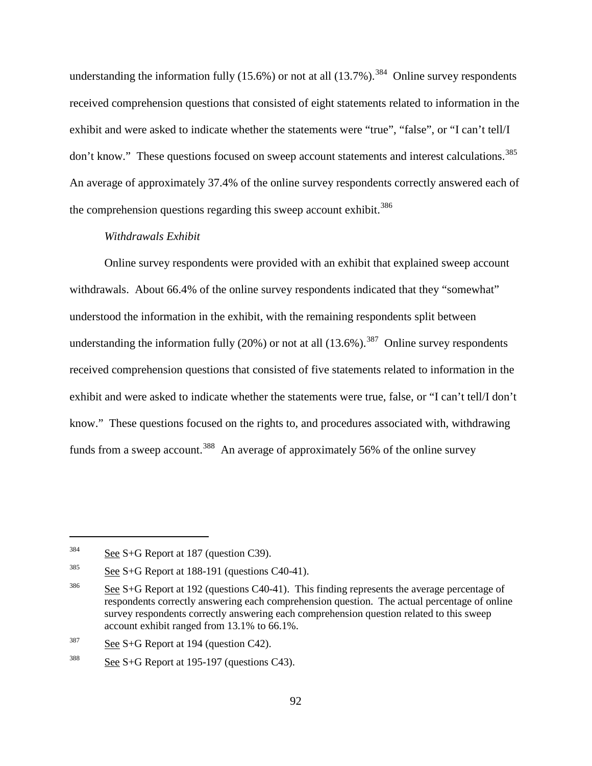understanding the information fully  $(15.6\%)$  or not at all  $(13.7\%)$ .<sup>384</sup> Online survey respondents received comprehension questions that consisted of eight statements related to information in the exhibit and were asked to indicate whether the statements were "true", "false", or "I can't tell/I don't know." These questions focused on sweep account statements and interest calculations.<sup>[385](#page-121-1)</sup> An average of approximately 37.4% of the online survey respondents correctly answered each of the comprehension questions regarding this sweep account exhibit.<sup>[386](#page-121-2)</sup>

#### *Withdrawals Exhibit*

Online survey respondents were provided with an exhibit that explained sweep account withdrawals. About 66.4% of the online survey respondents indicated that they "somewhat" understood the information in the exhibit, with the remaining respondents split between understanding the information fully  $(20\%)$  or not at all  $(13.6\%)$ .<sup>387</sup> Online survey respondents received comprehension questions that consisted of five statements related to information in the exhibit and were asked to indicate whether the statements were true, false, or "I can't tell/I don't know." These questions focused on the rights to, and procedures associated with, withdrawing funds from a sweep account.<sup>[388](#page-121-4)</sup> An average of approximately 56% of the online survey

<span id="page-121-0"></span> $384$  See S+G Report at 187 (question C39).

<span id="page-121-1"></span> $385$  See S+G Report at 188-191 (questions C40-41).

<span id="page-121-2"></span><sup>&</sup>lt;sup>386</sup> See S+G Report at 192 (questions C40-41). This finding represents the average percentage of respondents correctly answering each comprehension question. The actual percentage of online survey respondents correctly answering each comprehension question related to this sweep account exhibit ranged from 13.1% to 66.1%.

<span id="page-121-3"></span> $387$  See S+G Report at 194 (question C42).

<span id="page-121-4"></span> $388$  See S+G Report at 195-197 (questions C43).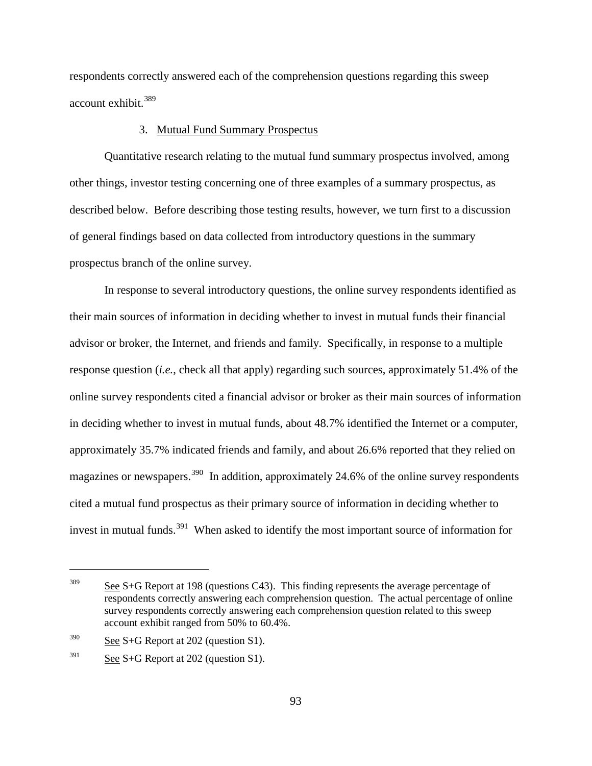respondents correctly answered each of the comprehension questions regarding this sweep account exhibit.[389](#page-122-0)

#### 3. Mutual Fund Summary Prospectus

Quantitative research relating to the mutual fund summary prospectus involved, among other things, investor testing concerning one of three examples of a summary prospectus, as described below. Before describing those testing results, however, we turn first to a discussion of general findings based on data collected from introductory questions in the summary prospectus branch of the online survey.

In response to several introductory questions, the online survey respondents identified as their main sources of information in deciding whether to invest in mutual funds their financial advisor or broker, the Internet, and friends and family. Specifically, in response to a multiple response question (*i.e.*, check all that apply) regarding such sources, approximately 51.4% of the online survey respondents cited a financial advisor or broker as their main sources of information in deciding whether to invest in mutual funds, about 48.7% identified the Internet or a computer, approximately 35.7% indicated friends and family, and about 26.6% reported that they relied on magazines or newspapers.<sup>[390](#page-122-1)</sup> In addition, approximately 24.6% of the online survey respondents cited a mutual fund prospectus as their primary source of information in deciding whether to invest in mutual funds.<sup>391</sup> When asked to identify the most important source of information for

<span id="page-122-0"></span><sup>&</sup>lt;sup>389</sup> See S+G Report at 198 (questions C43). This finding represents the average percentage of respondents correctly answering each comprehension question. The actual percentage of online survey respondents correctly answering each comprehension question related to this sweep account exhibit ranged from 50% to 60.4%.

<span id="page-122-1"></span> $390$  See S+G Report at 202 (question S1).

<span id="page-122-2"></span> $391$  See S+G Report at 202 (question S1).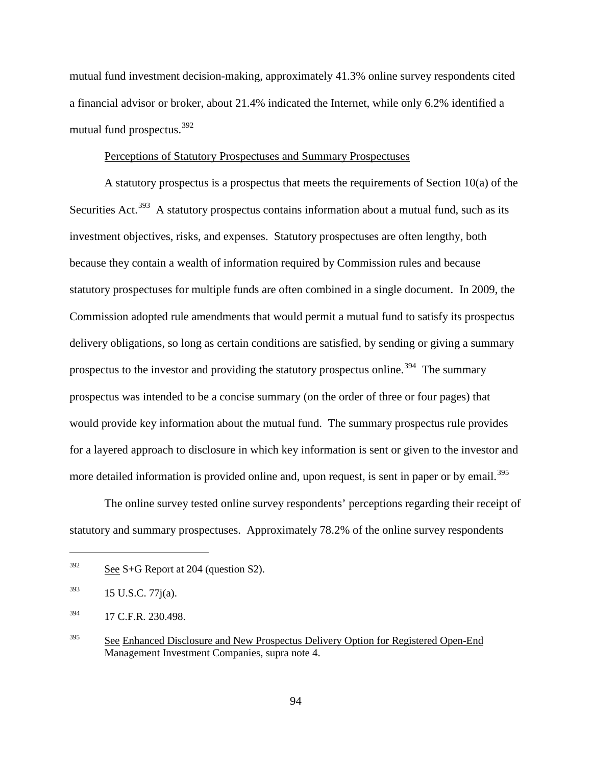mutual fund investment decision-making, approximately 41.3% online survey respondents cited a financial advisor or broker, about 21.4% indicated the Internet, while only 6.2% identified a mutual fund prospectus.<sup>[392](#page-123-0)</sup>

#### Perceptions of Statutory Prospectuses and Summary Prospectuses

A statutory prospectus is a prospectus that meets the requirements of Section 10(a) of the Securities Act.<sup>[393](#page-123-1)</sup> A statutory prospectus contains information about a mutual fund, such as its investment objectives, risks, and expenses. Statutory prospectuses are often lengthy, both because they contain a wealth of information required by Commission rules and because statutory prospectuses for multiple funds are often combined in a single document. In 2009, the Commission adopted rule amendments that would permit a mutual fund to satisfy its prospectus delivery obligations, so long as certain conditions are satisfied, by sending or giving a summary prospectus to the investor and providing the statutory prospectus online.<sup>394</sup> The summary prospectus was intended to be a concise summary (on the order of three or four pages) that would provide key information about the mutual fund. The summary prospectus rule provides for a layered approach to disclosure in which key information is sent or given to the investor and more detailed information is provided online and, upon request, is sent in paper or by email.<sup>[395](#page-123-3)</sup>

The online survey tested online survey respondents' perceptions regarding their receipt of statutory and summary prospectuses. Approximately 78.2% of the online survey respondents

<span id="page-123-0"></span> $392$  See S+G Report at 204 (question S2).

<span id="page-123-1"></span> $15$  U.S.C. 77 $j(a)$ .

<span id="page-123-2"></span><sup>394</sup> 17 C.F.R. 230.498.

<span id="page-123-3"></span><sup>&</sup>lt;sup>395</sup> See Enhanced Disclosure and New Prospectus Delivery Option for Registered Open-End Management Investment Companies, supra note 4.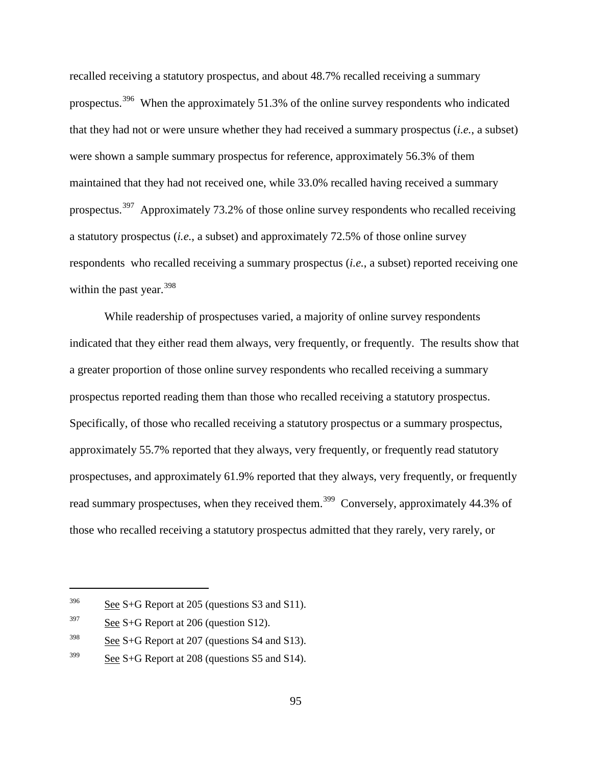recalled receiving a statutory prospectus, and about 48.7% recalled receiving a summary prospectus.<sup>[396](#page-124-0)</sup> When the approximately 51.3% of the online survey respondents who indicated that they had not or were unsure whether they had received a summary prospectus (*i.e.*, a subset) were shown a sample summary prospectus for reference, approximately 56.3% of them maintained that they had not received one, while 33.0% recalled having received a summary prospectus.[397](#page-124-1) Approximately 73.2% of those online survey respondents who recalled receiving a statutory prospectus (*i.e.*, a subset) and approximately 72.5% of those online survey respondents who recalled receiving a summary prospectus (*i.e.*, a subset) reported receiving one within the past year.  $398$ 

While readership of prospectuses varied, a majority of online survey respondents indicated that they either read them always, very frequently, or frequently. The results show that a greater proportion of those online survey respondents who recalled receiving a summary prospectus reported reading them than those who recalled receiving a statutory prospectus. Specifically, of those who recalled receiving a statutory prospectus or a summary prospectus, approximately 55.7% reported that they always, very frequently, or frequently read statutory prospectuses, and approximately 61.9% reported that they always, very frequently, or frequently read summary prospectuses, when they received them.<sup>399</sup> Conversely, approximately 44.3% of those who recalled receiving a statutory prospectus admitted that they rarely, very rarely, or

<span id="page-124-0"></span> $396$  See S+G Report at 205 (questions S3 and S11).

<span id="page-124-1"></span> $397$  See S+G Report at 206 (question S12).

<span id="page-124-2"></span> $398$  See S+G Report at 207 (questions S4 and S13).

<span id="page-124-3"></span> $399$  See S+G Report at 208 (questions S5 and S14).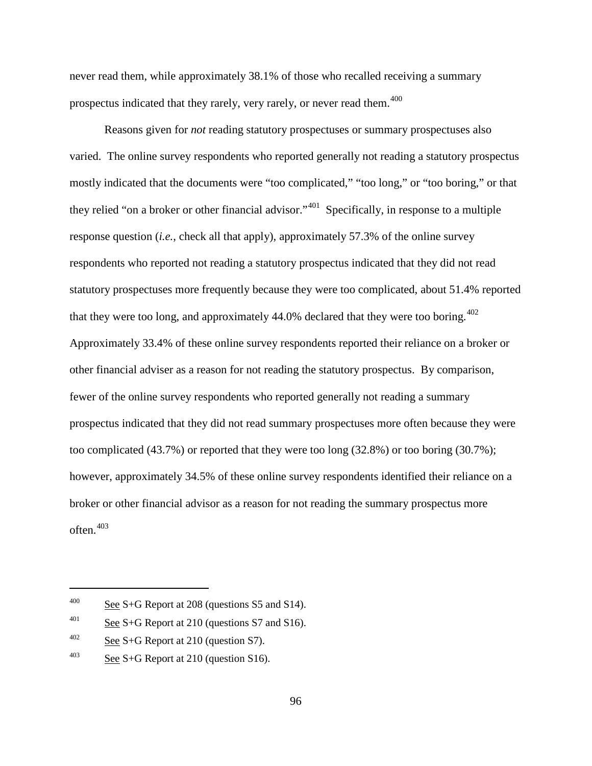never read them, while approximately 38.1% of those who recalled receiving a summary prospectus indicated that they rarely, very rarely, or never read them.<sup>[400](#page-125-0)</sup>

Reasons given for *not* reading statutory prospectuses or summary prospectuses also varied. The online survey respondents who reported generally not reading a statutory prospectus mostly indicated that the documents were "too complicated," "too long," or "too boring," or that they relied "on a broker or other financial advisor."[401](#page-125-1) Specifically, in response to a multiple response question (*i.e.*, check all that apply), approximately 57.3% of the online survey respondents who reported not reading a statutory prospectus indicated that they did not read statutory prospectuses more frequently because they were too complicated, about 51.4% reported that they were too long, and approximately  $44.0\%$  declared that they were too boring.<sup> $402$ </sup> Approximately 33.4% of these online survey respondents reported their reliance on a broker or other financial adviser as a reason for not reading the statutory prospectus. By comparison, fewer of the online survey respondents who reported generally not reading a summary prospectus indicated that they did not read summary prospectuses more often because they were too complicated (43.7%) or reported that they were too long (32.8%) or too boring (30.7%); however, approximately 34.5% of these online survey respondents identified their reliance on a broker or other financial advisor as a reason for not reading the summary prospectus more often. [403](#page-125-3)

<span id="page-125-0"></span><sup>&</sup>lt;sup>400</sup> See S+G Report at 208 (questions S5 and S14).

<span id="page-125-1"></span> $\frac{\text{601}}{\text{201}}$  See S+G Report at 210 (questions S7 and S16).

<span id="page-125-2"></span><sup>&</sup>lt;sup>402</sup> See S+G Report at 210 (question S7).

<span id="page-125-3"></span> $\frac{403}{\text{See S+G}}$  Report at 210 (question S16).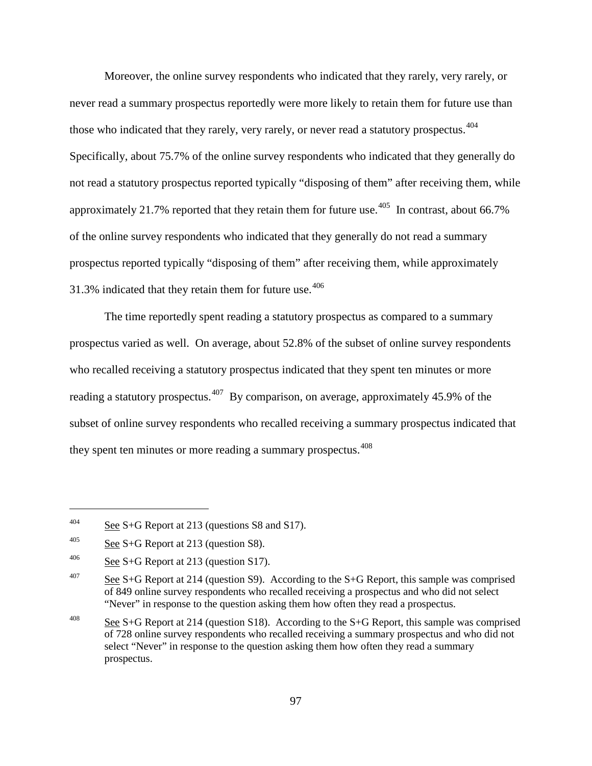Moreover, the online survey respondents who indicated that they rarely, very rarely, or never read a summary prospectus reportedly were more likely to retain them for future use than those who indicated that they rarely, very rarely, or never read a statutory prospectus.<sup>404</sup> Specifically, about 75.7% of the online survey respondents who indicated that they generally do not read a statutory prospectus reported typically "disposing of them" after receiving them, while approximately 21.7% reported that they retain them for future use.<sup>405</sup> In contrast, about 66.7% of the online survey respondents who indicated that they generally do not read a summary prospectus reported typically "disposing of them" after receiving them, while approximately 31.3% indicated that they retain them for future use. $406$ 

The time reportedly spent reading a statutory prospectus as compared to a summary prospectus varied as well. On average, about 52.8% of the subset of online survey respondents who recalled receiving a statutory prospectus indicated that they spent ten minutes or more reading a statutory prospectus.<sup>[407](#page-126-3)</sup> By comparison, on average, approximately 45.9% of the subset of online survey respondents who recalled receiving a summary prospectus indicated that they spent ten minutes or more reading a summary prospectus.<sup>[408](#page-126-4)</sup>

<span id="page-126-0"></span> $\frac{\text{404}}{\text{Set}}$  See S+G Report at 213 (questions S8 and S17).

<span id="page-126-1"></span><sup>&</sup>lt;sup>405</sup> See S+G Report at 213 (question S8).

<span id="page-126-2"></span><sup>&</sup>lt;sup>406</sup> See S+G Report at 213 (question S17).

<span id="page-126-3"></span><sup>&</sup>lt;sup>407</sup> See S+G Report at 214 (question S9). According to the S+G Report, this sample was comprised of 849 online survey respondents who recalled receiving a prospectus and who did not select "Never" in response to the question asking them how often they read a prospectus.

<span id="page-126-4"></span><sup>&</sup>lt;sup>408</sup> See S+G Report at 214 (question S18). According to the S+G Report, this sample was comprised of 728 online survey respondents who recalled receiving a summary prospectus and who did not select "Never" in response to the question asking them how often they read a summary prospectus.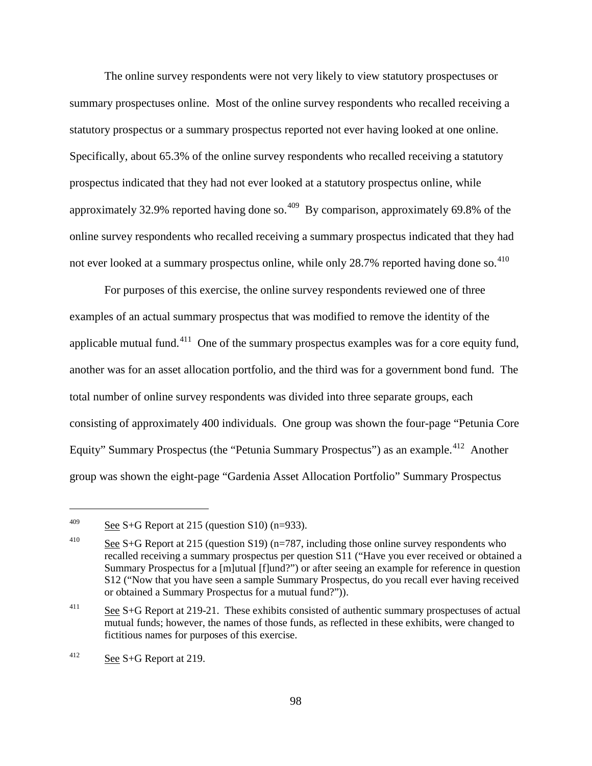The online survey respondents were not very likely to view statutory prospectuses or summary prospectuses online. Most of the online survey respondents who recalled receiving a statutory prospectus or a summary prospectus reported not ever having looked at one online. Specifically, about 65.3% of the online survey respondents who recalled receiving a statutory prospectus indicated that they had not ever looked at a statutory prospectus online, while approximately 32.9% reported having done so.<sup> $409$ </sup> By comparison, approximately 69.8% of the online survey respondents who recalled receiving a summary prospectus indicated that they had not ever looked at a summary prospectus online, while only  $28.7\%$  reported having done so.<sup>[410](#page-127-1)</sup>

For purposes of this exercise, the online survey respondents reviewed one of three examples of an actual summary prospectus that was modified to remove the identity of the applicable mutual fund.<sup>[411](#page-127-2)</sup> One of the summary prospectus examples was for a core equity fund, another was for an asset allocation portfolio, and the third was for a government bond fund. The total number of online survey respondents was divided into three separate groups, each consisting of approximately 400 individuals. One group was shown the four-page "Petunia Core Equity" Summary Prospectus (the "Petunia Summary Prospectus") as an example.<sup>412</sup> Another group was shown the eight-page "Gardenia Asset Allocation Portfolio" Summary Prospectus

<span id="page-127-0"></span><sup>&</sup>lt;sup>409</sup> See S+G Report at 215 (question S10) (n=933).

<span id="page-127-1"></span><sup>&</sup>lt;sup>410</sup> See S+G Report at 215 (question S19) (n=787, including those online survey respondents who recalled receiving a summary prospectus per question S11 ("Have you ever received or obtained a Summary Prospectus for a [m]utual [f]und?") or after seeing an example for reference in question S12 ("Now that you have seen a sample Summary Prospectus, do you recall ever having received or obtained a Summary Prospectus for a mutual fund?")).

<span id="page-127-2"></span><sup>&</sup>lt;sup>411</sup> See S+G Report at 219-21. These exhibits consisted of authentic summary prospectuses of actual mutual funds; however, the names of those funds, as reflected in these exhibits, were changed to fictitious names for purposes of this exercise.

<span id="page-127-3"></span> $\frac{\text{412}}{\text{8}}$  See S+G Report at 219.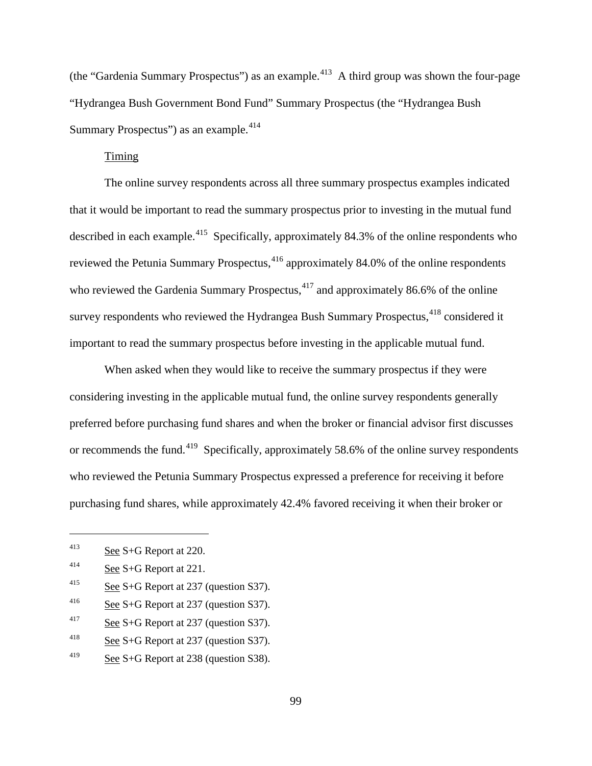(the "Gardenia Summary Prospectus") as an example.<sup>413</sup> A third group was shown the four-page "Hydrangea Bush Government Bond Fund" Summary Prospectus (the "Hydrangea Bush Summary Prospectus") as an example.<sup>[414](#page-128-1)</sup>

#### Timing

The online survey respondents across all three summary prospectus examples indicated that it would be important to read the summary prospectus prior to investing in the mutual fund described in each example.<sup>415</sup> Specifically, approximately 84.3% of the online respondents who reviewed the Petunia Summary Prospectus,<sup>[416](#page-128-3)</sup> approximately 84.0% of the online respondents who reviewed the Gardenia Summary Prospectus, $4^{17}$  and approximately 86.6% of the online survey respondents who reviewed the Hydrangea Bush Summary Prospectus,<sup>[418](#page-128-5)</sup> considered it important to read the summary prospectus before investing in the applicable mutual fund.

When asked when they would like to receive the summary prospectus if they were considering investing in the applicable mutual fund, the online survey respondents generally preferred before purchasing fund shares and when the broker or financial advisor first discusses or recommends the fund.<sup>419</sup> Specifically, approximately 58.6% of the online survey respondents who reviewed the Petunia Summary Prospectus expressed a preference for receiving it before purchasing fund shares, while approximately 42.4% favored receiving it when their broker or

- <span id="page-128-2"></span><sup>415</sup> See S+G Report at 237 (question S37).
- <span id="page-128-3"></span><sup>416</sup> See S+G Report at 237 (question S37).
- <span id="page-128-4"></span> $\frac{417}{2}$  See S+G Report at 237 (question S37).
- <span id="page-128-5"></span><sup>418</sup> See S+G Report at 237 (question S37).
- <span id="page-128-6"></span><sup>419</sup> See S+G Report at 238 (question S38).

<span id="page-128-0"></span><sup>413</sup> See S+G Report at 220.

<span id="page-128-1"></span><sup>414</sup> See S+G Report at 221.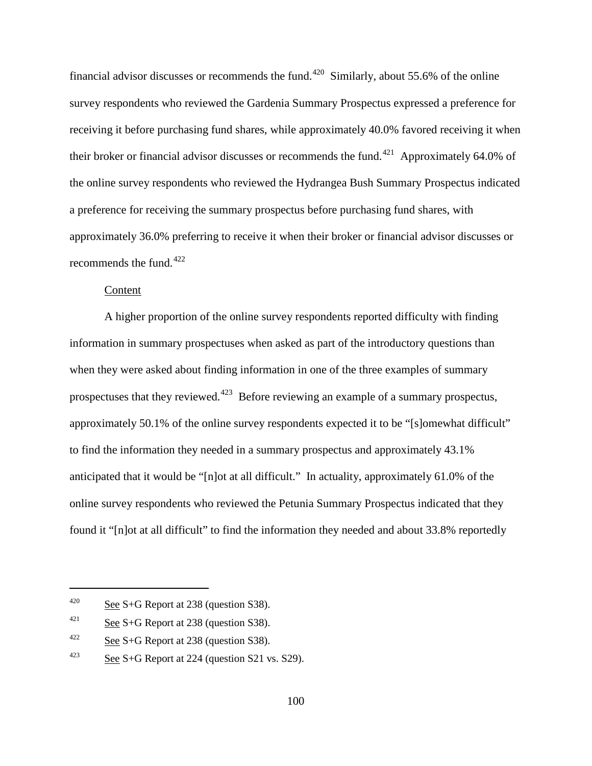financial advisor discusses or recommends the fund.<sup>420</sup> Similarly, about 55.6% of the online survey respondents who reviewed the Gardenia Summary Prospectus expressed a preference for receiving it before purchasing fund shares, while approximately 40.0% favored receiving it when their broker or financial advisor discusses or recommends the fund.<sup>[421](#page-129-1)</sup> Approximately 64.0% of the online survey respondents who reviewed the Hydrangea Bush Summary Prospectus indicated a preference for receiving the summary prospectus before purchasing fund shares, with approximately 36.0% preferring to receive it when their broker or financial advisor discusses or recommends the fund. $422$ 

#### Content

A higher proportion of the online survey respondents reported difficulty with finding information in summary prospectuses when asked as part of the introductory questions than when they were asked about finding information in one of the three examples of summary prospectuses that they reviewed.<sup>423</sup> Before reviewing an example of a summary prospectus, approximately 50.1% of the online survey respondents expected it to be "[s]omewhat difficult" to find the information they needed in a summary prospectus and approximately 43.1% anticipated that it would be "[n]ot at all difficult." In actuality, approximately 61.0% of the online survey respondents who reviewed the Petunia Summary Prospectus indicated that they found it "[n]ot at all difficult" to find the information they needed and about 33.8% reportedly

<span id="page-129-0"></span><sup>&</sup>lt;sup>420</sup> See S+G Report at 238 (question S38).

<span id="page-129-1"></span> $\frac{421}{\text{See }S+G}$  Report at 238 (question S38).

<span id="page-129-2"></span><sup>&</sup>lt;sup>422</sup> See S+G Report at 238 (question S38).

<span id="page-129-3"></span><sup>&</sup>lt;sup>423</sup> See S+G Report at 224 (question S21 vs. S29).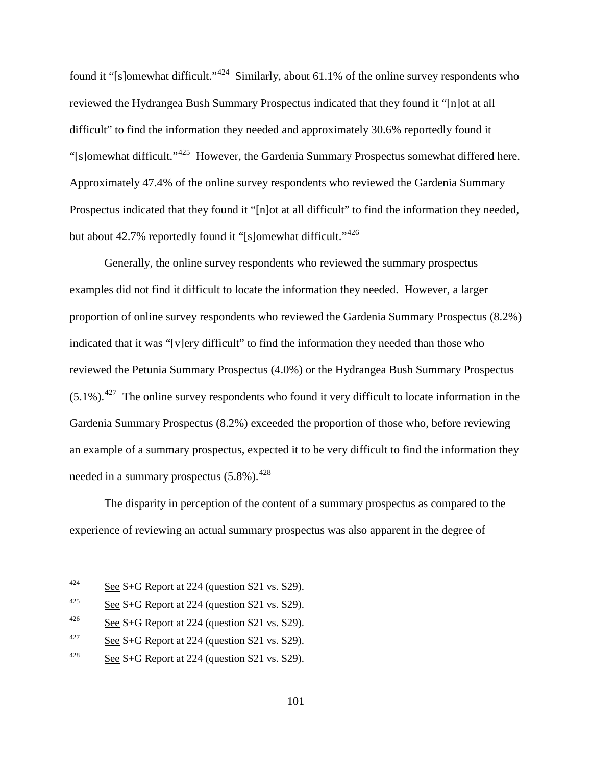found it "[s]omewhat difficult."[424](#page-130-0) Similarly, about 61.1% of the online survey respondents who reviewed the Hydrangea Bush Summary Prospectus indicated that they found it "[n]ot at all difficult" to find the information they needed and approximately 30.6% reportedly found it "[s]omewhat difficult."[425](#page-130-1) However, the Gardenia Summary Prospectus somewhat differed here. Approximately 47.4% of the online survey respondents who reviewed the Gardenia Summary Prospectus indicated that they found it "[n]ot at all difficult" to find the information they needed, but about 42.7% reportedly found it "[s]omewhat difficult."<sup>[426](#page-130-2)</sup>

Generally, the online survey respondents who reviewed the summary prospectus examples did not find it difficult to locate the information they needed. However, a larger proportion of online survey respondents who reviewed the Gardenia Summary Prospectus (8.2%) indicated that it was "[v]ery difficult" to find the information they needed than those who reviewed the Petunia Summary Prospectus (4.0%) or the Hydrangea Bush Summary Prospectus  $(5.1\%)$ <sup>427</sup>. The online survey respondents who found it very difficult to locate information in the Gardenia Summary Prospectus (8.2%) exceeded the proportion of those who, before reviewing an example of a summary prospectus, expected it to be very difficult to find the information they needed in a summary prospectus (5.8%).<sup>[428](#page-130-4)</sup>

The disparity in perception of the content of a summary prospectus as compared to the experience of reviewing an actual summary prospectus was also apparent in the degree of

<span id="page-130-0"></span><sup>&</sup>lt;sup>424</sup> See S+G Report at 224 (question S21 vs. S29).

<span id="page-130-1"></span><sup>&</sup>lt;sup>425</sup> See S+G Report at 224 (question S21 vs. S29).

<span id="page-130-2"></span> $\frac{\text{64}}{26}$  S+G Report at 224 (question S21 vs. S29).

<span id="page-130-3"></span><sup>&</sup>lt;sup>427</sup> See S+G Report at 224 (question S21 vs. S29).

<span id="page-130-4"></span><sup>&</sup>lt;sup>428</sup> See S+G Report at 224 (question S21 vs. S29).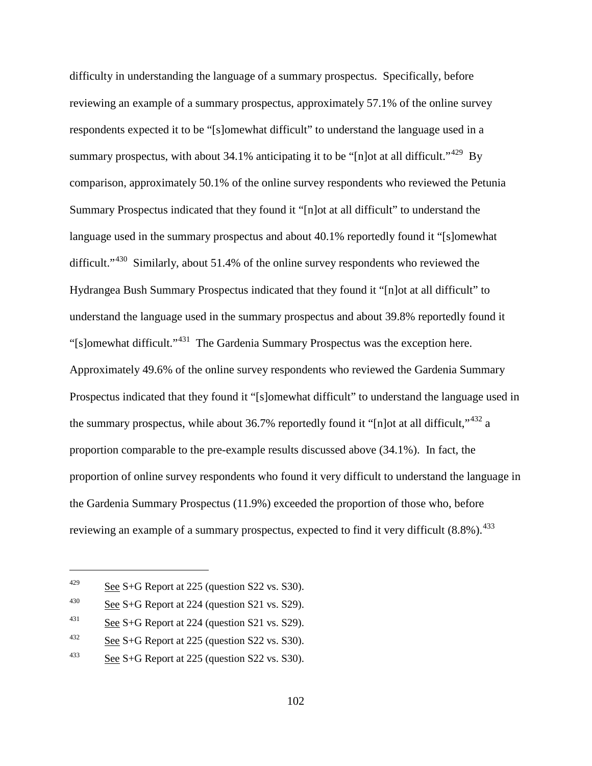difficulty in understanding the language of a summary prospectus. Specifically, before reviewing an example of a summary prospectus, approximately 57.1% of the online survey respondents expected it to be "[s]omewhat difficult" to understand the language used in a summary prospectus, with about 34.1% anticipating it to be "[n]ot at all difficult."<sup>[429](#page-131-0)</sup> By comparison, approximately 50.1% of the online survey respondents who reviewed the Petunia Summary Prospectus indicated that they found it "[n]ot at all difficult" to understand the language used in the summary prospectus and about 40.1% reportedly found it "[s]omewhat difficult."<sup>[430](#page-131-1)</sup> Similarly, about 51.4% of the online survey respondents who reviewed the Hydrangea Bush Summary Prospectus indicated that they found it "[n]ot at all difficult" to understand the language used in the summary prospectus and about 39.8% reportedly found it "[s]omewhat difficult."[431](#page-131-2) The Gardenia Summary Prospectus was the exception here. Approximately 49.6% of the online survey respondents who reviewed the Gardenia Summary Prospectus indicated that they found it "[s]omewhat difficult" to understand the language used in the summary prospectus, while about 36.7% reportedly found it "[n]ot at all difficult,"<sup>[432](#page-131-3)</sup> a proportion comparable to the pre-example results discussed above (34.1%). In fact, the proportion of online survey respondents who found it very difficult to understand the language in the Gardenia Summary Prospectus (11.9%) exceeded the proportion of those who, before reviewing an example of a summary prospectus, expected to find it very difficult  $(8.8\%)$ .<sup>433</sup>

<span id="page-131-0"></span><sup>&</sup>lt;sup>429</sup> See S+G Report at 225 (question S22 vs. S30).

<span id="page-131-1"></span><sup>&</sup>lt;sup>430</sup> See S+G Report at 224 (question S21 vs. S29).

<span id="page-131-2"></span> $\frac{\text{431}}{\text{Set}}$  See S+G Report at 224 (question S21 vs. S29).

<span id="page-131-3"></span><sup>&</sup>lt;sup>432</sup> See S+G Report at 225 (question S22 vs. S30).

<span id="page-131-4"></span><sup>&</sup>lt;sup>433</sup> See S+G Report at 225 (question S22 vs. S30).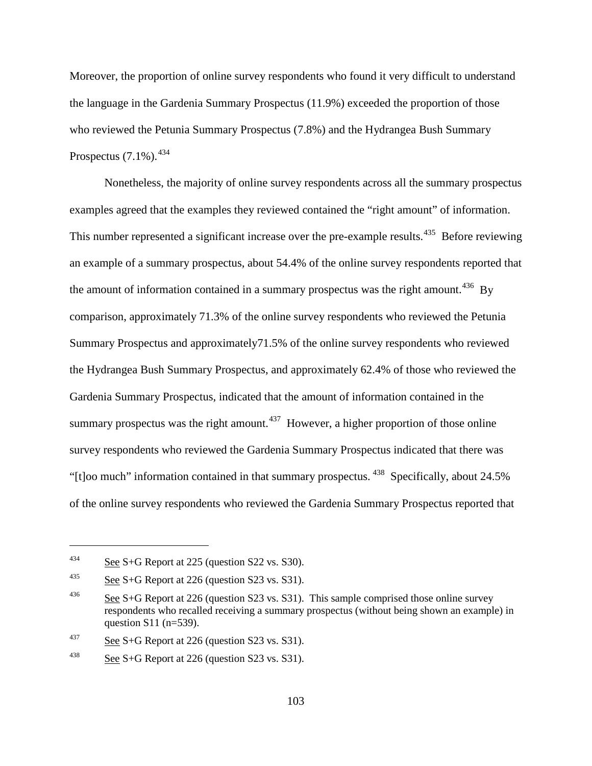Moreover, the proportion of online survey respondents who found it very difficult to understand the language in the Gardenia Summary Prospectus (11.9%) exceeded the proportion of those who reviewed the Petunia Summary Prospectus (7.8%) and the Hydrangea Bush Summary Prospectus (7.1%).<sup>[434](#page-132-0)</sup>

Nonetheless, the majority of online survey respondents across all the summary prospectus examples agreed that the examples they reviewed contained the "right amount" of information. This number represented a significant increase over the pre-example results.<sup>435</sup> Before reviewing an example of a summary prospectus, about 54.4% of the online survey respondents reported that the amount of information contained in a summary prospectus was the right amount.<sup>[436](#page-132-2)</sup> By comparison, approximately 71.3% of the online survey respondents who reviewed the Petunia Summary Prospectus and approximately71.5% of the online survey respondents who reviewed the Hydrangea Bush Summary Prospectus, and approximately 62.4% of those who reviewed the Gardenia Summary Prospectus, indicated that the amount of information contained in the summary prospectus was the right amount.<sup>437</sup> However, a higher proportion of those online survey respondents who reviewed the Gardenia Summary Prospectus indicated that there was "[t]oo much" information contained in that summary prospectus. [438](#page-132-4) Specifically, about 24.5% of the online survey respondents who reviewed the Gardenia Summary Prospectus reported that

<span id="page-132-0"></span> $\frac{434}{\text{See }S}$  S+G Report at 225 (question S22 vs. S30).

<span id="page-132-1"></span><sup>&</sup>lt;sup>435</sup> See S+G Report at 226 (question S23 vs. S31).

<span id="page-132-2"></span><sup>&</sup>lt;sup>436</sup> See S+G Report at 226 (question S23 vs. S31). This sample comprised those online survey respondents who recalled receiving a summary prospectus (without being shown an example) in question S11 (n=539).

<span id="page-132-3"></span><sup>&</sup>lt;sup>437</sup> See S+G Report at 226 (question S23 vs. S31).

<span id="page-132-4"></span><sup>&</sup>lt;sup>438</sup> See S+G Report at 226 (question S23 vs. S31).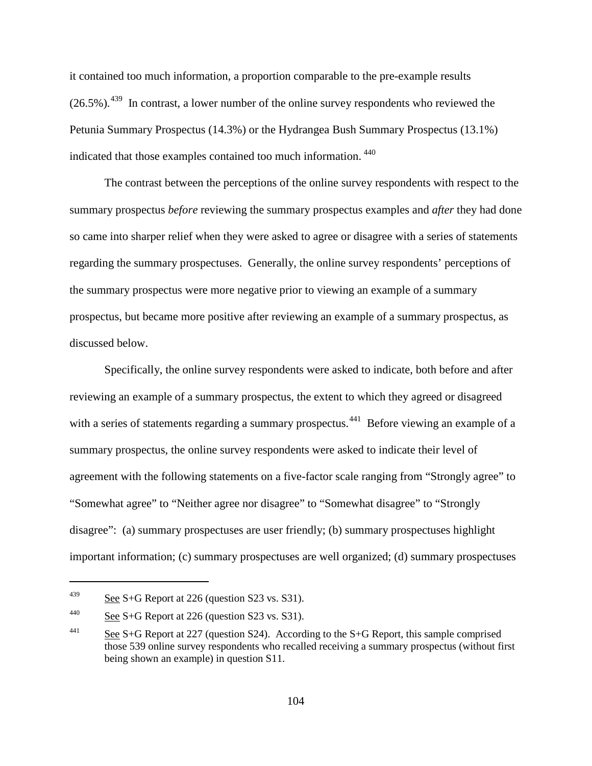it contained too much information, a proportion comparable to the pre-example results  $(26.5\%)$ <sup>439</sup>. In contrast, a lower number of the online survey respondents who reviewed the Petunia Summary Prospectus (14.3%) or the Hydrangea Bush Summary Prospectus (13.1%) indicated that those examples contained too much information. [440](#page-133-1)

The contrast between the perceptions of the online survey respondents with respect to the summary prospectus *before* reviewing the summary prospectus examples and *after* they had done so came into sharper relief when they were asked to agree or disagree with a series of statements regarding the summary prospectuses. Generally, the online survey respondents' perceptions of the summary prospectus were more negative prior to viewing an example of a summary prospectus, but became more positive after reviewing an example of a summary prospectus, as discussed below.

Specifically, the online survey respondents were asked to indicate, both before and after reviewing an example of a summary prospectus, the extent to which they agreed or disagreed with a series of statements regarding a summary prospectus.<sup>441</sup> Before viewing an example of a summary prospectus, the online survey respondents were asked to indicate their level of agreement with the following statements on a five-factor scale ranging from "Strongly agree" to "Somewhat agree" to "Neither agree nor disagree" to "Somewhat disagree" to "Strongly disagree": (a) summary prospectuses are user friendly; (b) summary prospectuses highlight important information; (c) summary prospectuses are well organized; (d) summary prospectuses

<span id="page-133-0"></span><sup>&</sup>lt;sup>439</sup> See S+G Report at 226 (question S23 vs. S31).

<span id="page-133-1"></span><sup>&</sup>lt;sup>440</sup> See S+G Report at 226 (question S23 vs. S31).

<span id="page-133-2"></span><sup>&</sup>lt;sup>441</sup> See S+G Report at 227 (question S24). According to the S+G Report, this sample comprised those 539 online survey respondents who recalled receiving a summary prospectus (without first being shown an example) in question S11.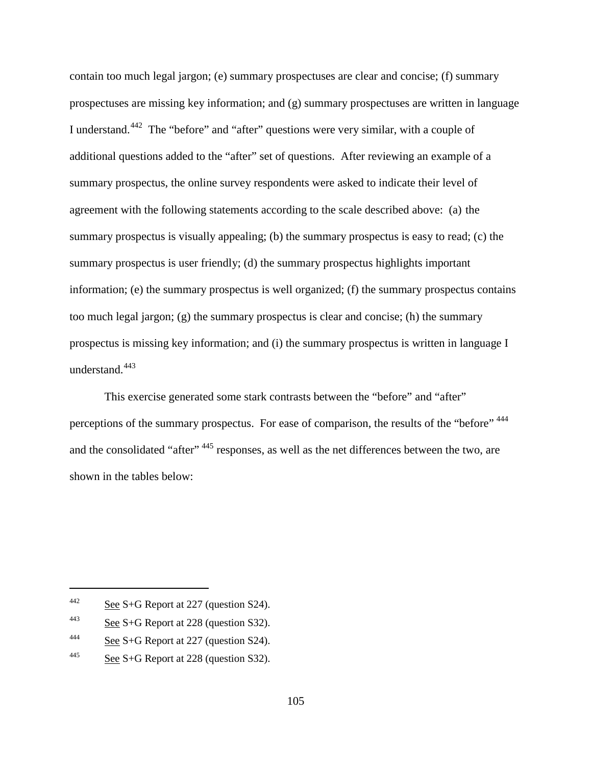contain too much legal jargon; (e) summary prospectuses are clear and concise; (f) summary prospectuses are missing key information; and (g) summary prospectuses are written in language I understand.[442](#page-134-0) The "before" and "after" questions were very similar, with a couple of additional questions added to the "after" set of questions. After reviewing an example of a summary prospectus, the online survey respondents were asked to indicate their level of agreement with the following statements according to the scale described above: (a) the summary prospectus is visually appealing; (b) the summary prospectus is easy to read; (c) the summary prospectus is user friendly; (d) the summary prospectus highlights important information; (e) the summary prospectus is well organized; (f) the summary prospectus contains too much legal jargon; (g) the summary prospectus is clear and concise; (h) the summary prospectus is missing key information; and (i) the summary prospectus is written in language I understand.<sup>[443](#page-134-1)</sup>

This exercise generated some stark contrasts between the "before" and "after" perceptions of the summary prospectus. For ease of comparison, the results of the "before"  $444$ and the consolidated "after"<sup>, [445](#page-134-3)</sup> responses, as well as the net differences between the two, are shown in the tables below:

<span id="page-134-0"></span><sup>&</sup>lt;sup>442</sup> See S+G Report at 227 (question S24).

<span id="page-134-1"></span> $\frac{443}{\text{See }S+G}$  Report at 228 (question S32).

<span id="page-134-2"></span><sup>&</sup>lt;sup>444</sup> See S+G Report at 227 (question S24).

<span id="page-134-3"></span> $\frac{\text{445}}{\text{See S+G}}$  Report at 228 (question S32).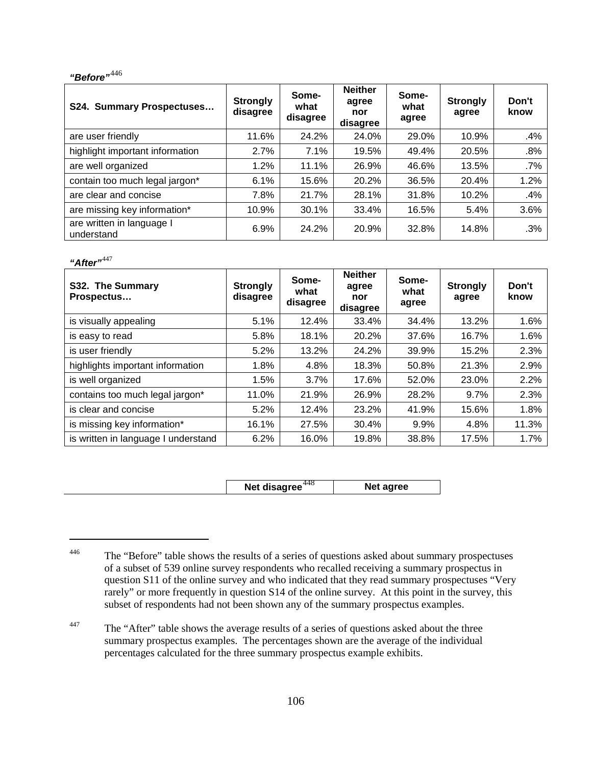# *"Before"*[446](#page-135-0)

| S24. Summary Prospectuses               | <b>Strongly</b><br>disagree | Some-<br>what<br>disagree | <b>Neither</b><br>agree<br>nor<br>disagree | Some-<br>what<br>agree | <b>Strongly</b><br>agree | Don't<br>know |
|-----------------------------------------|-----------------------------|---------------------------|--------------------------------------------|------------------------|--------------------------|---------------|
| are user friendly                       | 11.6%                       | 24.2%                     | 24.0%                                      | 29.0%                  | 10.9%                    | .4%           |
| highlight important information         | 2.7%                        | 7.1%                      | 19.5%                                      | 49.4%                  | 20.5%                    | .8%           |
| are well organized                      | 1.2%                        | 11.1%                     | 26.9%                                      | 46.6%                  | 13.5%                    | $.7\%$        |
| contain too much legal jargon*          | 6.1%                        | 15.6%                     | 20.2%                                      | 36.5%                  | 20.4%                    | 1.2%          |
| are clear and concise                   | 7.8%                        | 21.7%                     | 28.1%                                      | 31.8%                  | 10.2%                    | .4%           |
| are missing key information*            | 10.9%                       | 30.1%                     | 33.4%                                      | 16.5%                  | 5.4%                     | 3.6%          |
| are written in language I<br>understand | 6.9%                        | 24.2%                     | 20.9%                                      | 32.8%                  | 14.8%                    | .3%           |

### *"After"*[447](#page-135-1)

 $\overline{a}$ 

| S32. The Summary<br>Prospectus      | <b>Strongly</b><br>disagree | Some-<br>what<br>disagree | <b>Neither</b><br>agree<br>nor<br>disagree | Some-<br>what<br>agree | <b>Strongly</b><br>agree | Don't<br>know |
|-------------------------------------|-----------------------------|---------------------------|--------------------------------------------|------------------------|--------------------------|---------------|
| is visually appealing               | 5.1%                        | 12.4%                     | 33.4%                                      | 34.4%                  | 13.2%                    | 1.6%          |
| is easy to read                     | 5.8%                        | 18.1%                     | 20.2%                                      | 37.6%                  | 16.7%                    | 1.6%          |
| is user friendly                    | 5.2%                        | 13.2%                     | 24.2%                                      | 39.9%                  | 15.2%                    | 2.3%          |
| highlights important information    | 1.8%                        | 4.8%                      | 18.3%                                      | 50.8%                  | 21.3%                    | 2.9%          |
| is well organized                   | 1.5%                        | 3.7%                      | 17.6%                                      | 52.0%                  | 23.0%                    | 2.2%          |
| contains too much legal jargon*     | 11.0%                       | 21.9%                     | 26.9%                                      | 28.2%                  | 9.7%                     | 2.3%          |
| is clear and concise                | 5.2%                        | 12.4%                     | 23.2%                                      | 41.9%                  | 15.6%                    | 1.8%          |
| is missing key information*         | 16.1%                       | 27.5%                     | 30.4%                                      | 9.9%                   | 4.8%                     | 11.3%         |
| is written in language I understand | 6.2%                        | 16.0%                     | 19.8%                                      | 38.8%                  | 17.5%                    | 1.7%          |

**Net disagree**<sup>[448](#page-135-2)</sup> **Net agree** 

<span id="page-135-2"></span><span id="page-135-1"></span><sup>447</sup> The "After" table shows the average results of a series of questions asked about the three summary prospectus examples. The percentages shown are the average of the individual percentages calculated for the three summary prospectus example exhibits.

<span id="page-135-0"></span><sup>&</sup>lt;sup>446</sup> The "Before" table shows the results of a series of questions asked about summary prospectuses of a subset of 539 online survey respondents who recalled receiving a summary prospectus in question S11 of the online survey and who indicated that they read summary prospectuses "Very rarely" or more frequently in question S14 of the online survey. At this point in the survey, this subset of respondents had not been shown any of the summary prospectus examples.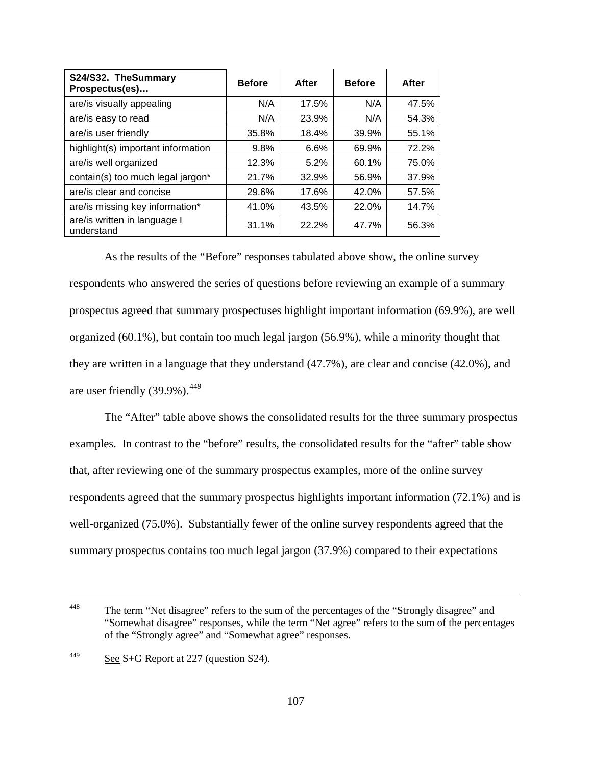| S24/S32. TheSummary<br>Prospectus(es)      | <b>Before</b> | After | <b>Before</b> | After |
|--------------------------------------------|---------------|-------|---------------|-------|
| are/is visually appealing                  | N/A           | 17.5% | N/A           | 47.5% |
| are/is easy to read                        | N/A           | 23.9% | N/A           | 54.3% |
| are/is user friendly                       | 35.8%         | 18.4% | 39.9%         | 55.1% |
| highlight(s) important information         | 9.8%          | 6.6%  | 69.9%         | 72.2% |
| are/is well organized                      | 12.3%         | 5.2%  | 60.1%         | 75.0% |
| contain(s) too much legal jargon*          | 21.7%         | 32.9% | 56.9%         | 37.9% |
| are/is clear and concise                   | 29.6%         | 17.6% | 42.0%         | 57.5% |
| are/is missing key information*            | 41.0%         | 43.5% | 22.0%         | 14.7% |
| are/is written in language I<br>understand | 31.1%         | 22.2% | 47.7%         | 56.3% |

As the results of the "Before" responses tabulated above show, the online survey respondents who answered the series of questions before reviewing an example of a summary prospectus agreed that summary prospectuses highlight important information (69.9%), are well organized (60.1%), but contain too much legal jargon (56.9%), while a minority thought that they are written in a language that they understand (47.7%), are clear and concise (42.0%), and are user friendly  $(39.9\%)$ .<sup>[449](#page-136-0)</sup>

The "After" table above shows the consolidated results for the three summary prospectus examples. In contrast to the "before" results, the consolidated results for the "after" table show that, after reviewing one of the summary prospectus examples, more of the online survey respondents agreed that the summary prospectus highlights important information (72.1%) and is well-organized (75.0%). Substantially fewer of the online survey respondents agreed that the summary prospectus contains too much legal jargon (37.9%) compared to their expectations

<sup>&</sup>lt;sup>448</sup> The term "Net disagree" refers to the sum of the percentages of the "Strongly disagree" and "Somewhat disagree" responses, while the term "Net agree" refers to the sum of the percentages of the "Strongly agree" and "Somewhat agree" responses.

<span id="page-136-0"></span> $\frac{\text{449}}{\text{See S+G}}$  Report at 227 (question S24).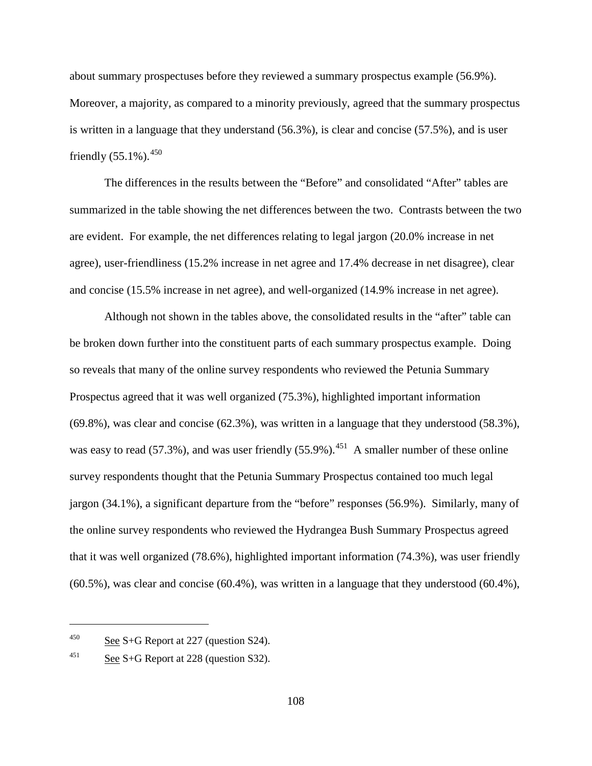about summary prospectuses before they reviewed a summary prospectus example (56.9%). Moreover, a majority, as compared to a minority previously, agreed that the summary prospectus is written in a language that they understand (56.3%), is clear and concise (57.5%), and is user friendly  $(55.1\%)$ .<sup>[450](#page-137-0)</sup>

The differences in the results between the "Before" and consolidated "After" tables are summarized in the table showing the net differences between the two. Contrasts between the two are evident. For example, the net differences relating to legal jargon (20.0% increase in net agree), user-friendliness (15.2% increase in net agree and 17.4% decrease in net disagree), clear and concise (15.5% increase in net agree), and well-organized (14.9% increase in net agree).

Although not shown in the tables above, the consolidated results in the "after" table can be broken down further into the constituent parts of each summary prospectus example. Doing so reveals that many of the online survey respondents who reviewed the Petunia Summary Prospectus agreed that it was well organized (75.3%), highlighted important information (69.8%), was clear and concise (62.3%), was written in a language that they understood (58.3%), was easy to read (57.3%), and was user friendly (55.9%).<sup>451</sup> A smaller number of these online survey respondents thought that the Petunia Summary Prospectus contained too much legal jargon (34.1%), a significant departure from the "before" responses (56.9%). Similarly, many of the online survey respondents who reviewed the Hydrangea Bush Summary Prospectus agreed that it was well organized (78.6%), highlighted important information (74.3%), was user friendly (60.5%), was clear and concise (60.4%), was written in a language that they understood (60.4%),

<span id="page-137-0"></span><sup>&</sup>lt;sup>450</sup> See S+G Report at 227 (question S24).

<span id="page-137-1"></span><sup>&</sup>lt;sup>451</sup> See S+G Report at 228 (question S32).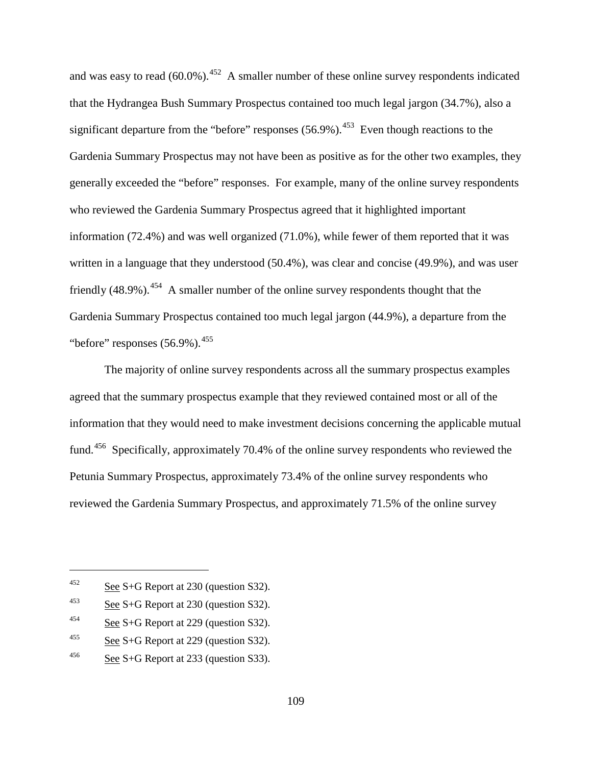and was easy to read  $(60.0\%)$ .<sup>[452](#page-138-0)</sup> A smaller number of these online survey respondents indicated that the Hydrangea Bush Summary Prospectus contained too much legal jargon (34.7%), also a significant departure from the "before" responses  $(56.9\%)$ <sup>453</sup>. Even though reactions to the Gardenia Summary Prospectus may not have been as positive as for the other two examples, they generally exceeded the "before" responses. For example, many of the online survey respondents who reviewed the Gardenia Summary Prospectus agreed that it highlighted important information (72.4%) and was well organized (71.0%), while fewer of them reported that it was written in a language that they understood (50.4%), was clear and concise (49.9%), and was user friendly  $(48.9\%)$ <sup>454</sup> A smaller number of the online survey respondents thought that the Gardenia Summary Prospectus contained too much legal jargon (44.9%), a departure from the "before" responses  $(56.9\%)$ <sup>[455](#page-138-3)</sup>

The majority of online survey respondents across all the summary prospectus examples agreed that the summary prospectus example that they reviewed contained most or all of the information that they would need to make investment decisions concerning the applicable mutual fund.<sup>456</sup> Specifically, approximately 70.4% of the online survey respondents who reviewed the Petunia Summary Prospectus, approximately 73.4% of the online survey respondents who reviewed the Gardenia Summary Prospectus, and approximately 71.5% of the online survey

<span id="page-138-0"></span> $452$  See S+G Report at 230 (question S32).

<span id="page-138-1"></span> $453$  See S+G Report at 230 (question S32).

<span id="page-138-2"></span> $\frac{454}{256}$  See S+G Report at 229 (question S32).

<span id="page-138-3"></span><sup>&</sup>lt;sup>455</sup> See S+G Report at 229 (question S32).

<span id="page-138-4"></span><sup>&</sup>lt;sup>456</sup> See S+G Report at 233 (question S33).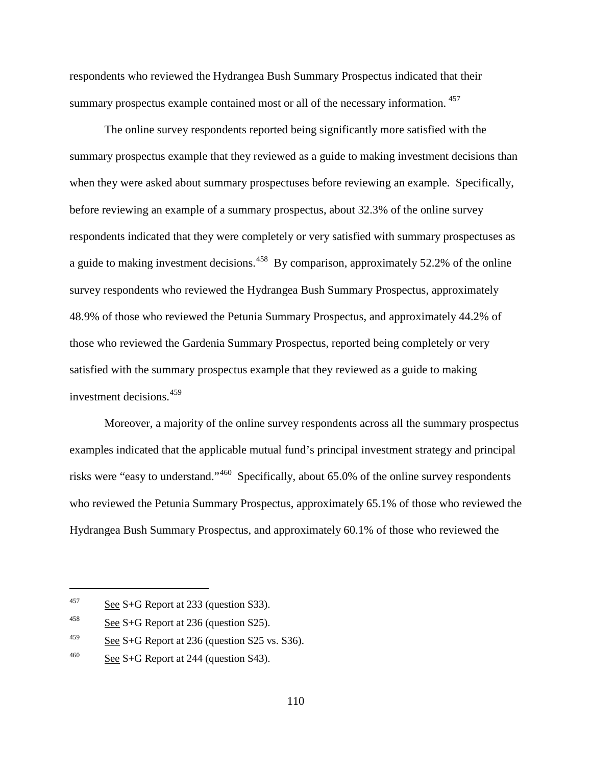respondents who reviewed the Hydrangea Bush Summary Prospectus indicated that their summary prospectus example contained most or all of the necessary information.<sup>[457](#page-139-0)</sup>

The online survey respondents reported being significantly more satisfied with the summary prospectus example that they reviewed as a guide to making investment decisions than when they were asked about summary prospectuses before reviewing an example. Specifically, before reviewing an example of a summary prospectus, about 32.3% of the online survey respondents indicated that they were completely or very satisfied with summary prospectuses as a guide to making investment decisions.[458](#page-139-1) By comparison, approximately 52.2% of the online survey respondents who reviewed the Hydrangea Bush Summary Prospectus, approximately 48.9% of those who reviewed the Petunia Summary Prospectus, and approximately 44.2% of those who reviewed the Gardenia Summary Prospectus, reported being completely or very satisfied with the summary prospectus example that they reviewed as a guide to making investment decisions.[459](#page-139-2)

Moreover, a majority of the online survey respondents across all the summary prospectus examples indicated that the applicable mutual fund's principal investment strategy and principal risks were "easy to understand."[460](#page-139-3) Specifically, about 65.0% of the online survey respondents who reviewed the Petunia Summary Prospectus, approximately 65.1% of those who reviewed the Hydrangea Bush Summary Prospectus, and approximately 60.1% of those who reviewed the

<span id="page-139-0"></span> $457$  See S+G Report at 233 (question S33).

<span id="page-139-1"></span> $\frac{458}{258}$  S+G Report at 236 (question S25).

<span id="page-139-2"></span><sup>&</sup>lt;sup>459</sup> See S+G Report at 236 (question S25 vs. S36).

<span id="page-139-3"></span> $\frac{460}{\text{See }S+G}$  Report at 244 (question S43).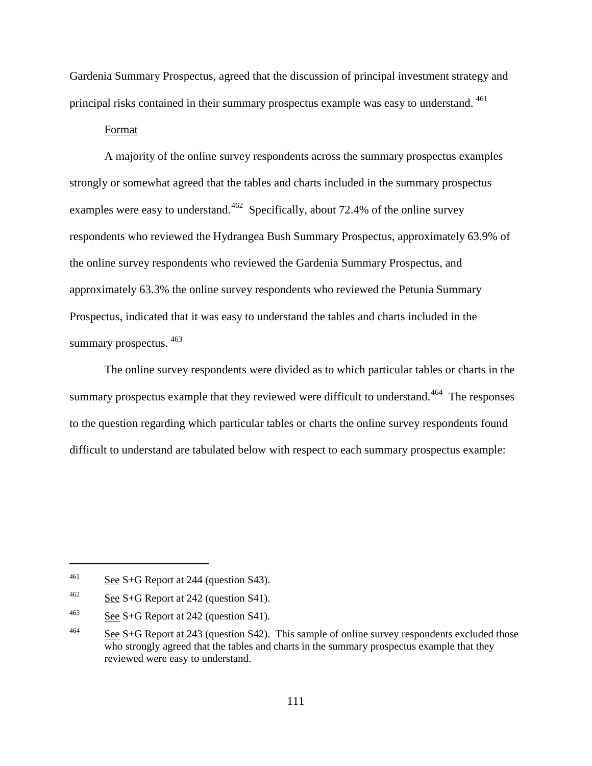Gardenia Summary Prospectus, agreed that the discussion of principal investment strategy and principal risks contained in their summary prospectus example was easy to understand. [461](#page-140-0)

#### Format

A majority of the online survey respondents across the summary prospectus examples strongly or somewhat agreed that the tables and charts included in the summary prospectus examples were easy to understand.<sup>462</sup> Specifically, about 72.4% of the online survey respondents who reviewed the Hydrangea Bush Summary Prospectus, approximately 63.9% of the online survey respondents who reviewed the Gardenia Summary Prospectus, and approximately 63.3% the online survey respondents who reviewed the Petunia Summary Prospectus, indicated that it was easy to understand the tables and charts included in the summary prospectus. [463](#page-140-2)

The online survey respondents were divided as to which particular tables or charts in the summary prospectus example that they reviewed were difficult to understand.<sup>[464](#page-140-3)</sup> The responses to the question regarding which particular tables or charts the online survey respondents found difficult to understand are tabulated below with respect to each summary prospectus example:

<span id="page-140-0"></span><sup>&</sup>lt;sup>461</sup> See S+G Report at 244 (question S43).

<span id="page-140-1"></span> $462$  See S+G Report at 242 (question S41).

<span id="page-140-2"></span> $^{463}$  See S+G Report at 242 (question S41).

<span id="page-140-3"></span><sup>&</sup>lt;sup>464</sup> See S+G Report at 243 (question S42). This sample of online survey respondents excluded those who strongly agreed that the tables and charts in the summary prospectus example that they reviewed were easy to understand.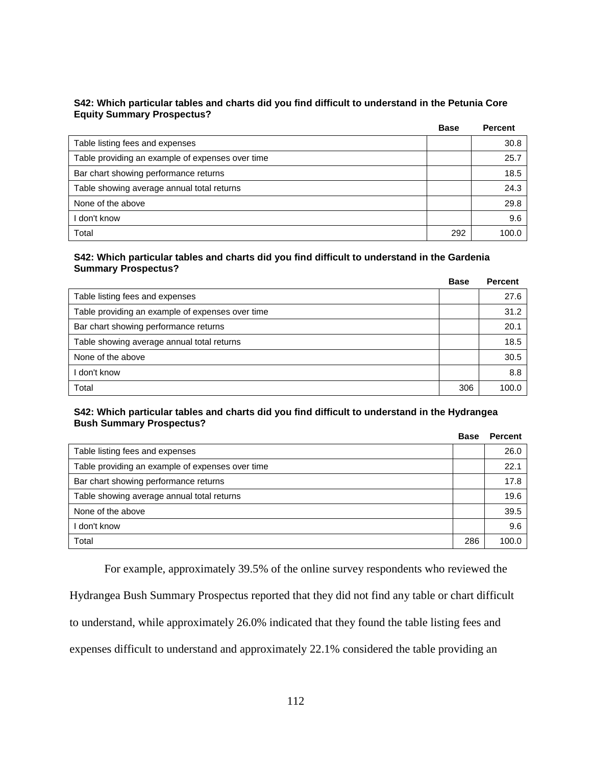#### **S42: Which particular tables and charts did you find difficult to understand in the Petunia Core Equity Summary Prospectus?**

|                                                  | <b>Base</b> | <b>Percent</b> |
|--------------------------------------------------|-------------|----------------|
| Table listing fees and expenses                  |             | 30.8           |
| Table providing an example of expenses over time |             | 25.7           |
| Bar chart showing performance returns            |             | 18.5           |
| Table showing average annual total returns       |             | 24.3           |
| None of the above                                |             | 29.8           |
| don't know                                       |             | 9.6            |
| Total                                            | 292         | 100.0          |

#### **S42: Which particular tables and charts did you find difficult to understand in the Gardenia Summary Prospectus?**

|                                                  | <b>Base</b> | <b>Percent</b> |
|--------------------------------------------------|-------------|----------------|
| Table listing fees and expenses                  |             | 27.6           |
| Table providing an example of expenses over time |             | 31.2           |
| Bar chart showing performance returns            |             | 20.1           |
| Table showing average annual total returns       |             | 18.5           |
| None of the above                                |             | 30.5           |
| don't know                                       |             | 8.8            |
| Total                                            | 306         | 100.0          |

#### **S42: Which particular tables and charts did you find difficult to understand in the Hydrangea Bush Summary Prospectus?**

|                                                  | <b>Base</b> | <b>Percent</b> |
|--------------------------------------------------|-------------|----------------|
| Table listing fees and expenses                  |             | 26.0           |
| Table providing an example of expenses over time |             | 22.1           |
| Bar chart showing performance returns            |             | 17.8           |
| Table showing average annual total returns       |             | 19.6           |
| None of the above                                |             | 39.5           |
| l don't know                                     |             | 9.6            |
| Total                                            | 286         | 100.0          |

For example, approximately 39.5% of the online survey respondents who reviewed the Hydrangea Bush Summary Prospectus reported that they did not find any table or chart difficult to understand, while approximately 26.0% indicated that they found the table listing fees and expenses difficult to understand and approximately 22.1% considered the table providing an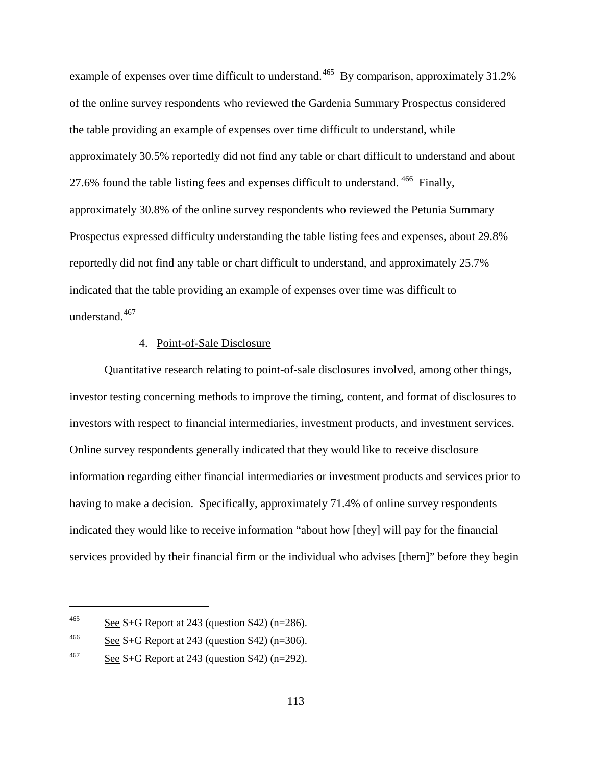example of expenses over time difficult to understand. <sup>465</sup> By comparison, approximately 31.2% of the online survey respondents who reviewed the Gardenia Summary Prospectus considered the table providing an example of expenses over time difficult to understand, while approximately 30.5% reportedly did not find any table or chart difficult to understand and about 27.6% found the table listing fees and expenses difficult to understand. <sup>[466](#page-142-1)</sup> Finally, approximately 30.8% of the online survey respondents who reviewed the Petunia Summary Prospectus expressed difficulty understanding the table listing fees and expenses, about 29.8% reportedly did not find any table or chart difficult to understand, and approximately 25.7% indicated that the table providing an example of expenses over time was difficult to understand.<sup>[467](#page-142-2)</sup>

#### 4. Point-of-Sale Disclosure

Quantitative research relating to point-of-sale disclosures involved, among other things, investor testing concerning methods to improve the timing, content, and format of disclosures to investors with respect to financial intermediaries, investment products, and investment services. Online survey respondents generally indicated that they would like to receive disclosure information regarding either financial intermediaries or investment products and services prior to having to make a decision. Specifically, approximately 71.4% of online survey respondents indicated they would like to receive information "about how [they] will pay for the financial services provided by their financial firm or the individual who advises [them]" before they begin

<span id="page-142-0"></span><sup>&</sup>lt;sup>465</sup> See S+G Report at 243 (question S42) (n=286).

<span id="page-142-1"></span><sup>&</sup>lt;sup>466</sup> See S+G Report at 243 (question S42) (n=306).

<span id="page-142-2"></span> $\frac{\text{68}}{2}$  S+G Report at 243 (question S42) (n=292).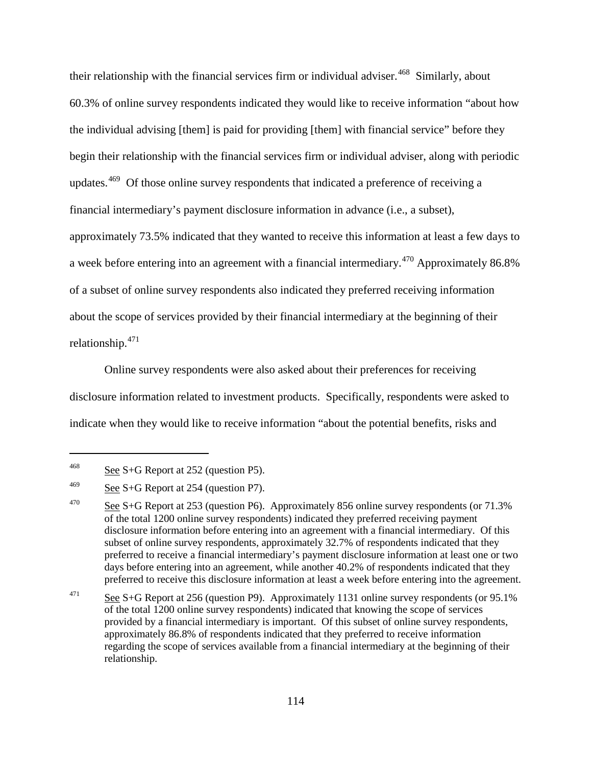their relationship with the financial services firm or individual adviser.<sup>[468](#page-143-0)</sup> Similarly, about 60.3% of online survey respondents indicated they would like to receive information "about how the individual advising [them] is paid for providing [them] with financial service" before they begin their relationship with the financial services firm or individual adviser, along with periodic updates.<sup>[469](#page-143-1)</sup> Of those online survey respondents that indicated a preference of receiving a financial intermediary's payment disclosure information in advance (i.e., a subset), approximately 73.5% indicated that they wanted to receive this information at least a few days to a week before entering into an agreement with a financial intermediary.<sup>[470](#page-143-2)</sup> Approximately 86.8% of a subset of online survey respondents also indicated they preferred receiving information about the scope of services provided by their financial intermediary at the beginning of their relationship.[471](#page-143-3)

Online survey respondents were also asked about their preferences for receiving disclosure information related to investment products. Specifically, respondents were asked to indicate when they would like to receive information "about the potential benefits, risks and

<span id="page-143-0"></span><sup>&</sup>lt;sup>468</sup> See S+G Report at 252 (question P5).

<span id="page-143-1"></span> $\frac{\text{469}}{\text{254}}$  See S+G Report at 254 (question P7).

<span id="page-143-2"></span><sup>&</sup>lt;sup>470</sup> See S+G Report at 253 (question P6). Approximately 856 online survey respondents (or 71.3%) of the total 1200 online survey respondents) indicated they preferred receiving payment disclosure information before entering into an agreement with a financial intermediary. Of this subset of online survey respondents, approximately 32.7% of respondents indicated that they preferred to receive a financial intermediary's payment disclosure information at least one or two days before entering into an agreement, while another 40.2% of respondents indicated that they preferred to receive this disclosure information at least a week before entering into the agreement.

<span id="page-143-3"></span><sup>&</sup>lt;sup>471</sup> See S+G Report at 256 (question P9). Approximately 1131 online survey respondents (or 95.1% of the total 1200 online survey respondents) indicated that knowing the scope of services provided by a financial intermediary is important. Of this subset of online survey respondents, approximately 86.8% of respondents indicated that they preferred to receive information regarding the scope of services available from a financial intermediary at the beginning of their relationship.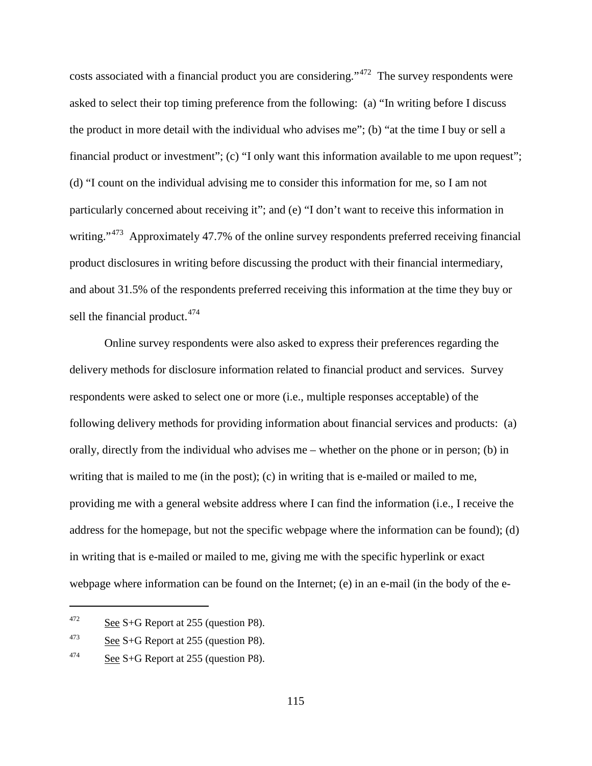costs associated with a financial product you are considering."[472](#page-144-0) The survey respondents were asked to select their top timing preference from the following: (a) "In writing before I discuss the product in more detail with the individual who advises me"; (b) "at the time I buy or sell a financial product or investment"; (c) "I only want this information available to me upon request"; (d) "I count on the individual advising me to consider this information for me, so I am not particularly concerned about receiving it"; and (e) "I don't want to receive this information in writing."<sup>473</sup> Approximately 47.7% of the online survey respondents preferred receiving financial product disclosures in writing before discussing the product with their financial intermediary, and about 31.5% of the respondents preferred receiving this information at the time they buy or sell the financial product.<sup>[474](#page-144-2)</sup>

Online survey respondents were also asked to express their preferences regarding the delivery methods for disclosure information related to financial product and services. Survey respondents were asked to select one or more (i.e., multiple responses acceptable) of the following delivery methods for providing information about financial services and products: (a) orally, directly from the individual who advises me – whether on the phone or in person; (b) in writing that is mailed to me (in the post); (c) in writing that is e-mailed or mailed to me, providing me with a general website address where I can find the information (i.e., I receive the address for the homepage, but not the specific webpage where the information can be found); (d) in writing that is e-mailed or mailed to me, giving me with the specific hyperlink or exact webpage where information can be found on the Internet; (e) in an e-mail (in the body of the e-

<span id="page-144-0"></span> $\frac{472}{\text{See }S+G}$  Report at 255 (question P8).

<span id="page-144-1"></span><sup>473</sup> See S+G Report at 255 (question P8).

<span id="page-144-2"></span> $474$  See S+G Report at 255 (question P8).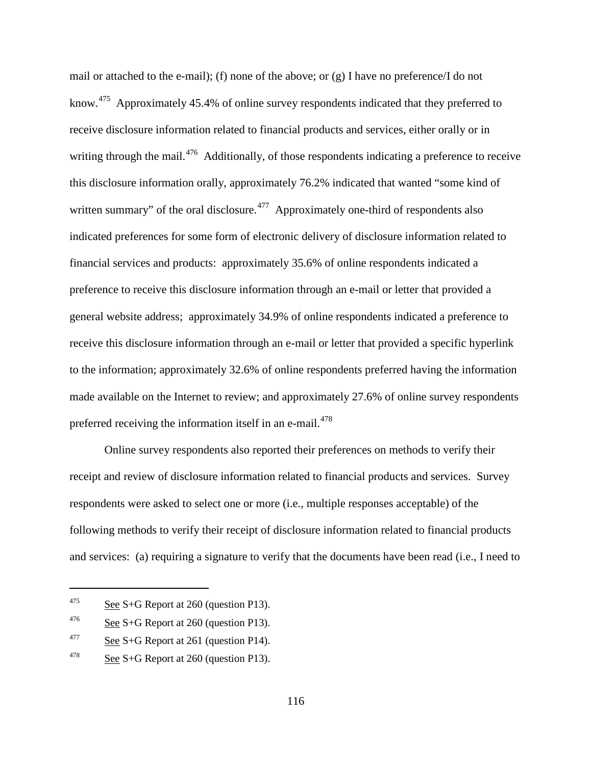mail or attached to the e-mail); (f) none of the above; or (g) I have no preference/I do not know.<sup>[475](#page-145-0)</sup> Approximately 45.4% of online survey respondents indicated that they preferred to receive disclosure information related to financial products and services, either orally or in writing through the mail.<sup>476</sup> Additionally, of those respondents indicating a preference to receive this disclosure information orally, approximately 76.2% indicated that wanted "some kind of written summary" of the oral disclosure.<sup> $477$ </sup> Approximately one-third of respondents also indicated preferences for some form of electronic delivery of disclosure information related to financial services and products: approximately 35.6% of online respondents indicated a preference to receive this disclosure information through an e-mail or letter that provided a general website address; approximately 34.9% of online respondents indicated a preference to receive this disclosure information through an e-mail or letter that provided a specific hyperlink to the information; approximately 32.6% of online respondents preferred having the information made available on the Internet to review; and approximately 27.6% of online survey respondents preferred receiving the information itself in an e-mail.<sup>478</sup>

Online survey respondents also reported their preferences on methods to verify their receipt and review of disclosure information related to financial products and services. Survey respondents were asked to select one or more (i.e., multiple responses acceptable) of the following methods to verify their receipt of disclosure information related to financial products and services: (a) requiring a signature to verify that the documents have been read (i.e., I need to

<span id="page-145-0"></span><sup>&</sup>lt;sup>475</sup> See S+G Report at 260 (question P13).

<span id="page-145-1"></span><sup>&</sup>lt;sup>476</sup> See S+G Report at 260 (question P13).

<span id="page-145-2"></span><sup>&</sup>lt;sup>477</sup> See S+G Report at 261 (question P14).

<span id="page-145-3"></span><sup>&</sup>lt;sup>478</sup> See S+G Report at 260 (question P13).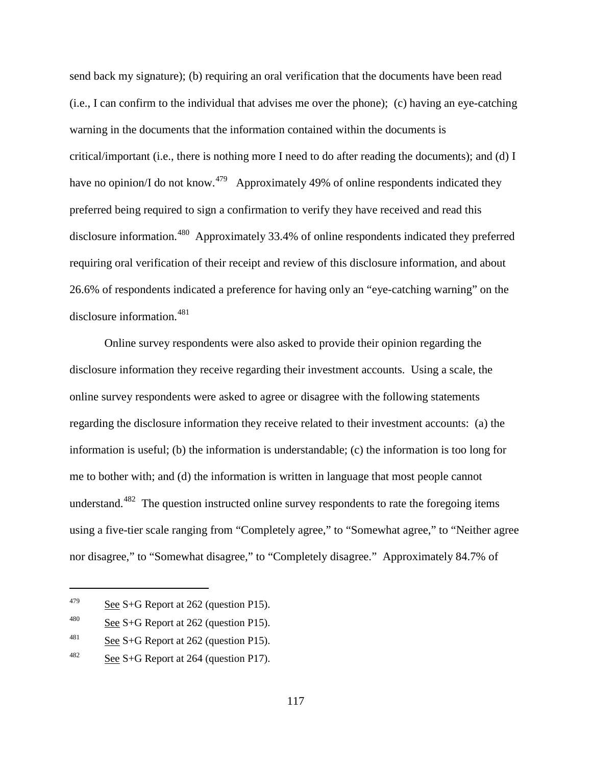send back my signature); (b) requiring an oral verification that the documents have been read (i.e., I can confirm to the individual that advises me over the phone); (c) having an eye-catching warning in the documents that the information contained within the documents is critical/important (i.e., there is nothing more I need to do after reading the documents); and (d) I have no opinion/I do not know.<sup>[479](#page-146-0)</sup> Approximately 49% of online respondents indicated they preferred being required to sign a confirmation to verify they have received and read this disclosure information.<sup>[480](#page-146-1)</sup> Approximately 33.4% of online respondents indicated they preferred requiring oral verification of their receipt and review of this disclosure information, and about 26.6% of respondents indicated a preference for having only an "eye-catching warning" on the disclosure information.<sup>[481](#page-146-2)</sup>

Online survey respondents were also asked to provide their opinion regarding the disclosure information they receive regarding their investment accounts. Using a scale, the online survey respondents were asked to agree or disagree with the following statements regarding the disclosure information they receive related to their investment accounts: (a) the information is useful; (b) the information is understandable; (c) the information is too long for me to bother with; and (d) the information is written in language that most people cannot understand.<sup>[482](#page-146-3)</sup> The question instructed online survey respondents to rate the foregoing items using a five-tier scale ranging from "Completely agree," to "Somewhat agree," to "Neither agree nor disagree," to "Somewhat disagree," to "Completely disagree." Approximately 84.7% of

<span id="page-146-0"></span> $479$  See S+G Report at 262 (question P15).

<span id="page-146-1"></span><sup>&</sup>lt;sup>480</sup> See S+G Report at 262 (question P15).

<span id="page-146-2"></span><sup>&</sup>lt;sup>481</sup> See S+G Report at 262 (question P15).

<span id="page-146-3"></span> $482$  See S+G Report at 264 (question P17).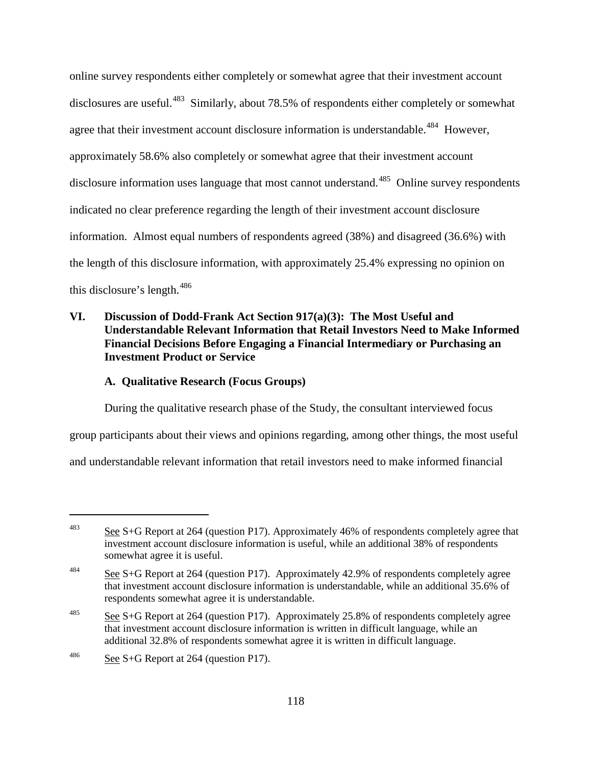online survey respondents either completely or somewhat agree that their investment account disclosures are useful.<sup>[483](#page-147-0)</sup> Similarly, about 78.5% of respondents either completely or somewhat agree that their investment account disclosure information is understandable.<sup>484</sup> However, approximately 58.6% also completely or somewhat agree that their investment account disclosure information uses language that most cannot understand.<sup>[485](#page-147-2)</sup> Online survey respondents indicated no clear preference regarding the length of their investment account disclosure information. Almost equal numbers of respondents agreed (38%) and disagreed (36.6%) with the length of this disclosure information, with approximately 25.4% expressing no opinion on this disclosure's length.<sup>[486](#page-147-3)</sup>

## **VI. Discussion of Dodd-Frank Act Section 917(a)(3): The Most Useful and Understandable Relevant Information that Retail Investors Need to Make Informed Financial Decisions Before Engaging a Financial Intermediary or Purchasing an Investment Product or Service**

### **A. Qualitative Research (Focus Groups)**

During the qualitative research phase of the Study, the consultant interviewed focus

group participants about their views and opinions regarding, among other things, the most useful

and understandable relevant information that retail investors need to make informed financial

<span id="page-147-0"></span><sup>483</sup> See S+G Report at 264 (question P17). Approximately 46% of respondents completely agree that investment account disclosure information is useful, while an additional 38% of respondents somewhat agree it is useful.

<span id="page-147-1"></span> $\frac{484}{\text{2.9}}$  See S+G Report at 264 (question P17). Approximately 42.9% of respondents completely agree that investment account disclosure information is understandable, while an additional 35.6% of respondents somewhat agree it is understandable.

<span id="page-147-2"></span><sup>&</sup>lt;sup>485</sup> See S+G Report at 264 (question P17). Approximately 25.8% of respondents completely agree that investment account disclosure information is written in difficult language, while an additional 32.8% of respondents somewhat agree it is written in difficult language.

<span id="page-147-3"></span><sup>&</sup>lt;sup>486</sup> See S+G Report at 264 (question P17).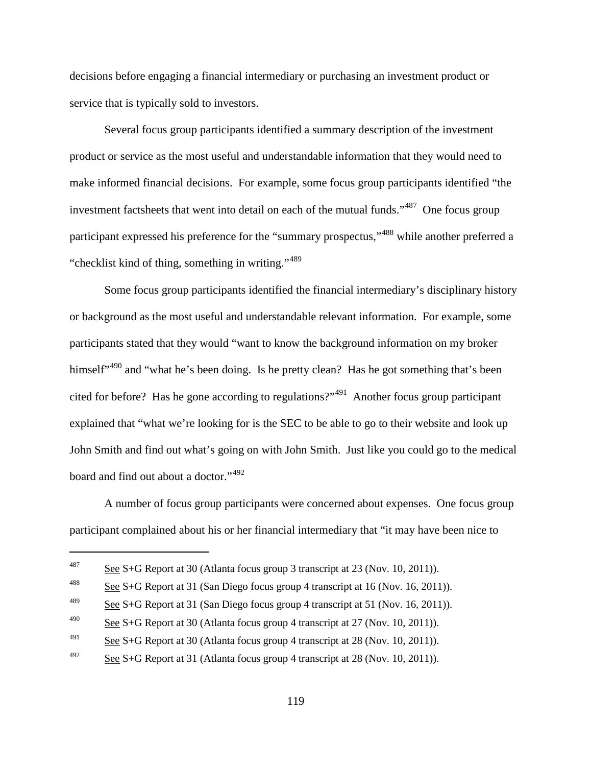decisions before engaging a financial intermediary or purchasing an investment product or service that is typically sold to investors.

Several focus group participants identified a summary description of the investment product or service as the most useful and understandable information that they would need to make informed financial decisions. For example, some focus group participants identified "the investment factsheets that went into detail on each of the mutual funds."<sup>[487](#page-148-0)</sup> One focus group participant expressed his preference for the "summary prospectus,"<sup>[488](#page-148-1)</sup> while another preferred a "checklist kind of thing, something in writing."<sup>[489](#page-148-2)</sup>

Some focus group participants identified the financial intermediary's disciplinary history or background as the most useful and understandable relevant information. For example, some participants stated that they would "want to know the background information on my broker himself"<sup>[490](#page-148-3)</sup> and "what he's been doing. Is he pretty clean? Has he got something that's been cited for before? Has he gone according to regulations?"[491](#page-148-4) Another focus group participant explained that "what we're looking for is the SEC to be able to go to their website and look up John Smith and find out what's going on with John Smith. Just like you could go to the medical board and find out about a doctor."<sup>[492](#page-148-5)</sup>

A number of focus group participants were concerned about expenses. One focus group participant complained about his or her financial intermediary that "it may have been nice to

<span id="page-148-0"></span><sup>487</sup> See S+G Report at 30 (Atlanta focus group 3 transcript at 23 (Nov. 10, 2011)).

<span id="page-148-1"></span><sup>&</sup>lt;sup>488</sup> See S+G Report at 31 (San Diego focus group 4 transcript at 16 (Nov. 16, 2011)).

<span id="page-148-2"></span><sup>&</sup>lt;sup>489</sup> See S+G Report at 31 (San Diego focus group 4 transcript at 51 (Nov. 16, 2011)).

<span id="page-148-3"></span><sup>&</sup>lt;sup>490</sup> See S+G Report at 30 (Atlanta focus group 4 transcript at 27 (Nov. 10, 2011)).

<span id="page-148-4"></span><sup>&</sup>lt;sup>491</sup> See S+G Report at 30 (Atlanta focus group 4 transcript at 28 (Nov. 10, 2011)).

<span id="page-148-5"></span> $\frac{492}{2}$  See S+G Report at 31 (Atlanta focus group 4 transcript at 28 (Nov. 10, 2011)).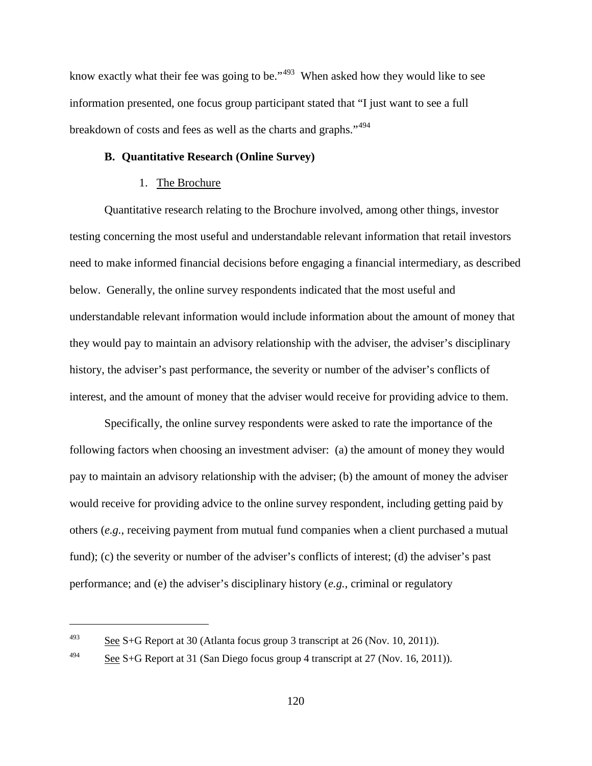know exactly what their fee was going to be."<sup>[493](#page-149-0)</sup> When asked how they would like to see information presented, one focus group participant stated that "I just want to see a full breakdown of costs and fees as well as the charts and graphs."<sup>[494](#page-149-1)</sup>

#### **B. Quantitative Research (Online Survey)**

#### 1. The Brochure

Quantitative research relating to the Brochure involved, among other things, investor testing concerning the most useful and understandable relevant information that retail investors need to make informed financial decisions before engaging a financial intermediary, as described below. Generally, the online survey respondents indicated that the most useful and understandable relevant information would include information about the amount of money that they would pay to maintain an advisory relationship with the adviser, the adviser's disciplinary history, the adviser's past performance, the severity or number of the adviser's conflicts of interest, and the amount of money that the adviser would receive for providing advice to them.

Specifically, the online survey respondents were asked to rate the importance of the following factors when choosing an investment adviser: (a) the amount of money they would pay to maintain an advisory relationship with the adviser; (b) the amount of money the adviser would receive for providing advice to the online survey respondent, including getting paid by others (*e.g.*, receiving payment from mutual fund companies when a client purchased a mutual fund); (c) the severity or number of the adviser's conflicts of interest; (d) the adviser's past performance; and (e) the adviser's disciplinary history (*e.g.*, criminal or regulatory

<span id="page-149-0"></span><sup>&</sup>lt;sup>493</sup> See S+G Report at 30 (Atlanta focus group 3 transcript at 26 (Nov. 10, 2011)).

<span id="page-149-1"></span> $\frac{494}{2}$  See S+G Report at 31 (San Diego focus group 4 transcript at 27 (Nov. 16, 2011)).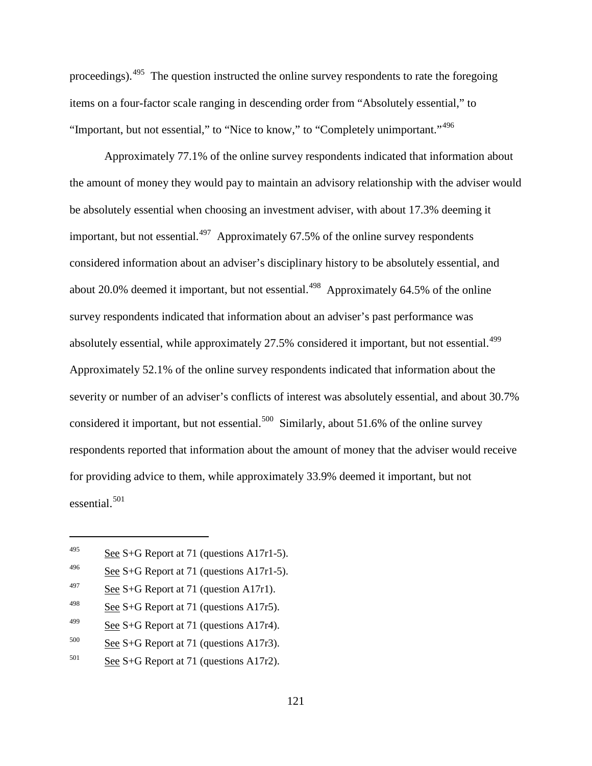proceedings).[495](#page-150-0) The question instructed the online survey respondents to rate the foregoing items on a four-factor scale ranging in descending order from "Absolutely essential," to "Important, but not essential," to "Nice to know," to "Completely unimportant."<sup>[496](#page-150-1)</sup>

Approximately 77.1% of the online survey respondents indicated that information about the amount of money they would pay to maintain an advisory relationship with the adviser would be absolutely essential when choosing an investment adviser, with about 17.3% deeming it important, but not essential. $497$  Approximately 67.5% of the online survey respondents considered information about an adviser's disciplinary history to be absolutely essential, and about 20.0% deemed it important, but not essential.<sup>[498](#page-150-3)</sup> Approximately 64.5% of the online survey respondents indicated that information about an adviser's past performance was absolutely essential, while approximately 27.5% considered it important, but not essential.<sup>[499](#page-150-4)</sup> Approximately 52.1% of the online survey respondents indicated that information about the severity or number of an adviser's conflicts of interest was absolutely essential, and about 30.7% considered it important, but not essential.<sup>[500](#page-150-5)</sup> Similarly, about 51.6% of the online survey respondents reported that information about the amount of money that the adviser would receive for providing advice to them, while approximately 33.9% deemed it important, but not essential.<sup>[501](#page-150-6)</sup>

<span id="page-150-0"></span><sup>&</sup>lt;sup>495</sup> See S+G Report at 71 (questions A17r1-5).

<span id="page-150-1"></span><sup>&</sup>lt;sup>496</sup> See S+G Report at 71 (questions A17r1-5).

<span id="page-150-2"></span><sup>&</sup>lt;sup>497</sup> See S+G Report at 71 (question A17r1).

<span id="page-150-3"></span><sup>&</sup>lt;sup>498</sup> See S+G Report at 71 (questions A17r5).

<span id="page-150-4"></span><sup>&</sup>lt;sup>499</sup> See S+G Report at 71 (questions A17r4).

<span id="page-150-5"></span> $500$  See S+G Report at 71 (questions A17r3).

<span id="page-150-6"></span> $501$  See S+G Report at 71 (questions A17r2).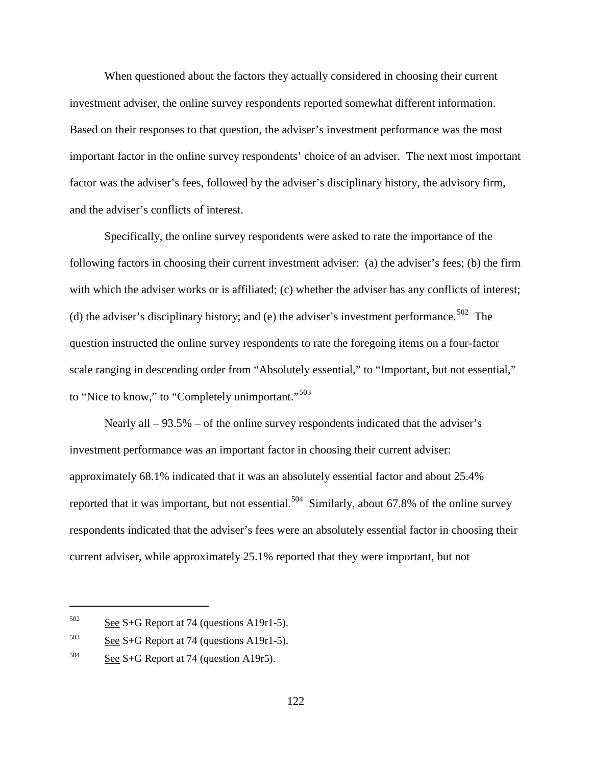When questioned about the factors they actually considered in choosing their current investment adviser, the online survey respondents reported somewhat different information. Based on their responses to that question, the adviser's investment performance was the most important factor in the online survey respondents' choice of an adviser. The next most important factor was the adviser's fees, followed by the adviser's disciplinary history, the advisory firm, and the adviser's conflicts of interest.

Specifically, the online survey respondents were asked to rate the importance of the following factors in choosing their current investment adviser: (a) the adviser's fees; (b) the firm with which the adviser works or is affiliated; (c) whether the adviser has any conflicts of interest; (d) the adviser's disciplinary history; and (e) the adviser's investment performance.<sup>[502](#page-151-0)</sup> The question instructed the online survey respondents to rate the foregoing items on a four-factor scale ranging in descending order from "Absolutely essential," to "Important, but not essential," to "Nice to know," to "Completely unimportant."<sup>[503](#page-151-1)</sup>

Nearly all – 93.5% – of the online survey respondents indicated that the adviser's investment performance was an important factor in choosing their current adviser: approximately 68.1% indicated that it was an absolutely essential factor and about 25.4% reported that it was important, but not essential.<sup>504</sup> Similarly, about 67.8% of the online survey respondents indicated that the adviser's fees were an absolutely essential factor in choosing their current adviser, while approximately 25.1% reported that they were important, but not

<span id="page-151-0"></span> $502$  See S+G Report at 74 (questions A19r1-5).

<span id="page-151-1"></span> $503$  See S+G Report at 74 (questions A19r1-5).

<span id="page-151-2"></span> $504$  See S+G Report at 74 (question A19r5).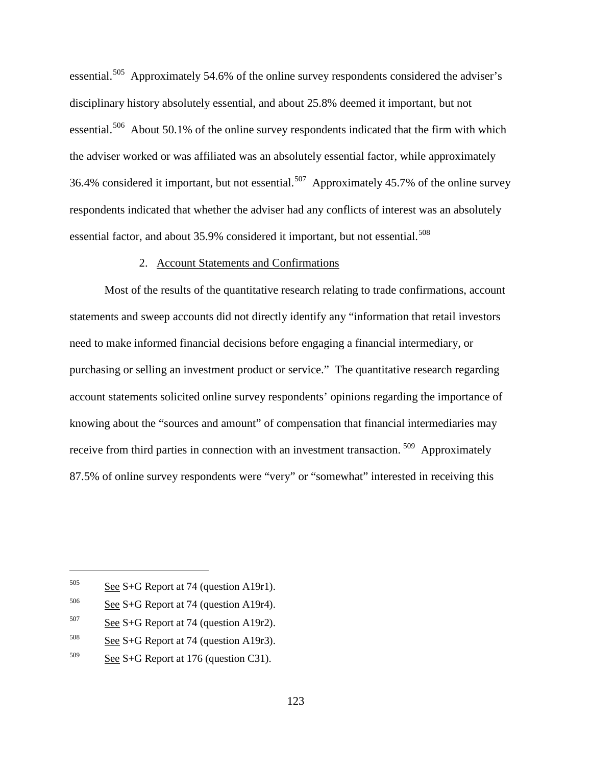essential.[505](#page-152-0) Approximately 54.6% of the online survey respondents considered the adviser's disciplinary history absolutely essential, and about 25.8% deemed it important, but not essential.<sup>[506](#page-152-1)</sup> About 50.1% of the online survey respondents indicated that the firm with which the adviser worked or was affiliated was an absolutely essential factor, while approximately 36.4% considered it important, but not essential.<sup>[507](#page-152-2)</sup> Approximately 45.7% of the online survey respondents indicated that whether the adviser had any conflicts of interest was an absolutely essential factor, and about 35.9% considered it important, but not essential.<sup>[508](#page-152-3)</sup>

#### 2. Account Statements and Confirmations

Most of the results of the quantitative research relating to trade confirmations, account statements and sweep accounts did not directly identify any "information that retail investors need to make informed financial decisions before engaging a financial intermediary, or purchasing or selling an investment product or service." The quantitative research regarding account statements solicited online survey respondents' opinions regarding the importance of knowing about the "sources and amount" of compensation that financial intermediaries may receive from third parties in connection with an investment transaction.<sup>[509](#page-152-4)</sup> Approximately 87.5% of online survey respondents were "very" or "somewhat" interested in receiving this

<span id="page-152-0"></span> $505$  See S+G Report at 74 (question A19r1).

<span id="page-152-1"></span> $506$  See S+G Report at 74 (question A19r4).

<span id="page-152-2"></span> $507$  See S+G Report at 74 (question A19r2).

<span id="page-152-3"></span> $508$  See S+G Report at 74 (question A19r3).

<span id="page-152-4"></span> $509$  See S+G Report at 176 (question C31).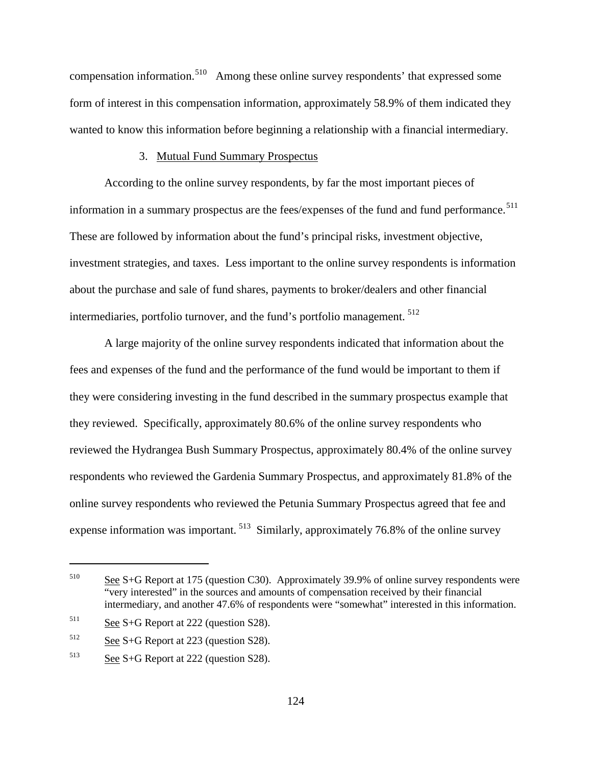compensation information.<sup>[510](#page-153-0)</sup> Among these online survey respondents' that expressed some form of interest in this compensation information, approximately 58.9% of them indicated they wanted to know this information before beginning a relationship with a financial intermediary.

#### 3. Mutual Fund Summary Prospectus

According to the online survey respondents, by far the most important pieces of information in a summary prospectus are the fees/expenses of the fund and fund performance.<sup>[511](#page-153-1)</sup> These are followed by information about the fund's principal risks, investment objective, investment strategies, and taxes. Less important to the online survey respondents is information about the purchase and sale of fund shares, payments to broker/dealers and other financial intermediaries, portfolio turnover, and the fund's portfolio management. [512](#page-153-2)

A large majority of the online survey respondents indicated that information about the fees and expenses of the fund and the performance of the fund would be important to them if they were considering investing in the fund described in the summary prospectus example that they reviewed. Specifically, approximately 80.6% of the online survey respondents who reviewed the Hydrangea Bush Summary Prospectus, approximately 80.4% of the online survey respondents who reviewed the Gardenia Summary Prospectus, and approximately 81.8% of the online survey respondents who reviewed the Petunia Summary Prospectus agreed that fee and expense information was important. [513](#page-153-3) Similarly, approximately 76.8% of the online survey

<span id="page-153-0"></span><sup>510</sup> See S+G Report at 175 (question C30). Approximately 39.9% of online survey respondents were "very interested" in the sources and amounts of compensation received by their financial intermediary, and another 47.6% of respondents were "somewhat" interested in this information.

<span id="page-153-1"></span> $511$  See S+G Report at 222 (question S28).

<span id="page-153-2"></span> $512$  See S+G Report at 223 (question S28).

<span id="page-153-3"></span><sup>513</sup> See S+G Report at 222 (question S28).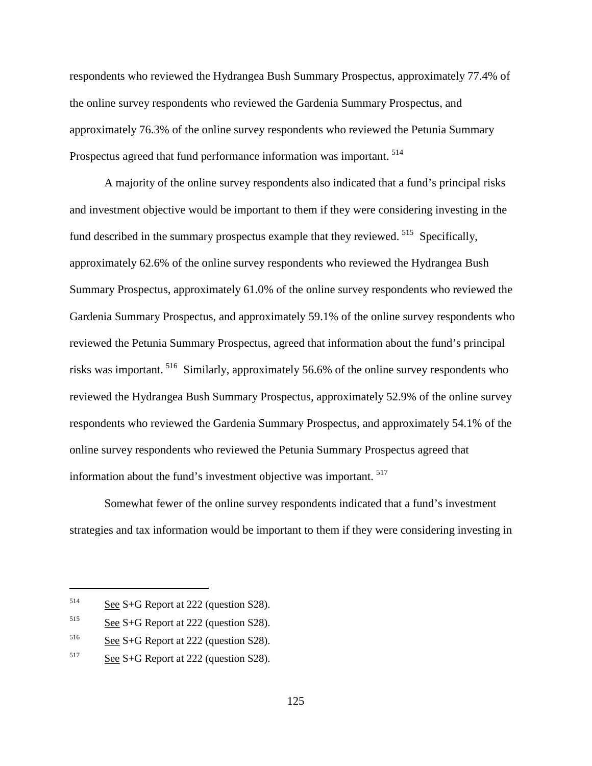respondents who reviewed the Hydrangea Bush Summary Prospectus, approximately 77.4% of the online survey respondents who reviewed the Gardenia Summary Prospectus, and approximately 76.3% of the online survey respondents who reviewed the Petunia Summary Prospectus agreed that fund performance information was important. [514](#page-154-0)

A majority of the online survey respondents also indicated that a fund's principal risks and investment objective would be important to them if they were considering investing in the fund described in the summary prospectus example that they reviewed. <sup>[515](#page-154-1)</sup> Specifically, approximately 62.6% of the online survey respondents who reviewed the Hydrangea Bush Summary Prospectus, approximately 61.0% of the online survey respondents who reviewed the Gardenia Summary Prospectus, and approximately 59.1% of the online survey respondents who reviewed the Petunia Summary Prospectus, agreed that information about the fund's principal risks was important. [516](#page-154-2) Similarly, approximately 56.6% of the online survey respondents who reviewed the Hydrangea Bush Summary Prospectus, approximately 52.9% of the online survey respondents who reviewed the Gardenia Summary Prospectus, and approximately 54.1% of the online survey respondents who reviewed the Petunia Summary Prospectus agreed that information about the fund's investment objective was important.<sup>[517](#page-154-3)</sup>

Somewhat fewer of the online survey respondents indicated that a fund's investment strategies and tax information would be important to them if they were considering investing in

<span id="page-154-0"></span> $514$  See S+G Report at 222 (question S28).

<span id="page-154-1"></span> $515$  See S+G Report at 222 (question S28).

<span id="page-154-2"></span> $516$  See S+G Report at 222 (question S28).

<span id="page-154-3"></span><sup>517</sup> See S+G Report at 222 (question S28).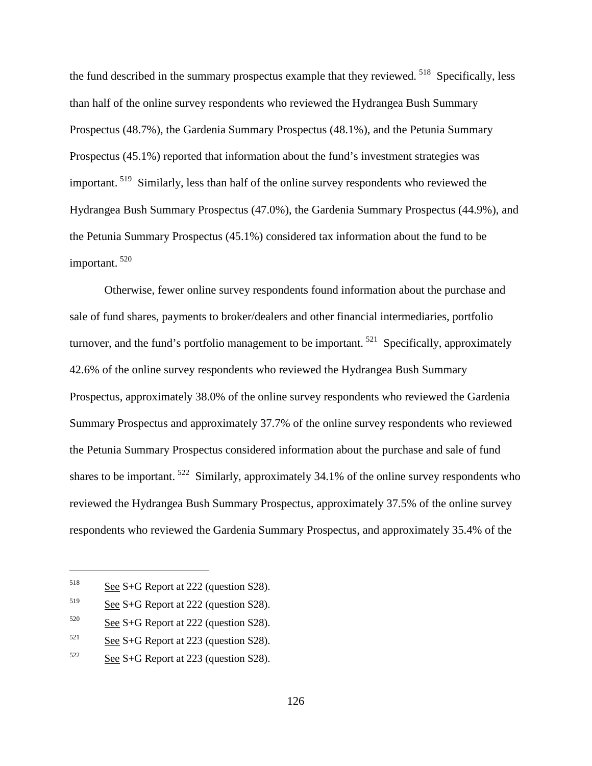the fund described in the summary prospectus example that they reviewed.  $518$  Specifically, less than half of the online survey respondents who reviewed the Hydrangea Bush Summary Prospectus (48.7%), the Gardenia Summary Prospectus (48.1%), and the Petunia Summary Prospectus (45.1%) reported that information about the fund's investment strategies was important. [519](#page-155-1) Similarly, less than half of the online survey respondents who reviewed the Hydrangea Bush Summary Prospectus (47.0%), the Gardenia Summary Prospectus (44.9%), and the Petunia Summary Prospectus (45.1%) considered tax information about the fund to be important. [520](#page-155-2)

Otherwise, fewer online survey respondents found information about the purchase and sale of fund shares, payments to broker/dealers and other financial intermediaries, portfolio turnover, and the fund's portfolio management to be important.<sup>521</sup> Specifically, approximately 42.6% of the online survey respondents who reviewed the Hydrangea Bush Summary Prospectus, approximately 38.0% of the online survey respondents who reviewed the Gardenia Summary Prospectus and approximately 37.7% of the online survey respondents who reviewed the Petunia Summary Prospectus considered information about the purchase and sale of fund shares to be important.  $522$  Similarly, approximately 34.1% of the online survey respondents who reviewed the Hydrangea Bush Summary Prospectus, approximately 37.5% of the online survey respondents who reviewed the Gardenia Summary Prospectus, and approximately 35.4% of the

<span id="page-155-0"></span><sup>518</sup> See S+G Report at 222 (question S28).

<span id="page-155-1"></span><sup>519</sup> See S+G Report at 222 (question S28).

<span id="page-155-2"></span> $520$  See S+G Report at 222 (question S28).

<span id="page-155-3"></span> $521$  See S+G Report at 223 (question S28).

<span id="page-155-4"></span> $522$  See S+G Report at 223 (question S28).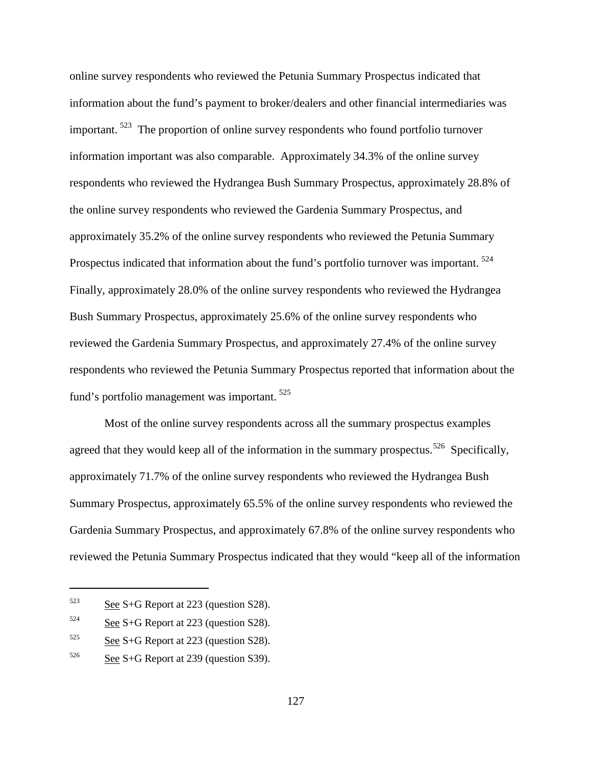online survey respondents who reviewed the Petunia Summary Prospectus indicated that information about the fund's payment to broker/dealers and other financial intermediaries was important. <sup>[523](#page-156-0)</sup> The proportion of online survey respondents who found portfolio turnover information important was also comparable. Approximately 34.3% of the online survey respondents who reviewed the Hydrangea Bush Summary Prospectus, approximately 28.8% of the online survey respondents who reviewed the Gardenia Summary Prospectus, and approximately 35.2% of the online survey respondents who reviewed the Petunia Summary Prospectus indicated that information about the fund's portfolio turnover was important.<sup>[524](#page-156-1)</sup> Finally, approximately 28.0% of the online survey respondents who reviewed the Hydrangea Bush Summary Prospectus, approximately 25.6% of the online survey respondents who reviewed the Gardenia Summary Prospectus, and approximately 27.4% of the online survey respondents who reviewed the Petunia Summary Prospectus reported that information about the fund's portfolio management was important. <sup>[525](#page-156-2)</sup>

Most of the online survey respondents across all the summary prospectus examples agreed that they would keep all of the information in the summary prospectus.<sup>[526](#page-156-3)</sup> Specifically, approximately 71.7% of the online survey respondents who reviewed the Hydrangea Bush Summary Prospectus, approximately 65.5% of the online survey respondents who reviewed the Gardenia Summary Prospectus, and approximately 67.8% of the online survey respondents who reviewed the Petunia Summary Prospectus indicated that they would "keep all of the information

<span id="page-156-0"></span> $523$  See S+G Report at 223 (question S28).

<span id="page-156-1"></span> $524$  See S+G Report at 223 (question S28).

<span id="page-156-2"></span> $525$  See S+G Report at 223 (question S28).

<span id="page-156-3"></span> $526$  See S+G Report at 239 (question S39).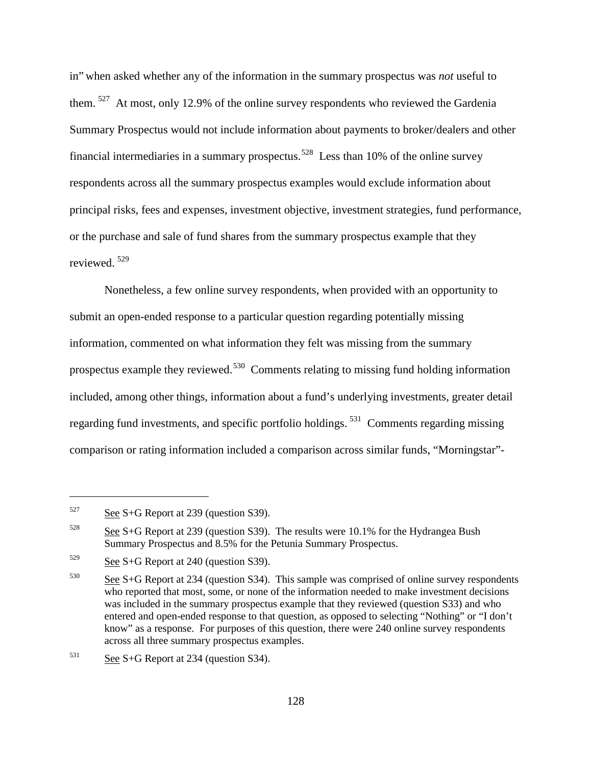in" when asked whether any of the information in the summary prospectus was *not* useful to them. <sup>527</sup> At most, only 12.9% of the online survey respondents who reviewed the Gardenia Summary Prospectus would not include information about payments to broker/dealers and other financial intermediaries in a summary prospectus.<sup>[528](#page-157-1)</sup> Less than 10% of the online survey respondents across all the summary prospectus examples would exclude information about principal risks, fees and expenses, investment objective, investment strategies, fund performance, or the purchase and sale of fund shares from the summary prospectus example that they reviewed. [529](#page-157-2)

Nonetheless, a few online survey respondents, when provided with an opportunity to submit an open-ended response to a particular question regarding potentially missing information, commented on what information they felt was missing from the summary prospectus example they reviewed.[530](#page-157-3) Comments relating to missing fund holding information included, among other things, information about a fund's underlying investments, greater detail regarding fund investments, and specific portfolio holdings. [531](#page-157-4) Comments regarding missing comparison or rating information included a comparison across similar funds, "Morningstar"-

<span id="page-157-0"></span> $527$  See S+G Report at 239 (question S39).

<span id="page-157-1"></span><sup>&</sup>lt;sup>528</sup> See S+G Report at 239 (question S39). The results were 10.1% for the Hydrangea Bush Summary Prospectus and 8.5% for the Petunia Summary Prospectus.

<span id="page-157-2"></span> $529$  See S+G Report at 240 (question S39).

<span id="page-157-3"></span> $530$  See S+G Report at 234 (question S34). This sample was comprised of online survey respondents who reported that most, some, or none of the information needed to make investment decisions was included in the summary prospectus example that they reviewed (question S33) and who entered and open-ended response to that question, as opposed to selecting "Nothing" or "I don't know" as a response. For purposes of this question, there were 240 online survey respondents across all three summary prospectus examples.

<span id="page-157-4"></span> $531$  See S+G Report at 234 (question S34).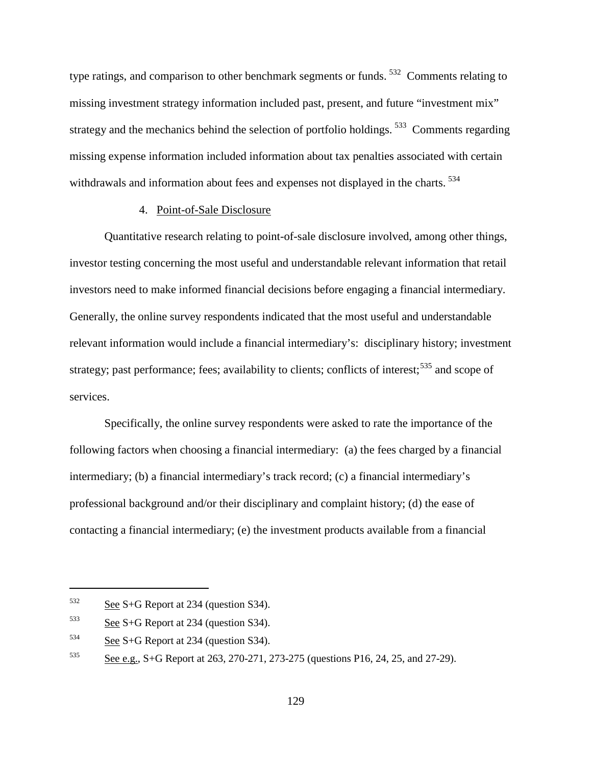type ratings, and comparison to other benchmark segments or funds. [532](#page-158-0) Comments relating to missing investment strategy information included past, present, and future "investment mix" strategy and the mechanics behind the selection of portfolio holdings.<sup>533</sup> Comments regarding missing expense information included information about tax penalties associated with certain withdrawals and information about fees and expenses not displayed in the charts. <sup>[534](#page-158-2)</sup>

#### 4. Point-of-Sale Disclosure

Quantitative research relating to point-of-sale disclosure involved, among other things, investor testing concerning the most useful and understandable relevant information that retail investors need to make informed financial decisions before engaging a financial intermediary. Generally, the online survey respondents indicated that the most useful and understandable relevant information would include a financial intermediary's: disciplinary history; investment strategy; past performance; fees; availability to clients; conflicts of interest;  $535$  and scope of services.

Specifically, the online survey respondents were asked to rate the importance of the following factors when choosing a financial intermediary: (a) the fees charged by a financial intermediary; (b) a financial intermediary's track record; (c) a financial intermediary's professional background and/or their disciplinary and complaint history; (d) the ease of contacting a financial intermediary; (e) the investment products available from a financial

<span id="page-158-0"></span> $532$  See S+G Report at 234 (question S34).

<span id="page-158-1"></span> $533$  See S+G Report at 234 (question S34).

<span id="page-158-2"></span> $534$  See S+G Report at 234 (question S34).

<span id="page-158-3"></span><sup>535</sup> See e.g., S+G Report at 263, 270-271, 273-275 (questions P16, 24, 25, and 27-29).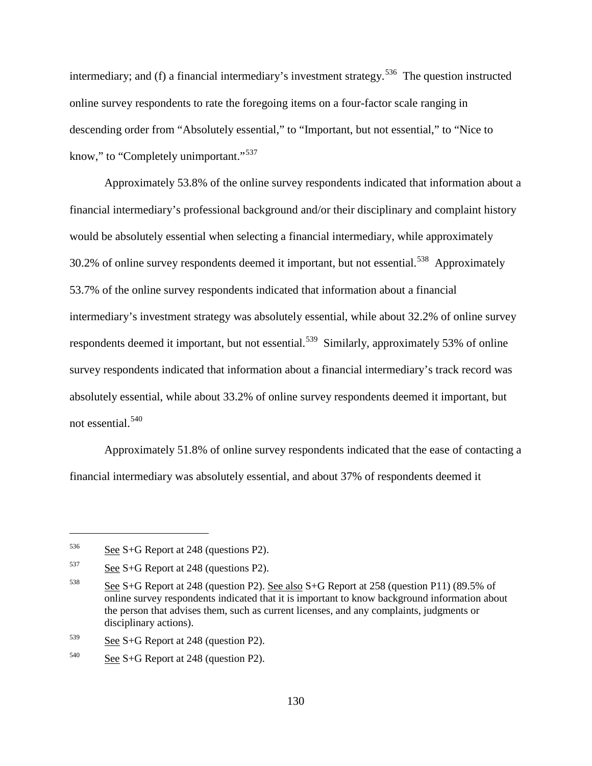intermediary; and (f) a financial intermediary's investment strategy.<sup>536</sup> The question instructed online survey respondents to rate the foregoing items on a four-factor scale ranging in descending order from "Absolutely essential," to "Important, but not essential," to "Nice to know," to "Completely unimportant."<sup>[537](#page-159-1)</sup>

Approximately 53.8% of the online survey respondents indicated that information about a financial intermediary's professional background and/or their disciplinary and complaint history would be absolutely essential when selecting a financial intermediary, while approximately 30.2% of online survey respondents deemed it important, but not essential.<sup>538</sup> Approximately 53.7% of the online survey respondents indicated that information about a financial intermediary's investment strategy was absolutely essential, while about 32.2% of online survey respondents deemed it important, but not essential.<sup>539</sup> Similarly, approximately 53% of online survey respondents indicated that information about a financial intermediary's track record was absolutely essential, while about 33.2% of online survey respondents deemed it important, but not essential.[540](#page-159-4)

Approximately 51.8% of online survey respondents indicated that the ease of contacting a financial intermediary was absolutely essential, and about 37% of respondents deemed it

<span id="page-159-0"></span> $536$  See S+G Report at 248 (questions P2).

<span id="page-159-1"></span> $537$  See S+G Report at 248 (questions P2).

<span id="page-159-2"></span><sup>538</sup> See S+G Report at 248 (question P2). See also S+G Report at 258 (question P11) (89.5% of online survey respondents indicated that it is important to know background information about the person that advises them, such as current licenses, and any complaints, judgments or disciplinary actions).

<span id="page-159-3"></span> $539$  See S+G Report at 248 (question P2).

<span id="page-159-4"></span> $540$  See S+G Report at 248 (question P2).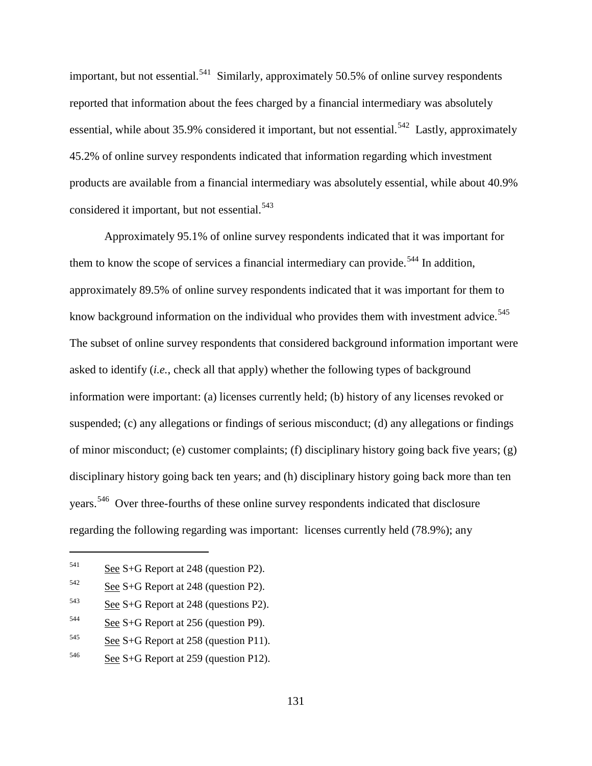important, but not essential.<sup>[541](#page-160-0)</sup> Similarly, approximately 50.5% of online survey respondents reported that information about the fees charged by a financial intermediary was absolutely essential, while about 35.9% considered it important, but not essential.<sup>542</sup> Lastly, approximately 45.2% of online survey respondents indicated that information regarding which investment products are available from a financial intermediary was absolutely essential, while about 40.9% considered it important, but not essential.<sup>[543](#page-160-2)</sup>

Approximately 95.1% of online survey respondents indicated that it was important for them to know the scope of services a financial intermediary can provide.<sup>[544](#page-160-3)</sup> In addition, approximately 89.5% of online survey respondents indicated that it was important for them to know background information on the individual who provides them with investment advice.<sup>[545](#page-160-4)</sup> The subset of online survey respondents that considered background information important were asked to identify (*i.e.*, check all that apply) whether the following types of background information were important: (a) licenses currently held; (b) history of any licenses revoked or suspended; (c) any allegations or findings of serious misconduct; (d) any allegations or findings of minor misconduct; (e) customer complaints; (f) disciplinary history going back five years; (g) disciplinary history going back ten years; and (h) disciplinary history going back more than ten years.[546](#page-160-5) Over three-fourths of these online survey respondents indicated that disclosure regarding the following regarding was important: licenses currently held (78.9%); any

<span id="page-160-0"></span> $541$  See S+G Report at 248 (question P2).

<span id="page-160-1"></span> $542$  See S+G Report at 248 (question P2).

<span id="page-160-2"></span> $543$  See S+G Report at 248 (questions P2).

<span id="page-160-3"></span> $544$  See S+G Report at 256 (question P9).

<span id="page-160-4"></span> $545$  See S+G Report at 258 (question P11).

<span id="page-160-5"></span> $546$  See S+G Report at 259 (question P12).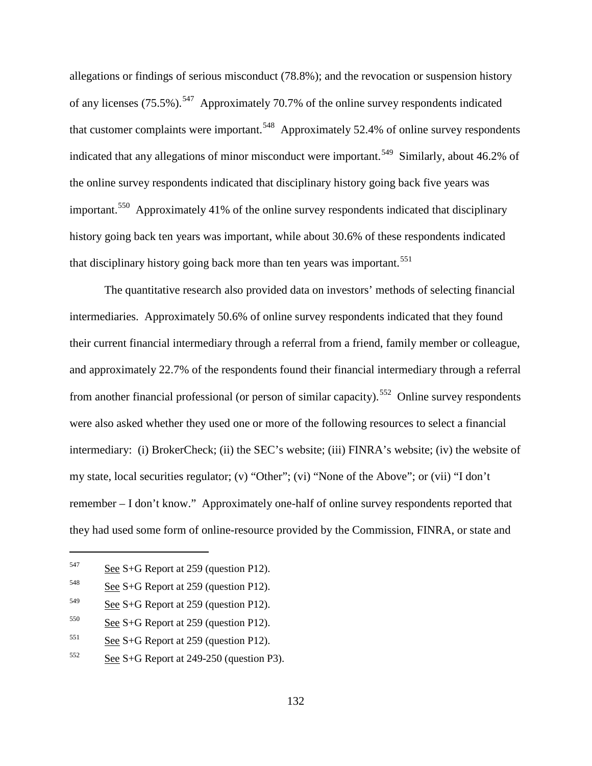allegations or findings of serious misconduct (78.8%); and the revocation or suspension history of any licenses (75.5%).<sup>[547](#page-161-0)</sup> Approximately 70.7% of the online survey respondents indicated that customer complaints were important.<sup>[548](#page-161-1)</sup> Approximately 52.4% of online survey respondents indicated that any allegations of minor misconduct were important.<sup>549</sup> Similarly, about 46.2% of the online survey respondents indicated that disciplinary history going back five years was important.[550](#page-161-3) Approximately 41% of the online survey respondents indicated that disciplinary history going back ten years was important, while about 30.6% of these respondents indicated that disciplinary history going back more than ten years was important.<sup>[551](#page-161-4)</sup>

The quantitative research also provided data on investors' methods of selecting financial intermediaries. Approximately 50.6% of online survey respondents indicated that they found their current financial intermediary through a referral from a friend, family member or colleague, and approximately 22.7% of the respondents found their financial intermediary through a referral from another financial professional (or person of similar capacity).<sup>[552](#page-161-5)</sup> Online survey respondents were also asked whether they used one or more of the following resources to select a financial intermediary: (i) BrokerCheck; (ii) the SEC's website; (iii) FINRA's website; (iv) the website of my state, local securities regulator; (v) "Other"; (vi) "None of the Above"; or (vii) "I don't remember – I don't know." Approximately one-half of online survey respondents reported that they had used some form of online-resource provided by the Commission, FINRA, or state and

<span id="page-161-0"></span> $547$  See S+G Report at 259 (question P12).

<span id="page-161-1"></span> $548$  See S+G Report at 259 (question P12).

<span id="page-161-2"></span> $549$  See S+G Report at 259 (question P12).

<span id="page-161-3"></span> $550$  See S+G Report at 259 (question P12).

<span id="page-161-4"></span> $551$  See S+G Report at 259 (question P12).

<span id="page-161-5"></span> $552$  See S+G Report at 249-250 (question P3).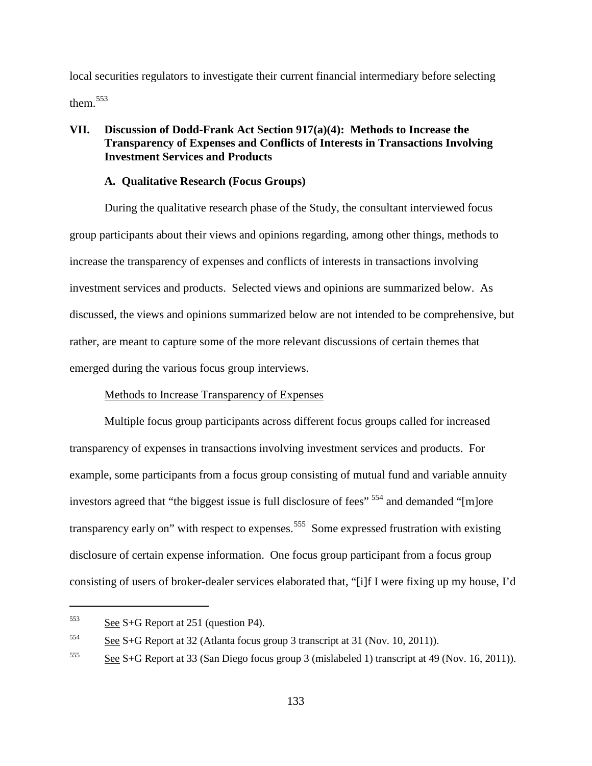local securities regulators to investigate their current financial intermediary before selecting them.[553](#page-162-0)

### **VII. Discussion of Dodd-Frank Act Section 917(a)(4): Methods to Increase the Transparency of Expenses and Conflicts of Interests in Transactions Involving Investment Services and Products**

#### **A. Qualitative Research (Focus Groups)**

During the qualitative research phase of the Study, the consultant interviewed focus group participants about their views and opinions regarding, among other things, methods to increase the transparency of expenses and conflicts of interests in transactions involving investment services and products. Selected views and opinions are summarized below. As discussed, the views and opinions summarized below are not intended to be comprehensive, but rather, are meant to capture some of the more relevant discussions of certain themes that emerged during the various focus group interviews.

#### Methods to Increase Transparency of Expenses

Multiple focus group participants across different focus groups called for increased transparency of expenses in transactions involving investment services and products. For example, some participants from a focus group consisting of mutual fund and variable annuity investors agreed that "the biggest issue is full disclosure of fees"  $554$  and demanded "[m]ore transparency early on" with respect to expenses.<sup>[555](#page-162-2)</sup> Some expressed frustration with existing disclosure of certain expense information. One focus group participant from a focus group consisting of users of broker-dealer services elaborated that, "[i]f I were fixing up my house, I'd

<span id="page-162-0"></span> $553$  See S+G Report at 251 (question P4).

<span id="page-162-1"></span><sup>554</sup> See S+G Report at 32 (Atlanta focus group 3 transcript at 31 (Nov. 10, 2011)).

<span id="page-162-2"></span> $\frac{555}{255}$  See S+G Report at 33 (San Diego focus group 3 (mislabeled 1) transcript at 49 (Nov. 16, 2011)).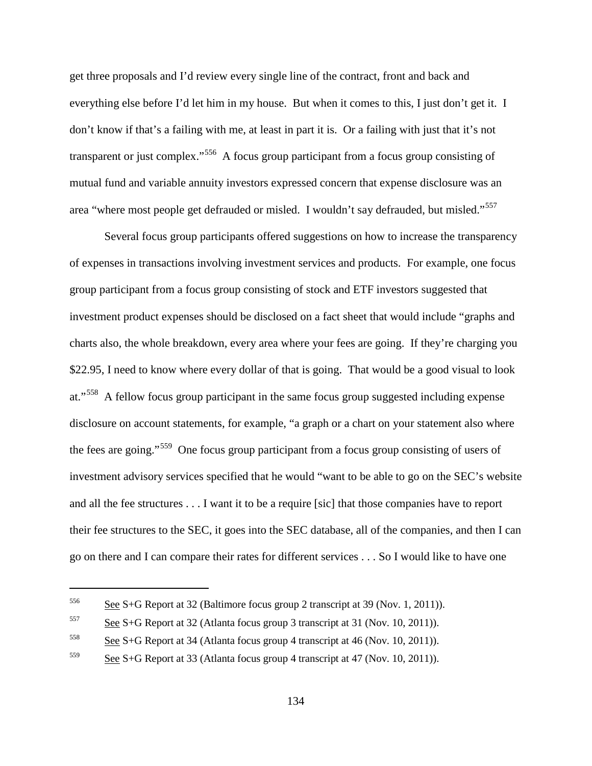get three proposals and I'd review every single line of the contract, front and back and everything else before I'd let him in my house. But when it comes to this, I just don't get it. I don't know if that's a failing with me, at least in part it is. Or a failing with just that it's not transparent or just complex."[556](#page-163-0) A focus group participant from a focus group consisting of mutual fund and variable annuity investors expressed concern that expense disclosure was an area "where most people get defrauded or misled. I wouldn't say defrauded, but misled."[557](#page-163-1)

Several focus group participants offered suggestions on how to increase the transparency of expenses in transactions involving investment services and products. For example, one focus group participant from a focus group consisting of stock and ETF investors suggested that investment product expenses should be disclosed on a fact sheet that would include "graphs and charts also, the whole breakdown, every area where your fees are going. If they're charging you \$22.95, I need to know where every dollar of that is going. That would be a good visual to look at."<sup>558</sup> A fellow focus group participant in the same focus group suggested including expense disclosure on account statements, for example, "a graph or a chart on your statement also where the fees are going."[559](#page-163-3) One focus group participant from a focus group consisting of users of investment advisory services specified that he would "want to be able to go on the SEC's website and all the fee structures . . . I want it to be a require [sic] that those companies have to report their fee structures to the SEC, it goes into the SEC database, all of the companies, and then I can go on there and I can compare their rates for different services . . . So I would like to have one

<span id="page-163-0"></span><sup>&</sup>lt;sup>556</sup> See S+G Report at 32 (Baltimore focus group 2 transcript at 39 (Nov. 1, 2011)).

<span id="page-163-1"></span> $557$  See S+G Report at 32 (Atlanta focus group 3 transcript at 31 (Nov. 10, 2011)).

<span id="page-163-2"></span><sup>558</sup> See S+G Report at 34 (Atlanta focus group 4 transcript at 46 (Nov. 10, 2011)).

<span id="page-163-3"></span> $559$  See S+G Report at 33 (Atlanta focus group 4 transcript at 47 (Nov. 10, 2011)).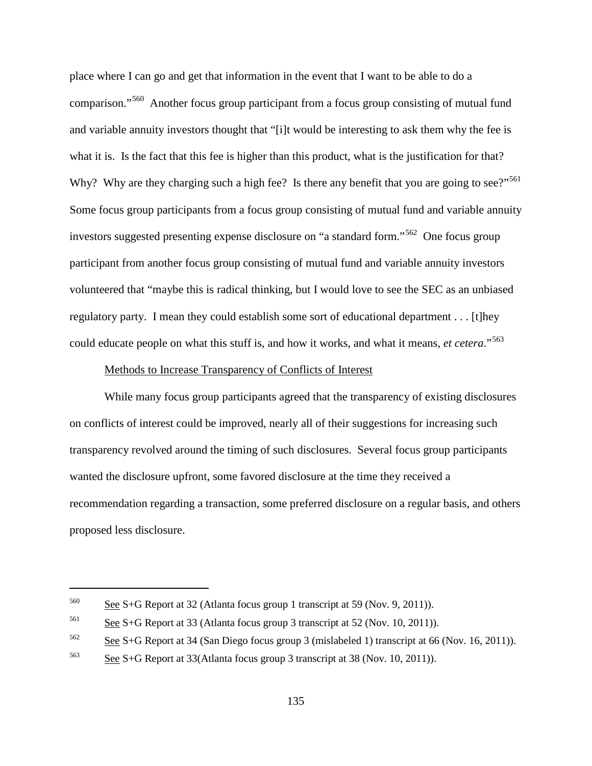place where I can go and get that information in the event that I want to be able to do a comparison."[560](#page-164-0) Another focus group participant from a focus group consisting of mutual fund and variable annuity investors thought that "[i]t would be interesting to ask them why the fee is what it is. Is the fact that this fee is higher than this product, what is the justification for that? Why? Why are they charging such a high fee? Is there any benefit that you are going to see?"<sup>[561](#page-164-1)</sup> Some focus group participants from a focus group consisting of mutual fund and variable annuity investors suggested presenting expense disclosure on "a standard form."[562](#page-164-2) One focus group participant from another focus group consisting of mutual fund and variable annuity investors volunteered that "maybe this is radical thinking, but I would love to see the SEC as an unbiased regulatory party. I mean they could establish some sort of educational department . . . [t]hey could educate people on what this stuff is, and how it works, and what it means, *et cetera*."[563](#page-164-3)

#### Methods to Increase Transparency of Conflicts of Interest

While many focus group participants agreed that the transparency of existing disclosures on conflicts of interest could be improved, nearly all of their suggestions for increasing such transparency revolved around the timing of such disclosures. Several focus group participants wanted the disclosure upfront, some favored disclosure at the time they received a recommendation regarding a transaction, some preferred disclosure on a regular basis, and others proposed less disclosure.

<span id="page-164-0"></span><sup>&</sup>lt;sup>560</sup> See S+G Report at 32 (Atlanta focus group 1 transcript at 59 (Nov. 9, 2011)).

<span id="page-164-1"></span> $561$  See S+G Report at 33 (Atlanta focus group 3 transcript at 52 (Nov. 10, 2011)).

<span id="page-164-2"></span><sup>562</sup> See S+G Report at 34 (San Diego focus group 3 (mislabeled 1) transcript at 66 (Nov. 16, 2011)).

<span id="page-164-3"></span> $563$  See S+G Report at 33(Atlanta focus group 3 transcript at 38 (Nov. 10, 2011)).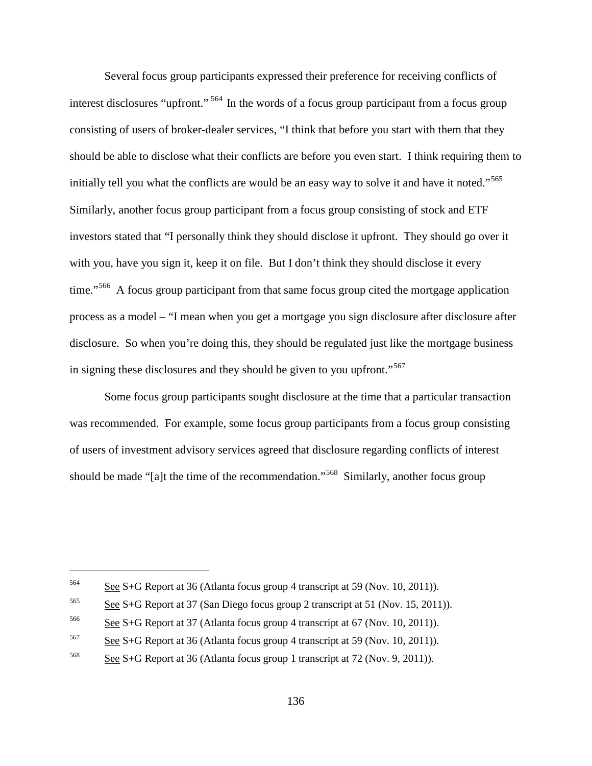Several focus group participants expressed their preference for receiving conflicts of interest disclosures "upfront." <sup>[564](#page-165-0)</sup> In the words of a focus group participant from a focus group consisting of users of broker-dealer services, "I think that before you start with them that they should be able to disclose what their conflicts are before you even start. I think requiring them to initially tell you what the conflicts are would be an easy way to solve it and have it noted."<sup>[565](#page-165-1)</sup> Similarly, another focus group participant from a focus group consisting of stock and ETF investors stated that "I personally think they should disclose it upfront. They should go over it with you, have you sign it, keep it on file. But I don't think they should disclose it every time."<sup>[566](#page-165-2)</sup> A focus group participant from that same focus group cited the mortgage application process as a model – "I mean when you get a mortgage you sign disclosure after disclosure after disclosure. So when you're doing this, they should be regulated just like the mortgage business in signing these disclosures and they should be given to you upfront."<sup>[567](#page-165-3)</sup>

Some focus group participants sought disclosure at the time that a particular transaction was recommended. For example, some focus group participants from a focus group consisting of users of investment advisory services agreed that disclosure regarding conflicts of interest should be made "[a]t the time of the recommendation."<sup>568</sup> Similarly, another focus group

<span id="page-165-0"></span><sup>564</sup> See S+G Report at 36 (Atlanta focus group 4 transcript at 59 (Nov. 10, 2011)).

<span id="page-165-1"></span><sup>565</sup> See S+G Report at 37 (San Diego focus group 2 transcript at 51 (Nov. 15, 2011)).

<span id="page-165-2"></span> $566$  See S+G Report at 37 (Atlanta focus group 4 transcript at 67 (Nov. 10, 2011)).

<span id="page-165-3"></span><sup>567</sup> See S+G Report at 36 (Atlanta focus group 4 transcript at 59 (Nov. 10, 2011)).

<span id="page-165-4"></span><sup>568</sup> See S+G Report at 36 (Atlanta focus group 1 transcript at 72 (Nov. 9, 2011)).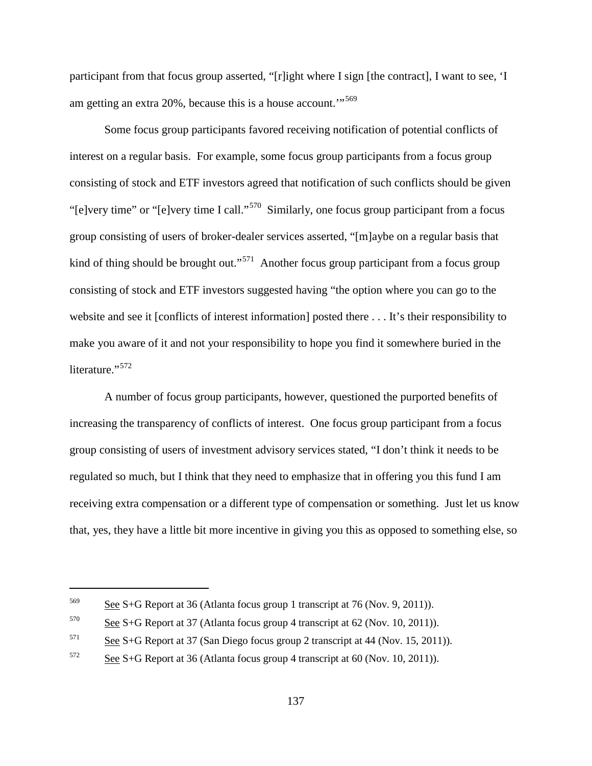participant from that focus group asserted, "[r]ight where I sign [the contract], I want to see, 'I am getting an extra 20%, because this is a house account."<sup>[569](#page-166-0)</sup>

Some focus group participants favored receiving notification of potential conflicts of interest on a regular basis. For example, some focus group participants from a focus group consisting of stock and ETF investors agreed that notification of such conflicts should be given "[e]very time" or "[e]very time I call."[570](#page-166-1) Similarly, one focus group participant from a focus group consisting of users of broker-dealer services asserted, "[m]aybe on a regular basis that kind of thing should be brought out."<sup>[571](#page-166-2)</sup> Another focus group participant from a focus group consisting of stock and ETF investors suggested having "the option where you can go to the website and see it [conflicts of interest information] posted there . . . It's their responsibility to make you aware of it and not your responsibility to hope you find it somewhere buried in the literature."<sup>[572](#page-166-3)</sup>

A number of focus group participants, however, questioned the purported benefits of increasing the transparency of conflicts of interest. One focus group participant from a focus group consisting of users of investment advisory services stated, "I don't think it needs to be regulated so much, but I think that they need to emphasize that in offering you this fund I am receiving extra compensation or a different type of compensation or something. Just let us know that, yes, they have a little bit more incentive in giving you this as opposed to something else, so

<span id="page-166-0"></span><sup>&</sup>lt;sup>569</sup> See S+G Report at 36 (Atlanta focus group 1 transcript at 76 (Nov. 9, 2011)).

<span id="page-166-1"></span> $570$  See S+G Report at 37 (Atlanta focus group 4 transcript at 62 (Nov. 10, 2011)).

<span id="page-166-2"></span><sup>571</sup> See S+G Report at 37 (San Diego focus group 2 transcript at 44 (Nov. 15, 2011)).

<span id="page-166-3"></span> $572$  See S+G Report at 36 (Atlanta focus group 4 transcript at 60 (Nov. 10, 2011)).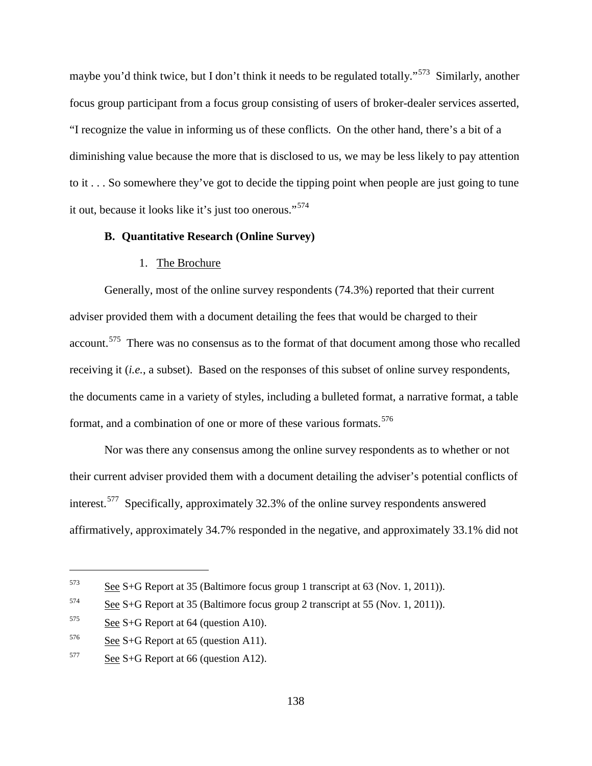maybe you'd think twice, but I don't think it needs to be regulated totally."<sup>573</sup> Similarly, another focus group participant from a focus group consisting of users of broker-dealer services asserted, "I recognize the value in informing us of these conflicts. On the other hand, there's a bit of a diminishing value because the more that is disclosed to us, we may be less likely to pay attention to it . . . So somewhere they've got to decide the tipping point when people are just going to tune it out, because it looks like it's just too onerous."[574](#page-167-1)

### **B. Quantitative Research (Online Survey)**

#### 1. The Brochure

Generally, most of the online survey respondents (74.3%) reported that their current adviser provided them with a document detailing the fees that would be charged to their account.<sup>[575](#page-167-2)</sup> There was no consensus as to the format of that document among those who recalled receiving it (*i.e.*, a subset). Based on the responses of this subset of online survey respondents, the documents came in a variety of styles, including a bulleted format, a narrative format, a table format, and a combination of one or more of these various formats.<sup>[576](#page-167-3)</sup>

Nor was there any consensus among the online survey respondents as to whether or not their current adviser provided them with a document detailing the adviser's potential conflicts of interest.<sup>[577](#page-167-4)</sup> Specifically, approximately 32.3% of the online survey respondents answered affirmatively, approximately 34.7% responded in the negative, and approximately 33.1% did not

<span id="page-167-0"></span><sup>573</sup> See S+G Report at 35 (Baltimore focus group 1 transcript at 63 (Nov. 1, 2011)).

<span id="page-167-1"></span> $574$  See S+G Report at 35 (Baltimore focus group 2 transcript at 55 (Nov. 1, 2011)).

<span id="page-167-2"></span> $575$  See S+G Report at 64 (question A10).

<span id="page-167-3"></span> $576$  See S+G Report at 65 (question A11).

<span id="page-167-4"></span> $577$  See S+G Report at 66 (question A12).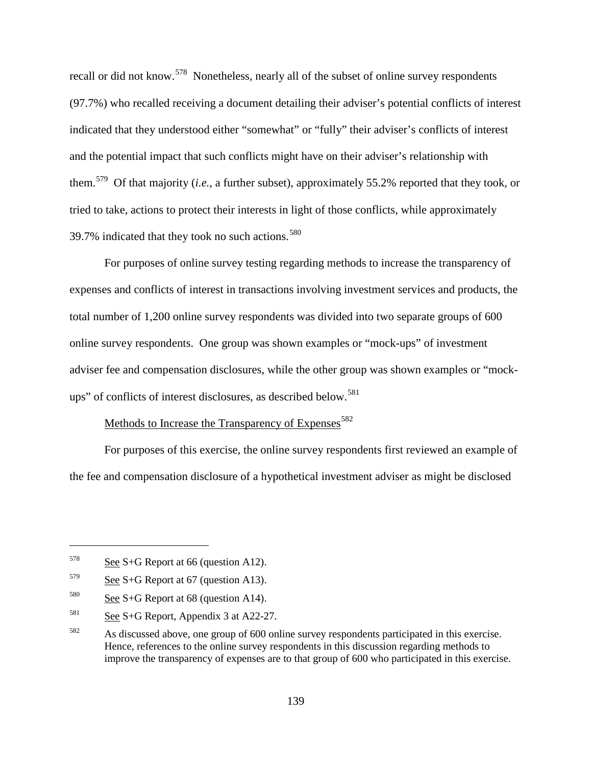recall or did not know.<sup>578</sup> Nonetheless, nearly all of the subset of online survey respondents (97.7%) who recalled receiving a document detailing their adviser's potential conflicts of interest indicated that they understood either "somewhat" or "fully" their adviser's conflicts of interest and the potential impact that such conflicts might have on their adviser's relationship with them.[579](#page-168-1) Of that majority (*i.e.*, a further subset), approximately 55.2% reported that they took, or tried to take, actions to protect their interests in light of those conflicts, while approximately 39.7% indicated that they took no such actions. $580$ 

For purposes of online survey testing regarding methods to increase the transparency of expenses and conflicts of interest in transactions involving investment services and products, the total number of 1,200 online survey respondents was divided into two separate groups of 600 online survey respondents. One group was shown examples or "mock-ups" of investment adviser fee and compensation disclosures, while the other group was shown examples or "mock-ups" of conflicts of interest disclosures, as described below.<sup>[581](#page-168-3)</sup>

# Methods to Increase the Transparency of Expenses<sup>[582](#page-168-4)</sup>

For purposes of this exercise, the online survey respondents first reviewed an example of the fee and compensation disclosure of a hypothetical investment adviser as might be disclosed

<span id="page-168-0"></span> $578$  See S+G Report at 66 (question A12).

<span id="page-168-1"></span> $579$  See S+G Report at 67 (question A13).

<span id="page-168-2"></span> $580$  See S+G Report at 68 (question A14).

<span id="page-168-3"></span> $581$  See S+G Report, Appendix 3 at A22-27.

<span id="page-168-4"></span><sup>582</sup> As discussed above, one group of 600 online survey respondents participated in this exercise. Hence, references to the online survey respondents in this discussion regarding methods to improve the transparency of expenses are to that group of 600 who participated in this exercise.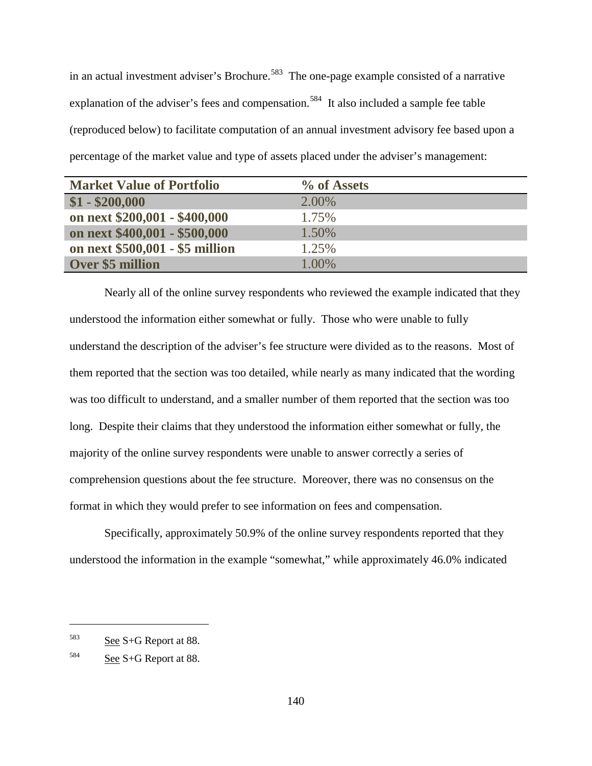in an actual investment adviser's Brochure.<sup>583</sup> The one-page example consisted of a narrative explanation of the adviser's fees and compensation.<sup>[584](#page-169-1)</sup> It also included a sample fee table (reproduced below) to facilitate computation of an annual investment advisory fee based upon a percentage of the market value and type of assets placed under the adviser's management:

| <b>Market Value of Portfolio</b> | % of Assets |
|----------------------------------|-------------|
| $$1 - $200,000$                  | 2.00%       |
| on next \$200,001 - \$400,000    | 1.75%       |
| on next \$400,001 - \$500,000    | 1.50%       |
| on next \$500,001 - \$5 million  | 1.25%       |
| <b>Over \$5 million</b>          | 1.00%       |

Nearly all of the online survey respondents who reviewed the example indicated that they understood the information either somewhat or fully. Those who were unable to fully understand the description of the adviser's fee structure were divided as to the reasons. Most of them reported that the section was too detailed, while nearly as many indicated that the wording was too difficult to understand, and a smaller number of them reported that the section was too long. Despite their claims that they understood the information either somewhat or fully, the majority of the online survey respondents were unable to answer correctly a series of comprehension questions about the fee structure. Moreover, there was no consensus on the format in which they would prefer to see information on fees and compensation.

Specifically, approximately 50.9% of the online survey respondents reported that they understood the information in the example "somewhat," while approximately 46.0% indicated

<span id="page-169-0"></span><sup>583</sup> See S+G Report at 88.

<span id="page-169-1"></span> $584$  See S+G Report at 88.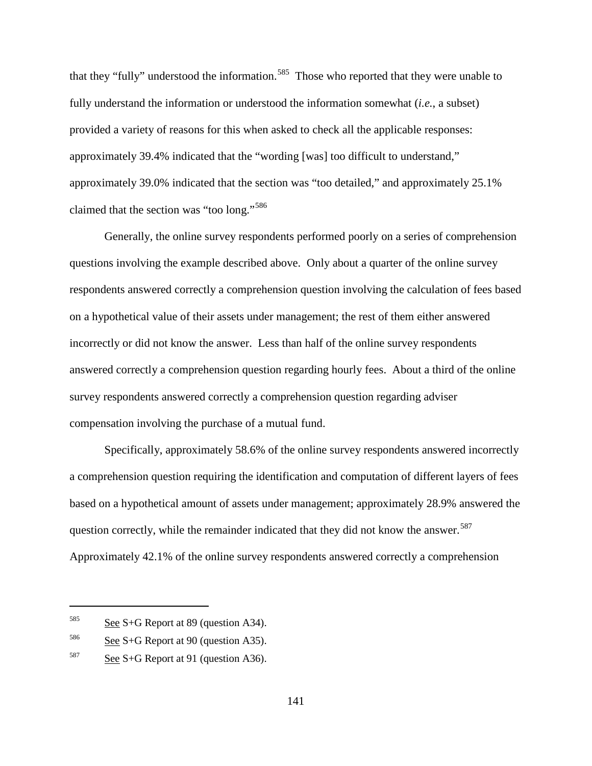that they "fully" understood the information.<sup>[585](#page-170-0)</sup> Those who reported that they were unable to fully understand the information or understood the information somewhat (*i.e.*, a subset) provided a variety of reasons for this when asked to check all the applicable responses: approximately 39.4% indicated that the "wording [was] too difficult to understand," approximately 39.0% indicated that the section was "too detailed," and approximately 25.1% claimed that the section was "too long."[586](#page-170-1)

Generally, the online survey respondents performed poorly on a series of comprehension questions involving the example described above. Only about a quarter of the online survey respondents answered correctly a comprehension question involving the calculation of fees based on a hypothetical value of their assets under management; the rest of them either answered incorrectly or did not know the answer. Less than half of the online survey respondents answered correctly a comprehension question regarding hourly fees. About a third of the online survey respondents answered correctly a comprehension question regarding adviser compensation involving the purchase of a mutual fund.

Specifically, approximately 58.6% of the online survey respondents answered incorrectly a comprehension question requiring the identification and computation of different layers of fees based on a hypothetical amount of assets under management; approximately 28.9% answered the question correctly, while the remainder indicated that they did not know the answer.<sup>587</sup> Approximately 42.1% of the online survey respondents answered correctly a comprehension

<span id="page-170-0"></span> $585$  See S+G Report at 89 (question A34).

<span id="page-170-1"></span> $586$  See S+G Report at 90 (question A35).

<span id="page-170-2"></span> $587$  See S+G Report at 91 (question A36).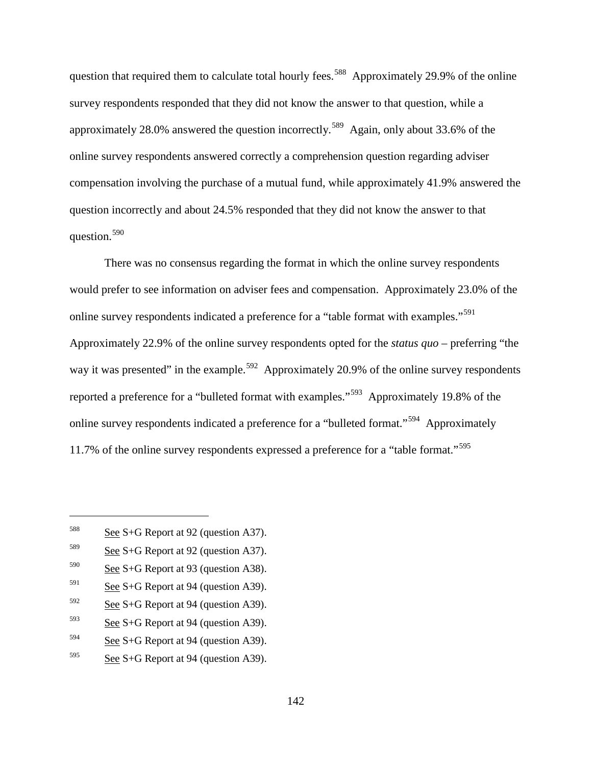question that required them to calculate total hourly fees.<sup>[588](#page-171-0)</sup> Approximately 29.9% of the online survey respondents responded that they did not know the answer to that question, while a approximately 28.0% answered the question incorrectly.<sup>589</sup> Again, only about 33.6% of the online survey respondents answered correctly a comprehension question regarding adviser compensation involving the purchase of a mutual fund, while approximately 41.9% answered the question incorrectly and about 24.5% responded that they did not know the answer to that question.<sup>[590](#page-171-2)</sup>

There was no consensus regarding the format in which the online survey respondents would prefer to see information on adviser fees and compensation. Approximately 23.0% of the online survey respondents indicated a preference for a "table format with examples."<sup>591</sup> Approximately 22.9% of the online survey respondents opted for the *status quo* – preferring "the way it was presented" in the example.<sup>[592](#page-171-4)</sup> Approximately 20.9% of the online survey respondents reported a preference for a "bulleted format with examples."[593](#page-171-5) Approximately 19.8% of the online survey respondents indicated a preference for a "bulleted format."[594](#page-171-6) Approximately 11.7% of the online survey respondents expressed a preference for a "table format."[595](#page-171-7)

- <span id="page-171-3"></span> $591$  See S+G Report at 94 (question A39).
- <span id="page-171-4"></span> $592$  See S+G Report at 94 (question A39).
- <span id="page-171-5"></span> $593$  See S+G Report at 94 (question A39).
- <span id="page-171-6"></span> $594$  See S+G Report at 94 (question A39).
- <span id="page-171-7"></span> $595$  See S+G Report at 94 (question A39).

<span id="page-171-0"></span><sup>588</sup> See S+G Report at 92 (question A37).

<span id="page-171-1"></span> $589$  See S+G Report at 92 (question A37).

<span id="page-171-2"></span> $590$  See S+G Report at 93 (question A38).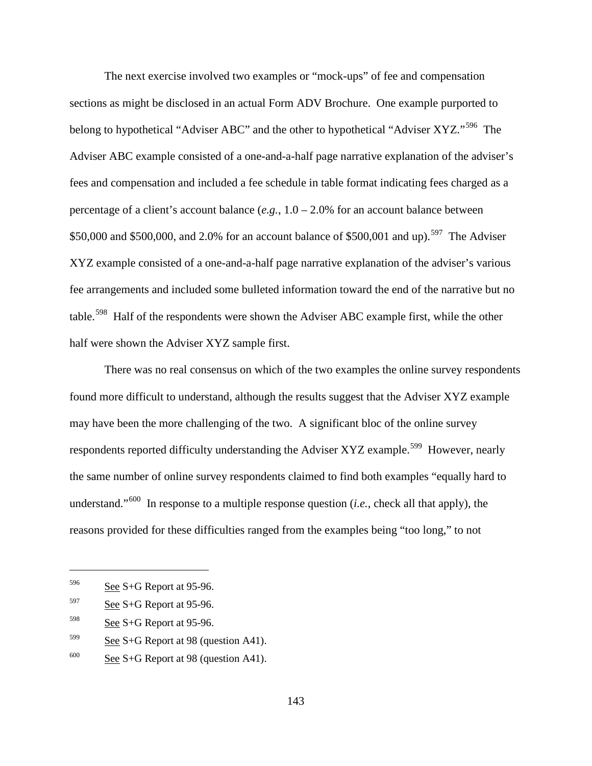The next exercise involved two examples or "mock-ups" of fee and compensation sections as might be disclosed in an actual Form ADV Brochure. One example purported to belong to hypothetical "Adviser ABC" and the other to hypothetical "Adviser XYZ."<sup>[596](#page-172-0)</sup> The Adviser ABC example consisted of a one-and-a-half page narrative explanation of the adviser's fees and compensation and included a fee schedule in table format indicating fees charged as a percentage of a client's account balance (*e.g.*, 1.0 – 2.0% for an account balance between \$50,000 and \$500,000, and 2.0% for an account balance of \$500,001 and up).<sup>[597](#page-172-1)</sup> The Adviser XYZ example consisted of a one-and-a-half page narrative explanation of the adviser's various fee arrangements and included some bulleted information toward the end of the narrative but no table.<sup>[598](#page-172-2)</sup> Half of the respondents were shown the Adviser ABC example first, while the other half were shown the Adviser XYZ sample first.

There was no real consensus on which of the two examples the online survey respondents found more difficult to understand, although the results suggest that the Adviser XYZ example may have been the more challenging of the two. A significant bloc of the online survey respondents reported difficulty understanding the Adviser XYZ example.<sup>599</sup> However, nearly the same number of online survey respondents claimed to find both examples "equally hard to understand."[600](#page-172-4) In response to a multiple response question (*i.e.*, check all that apply), the reasons provided for these difficulties ranged from the examples being "too long," to not

<span id="page-172-0"></span> $596$  See S+G Report at 95-96.

<span id="page-172-1"></span> $597$  See S+G Report at 95-96.

<span id="page-172-2"></span> $598$  See S+G Report at 95-96.

<span id="page-172-3"></span> $599$  See S+G Report at 98 (question A41).

<span id="page-172-4"></span> $\frac{600}{\text{See }S+G}$  Report at 98 (question A41).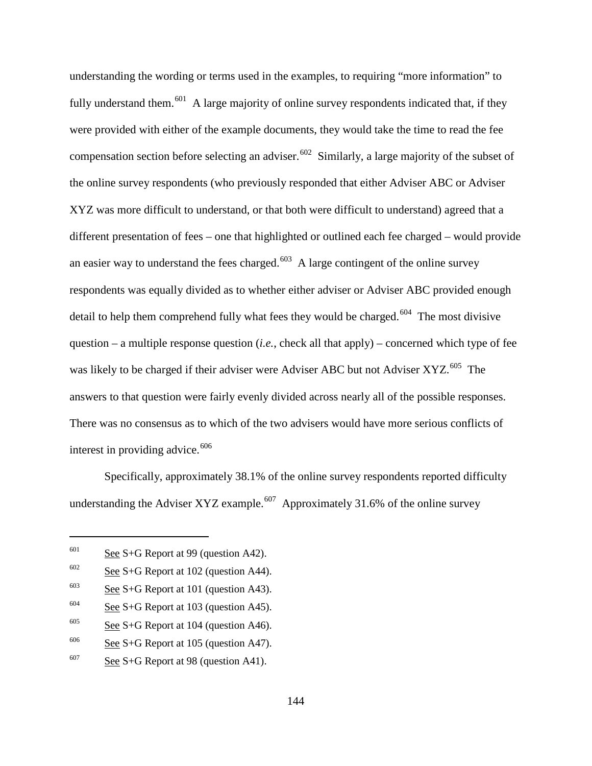understanding the wording or terms used in the examples, to requiring "more information" to fully understand them.<sup>[601](#page-173-0)</sup> A large majority of online survey respondents indicated that, if they were provided with either of the example documents, they would take the time to read the fee compensation section before selecting an adviser.<sup>602</sup> Similarly, a large majority of the subset of the online survey respondents (who previously responded that either Adviser ABC or Adviser XYZ was more difficult to understand, or that both were difficult to understand) agreed that a different presentation of fees – one that highlighted or outlined each fee charged – would provide an easier way to understand the fees charged.<sup>[603](#page-173-2)</sup> A large contingent of the online survey respondents was equally divided as to whether either adviser or Adviser ABC provided enough detail to help them comprehend fully what fees they would be charged.<sup>[604](#page-173-3)</sup> The most divisive question – a multiple response question (*i.e.*, check all that apply) – concerned which type of fee was likely to be charged if their adviser were Adviser ABC but not Adviser XYZ.<sup>605</sup> The answers to that question were fairly evenly divided across nearly all of the possible responses. There was no consensus as to which of the two advisers would have more serious conflicts of interest in providing advice.<sup>[606](#page-173-5)</sup>

Specifically, approximately 38.1% of the online survey respondents reported difficulty understanding the Adviser XYZ example.<sup>607</sup> Approximately 31.6% of the online survey

<span id="page-173-0"></span> $601$  See S+G Report at 99 (question A42).

<span id="page-173-1"></span> $602$  See S+G Report at 102 (question A44).

<span id="page-173-2"></span> $603$  See S+G Report at 101 (question A43).

<span id="page-173-3"></span> $604$  See S+G Report at 103 (question A45).

<span id="page-173-4"></span> $605$  See S+G Report at 104 (question A46).

<span id="page-173-5"></span> $\frac{606}{\text{See }S+G}$  Report at 105 (question A47).

<span id="page-173-6"></span> $607$  See S+G Report at 98 (question A41).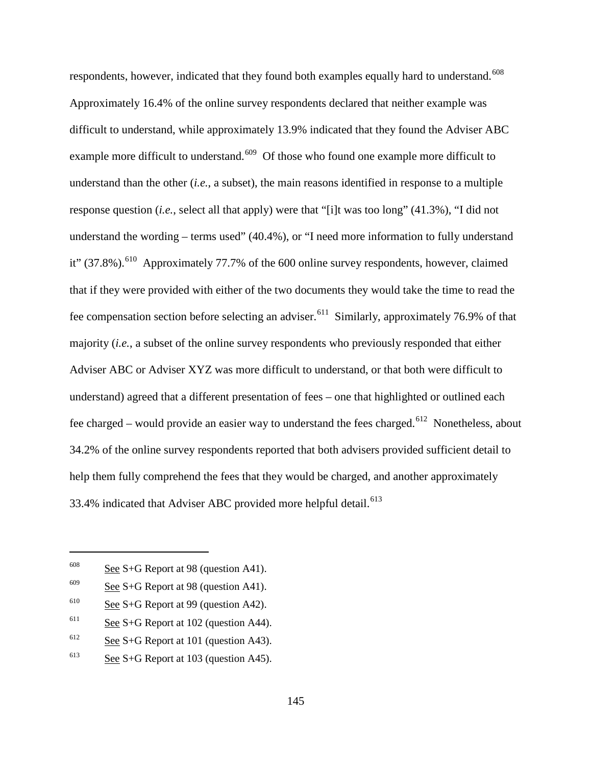respondents, however, indicated that they found both examples equally hard to understand.<sup>[608](#page-174-0)</sup> Approximately 16.4% of the online survey respondents declared that neither example was difficult to understand, while approximately 13.9% indicated that they found the Adviser ABC example more difficult to understand.<sup>609</sup> Of those who found one example more difficult to understand than the other (*i.e.*, a subset), the main reasons identified in response to a multiple response question (*i.e.*, select all that apply) were that "[i]t was too long" (41.3%), "I did not understand the wording – terms used" (40.4%), or "I need more information to fully understand it" (37.8%).<sup>610</sup> Approximately 77.7% of the 600 online survey respondents, however, claimed that if they were provided with either of the two documents they would take the time to read the fee compensation section before selecting an adviser.<sup>[611](#page-174-3)</sup> Similarly, approximately 76.9% of that majority (*i.e.*, a subset of the online survey respondents who previously responded that either Adviser ABC or Adviser XYZ was more difficult to understand, or that both were difficult to understand) agreed that a different presentation of fees – one that highlighted or outlined each fee charged – would provide an easier way to understand the fees charged.<sup>[612](#page-174-4)</sup> Nonetheless, about 34.2% of the online survey respondents reported that both advisers provided sufficient detail to help them fully comprehend the fees that they would be charged, and another approximately 33.4% indicated that Adviser ABC provided more helpful detail.<sup>[613](#page-174-5)</sup>

<span id="page-174-0"></span> $\frac{608}{\text{See }S+G}$  Report at 98 (question A41).

<span id="page-174-1"></span> $609$  See S+G Report at 98 (question A41).

<span id="page-174-2"></span> $610$  See S+G Report at 99 (question A42).

<span id="page-174-3"></span> $611$  See S+G Report at 102 (question A44).

<span id="page-174-4"></span> $612$  See S+G Report at 101 (question A43).

<span id="page-174-5"></span> $613$  See S+G Report at 103 (question A45).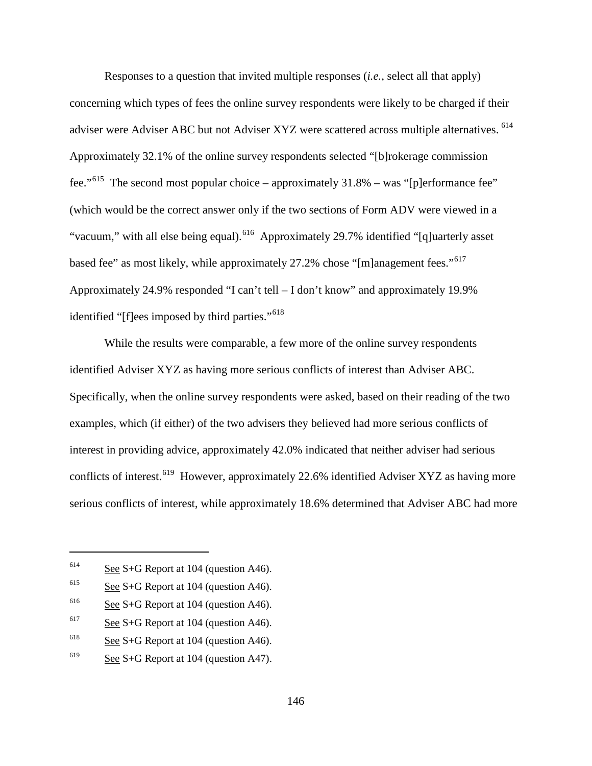Responses to a question that invited multiple responses (*i.e.*, select all that apply) concerning which types of fees the online survey respondents were likely to be charged if their adviser were Adviser ABC but not Adviser XYZ were scattered across multiple alternatives. <sup>614</sup> Approximately 32.1% of the online survey respondents selected "[b]rokerage commission fee."<sup>615</sup> The second most popular choice – approximately  $31.8\%$  – was "[p]erformance fee" (which would be the correct answer only if the two sections of Form ADV were viewed in a "vacuum," with all else being equal).<sup>[616](#page-175-2)</sup> Approximately 29.7% identified "[q]uarterly asset based fee" as most likely, while approximately 27.2% chose "[m]anagement fees."<sup>[617](#page-175-3)</sup> Approximately 24.9% responded "I can't tell – I don't know" and approximately 19.9% identified "[f]ees imposed by third parties."<sup>[618](#page-175-4)</sup>

While the results were comparable, a few more of the online survey respondents identified Adviser XYZ as having more serious conflicts of interest than Adviser ABC. Specifically, when the online survey respondents were asked, based on their reading of the two examples, which (if either) of the two advisers they believed had more serious conflicts of interest in providing advice, approximately 42.0% indicated that neither adviser had serious conflicts of interest.<sup>[619](#page-175-5)</sup> However, approximately 22.6% identified Adviser XYZ as having more serious conflicts of interest, while approximately 18.6% determined that Adviser ABC had more

<span id="page-175-0"></span> $614$  See S+G Report at 104 (question A46).

<span id="page-175-1"></span> $615$  See S+G Report at 104 (question A46).

<span id="page-175-2"></span> $616$  See S+G Report at 104 (question A46).

<span id="page-175-3"></span> $617$  See S+G Report at 104 (question A46).

<span id="page-175-4"></span><sup>&</sup>lt;sup>618</sup> See S+G Report at 104 (question A46).

<span id="page-175-5"></span><sup>&</sup>lt;sup>619</sup> See S+G Report at 104 (question A47).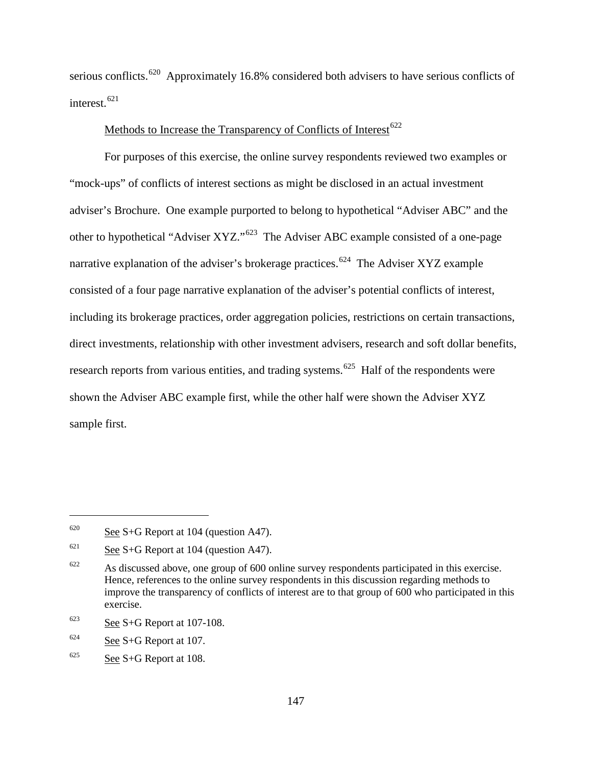serious conflicts.<sup>[620](#page-176-0)</sup> Approximately 16.8% considered both advisers to have serious conflicts of interest.<sup>[621](#page-176-1)</sup>

# Methods to Increase the Transparency of Conflicts of Interest<sup>[622](#page-176-2)</sup>

For purposes of this exercise, the online survey respondents reviewed two examples or "mock-ups" of conflicts of interest sections as might be disclosed in an actual investment adviser's Brochure. One example purported to belong to hypothetical "Adviser ABC" and the other to hypothetical "Adviser XYZ."[623](#page-176-3) The Adviser ABC example consisted of a one-page narrative explanation of the adviser's brokerage practices.<sup>[624](#page-176-4)</sup> The Adviser XYZ example consisted of a four page narrative explanation of the adviser's potential conflicts of interest, including its brokerage practices, order aggregation policies, restrictions on certain transactions, direct investments, relationship with other investment advisers, research and soft dollar benefits, research reports from various entities, and trading systems.<sup>625</sup> Half of the respondents were shown the Adviser ABC example first, while the other half were shown the Adviser XYZ sample first.

<span id="page-176-3"></span> $623$  See S+G Report at 107-108.

<span id="page-176-0"></span> $620$  See S+G Report at 104 (question A47).

<span id="page-176-1"></span> $621$  See S+G Report at 104 (question A47).

<span id="page-176-2"></span> $622$  As discussed above, one group of 600 online survey respondents participated in this exercise. Hence, references to the online survey respondents in this discussion regarding methods to improve the transparency of conflicts of interest are to that group of 600 who participated in this exercise.

<span id="page-176-4"></span> $624$  See S+G Report at 107.

<span id="page-176-5"></span> $625$  See S+G Report at 108.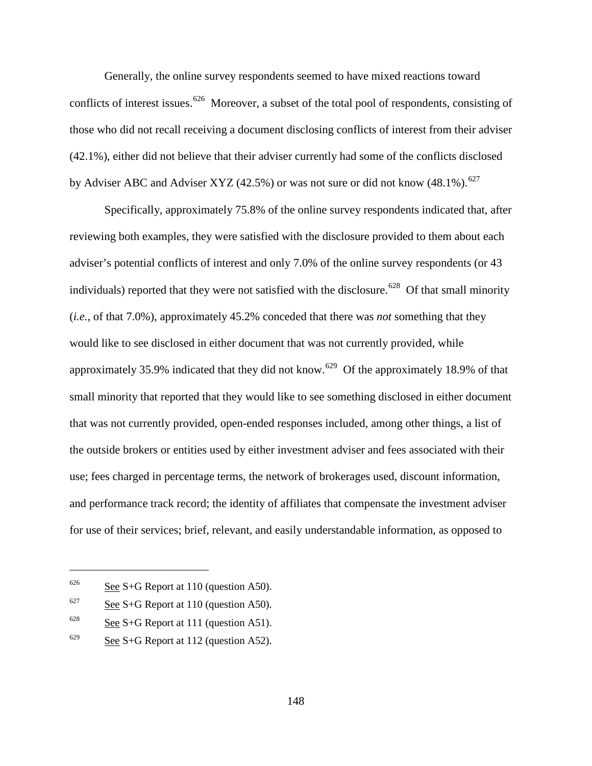Generally, the online survey respondents seemed to have mixed reactions toward conflicts of interest issues.<sup>[626](#page-177-0)</sup> Moreover, a subset of the total pool of respondents, consisting of those who did not recall receiving a document disclosing conflicts of interest from their adviser (42.1%), either did not believe that their adviser currently had some of the conflicts disclosed by Adviser ABC and Adviser XYZ (42.5%) or was not sure or did not know (48.1%).<sup>[627](#page-177-1)</sup>

Specifically, approximately 75.8% of the online survey respondents indicated that, after reviewing both examples, they were satisfied with the disclosure provided to them about each adviser's potential conflicts of interest and only 7.0% of the online survey respondents (or 43 individuals) reported that they were not satisfied with the disclosure.<sup>[628](#page-177-2)</sup> Of that small minority (*i.e.*, of that 7.0%), approximately 45.2% conceded that there was *not* something that they would like to see disclosed in either document that was not currently provided, while approximately 35.9% indicated that they did not know.<sup>629</sup> Of the approximately 18.9% of that small minority that reported that they would like to see something disclosed in either document that was not currently provided, open-ended responses included, among other things, a list of the outside brokers or entities used by either investment adviser and fees associated with their use; fees charged in percentage terms, the network of brokerages used, discount information, and performance track record; the identity of affiliates that compensate the investment adviser for use of their services; brief, relevant, and easily understandable information, as opposed to

<span id="page-177-0"></span> $626$  See S+G Report at 110 (question A50).

<span id="page-177-1"></span> $627$  See S+G Report at 110 (question A50).

<span id="page-177-2"></span> $628$  See S+G Report at 111 (question A51).

<span id="page-177-3"></span> $629$  See S+G Report at 112 (question A52).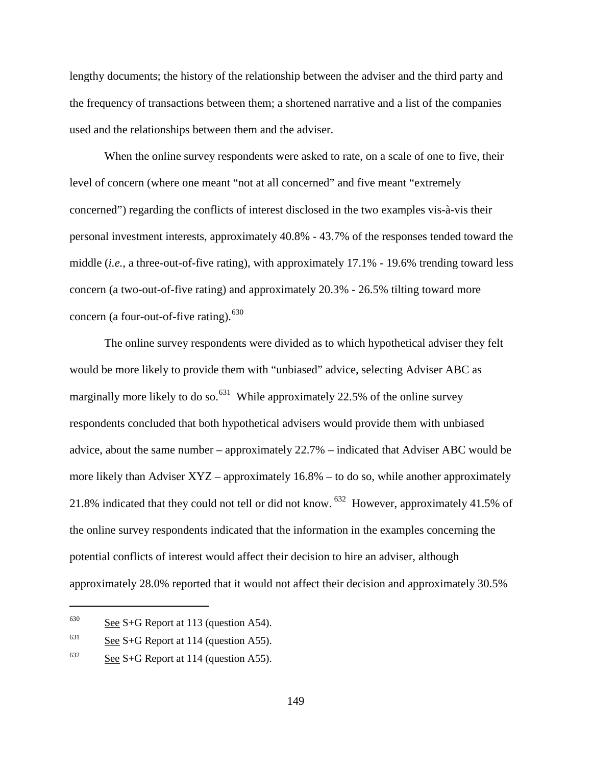lengthy documents; the history of the relationship between the adviser and the third party and the frequency of transactions between them; a shortened narrative and a list of the companies used and the relationships between them and the adviser.

When the online survey respondents were asked to rate, on a scale of one to five, their level of concern (where one meant "not at all concerned" and five meant "extremely concerned") regarding the conflicts of interest disclosed in the two examples vis-à-vis their personal investment interests, approximately 40.8% - 43.7% of the responses tended toward the middle (*i.e.*, a three-out-of-five rating), with approximately 17.1% - 19.6% trending toward less concern (a two-out-of-five rating) and approximately 20.3% - 26.5% tilting toward more concern (a four-out-of-five rating). $630$ 

The online survey respondents were divided as to which hypothetical adviser they felt would be more likely to provide them with "unbiased" advice, selecting Adviser ABC as marginally more likely to do so.<sup>631</sup> While approximately 22.5% of the online survey respondents concluded that both hypothetical advisers would provide them with unbiased advice, about the same number – approximately 22.7% – indicated that Adviser ABC would be more likely than Adviser XYZ – approximately 16.8% – to do so, while another approximately 21.8% indicated that they could not tell or did not know. <sup>[632](#page-178-2)</sup> However, approximately 41.5% of the online survey respondents indicated that the information in the examples concerning the potential conflicts of interest would affect their decision to hire an adviser, although approximately 28.0% reported that it would not affect their decision and approximately 30.5%

<span id="page-178-0"></span> $630$  See S+G Report at 113 (question A54).

<span id="page-178-1"></span> $631$  See S+G Report at 114 (question A55).

<span id="page-178-2"></span> $632$  See S+G Report at 114 (question A55).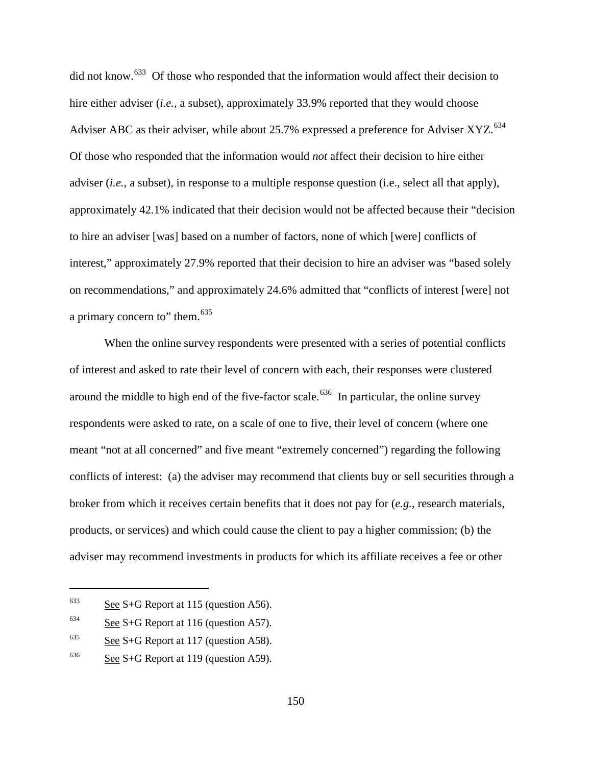did not know.<sup>[633](#page-179-0)</sup> Of those who responded that the information would affect their decision to hire either adviser *(i.e., a subset), approximately 33.9% reported that they would choose* Adviser ABC as their adviser, while about 25.7% expressed a preference for Adviser XYZ.<sup>[634](#page-179-1)</sup> Of those who responded that the information would *not* affect their decision to hire either adviser (*i.e.*, a subset), in response to a multiple response question (i.e., select all that apply), approximately 42.1% indicated that their decision would not be affected because their "decision to hire an adviser [was] based on a number of factors, none of which [were] conflicts of interest," approximately 27.9% reported that their decision to hire an adviser was "based solely on recommendations," and approximately 24.6% admitted that "conflicts of interest [were] not a primary concern to" them.<sup>[635](#page-179-2)</sup>

When the online survey respondents were presented with a series of potential conflicts of interest and asked to rate their level of concern with each, their responses were clustered around the middle to high end of the five-factor scale.<sup>[636](#page-179-3)</sup> In particular, the online survey respondents were asked to rate, on a scale of one to five, their level of concern (where one meant "not at all concerned" and five meant "extremely concerned") regarding the following conflicts of interest: (a) the adviser may recommend that clients buy or sell securities through a broker from which it receives certain benefits that it does not pay for (*e.g.*, research materials, products, or services) and which could cause the client to pay a higher commission; (b) the adviser may recommend investments in products for which its affiliate receives a fee or other

<span id="page-179-0"></span> $633$  See S+G Report at 115 (question A56).

<span id="page-179-1"></span> $634$  See S+G Report at 116 (question A57).

<span id="page-179-2"></span> $635$  See S+G Report at 117 (question A58).

<span id="page-179-3"></span> $636$  See S+G Report at 119 (question A59).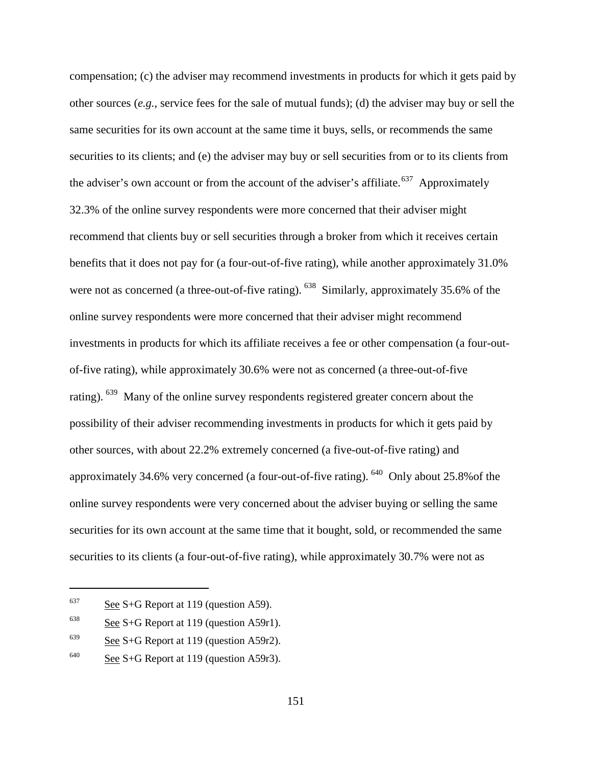compensation; (c) the adviser may recommend investments in products for which it gets paid by other sources (*e.g.*, service fees for the sale of mutual funds); (d) the adviser may buy or sell the same securities for its own account at the same time it buys, sells, or recommends the same securities to its clients; and (e) the adviser may buy or sell securities from or to its clients from the adviser's own account or from the account of the adviser's affiliate.<sup>[637](#page-180-0)</sup> Approximately 32.3% of the online survey respondents were more concerned that their adviser might recommend that clients buy or sell securities through a broker from which it receives certain benefits that it does not pay for (a four-out-of-five rating), while another approximately 31.0% were not as concerned (a three-out-of-five rating). <sup>[638](#page-180-1)</sup> Similarly, approximately 35.6% of the online survey respondents were more concerned that their adviser might recommend investments in products for which its affiliate receives a fee or other compensation (a four-outof-five rating), while approximately 30.6% were not as concerned (a three-out-of-five rating). <sup>639</sup> Many of the online survey respondents registered greater concern about the possibility of their adviser recommending investments in products for which it gets paid by other sources, with about 22.2% extremely concerned (a five-out-of-five rating) and approximately 34.6% very concerned (a four-out-of-five rating). [640](#page-180-3) Only about 25.8%of the online survey respondents were very concerned about the adviser buying or selling the same securities for its own account at the same time that it bought, sold, or recommended the same securities to its clients (a four-out-of-five rating), while approximately 30.7% were not as

<span id="page-180-0"></span> $637$  See S+G Report at 119 (question A59).

<span id="page-180-1"></span> $638$  See S+G Report at 119 (question A59r1).

<span id="page-180-2"></span> $639$  See S+G Report at 119 (question A59r2).

<span id="page-180-3"></span> $640$  See S+G Report at 119 (question A59r3).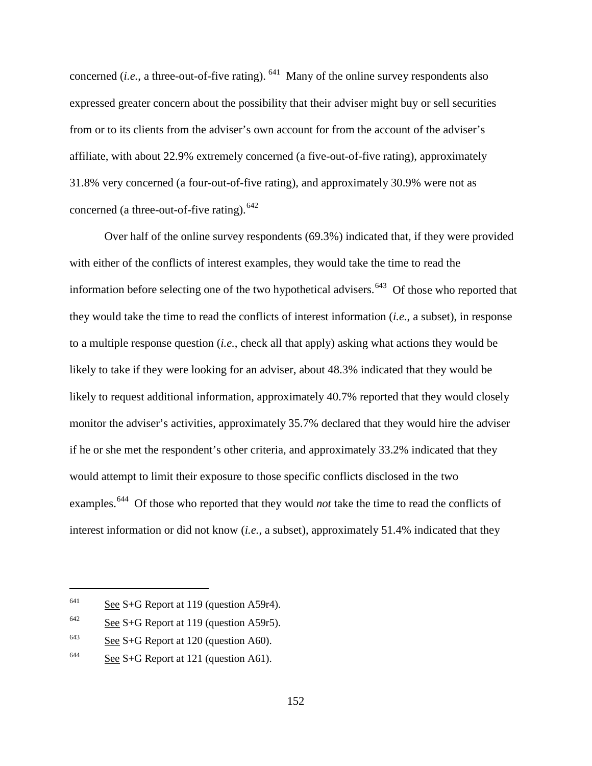concerned  $(i.e., a three-out-of-five rating)$ . <sup>[641](#page-181-0)</sup> Many of the online survey respondents also expressed greater concern about the possibility that their adviser might buy or sell securities from or to its clients from the adviser's own account for from the account of the adviser's affiliate, with about 22.9% extremely concerned (a five-out-of-five rating), approximately 31.8% very concerned (a four-out-of-five rating), and approximately 30.9% were not as concerned (a three-out-of-five rating).  $642$ 

Over half of the online survey respondents (69.3%) indicated that, if they were provided with either of the conflicts of interest examples, they would take the time to read the information before selecting one of the two hypothetical advisers.<sup> $643$ </sup> Of those who reported that they would take the time to read the conflicts of interest information (*i.e.*, a subset), in response to a multiple response question (*i.e.*, check all that apply) asking what actions they would be likely to take if they were looking for an adviser, about 48.3% indicated that they would be likely to request additional information, approximately 40.7% reported that they would closely monitor the adviser's activities, approximately 35.7% declared that they would hire the adviser if he or she met the respondent's other criteria, and approximately 33.2% indicated that they would attempt to limit their exposure to those specific conflicts disclosed in the two examples.<sup>[644](#page-181-3)</sup> Of those who reported that they would *not* take the time to read the conflicts of interest information or did not know (*i.e.*, a subset), approximately 51.4% indicated that they

<span id="page-181-0"></span><sup>&</sup>lt;sup>641</sup> See S+G Report at 119 (question A59r4).

<span id="page-181-1"></span> $642$  See S+G Report at 119 (question A59r5).

<span id="page-181-2"></span> $643$  See S+G Report at 120 (question A60).

<span id="page-181-3"></span> $644$  See S+G Report at 121 (question A61).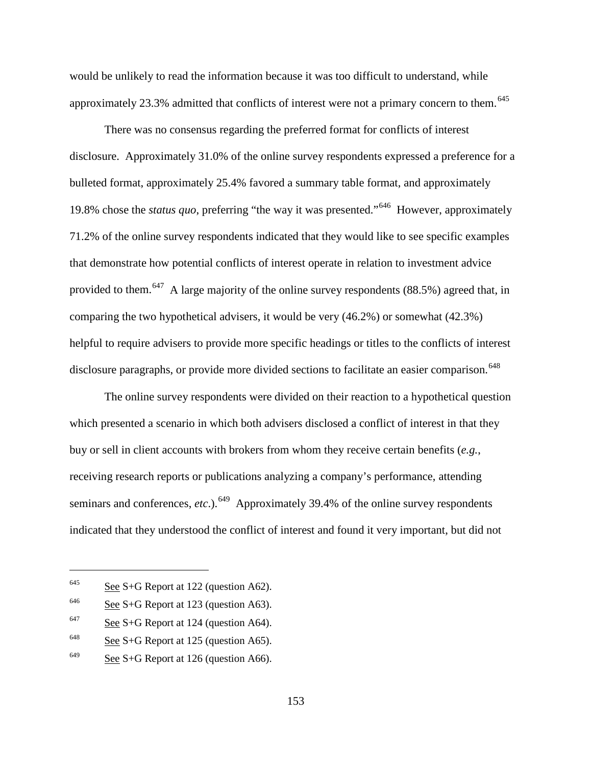would be unlikely to read the information because it was too difficult to understand, while approximately 23.3% admitted that conflicts of interest were not a primary concern to them.<sup>[645](#page-182-0)</sup>

There was no consensus regarding the preferred format for conflicts of interest disclosure. Approximately 31.0% of the online survey respondents expressed a preference for a bulleted format, approximately 25.4% favored a summary table format, and approximately 19.8% chose the *status quo*, preferring "the way it was presented."[646](#page-182-1) However, approximately 71.2% of the online survey respondents indicated that they would like to see specific examples that demonstrate how potential conflicts of interest operate in relation to investment advice provided to them.<sup>647</sup> A large majority of the online survey respondents (88.5%) agreed that, in comparing the two hypothetical advisers, it would be very (46.2%) or somewhat (42.3%) helpful to require advisers to provide more specific headings or titles to the conflicts of interest disclosure paragraphs, or provide more divided sections to facilitate an easier comparison.<sup>[648](#page-182-3)</sup>

The online survey respondents were divided on their reaction to a hypothetical question which presented a scenario in which both advisers disclosed a conflict of interest in that they buy or sell in client accounts with brokers from whom they receive certain benefits (*e.g.*, receiving research reports or publications analyzing a company's performance, attending seminars and conferences, *etc.*).<sup>649</sup> Approximately 39.4% of the online survey respondents indicated that they understood the conflict of interest and found it very important, but did not

<span id="page-182-0"></span> $645$  See S+G Report at 122 (question A62).

<span id="page-182-1"></span> $646$  See S+G Report at 123 (question A63).

<span id="page-182-2"></span> $647$  See S+G Report at 124 (question A64).

<span id="page-182-3"></span> $648$  See S+G Report at 125 (question A65).

<span id="page-182-4"></span> $649$  See S+G Report at 126 (question A66).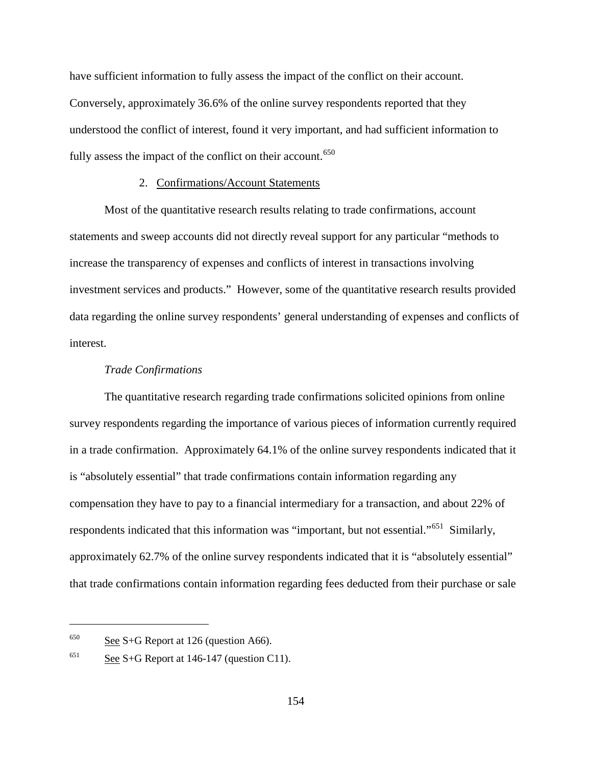have sufficient information to fully assess the impact of the conflict on their account. Conversely, approximately 36.6% of the online survey respondents reported that they understood the conflict of interest, found it very important, and had sufficient information to fully assess the impact of the conflict on their account.<sup>[650](#page-183-0)</sup>

### 2. Confirmations/Account Statements

Most of the quantitative research results relating to trade confirmations, account statements and sweep accounts did not directly reveal support for any particular "methods to increase the transparency of expenses and conflicts of interest in transactions involving investment services and products." However, some of the quantitative research results provided data regarding the online survey respondents' general understanding of expenses and conflicts of interest.

#### *Trade Confirmations*

The quantitative research regarding trade confirmations solicited opinions from online survey respondents regarding the importance of various pieces of information currently required in a trade confirmation. Approximately 64.1% of the online survey respondents indicated that it is "absolutely essential" that trade confirmations contain information regarding any compensation they have to pay to a financial intermediary for a transaction, and about 22% of respondents indicated that this information was "important, but not essential."<sup>[651](#page-183-1)</sup> Similarly, approximately 62.7% of the online survey respondents indicated that it is "absolutely essential" that trade confirmations contain information regarding fees deducted from their purchase or sale

<span id="page-183-0"></span> $650$  See S+G Report at 126 (question A66).

<span id="page-183-1"></span><sup>&</sup>lt;sup>651</sup> See S+G Report at 146-147 (question C11).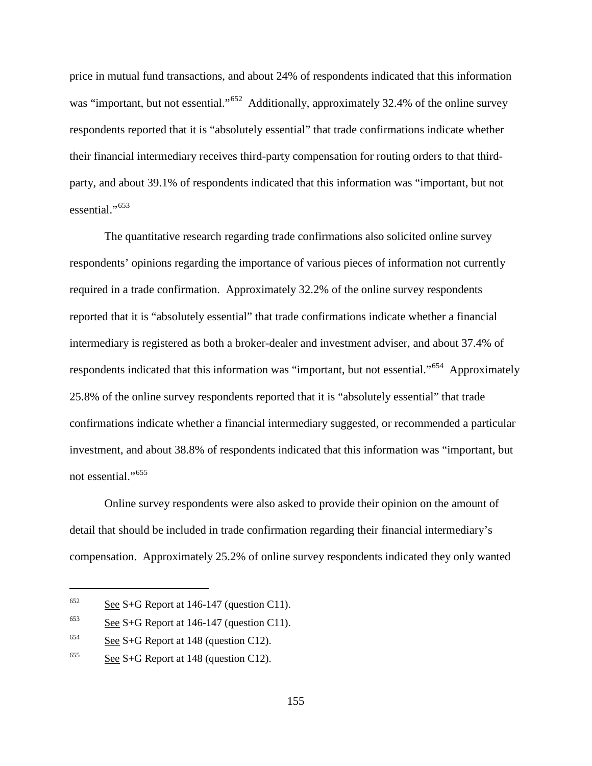price in mutual fund transactions, and about 24% of respondents indicated that this information was "important, but not essential."<sup>652</sup> Additionally, approximately 32.4% of the online survey respondents reported that it is "absolutely essential" that trade confirmations indicate whether their financial intermediary receives third-party compensation for routing orders to that thirdparty, and about 39.1% of respondents indicated that this information was "important, but not essential."<sup>[653](#page-184-1)</sup>

The quantitative research regarding trade confirmations also solicited online survey respondents' opinions regarding the importance of various pieces of information not currently required in a trade confirmation. Approximately 32.2% of the online survey respondents reported that it is "absolutely essential" that trade confirmations indicate whether a financial intermediary is registered as both a broker-dealer and investment adviser, and about 37.4% of respondents indicated that this information was "important, but not essential."<sup>[654](#page-184-2)</sup> Approximately 25.8% of the online survey respondents reported that it is "absolutely essential" that trade confirmations indicate whether a financial intermediary suggested, or recommended a particular investment, and about 38.8% of respondents indicated that this information was "important, but not essential."<sup>655</sup>

Online survey respondents were also asked to provide their opinion on the amount of detail that should be included in trade confirmation regarding their financial intermediary's compensation. Approximately 25.2% of online survey respondents indicated they only wanted

<span id="page-184-0"></span> $652$  See S+G Report at 146-147 (question C11).

<span id="page-184-1"></span> $653$  See S+G Report at 146-147 (question C11).

<span id="page-184-2"></span><sup>&</sup>lt;sup>654</sup> See S+G Report at 148 (question C12).

<span id="page-184-3"></span> $655$  See S+G Report at 148 (question C12).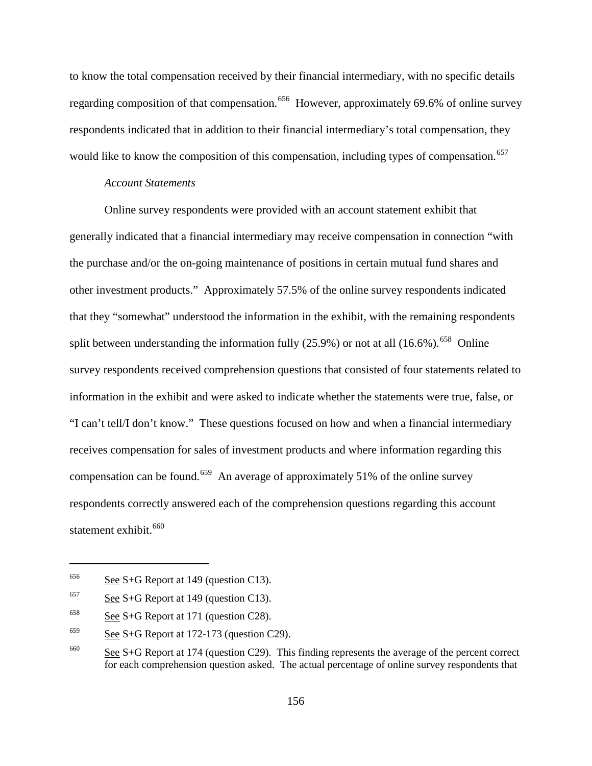to know the total compensation received by their financial intermediary, with no specific details regarding composition of that compensation.<sup>[656](#page-185-0)</sup> However, approximately 69.6% of online survey respondents indicated that in addition to their financial intermediary's total compensation, they would like to know the composition of this compensation, including types of compensation.<sup>[657](#page-185-1)</sup>

#### *Account Statements*

Online survey respondents were provided with an account statement exhibit that generally indicated that a financial intermediary may receive compensation in connection "with the purchase and/or the on-going maintenance of positions in certain mutual fund shares and other investment products." Approximately 57.5% of the online survey respondents indicated that they "somewhat" understood the information in the exhibit, with the remaining respondents split between understanding the information fully  $(25.9%)$  or not at all  $(16.6%)$ .<sup>[658](#page-185-2)</sup> Online survey respondents received comprehension questions that consisted of four statements related to information in the exhibit and were asked to indicate whether the statements were true, false, or "I can't tell/I don't know." These questions focused on how and when a financial intermediary receives compensation for sales of investment products and where information regarding this compensation can be found.<sup>[659](#page-185-3)</sup> An average of approximately 51% of the online survey respondents correctly answered each of the comprehension questions regarding this account statement exhibit.<sup>[660](#page-185-4)</sup>

<span id="page-185-0"></span> $656$  See S+G Report at 149 (question C13).

<span id="page-185-1"></span> $657$  See S+G Report at 149 (question C13).

<span id="page-185-2"></span> $658$  See S+G Report at 171 (question C28).

<span id="page-185-3"></span> $659$  See S+G Report at 172-173 (question C29).

<span id="page-185-4"></span><sup>660</sup> See S+G Report at 174 (question C29). This finding represents the average of the percent correct for each comprehension question asked. The actual percentage of online survey respondents that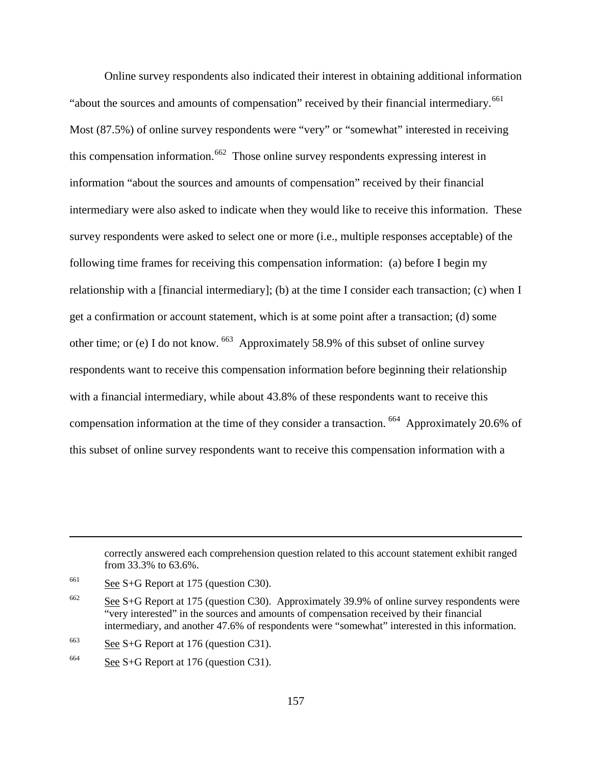Online survey respondents also indicated their interest in obtaining additional information "about the sources and amounts of compensation" received by their financial intermediary.<sup>[661](#page-186-0)</sup> Most (87.5%) of online survey respondents were "very" or "somewhat" interested in receiving this compensation information.<sup>[662](#page-186-1)</sup> Those online survey respondents expressing interest in information "about the sources and amounts of compensation" received by their financial intermediary were also asked to indicate when they would like to receive this information. These survey respondents were asked to select one or more (i.e., multiple responses acceptable) of the following time frames for receiving this compensation information: (a) before I begin my relationship with a [financial intermediary]; (b) at the time I consider each transaction; (c) when I get a confirmation or account statement, which is at some point after a transaction; (d) some other time; or (e) I do not know. [663](#page-186-2) Approximately 58.9% of this subset of online survey respondents want to receive this compensation information before beginning their relationship with a financial intermediary, while about 43.8% of these respondents want to receive this compensation information at the time of they consider a transaction. [664](#page-186-3) Approximately 20.6% of this subset of online survey respondents want to receive this compensation information with a

correctly answered each comprehension question related to this account statement exhibit ranged from 33.3% to 63.6%.

<span id="page-186-0"></span> $661$  See S+G Report at 175 (question C30).

<span id="page-186-1"></span> $662$  See S+G Report at 175 (question C30). Approximately 39.9% of online survey respondents were "very interested" in the sources and amounts of compensation received by their financial intermediary, and another 47.6% of respondents were "somewhat" interested in this information.

<span id="page-186-2"></span> $663$  See S+G Report at 176 (question C31).

<span id="page-186-3"></span><sup>&</sup>lt;sup>664</sup> See S+G Report at 176 (question C31).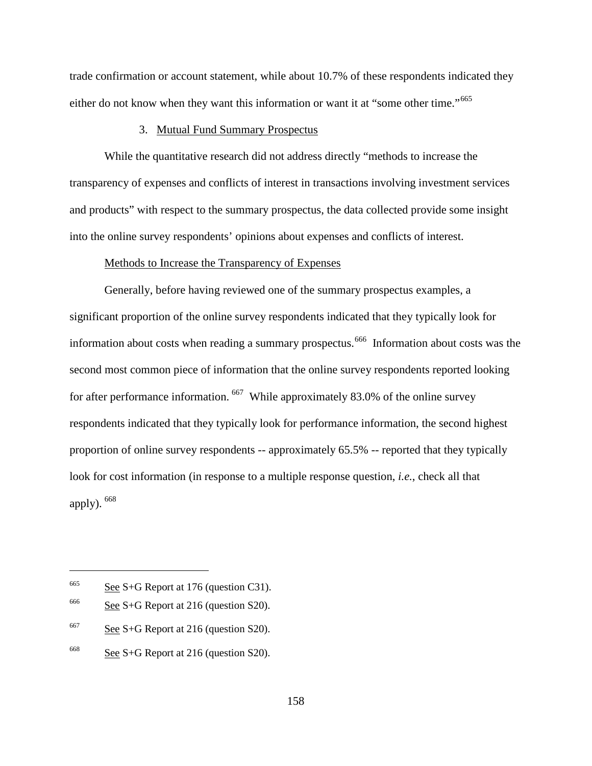trade confirmation or account statement, while about 10.7% of these respondents indicated they either do not know when they want this information or want it at "some other time."<sup>[665](#page-187-0)</sup>

### 3. Mutual Fund Summary Prospectus

While the quantitative research did not address directly "methods to increase the transparency of expenses and conflicts of interest in transactions involving investment services and products" with respect to the summary prospectus, the data collected provide some insight into the online survey respondents' opinions about expenses and conflicts of interest.

#### Methods to Increase the Transparency of Expenses

Generally, before having reviewed one of the summary prospectus examples, a significant proportion of the online survey respondents indicated that they typically look for information about costs when reading a summary prospectus.<sup>[666](#page-187-1)</sup> Information about costs was the second most common piece of information that the online survey respondents reported looking for after performance information. [667](#page-187-2) While approximately 83.0% of the online survey respondents indicated that they typically look for performance information, the second highest proportion of online survey respondents -- approximately 65.5% -- reported that they typically look for cost information (in response to a multiple response question, *i.e.*, check all that apply).  $668$ 

<span id="page-187-0"></span> $665$  See S+G Report at 176 (question C31).

<span id="page-187-1"></span> $\frac{\text{666}}{\text{208}}$  S+G Report at 216 (question S20).

<span id="page-187-2"></span> $667$  See S+G Report at 216 (question S20).

<span id="page-187-3"></span> $668$  See S+G Report at 216 (question S20).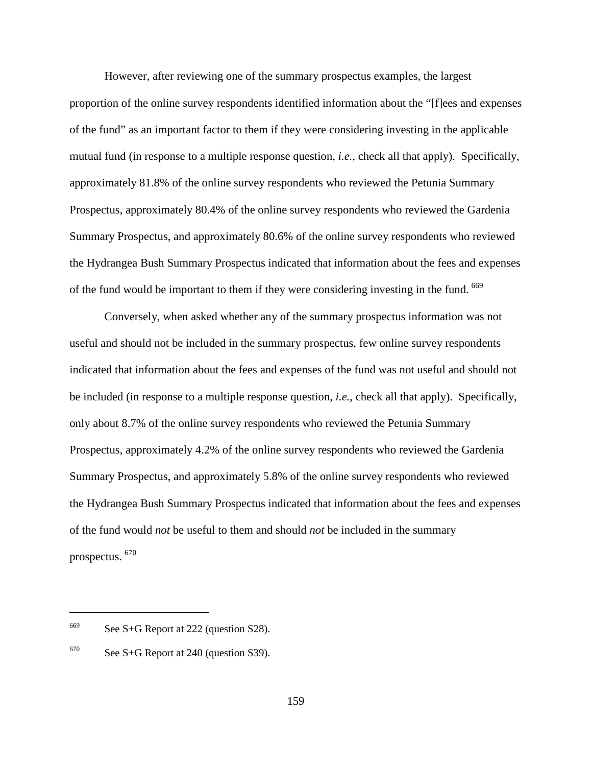However, after reviewing one of the summary prospectus examples, the largest proportion of the online survey respondents identified information about the "[f]ees and expenses of the fund" as an important factor to them if they were considering investing in the applicable mutual fund (in response to a multiple response question, *i.e.*, check all that apply). Specifically, approximately 81.8% of the online survey respondents who reviewed the Petunia Summary Prospectus, approximately 80.4% of the online survey respondents who reviewed the Gardenia Summary Prospectus, and approximately 80.6% of the online survey respondents who reviewed the Hydrangea Bush Summary Prospectus indicated that information about the fees and expenses of the fund would be important to them if they were considering investing in the fund. [669](#page-188-0)

Conversely, when asked whether any of the summary prospectus information was not useful and should not be included in the summary prospectus, few online survey respondents indicated that information about the fees and expenses of the fund was not useful and should not be included (in response to a multiple response question, *i.e.*, check all that apply). Specifically, only about 8.7% of the online survey respondents who reviewed the Petunia Summary Prospectus, approximately 4.2% of the online survey respondents who reviewed the Gardenia Summary Prospectus, and approximately 5.8% of the online survey respondents who reviewed the Hydrangea Bush Summary Prospectus indicated that information about the fees and expenses of the fund would *not* be useful to them and should *not* be included in the summary prospectus. [670](#page-188-1)

<span id="page-188-0"></span> $669$  See S+G Report at 222 (question S28).

<span id="page-188-1"></span> $670$  See S+G Report at 240 (question S39).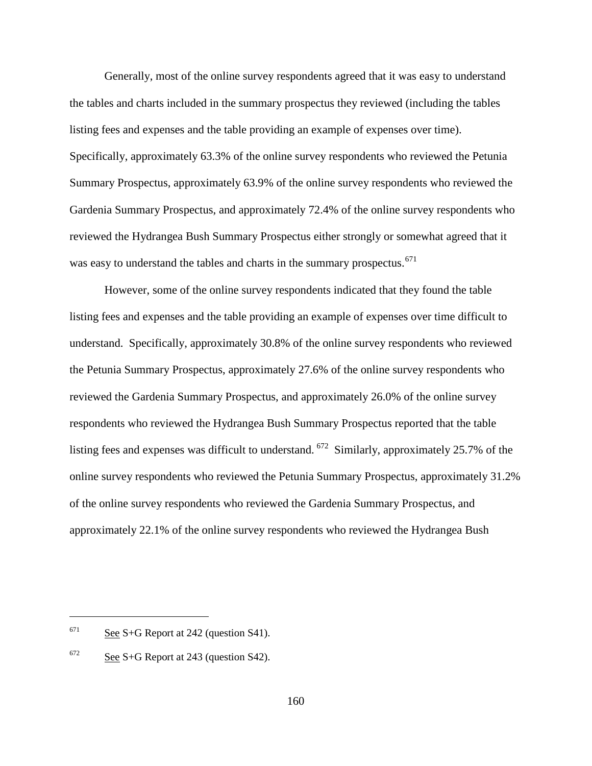Generally, most of the online survey respondents agreed that it was easy to understand the tables and charts included in the summary prospectus they reviewed (including the tables listing fees and expenses and the table providing an example of expenses over time). Specifically, approximately 63.3% of the online survey respondents who reviewed the Petunia Summary Prospectus, approximately 63.9% of the online survey respondents who reviewed the Gardenia Summary Prospectus, and approximately 72.4% of the online survey respondents who reviewed the Hydrangea Bush Summary Prospectus either strongly or somewhat agreed that it was easy to understand the tables and charts in the summary prospectus.<sup>[671](#page-189-0)</sup>

However, some of the online survey respondents indicated that they found the table listing fees and expenses and the table providing an example of expenses over time difficult to understand. Specifically, approximately 30.8% of the online survey respondents who reviewed the Petunia Summary Prospectus, approximately 27.6% of the online survey respondents who reviewed the Gardenia Summary Prospectus, and approximately 26.0% of the online survey respondents who reviewed the Hydrangea Bush Summary Prospectus reported that the table listing fees and expenses was difficult to understand. [672](#page-189-1) Similarly, approximately 25.7% of the online survey respondents who reviewed the Petunia Summary Prospectus, approximately 31.2% of the online survey respondents who reviewed the Gardenia Summary Prospectus, and approximately 22.1% of the online survey respondents who reviewed the Hydrangea Bush

<span id="page-189-0"></span> $671$  See S+G Report at 242 (question S41).

<span id="page-189-1"></span> $672$  See S+G Report at 243 (question S42).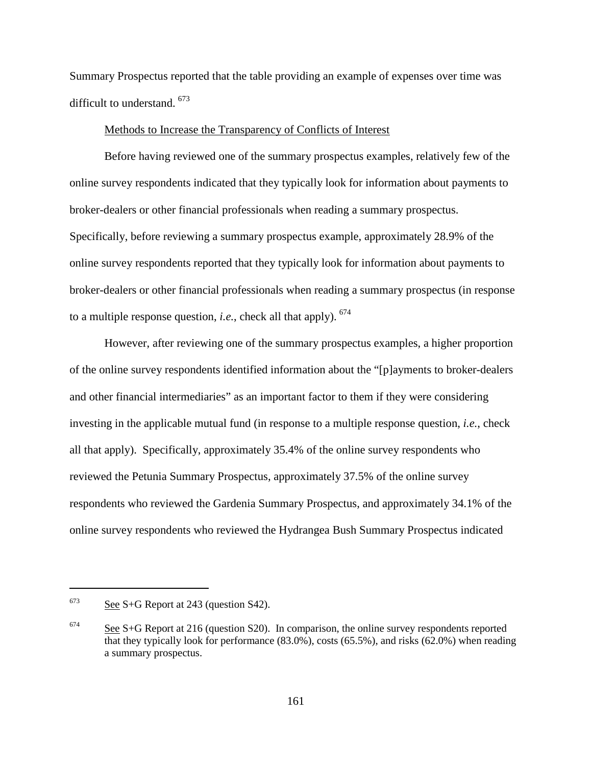Summary Prospectus reported that the table providing an example of expenses over time was difficult to understand. [673](#page-190-0)

#### Methods to Increase the Transparency of Conflicts of Interest

Before having reviewed one of the summary prospectus examples, relatively few of the online survey respondents indicated that they typically look for information about payments to broker-dealers or other financial professionals when reading a summary prospectus. Specifically, before reviewing a summary prospectus example, approximately 28.9% of the online survey respondents reported that they typically look for information about payments to broker-dealers or other financial professionals when reading a summary prospectus (in response to a multiple response question, *i.e.*, check all that apply). [674](#page-190-1)

However, after reviewing one of the summary prospectus examples, a higher proportion of the online survey respondents identified information about the "[p]ayments to broker-dealers and other financial intermediaries" as an important factor to them if they were considering investing in the applicable mutual fund (in response to a multiple response question, *i.e.*, check all that apply). Specifically, approximately 35.4% of the online survey respondents who reviewed the Petunia Summary Prospectus, approximately 37.5% of the online survey respondents who reviewed the Gardenia Summary Prospectus, and approximately 34.1% of the online survey respondents who reviewed the Hydrangea Bush Summary Prospectus indicated

<span id="page-190-0"></span> $673$  See S+G Report at 243 (question S42).

<span id="page-190-1"></span> $674$  See S+G Report at 216 (question S20). In comparison, the online survey respondents reported that they typically look for performance (83.0%), costs (65.5%), and risks (62.0%) when reading a summary prospectus.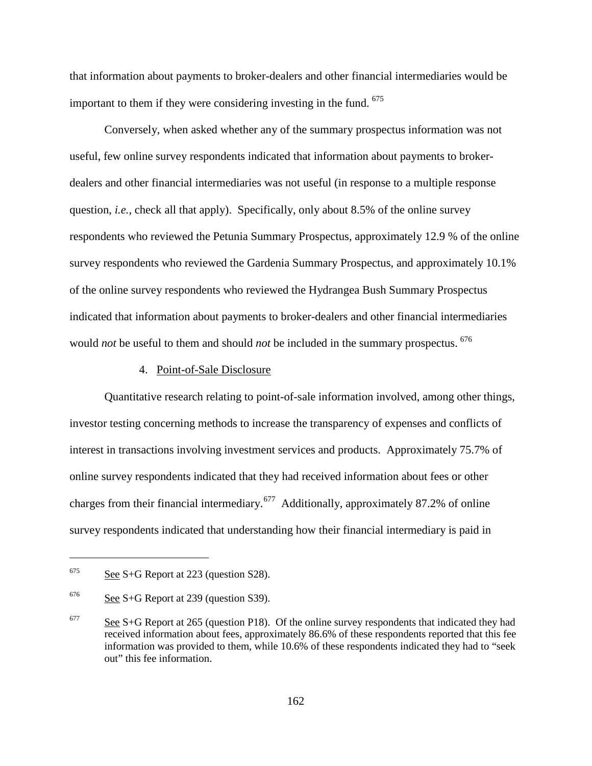that information about payments to broker-dealers and other financial intermediaries would be important to them if they were considering investing in the fund.  $675$ 

Conversely, when asked whether any of the summary prospectus information was not useful, few online survey respondents indicated that information about payments to brokerdealers and other financial intermediaries was not useful (in response to a multiple response question, *i.e.*, check all that apply). Specifically, only about 8.5% of the online survey respondents who reviewed the Petunia Summary Prospectus, approximately 12.9 % of the online survey respondents who reviewed the Gardenia Summary Prospectus, and approximately 10.1% of the online survey respondents who reviewed the Hydrangea Bush Summary Prospectus indicated that information about payments to broker-dealers and other financial intermediaries would *not* be useful to them and should *not* be included in the summary prospectus. [676](#page-191-1)

### 4. Point-of-Sale Disclosure

Quantitative research relating to point-of-sale information involved, among other things, investor testing concerning methods to increase the transparency of expenses and conflicts of interest in transactions involving investment services and products. Approximately 75.7% of online survey respondents indicated that they had received information about fees or other charges from their financial intermediary.[677](#page-191-2) Additionally, approximately 87.2% of online survey respondents indicated that understanding how their financial intermediary is paid in

<span id="page-191-0"></span> $675$  See S+G Report at 223 (question S28).

<span id="page-191-1"></span> $676$  See S+G Report at 239 (question S39).

<span id="page-191-2"></span> $677$  See S+G Report at 265 (question P18). Of the online survey respondents that indicated they had received information about fees, approximately 86.6% of these respondents reported that this fee information was provided to them, while 10.6% of these respondents indicated they had to "seek out" this fee information.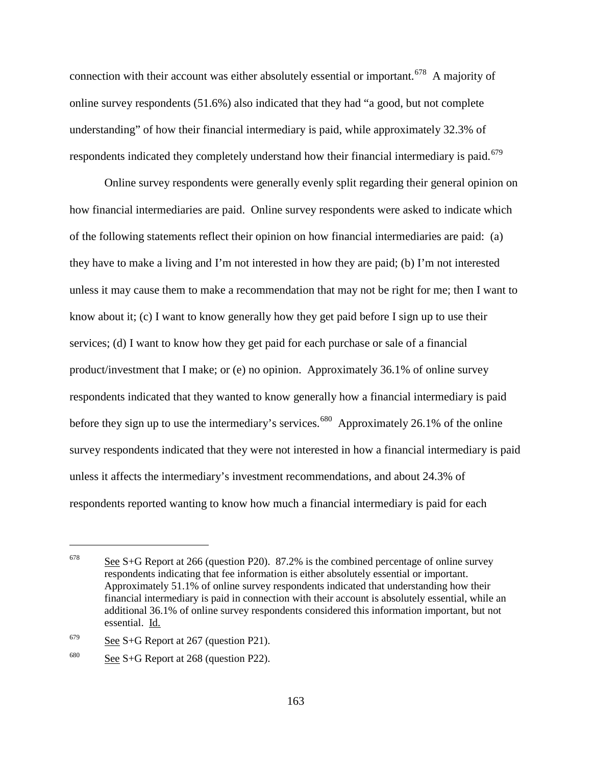connection with their account was either absolutely essential or important.<sup>[678](#page-192-0)</sup> A majority of online survey respondents (51.6%) also indicated that they had "a good, but not complete understanding" of how their financial intermediary is paid, while approximately 32.3% of respondents indicated they completely understand how their financial intermediary is paid.<sup>[679](#page-192-1)</sup>

Online survey respondents were generally evenly split regarding their general opinion on how financial intermediaries are paid. Online survey respondents were asked to indicate which of the following statements reflect their opinion on how financial intermediaries are paid: (a) they have to make a living and I'm not interested in how they are paid; (b) I'm not interested unless it may cause them to make a recommendation that may not be right for me; then I want to know about it; (c) I want to know generally how they get paid before I sign up to use their services; (d) I want to know how they get paid for each purchase or sale of a financial product/investment that I make; or (e) no opinion. Approximately 36.1% of online survey respondents indicated that they wanted to know generally how a financial intermediary is paid before they sign up to use the intermediary's services.<sup>680</sup> Approximately 26.1% of the online survey respondents indicated that they were not interested in how a financial intermediary is paid unless it affects the intermediary's investment recommendations, and about 24.3% of respondents reported wanting to know how much a financial intermediary is paid for each

<span id="page-192-0"></span> $678$  See S+G Report at 266 (question P20). 87.2% is the combined percentage of online survey respondents indicating that fee information is either absolutely essential or important. Approximately 51.1% of online survey respondents indicated that understanding how their financial intermediary is paid in connection with their account is absolutely essential, while an additional 36.1% of online survey respondents considered this information important, but not essential. Id.

<span id="page-192-1"></span> $679$  See S+G Report at 267 (question P21).

<span id="page-192-2"></span> $680$  See S+G Report at 268 (question P22).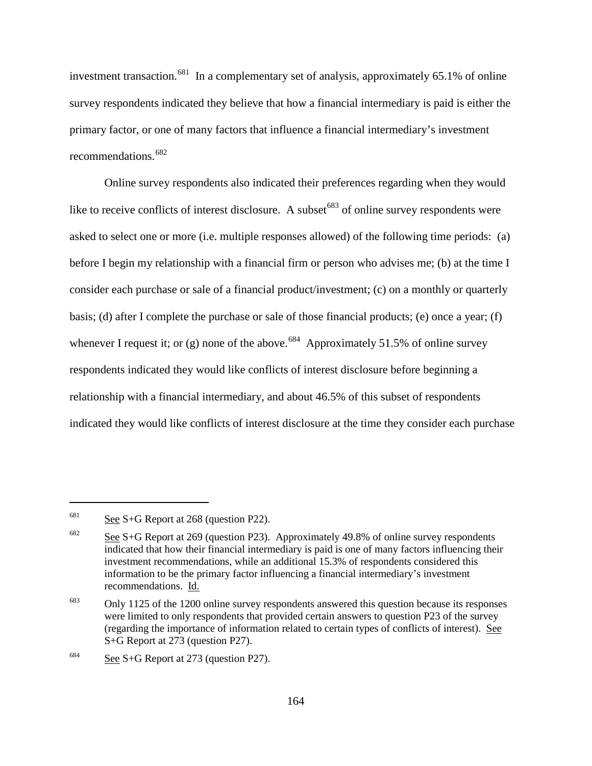investment transaction.<sup>[681](#page-193-0)</sup> In a complementary set of analysis, approximately 65.1% of online survey respondents indicated they believe that how a financial intermediary is paid is either the primary factor, or one of many factors that influence a financial intermediary's investment recommendations.<sup>[682](#page-193-1)</sup>

Online survey respondents also indicated their preferences regarding when they would like to receive conflicts of interest disclosure. A subset  $683$  of online survey respondents were asked to select one or more (i.e. multiple responses allowed) of the following time periods: (a) before I begin my relationship with a financial firm or person who advises me; (b) at the time I consider each purchase or sale of a financial product/investment; (c) on a monthly or quarterly basis; (d) after I complete the purchase or sale of those financial products; (e) once a year; (f) whenever I request it; or (g) none of the above.<sup>684</sup> Approximately 51.5% of online survey respondents indicated they would like conflicts of interest disclosure before beginning a relationship with a financial intermediary, and about 46.5% of this subset of respondents indicated they would like conflicts of interest disclosure at the time they consider each purchase

<span id="page-193-0"></span> $681$  See S+G Report at 268 (question P22).

<span id="page-193-1"></span> $682$  See S+G Report at 269 (question P23). Approximately 49.8% of online survey respondents indicated that how their financial intermediary is paid is one of many factors influencing their investment recommendations, while an additional 15.3% of respondents considered this information to be the primary factor influencing a financial intermediary's investment recommendations. Id.

<span id="page-193-2"></span> $683$  Only 1125 of the 1200 online survey respondents answered this question because its responses were limited to only respondents that provided certain answers to question P23 of the survey (regarding the importance of information related to certain types of conflicts of interest). See S+G Report at 273 (question P27).

<span id="page-193-3"></span> $684$  See S+G Report at 273 (question P27).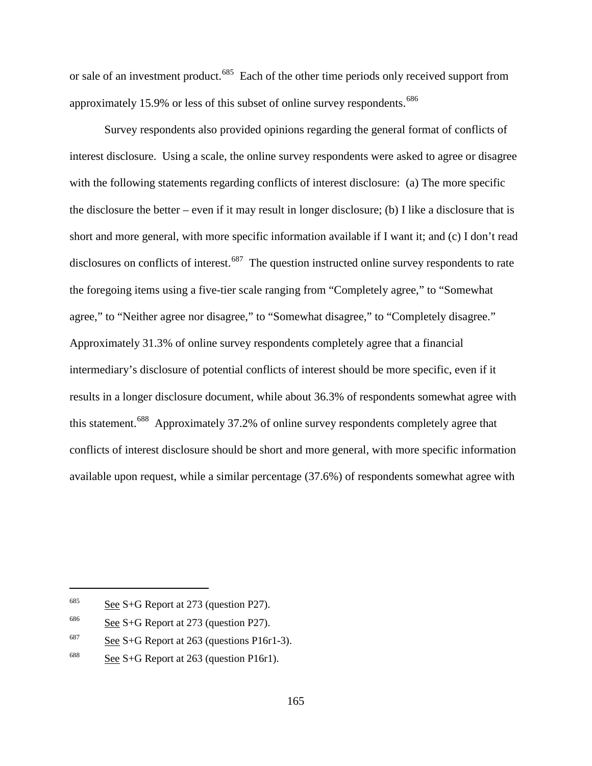or sale of an investment product.<sup>[685](#page-194-0)</sup> Each of the other time periods only received support from approximately 15.9% or less of this subset of online survey respondents.<sup>[686](#page-194-1)</sup>

Survey respondents also provided opinions regarding the general format of conflicts of interest disclosure. Using a scale, the online survey respondents were asked to agree or disagree with the following statements regarding conflicts of interest disclosure: (a) The more specific the disclosure the better – even if it may result in longer disclosure; (b) I like a disclosure that is short and more general, with more specific information available if I want it; and (c) I don't read disclosures on conflicts of interest.<sup>687</sup> The question instructed online survey respondents to rate the foregoing items using a five-tier scale ranging from "Completely agree," to "Somewhat agree," to "Neither agree nor disagree," to "Somewhat disagree," to "Completely disagree." Approximately 31.3% of online survey respondents completely agree that a financial intermediary's disclosure of potential conflicts of interest should be more specific, even if it results in a longer disclosure document, while about 36.3% of respondents somewhat agree with this statement.[688](#page-194-3) Approximately 37.2% of online survey respondents completely agree that conflicts of interest disclosure should be short and more general, with more specific information available upon request, while a similar percentage (37.6%) of respondents somewhat agree with

<span id="page-194-0"></span> $685$  See S+G Report at 273 (question P27).

<span id="page-194-1"></span> $686$  See S+G Report at 273 (question P27).

<span id="page-194-2"></span> $687$  See S+G Report at 263 (questions P16r1-3).

<span id="page-194-3"></span> $688$  See S+G Report at 263 (question P16r1).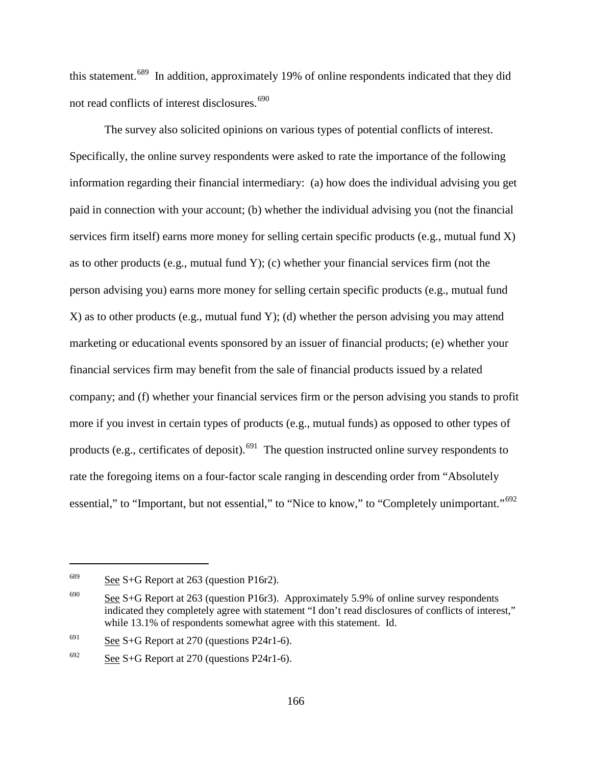this statement.<sup>[689](#page-195-0)</sup> In addition, approximately 19% of online respondents indicated that they did not read conflicts of interest disclosures.<sup>[690](#page-195-1)</sup>

The survey also solicited opinions on various types of potential conflicts of interest. Specifically, the online survey respondents were asked to rate the importance of the following information regarding their financial intermediary: (a) how does the individual advising you get paid in connection with your account; (b) whether the individual advising you (not the financial services firm itself) earns more money for selling certain specific products (e.g., mutual fund X) as to other products (e.g., mutual fund Y); (c) whether your financial services firm (not the person advising you) earns more money for selling certain specific products (e.g., mutual fund X) as to other products (e.g., mutual fund Y); (d) whether the person advising you may attend marketing or educational events sponsored by an issuer of financial products; (e) whether your financial services firm may benefit from the sale of financial products issued by a related company; and (f) whether your financial services firm or the person advising you stands to profit more if you invest in certain types of products (e.g., mutual funds) as opposed to other types of products (e.g., certificates of deposit).<sup>691</sup> The question instructed online survey respondents to rate the foregoing items on a four-factor scale ranging in descending order from "Absolutely essential," to "Important, but not essential," to "Nice to know," to "Completely unimportant."<sup>[692](#page-195-3)</sup>

<span id="page-195-0"></span> $689$  See S+G Report at 263 (question P16r2).

<span id="page-195-1"></span><sup>&</sup>lt;sup>690</sup> See S+G Report at 263 (question P16r3). Approximately 5.9% of online survey respondents indicated they completely agree with statement "I don't read disclosures of conflicts of interest," while 13.1% of respondents somewhat agree with this statement. Id.

<span id="page-195-2"></span> $691$  See S+G Report at 270 (questions P24r1-6).

<span id="page-195-3"></span> $692$  See S+G Report at 270 (questions P24r1-6).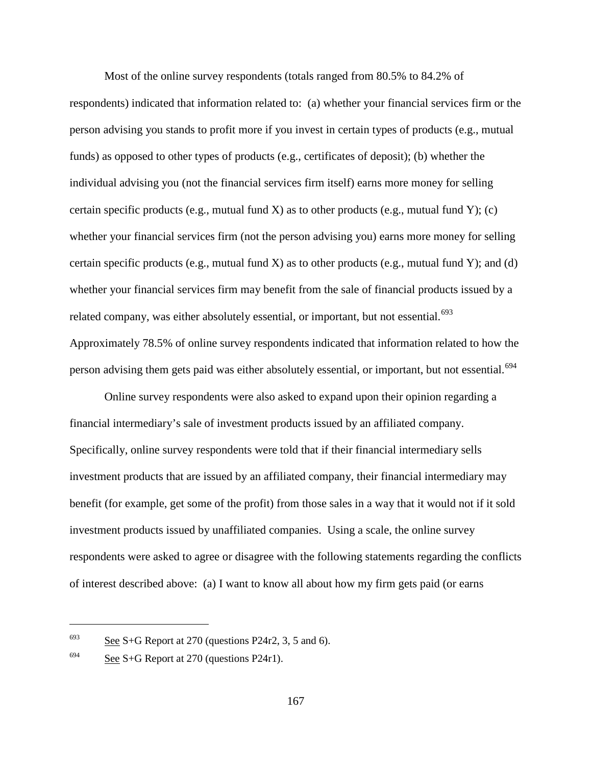Most of the online survey respondents (totals ranged from 80.5% to 84.2% of respondents) indicated that information related to: (a) whether your financial services firm or the person advising you stands to profit more if you invest in certain types of products (e.g., mutual funds) as opposed to other types of products (e.g., certificates of deposit); (b) whether the individual advising you (not the financial services firm itself) earns more money for selling certain specific products (e.g., mutual fund X) as to other products (e.g., mutual fund Y); (c) whether your financial services firm (not the person advising you) earns more money for selling certain specific products (e.g., mutual fund X) as to other products (e.g., mutual fund Y); and (d) whether your financial services firm may benefit from the sale of financial products issued by a related company, was either absolutely essential, or important, but not essential.<sup>693</sup> Approximately 78.5% of online survey respondents indicated that information related to how the person advising them gets paid was either absolutely essential, or important, but not essential.<sup>[694](#page-196-1)</sup>

Online survey respondents were also asked to expand upon their opinion regarding a financial intermediary's sale of investment products issued by an affiliated company. Specifically, online survey respondents were told that if their financial intermediary sells investment products that are issued by an affiliated company, their financial intermediary may benefit (for example, get some of the profit) from those sales in a way that it would not if it sold investment products issued by unaffiliated companies. Using a scale, the online survey respondents were asked to agree or disagree with the following statements regarding the conflicts of interest described above: (a) I want to know all about how my firm gets paid (or earns

<span id="page-196-0"></span> $693$  See S+G Report at 270 (questions P24r2, 3, 5 and 6).

<span id="page-196-1"></span><sup>&</sup>lt;sup>694</sup> See S+G Report at 270 (questions P24r1).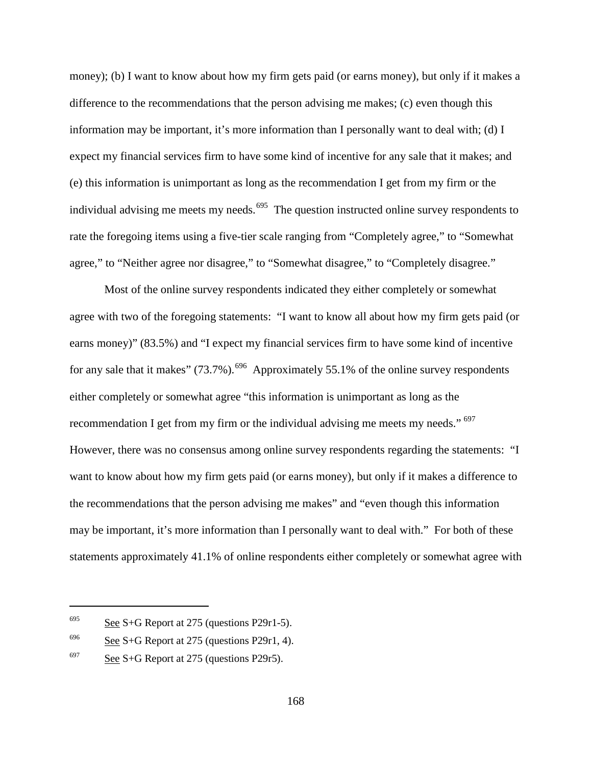money); (b) I want to know about how my firm gets paid (or earns money), but only if it makes a difference to the recommendations that the person advising me makes; (c) even though this information may be important, it's more information than I personally want to deal with; (d) I expect my financial services firm to have some kind of incentive for any sale that it makes; and (e) this information is unimportant as long as the recommendation I get from my firm or the individual advising me meets my needs.<sup>[695](#page-197-0)</sup> The question instructed online survey respondents to rate the foregoing items using a five-tier scale ranging from "Completely agree," to "Somewhat agree," to "Neither agree nor disagree," to "Somewhat disagree," to "Completely disagree."

Most of the online survey respondents indicated they either completely or somewhat agree with two of the foregoing statements: "I want to know all about how my firm gets paid (or earns money)" (83.5%) and "I expect my financial services firm to have some kind of incentive for any sale that it makes"  $(73.7\%)$ .<sup>[696](#page-197-1)</sup> Approximately 55.1% of the online survey respondents either completely or somewhat agree "this information is unimportant as long as the recommendation I get from my firm or the individual advising me meets my needs." <sup>[697](#page-197-2)</sup> However, there was no consensus among online survey respondents regarding the statements: "I want to know about how my firm gets paid (or earns money), but only if it makes a difference to the recommendations that the person advising me makes" and "even though this information may be important, it's more information than I personally want to deal with." For both of these statements approximately 41.1% of online respondents either completely or somewhat agree with

<span id="page-197-0"></span> $695$  See S+G Report at 275 (questions P29r1-5).

<span id="page-197-1"></span> $696$  See S+G Report at 275 (questions P29r1, 4).

<span id="page-197-2"></span> $697$  See S+G Report at 275 (questions P29r5).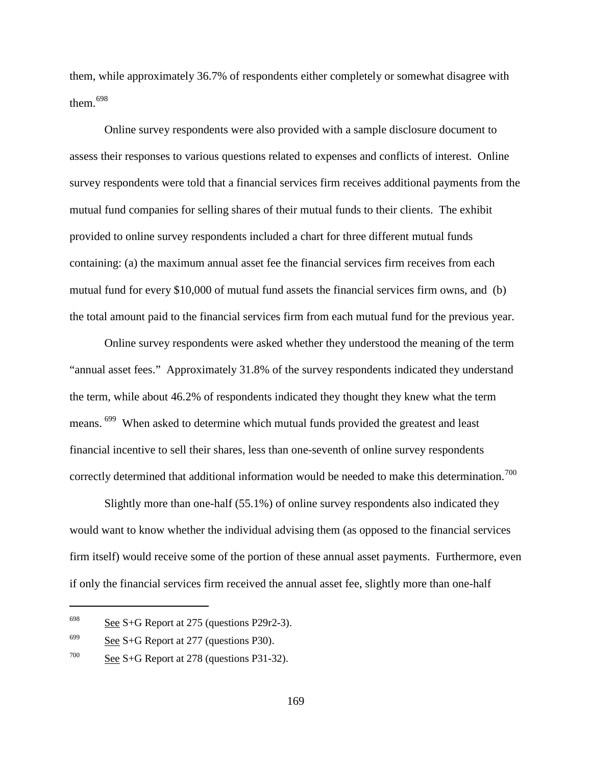them, while approximately 36.7% of respondents either completely or somewhat disagree with them.[698](#page-198-0)

Online survey respondents were also provided with a sample disclosure document to assess their responses to various questions related to expenses and conflicts of interest. Online survey respondents were told that a financial services firm receives additional payments from the mutual fund companies for selling shares of their mutual funds to their clients. The exhibit provided to online survey respondents included a chart for three different mutual funds containing: (a) the maximum annual asset fee the financial services firm receives from each mutual fund for every \$10,000 of mutual fund assets the financial services firm owns, and (b) the total amount paid to the financial services firm from each mutual fund for the previous year.

Online survey respondents were asked whether they understood the meaning of the term "annual asset fees." Approximately 31.8% of the survey respondents indicated they understand the term, while about 46.2% of respondents indicated they thought they knew what the term means. [699](#page-198-1) When asked to determine which mutual funds provided the greatest and least financial incentive to sell their shares, less than one-seventh of online survey respondents correctly determined that additional information would be needed to make this determination.<sup>700</sup>

Slightly more than one-half (55.1%) of online survey respondents also indicated they would want to know whether the individual advising them (as opposed to the financial services firm itself) would receive some of the portion of these annual asset payments. Furthermore, even if only the financial services firm received the annual asset fee, slightly more than one-half

<span id="page-198-0"></span> $698$  See S+G Report at 275 (questions P29r2-3).

<span id="page-198-1"></span> $699$  See S+G Report at 277 (questions P30).

<span id="page-198-2"></span> $700$  See S+G Report at 278 (questions P31-32).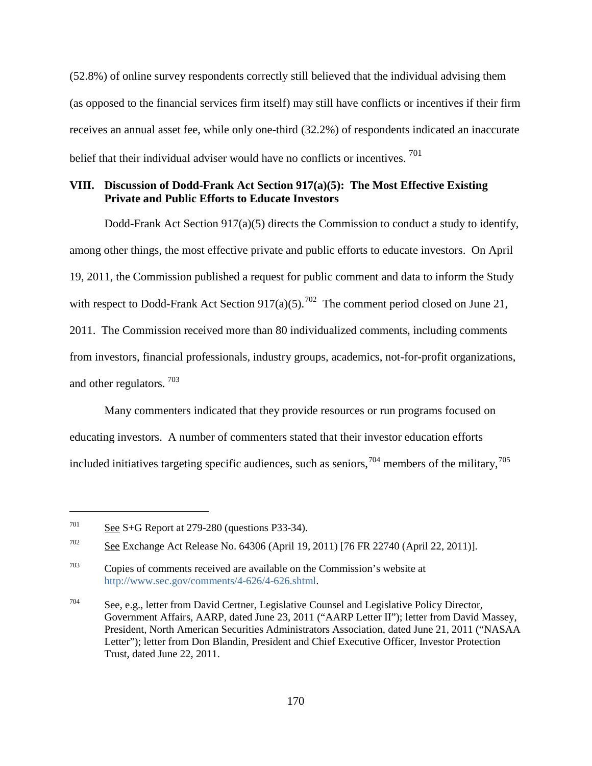(52.8%) of online survey respondents correctly still believed that the individual advising them (as opposed to the financial services firm itself) may still have conflicts or incentives if their firm receives an annual asset fee, while only one-third (32.2%) of respondents indicated an inaccurate belief that their individual adviser would have no conflicts or incentives.<sup>[701](#page-199-0)</sup>

### **VIII. Discussion of Dodd-Frank Act Section 917(a)(5): The Most Effective Existing Private and Public Efforts to Educate Investors**

<span id="page-199-4"></span>Dodd-Frank Act Section 917(a)(5) directs the Commission to conduct a study to identify, among other things, the most effective private and public efforts to educate investors. On April 19, 2011, the Commission published a request for public comment and data to inform the Study with respect to Dodd-Frank Act Section  $917(a)(5)$ .<sup>702</sup> The comment period closed on June 21, 2011. The Commission received more than 80 individualized comments, including comments from investors, financial professionals, industry groups, academics, not-for-profit organizations, and other regulators. [703](#page-199-2)

Many commenters indicated that they provide resources or run programs focused on educating investors. A number of commenters stated that their investor education efforts included initiatives targeting specific audiences, such as seniors,  $^{704}$  $^{704}$  $^{704}$  members of the military,  $^{705}$  $^{705}$  $^{705}$ 

<span id="page-199-0"></span> $701$  See S+G Report at 279-280 (questions P33-34).

<span id="page-199-1"></span><sup>702</sup> See Exchange Act Release No. 64306 (April 19, 2011) [76 FR 22740 (April 22, 2011)].

<span id="page-199-2"></span> $703$  Copies of comments received are available on the Commission's website at [http://www.sec.gov/comments/4-626/4-626.shtml.](http://www.sec.gov/comments/4-626/4-626.shtml)

<span id="page-199-3"></span> $704$  See, e.g., letter from David Certner, Legislative Counsel and Legislative Policy Director, Government Affairs, AARP, dated June 23, 2011 ("AARP Letter II"); letter from David Massey, President, North American Securities Administrators Association, dated June 21, 2011 ("NASAA Letter"); letter from Don Blandin, President and Chief Executive Officer, Investor Protection Trust, dated June 22, 2011.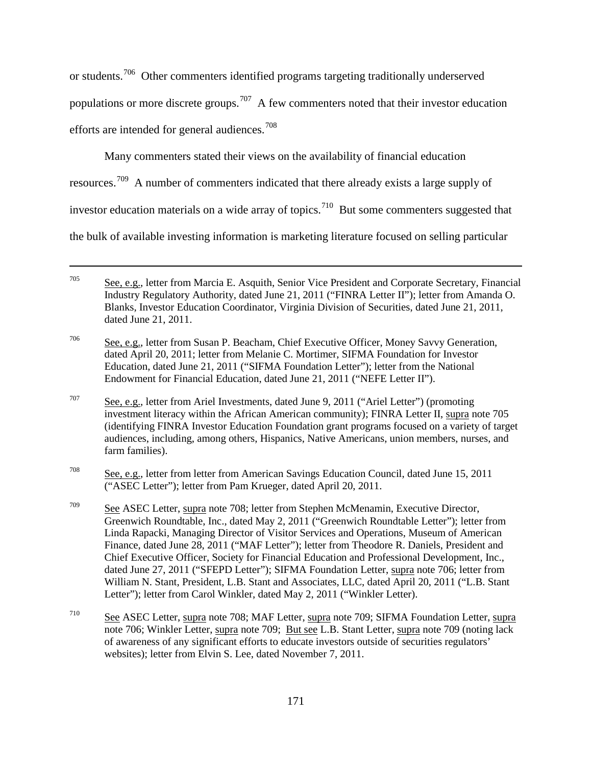or students.[706](#page-200-0) Other commenters identified programs targeting traditionally underserved

populations or more discrete groups.<sup>[707](#page-200-1)</sup> A few commenters noted that their investor education

efforts are intended for general audiences.<sup>[708](#page-200-2)</sup>

 $\overline{a}$ 

Many commenters stated their views on the availability of financial education

resources.[709](#page-200-3) A number of commenters indicated that there already exists a large supply of

investor education materials on a wide array of topics.<sup>710</sup> But some commenters suggested that

the bulk of available investing information is marketing literature focused on selling particular

<span id="page-200-1"></span><sup>707</sup> See, e.g., letter from Ariel Investments, dated June 9, 2011 ("Ariel Letter") (promoting investment literacy within the African American community); FINRA Letter II, supra note 705 (identifying FINRA Investor Education Foundation grant programs focused on a variety of target audiences, including, among others, Hispanics, Native Americans, union members, nurses, and farm families).

<span id="page-200-2"></span> $\frac{708}{200}$  See, e.g., letter from letter from American Savings Education Council, dated June 15, 2011 ("ASEC Letter"); letter from Pam Krueger, dated April 20, 2011.

<span id="page-200-3"></span> $\frac{709}{200}$  See ASEC Letter, supra note 708; letter from Stephen McMenamin, Executive Director, Greenwich Roundtable, Inc., dated May 2, 2011 ("Greenwich Roundtable Letter"); letter from Linda Rapacki, Managing Director of Visitor Services and Operations, Museum of American Finance, dated June 28, 2011 ("MAF Letter"); letter from Theodore R. Daniels, President and Chief Executive Officer, Society for Financial Education and Professional Development, Inc., dated June 27, 2011 ("SFEPD Letter"); SIFMA Foundation Letter, supra note 706; letter from William N. Stant, President, L.B. Stant and Associates, LLC, dated April 20, 2011 ("L.B. Stant Letter"); letter from Carol Winkler, dated May 2, 2011 ("Winkler Letter).

<span id="page-200-4"></span><sup>710</sup> See ASEC Letter, supra note 708; MAF Letter, supra note 709; SIFMA Foundation Letter, supra note 706; Winkler Letter, supra note 709; But see L.B. Stant Letter, supra note 709 (noting lack of awareness of any significant efforts to educate investors outside of securities regulators' websites); letter from Elvin S. Lee, dated November 7, 2011.

<sup>705</sup> See, e.g., letter from Marcia E. Asquith, Senior Vice President and Corporate Secretary, Financial Industry Regulatory Authority, dated June 21, 2011 ("FINRA Letter II"); letter from Amanda O. Blanks, Investor Education Coordinator, Virginia Division of Securities, dated June 21, 2011, dated June 21, 2011.

<span id="page-200-0"></span><sup>706</sup> See, e.g., letter from Susan P. Beacham, Chief Executive Officer, Money Savvy Generation, dated April 20, 2011; letter from Melanie C. Mortimer, SIFMA Foundation for Investor Education, dated June 21, 2011 ("SIFMA Foundation Letter"); letter from the National Endowment for Financial Education, dated June 21, 2011 ("NEFE Letter II").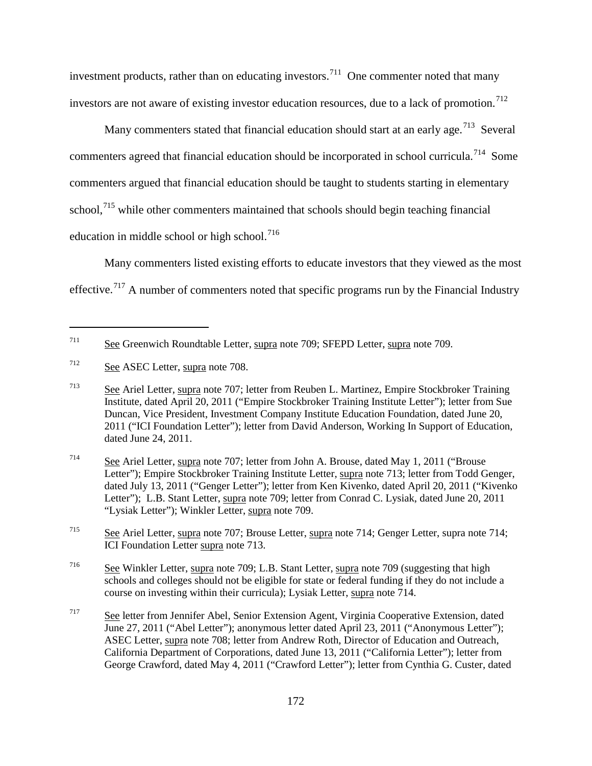investment products, rather than on educating investors.<sup>[711](#page-201-0)</sup> One commenter noted that many investors are not aware of existing investor education resources, due to a lack of promotion.<sup>[712](#page-201-1)</sup>

Many commenters stated that financial education should start at an early age.<sup>[713](#page-201-2)</sup> Several commenters agreed that financial education should be incorporated in school curricula.<sup>[714](#page-201-3)</sup> Some commenters argued that financial education should be taught to students starting in elementary school.<sup>[715](#page-201-4)</sup> while other commenters maintained that schools should begin teaching financial education in middle school or high school.<sup>[716](#page-201-5)</sup>

Many commenters listed existing efforts to educate investors that they viewed as the most effective.<sup>[717](#page-201-6)</sup> A number of commenters noted that specific programs run by the Financial Industry

<span id="page-201-0"></span><sup>711</sup> See Greenwich Roundtable Letter, supra note 709; SFEPD Letter, supra note 709.

<span id="page-201-1"></span><sup>712</sup> See ASEC Letter, supra note 708.

<span id="page-201-2"></span><sup>713</sup> See Ariel Letter, supra note 707; letter from Reuben L. Martinez, Empire Stockbroker Training Institute, dated April 20, 2011 ("Empire Stockbroker Training Institute Letter"); letter from Sue Duncan, Vice President, Investment Company Institute Education Foundation, dated June 20, 2011 ("ICI Foundation Letter"); letter from David Anderson, Working In Support of Education, dated June 24, 2011.

<span id="page-201-3"></span><sup>714</sup> See Ariel Letter, supra note 707; letter from John A. Brouse, dated May 1, 2011 ("Brouse Letter"); Empire Stockbroker Training Institute Letter, supra note 713; letter from Todd Genger, dated July 13, 2011 ("Genger Letter"); letter from Ken Kivenko, dated April 20, 2011 ("Kivenko Letter"); L.B. Stant Letter, supra note 709; letter from Conrad C. Lysiak, dated June 20, 2011 "Lysiak Letter"); Winkler Letter, supra note 709.

<span id="page-201-4"></span><sup>715</sup> See Ariel Letter, supra note 707; Brouse Letter, supra note 714; Genger Letter, supra note 714; ICI Foundation Letter supra note 713.

<span id="page-201-5"></span> $\frac{\text{See}}{\text{Value}}$  Winkler Letter, supra note 709; L.B. Stant Letter, supra note 709 (suggesting that high schools and colleges should not be eligible for state or federal funding if they do not include a course on investing within their curricula); Lysiak Letter, supra note 714.

<span id="page-201-6"></span><sup>717</sup> See letter from Jennifer Abel, Senior Extension Agent, Virginia Cooperative Extension, dated June 27, 2011 ("Abel Letter"); anonymous letter dated April 23, 2011 ("Anonymous Letter"); ASEC Letter, supra note 708; letter from Andrew Roth, Director of Education and Outreach, California Department of Corporations, dated June 13, 2011 ("California Letter"); letter from George Crawford, dated May 4, 2011 ("Crawford Letter"); letter from Cynthia G. Custer, dated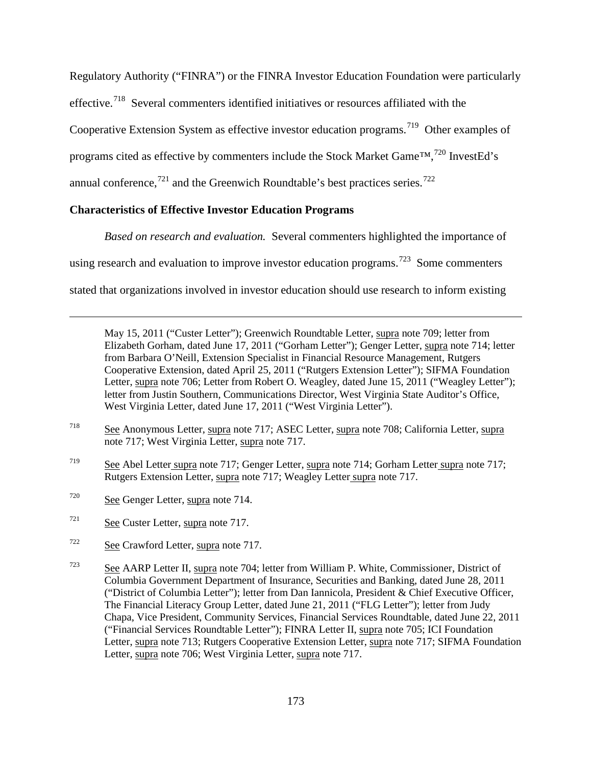Regulatory Authority ("FINRA") or the FINRA Investor Education Foundation were particularly

effective.<sup>718</sup> Several commenters identified initiatives or resources affiliated with the

Cooperative Extension System as effective investor education programs.<sup>[719](#page-202-1)</sup> Other examples of

programs cited as effective by commenters include the Stock Market Game™,<sup>[720](#page-202-2)</sup> InvestEd's

annual conference, $721$  and the Greenwich Roundtable's best practices series.  $722$ 

# **Characteristics of Effective Investor Education Programs**

*Based on research and evaluation.* Several commenters highlighted the importance of

using research and evaluation to improve investor education programs.<sup>[723](#page-202-5)</sup> Some commenters

stated that organizations involved in investor education should use research to inform existing

May 15, 2011 ("Custer Letter"); Greenwich Roundtable Letter, supra note 709; letter from Elizabeth Gorham, dated June 17, 2011 ("Gorham Letter"); Genger Letter, supra note 714; letter from Barbara O'Neill, Extension Specialist in Financial Resource Management, Rutgers Cooperative Extension, dated April 25, 2011 ("Rutgers Extension Letter"); SIFMA Foundation Letter, supra note 706; Letter from Robert O. Weagley, dated June 15, 2011 ("Weagley Letter"); letter from Justin Southern, Communications Director, West Virginia State Auditor's Office, West Virginia Letter, dated June 17, 2011 ("West Virginia Letter").

- <span id="page-202-0"></span><sup>718</sup> See Anonymous Letter, supra note 717; ASEC Letter, supra note 708; California Letter, supra note 717; West Virginia Letter, supra note 717.
- <span id="page-202-1"></span><sup>719</sup> See Abel Letter supra note 717; Genger Letter, supra note 714; Gorham Letter supra note 717; Rutgers Extension Letter, supra note 717; Weagley Letter supra note 717.
- <span id="page-202-2"></span> $720$  See Genger Letter, supra note 714.

- <span id="page-202-3"></span><sup>721</sup> See Custer Letter, supra note 717.
- <span id="page-202-4"></span><sup>722</sup> See Crawford Letter, supra note 717.
- <span id="page-202-5"></span> $\frac{723}{2}$  See AARP Letter II, supra note 704; letter from William P. White, Commissioner, District of Columbia Government Department of Insurance, Securities and Banking, dated June 28, 2011 ("District of Columbia Letter"); letter from Dan Iannicola, President & Chief Executive Officer, The Financial Literacy Group Letter, dated June 21, 2011 ("FLG Letter"); letter from Judy Chapa, Vice President, Community Services, Financial Services Roundtable, dated June 22, 2011 ("Financial Services Roundtable Letter"); FINRA Letter II, supra note 705; ICI Foundation Letter, supra note 713; Rutgers Cooperative Extension Letter, supra note 717; SIFMA Foundation Letter, supra note 706; West Virginia Letter, supra note 717.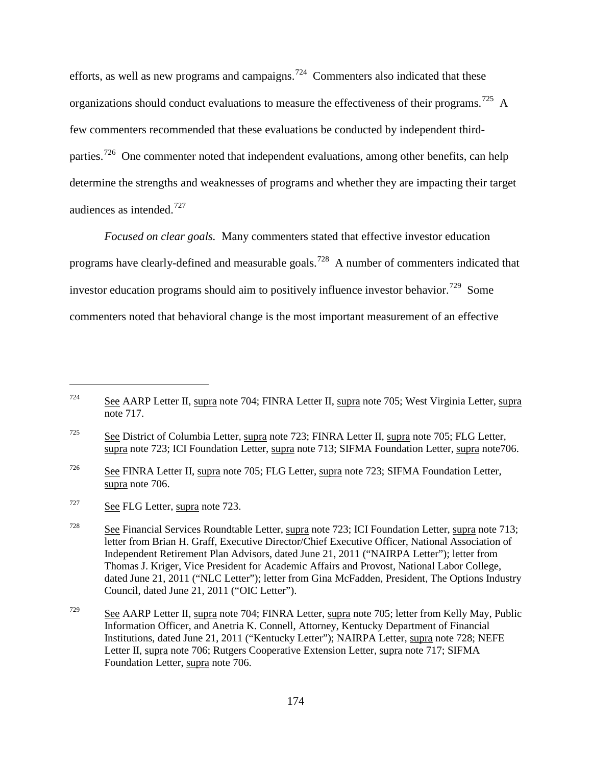efforts, as well as new programs and campaigns.<sup>724</sup> Commenters also indicated that these organizations should conduct evaluations to measure the effectiveness of their programs.<sup>725</sup> A few commenters recommended that these evaluations be conducted by independent thirdparties.<sup>726</sup> One commenter noted that independent evaluations, among other benefits, can help determine the strengths and weaknesses of programs and whether they are impacting their target audiences as intended. $727$ 

*Focused on clear goals.* Many commenters stated that effective investor education programs have clearly-defined and measurable goals.<sup>728</sup> A number of commenters indicated that investor education programs should aim to positively influence investor behavior.<sup>[729](#page-203-5)</sup> Some commenters noted that behavioral change is the most important measurement of an effective

<span id="page-203-0"></span><sup>724</sup> See AARP Letter II, supra note 704; FINRA Letter II, supra note 705; West Virginia Letter, supra note 717.

<span id="page-203-1"></span><sup>&</sup>lt;sup>725</sup> See District of Columbia Letter, supra note 723; FINRA Letter II, supra note 705; FLG Letter, supra note 723; ICI Foundation Letter, supra note 713; SIFMA Foundation Letter, supra note 706.

<span id="page-203-2"></span><sup>726</sup> See FINRA Letter II, supra note 705; FLG Letter, supra note 723; SIFMA Foundation Letter, supra note 706.

<span id="page-203-3"></span><sup>727</sup> See FLG Letter, supra note 723.

<span id="page-203-4"></span><sup>728</sup> See Financial Services Roundtable Letter, supra note 723; ICI Foundation Letter, supra note 713; letter from Brian H. Graff, Executive Director/Chief Executive Officer, National Association of Independent Retirement Plan Advisors, dated June 21, 2011 ("NAIRPA Letter"); letter from Thomas J. Kriger, Vice President for Academic Affairs and Provost, National Labor College, dated June 21, 2011 ("NLC Letter"); letter from Gina McFadden, President, The Options Industry Council, dated June 21, 2011 ("OIC Letter").

<span id="page-203-5"></span><sup>&</sup>lt;sup>729</sup> See AARP Letter II, supra note 704; FINRA Letter, supra note 705; letter from Kelly May, Public Information Officer, and Anetria K. Connell, Attorney, Kentucky Department of Financial Institutions, dated June 21, 2011 ("Kentucky Letter"); NAIRPA Letter, supra note 728; NEFE Letter II, supra note 706; Rutgers Cooperative Extension Letter, supra note 717; SIFMA Foundation Letter, supra note 706.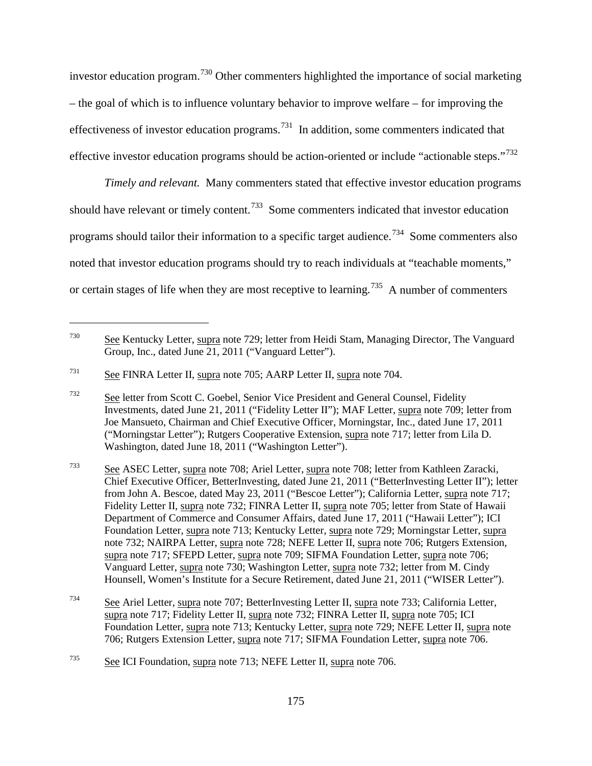investor education program.<sup>[730](#page-204-0)</sup> Other commenters highlighted the importance of social marketing – the goal of which is to influence voluntary behavior to improve welfare – for improving the effectiveness of investor education programs.[731](#page-204-1) In addition, some commenters indicated that effective investor education programs should be action-oriented or include "actionable steps."<sup>[732](#page-204-2)</sup>

*Timely and relevant.* Many commenters stated that effective investor education programs should have relevant or timely content.<sup>[733](#page-204-3)</sup> Some commenters indicated that investor education programs should tailor their information to a specific target audience.<sup>734</sup> Some commenters also noted that investor education programs should try to reach individuals at "teachable moments," or certain stages of life when they are most receptive to learning.<sup>[735](#page-204-5)</sup> A number of commenters

<span id="page-204-0"></span><sup>730</sup> See Kentucky Letter, supra note 729; letter from Heidi Stam, Managing Director, The Vanguard Group, Inc., dated June 21, 2011 ("Vanguard Letter").

<span id="page-204-1"></span><sup>731</sup> See FINRA Letter II, supra note 705; AARP Letter II, supra note 704.

<span id="page-204-2"></span><sup>732</sup> See letter from Scott C. Goebel, Senior Vice President and General Counsel, Fidelity Investments, dated June 21, 2011 ("Fidelity Letter II"); MAF Letter, supra note 709; letter from Joe Mansueto, Chairman and Chief Executive Officer, Morningstar, Inc., dated June 17, 2011 ("Morningstar Letter"); Rutgers Cooperative Extension, supra note 717; letter from Lila D. Washington, dated June 18, 2011 ("Washington Letter").

<span id="page-204-3"></span><sup>733</sup> See ASEC Letter, supra note 708; Ariel Letter, supra note 708; letter from Kathleen Zaracki, Chief Executive Officer, BetterInvesting, dated June 21, 2011 ("BetterInvesting Letter II"); letter from John A. Bescoe, dated May 23, 2011 ("Bescoe Letter"); California Letter, supra note 717; Fidelity Letter II, supra note 732; FINRA Letter II, supra note 705; letter from State of Hawaii Department of Commerce and Consumer Affairs, dated June 17, 2011 ("Hawaii Letter"); ICI Foundation Letter, supra note 713; Kentucky Letter, supra note 729; Morningstar Letter, supra note 732; NAIRPA Letter, supra note 728; NEFE Letter II, supra note 706; Rutgers Extension, supra note 717; SFEPD Letter, supra note 709; SIFMA Foundation Letter, supra note 706; Vanguard Letter, supra note 730; Washington Letter, supra note 732; letter from M. Cindy Hounsell, Women's Institute for a Secure Retirement, dated June 21, 2011 ("WISER Letter").

<span id="page-204-4"></span><sup>734</sup> See Ariel Letter, supra note 707; BetterInvesting Letter II, supra note 733; California Letter, supra note 717; Fidelity Letter II, supra note 732; FINRA Letter II, supra note 705; ICI Foundation Letter, supra note 713; Kentucky Letter, supra note 729; NEFE Letter II, supra note 706; Rutgers Extension Letter, supra note 717; SIFMA Foundation Letter, supra note 706.

<span id="page-204-5"></span><sup>735</sup> See ICI Foundation, supra note 713; NEFE Letter II*,* supra note 706.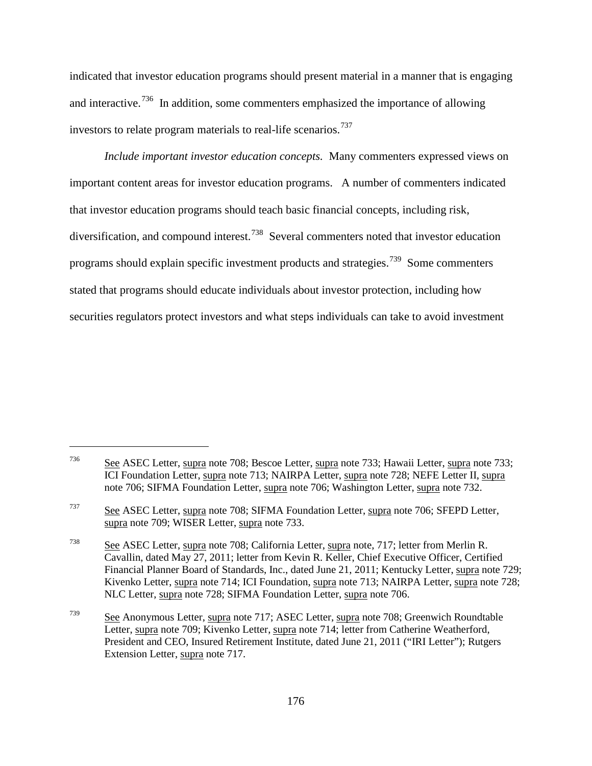indicated that investor education programs should present material in a manner that is engaging and interactive.<sup>736</sup> In addition, some commenters emphasized the importance of allowing investors to relate program materials to real-life scenarios.<sup>[737](#page-205-1)</sup>

*Include important investor education concepts.* Many commenters expressed views on important content areas for investor education programs. A number of commenters indicated that investor education programs should teach basic financial concepts, including risk, diversification, and compound interest.<sup>[738](#page-205-2)</sup> Several commenters noted that investor education programs should explain specific investment products and strategies.<sup>[739](#page-205-3)</sup> Some commenters stated that programs should educate individuals about investor protection, including how securities regulators protect investors and what steps individuals can take to avoid investment

<span id="page-205-0"></span> $\frac{736}{200}$  See ASEC Letter, supra note 708; Bescoe Letter, supra note 733; Hawaii Letter, supra note 733; ICI Foundation Letter, supra note 713; NAIRPA Letter, supra note 728; NEFE Letter II, supra note 706; SIFMA Foundation Letter, supra note 706; Washington Letter, supra note 732.

<span id="page-205-1"></span><sup>&</sup>lt;sup>737</sup> See ASEC Letter, supra note 708; SIFMA Foundation Letter, supra note 706; SFEPD Letter, supra note 709; WISER Letter, supra note 733.

<span id="page-205-2"></span><sup>738</sup> See ASEC Letter, supra note 708; California Letter, supra note, 717; letter from Merlin R. Cavallin, dated May 27, 2011; letter from Kevin R. Keller, Chief Executive Officer, Certified Financial Planner Board of Standards, Inc., dated June 21, 2011; Kentucky Letter, supra note 729; Kivenko Letter, supra note 714; ICI Foundation, supra note 713; NAIRPA Letter, supra note 728; NLC Letter, supra note 728; SIFMA Foundation Letter, supra note 706.

<span id="page-205-3"></span> $\frac{739}{20}$  See Anonymous Letter, supra note 717; ASEC Letter, supra note 708; Greenwich Roundtable Letter, supra note 709; Kivenko Letter, supra note 714; letter from Catherine Weatherford, President and CEO, Insured Retirement Institute, dated June 21, 2011 ("IRI Letter"); Rutgers Extension Letter, supra note 717.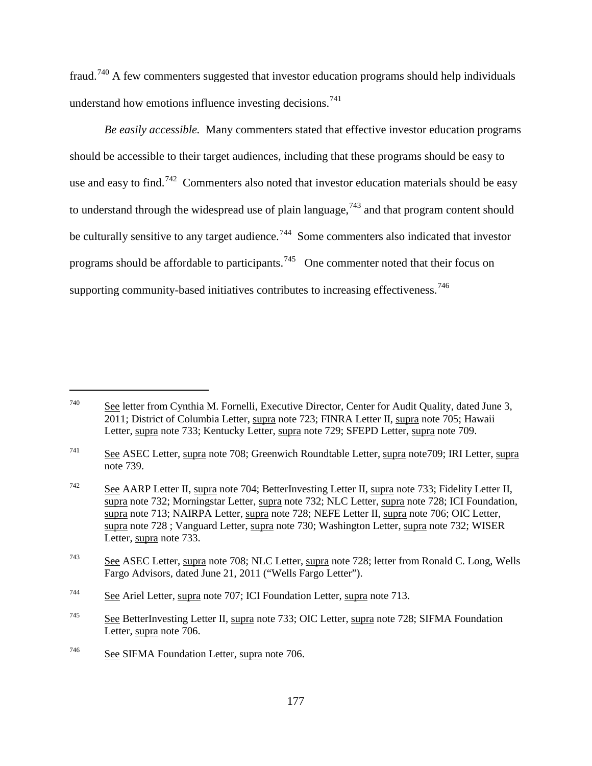fraud.[740](#page-206-0) A few commenters suggested that investor education programs should help individuals understand how emotions influence investing decisions.<sup>[741](#page-206-1)</sup>

*Be easily accessible.* Many commenters stated that effective investor education programs should be accessible to their target audiences, including that these programs should be easy to use and easy to find.<sup>[742](#page-206-2)</sup> Commenters also noted that investor education materials should be easy to understand through the widespread use of plain language,<sup>[743](#page-206-3)</sup> and that program content should be culturally sensitive to any target audience.<sup>744</sup> Some commenters also indicated that investor programs should be affordable to participants.<sup>[745](#page-206-5)</sup> One commenter noted that their focus on supporting community-based initiatives contributes to increasing effectiveness.<sup>[746](#page-206-6)</sup>

<span id="page-206-0"></span><sup>740</sup> See letter from Cynthia M. Fornelli, Executive Director, Center for Audit Quality, dated June 3, 2011; District of Columbia Letter, supra note 723; FINRA Letter II, supra note 705; Hawaii Letter, supra note 733; Kentucky Letter, supra note 729; SFEPD Letter, supra note 709.

<span id="page-206-1"></span><sup>741</sup> See ASEC Letter, supra note 708; Greenwich Roundtable Letter, supra note709; IRI Letter, supra note 739.

<span id="page-206-2"></span><sup>&</sup>lt;sup>742</sup> See AARP Letter II, supra note 704; BetterInvesting Letter II, supra note 733; Fidelity Letter II, supra note 732; Morningstar Letter, supra note 732; NLC Letter, supra note 728; ICI Foundation, supra note 713; NAIRPA Letter, supra note 728; NEFE Letter II, supra note 706; OIC Letter, supra note 728 ; Vanguard Letter, supra note 730; Washington Letter, supra note 732; WISER Letter, supra note 733.

<span id="page-206-3"></span><sup>743</sup> See ASEC Letter, supra note 708; NLC Letter, supra note 728; letter from Ronald C. Long, Wells Fargo Advisors, dated June 21, 2011 ("Wells Fargo Letter").

<span id="page-206-4"></span><sup>744</sup> See Ariel Letter, supra note 707; ICI Foundation Letter, supra note 713.

<span id="page-206-5"></span><sup>&</sup>lt;sup>745</sup> See BetterInvesting Letter II, supra note 733; OIC Letter, supra note 728; SIFMA Foundation Letter, supra note 706.

<span id="page-206-6"></span><sup>746</sup> See SIFMA Foundation Letter, supra note 706.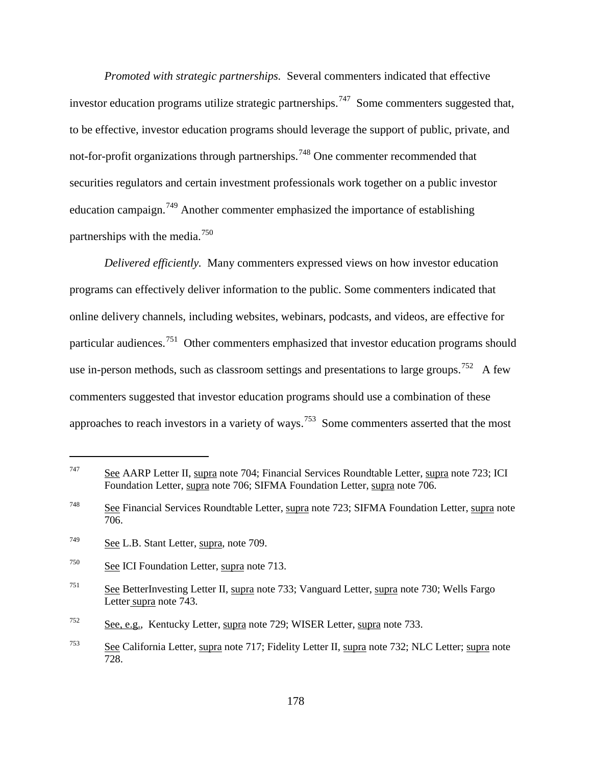*Promoted with strategic partnerships.* Several commenters indicated that effective investor education programs utilize strategic partnerships.<sup>747</sup> Some commenters suggested that, to be effective, investor education programs should leverage the support of public, private, and not-for-profit organizations through partnerships.<sup>[748](#page-207-1)</sup> One commenter recommended that securities regulators and certain investment professionals work together on a public investor education campaign.<sup>[749](#page-207-2)</sup> Another commenter emphasized the importance of establishing partnerships with the media.<sup>[750](#page-207-3)</sup>

*Delivered efficiently.* Many commenters expressed views on how investor education programs can effectively deliver information to the public. Some commenters indicated that online delivery channels, including websites, webinars, podcasts, and videos, are effective for particular audiences.<sup>[751](#page-207-4)</sup> Other commenters emphasized that investor education programs should use in-person methods, such as classroom settings and presentations to large groups.<sup>752</sup> A few commenters suggested that investor education programs should use a combination of these approaches to reach investors in a variety of ways.<sup>[753](#page-207-6)</sup> Some commenters asserted that the most

<span id="page-207-0"></span> $\frac{747}{2}$  See AARP Letter II, supra note 704; Financial Services Roundtable Letter, supra note 723; ICI Foundation Letter, supra note 706; SIFMA Foundation Letter, supra note 706.

<span id="page-207-1"></span><sup>748</sup> See Financial Services Roundtable Letter, supra note 723; SIFMA Foundation Letter, supra note 706.

<span id="page-207-2"></span><sup>749</sup> See L.B. Stant Letter, supra, note 709.

<span id="page-207-3"></span><sup>750</sup> See ICI Foundation Letter, supra note 713.

<span id="page-207-4"></span><sup>751</sup> See BetterInvesting Letter II, supra note 733; Vanguard Letter, supra note 730; Wells Fargo Letter supra note 743.

<span id="page-207-5"></span><sup>752</sup> See, e.g., Kentucky Letter, supra note 729; WISER Letter, supra note 733.

<span id="page-207-6"></span><sup>&</sup>lt;sup>753</sup> See California Letter, supra note 717; Fidelity Letter II, supra note 732; NLC Letter; supra note 728.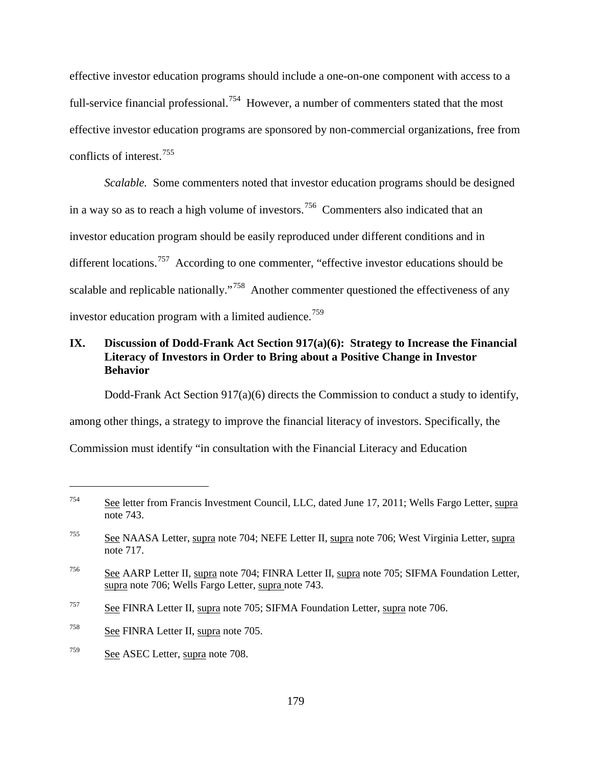effective investor education programs should include a one-on-one component with access to a full-service financial professional.<sup>[754](#page-208-0)</sup> However, a number of commenters stated that the most effective investor education programs are sponsored by non-commercial organizations, free from conflicts of interest.[755](#page-208-1)

*Scalable.* Some commenters noted that investor education programs should be designed in a way so as to reach a high volume of investors.<sup>[756](#page-208-2)</sup> Commenters also indicated that an investor education program should be easily reproduced under different conditions and in different locations.<sup>[757](#page-208-3)</sup> According to one commenter, "effective investor educations should be scalable and replicable nationally."<sup>[758](#page-208-4)</sup> Another commenter questioned the effectiveness of any investor education program with a limited audience.<sup>[759](#page-208-5)</sup>

# **IX. Discussion of Dodd-Frank Act Section 917(a)(6): Strategy to Increase the Financial Literacy of Investors in Order to Bring about a Positive Change in Investor Behavior**

Dodd-Frank Act Section 917(a)(6) directs the Commission to conduct a study to identify, among other things, a strategy to improve the financial literacy of investors. Specifically, the Commission must identify "in consultation with the Financial Literacy and Education

<span id="page-208-0"></span><sup>754</sup> See letter from Francis Investment Council, LLC, dated June 17, 2011; Wells Fargo Letter, supra note 743.

<span id="page-208-1"></span><sup>755</sup> See NAASA Letter, supra note 704; NEFE Letter II, supra note 706; West Virginia Letter, supra note 717.

<span id="page-208-2"></span> $\frac{756}{200}$  See AARP Letter II, supra note 704; FINRA Letter II, supra note 705; SIFMA Foundation Letter, supra note 706; Wells Fargo Letter, supra note 743.

<span id="page-208-3"></span><sup>&</sup>lt;sup>757</sup> See FINRA Letter II, supra note 705; SIFMA Foundation Letter, supra note 706.

<span id="page-208-4"></span> $\frac{758}{200}$  See FINRA Letter II, supra note 705.

<span id="page-208-5"></span> $\frac{759}{200}$  See ASEC Letter, supra note 708.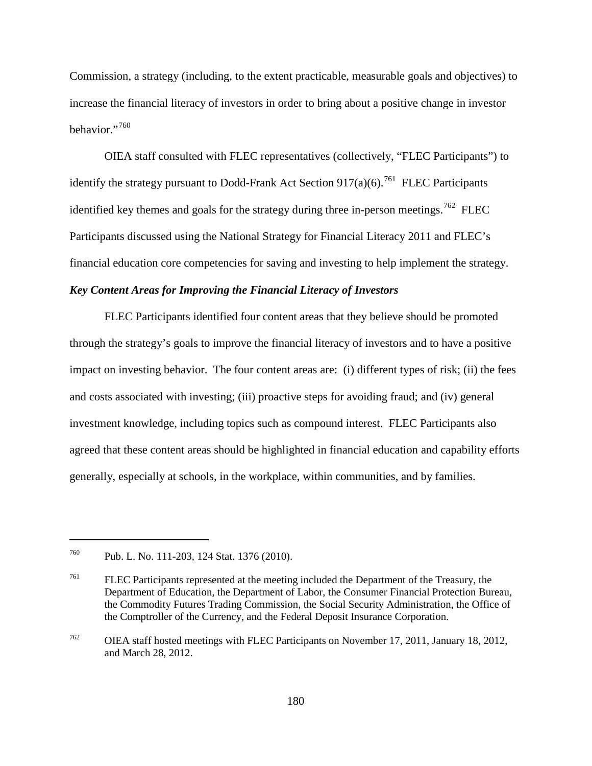Commission, a strategy (including, to the extent practicable, measurable goals and objectives) to increase the financial literacy of investors in order to bring about a positive change in investor behavior."[760](#page-209-0)

OIEA staff consulted with FLEC representatives (collectively, "FLEC Participants") to identify the strategy pursuant to Dodd-Frank Act Section  $917(a)(6)$ <sup>761</sup> FLEC Participants identified key themes and goals for the strategy during three in-person meetings.<sup>[762](#page-209-2)</sup> FLEC Participants discussed using the National Strategy for Financial Literacy 2011 and FLEC's financial education core competencies for saving and investing to help implement the strategy.

## *Key Content Areas for Improving the Financial Literacy of Investors*

FLEC Participants identified four content areas that they believe should be promoted through the strategy's goals to improve the financial literacy of investors and to have a positive impact on investing behavior. The four content areas are: (i) different types of risk; (ii) the fees and costs associated with investing; (iii) proactive steps for avoiding fraud; and (iv) general investment knowledge, including topics such as compound interest. FLEC Participants also agreed that these content areas should be highlighted in financial education and capability efforts generally, especially at schools, in the workplace, within communities, and by families.

<span id="page-209-0"></span><sup>760</sup> Pub. L. No. 111-203, 124 Stat. 1376 (2010).

<span id="page-209-1"></span><sup>&</sup>lt;sup>761</sup> FLEC Participants represented at the meeting included the Department of the Treasury, the Department of Education, the Department of Labor, the Consumer Financial Protection Bureau, the Commodity Futures Trading Commission, the Social Security Administration, the Office of the Comptroller of the Currency, and the Federal Deposit Insurance Corporation.

<span id="page-209-2"></span><sup>762</sup> OIEA staff hosted meetings with FLEC Participants on November 17, 2011, January 18, 2012, and March 28, 2012.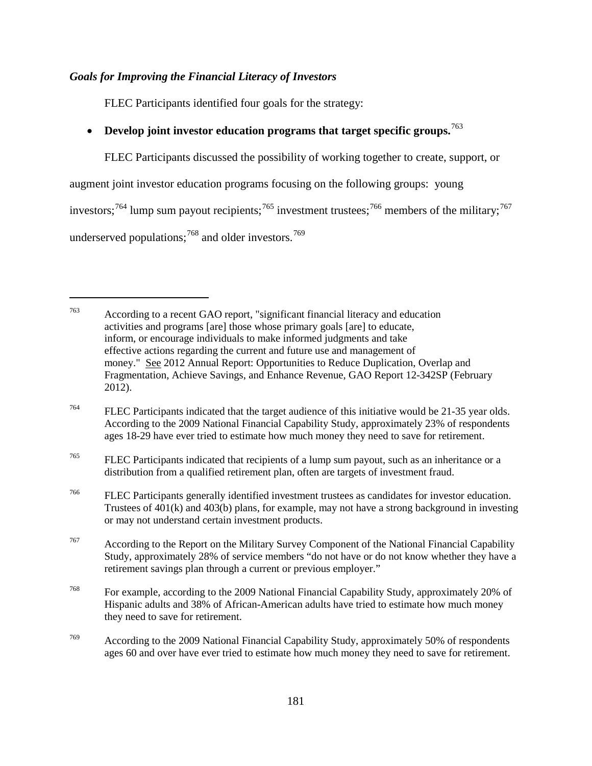# *Goals for Improving the Financial Literacy of Investors*

FLEC Participants identified four goals for the strategy:

# • **Develop joint investor education programs that target specific groups.**[763](#page-210-0)

FLEC Participants discussed the possibility of working together to create, support, or

augment joint investor education programs focusing on the following groups: young

investors;<sup>[764](#page-210-1)</sup> lump sum payout recipients;<sup>[765](#page-210-2)</sup> investment trustees;<sup>[766](#page-210-3)</sup> members of the military;<sup>[767](#page-210-4)</sup>

underserved populations;  $768$  and older investors.  $769$ 

<span id="page-210-0"></span><sup>763</sup> According to a recent GAO report, "significant financial literacy and education activities and programs [are] those whose primary goals [are] to educate, inform, or encourage individuals to make informed judgments and take effective actions regarding the current and future use and management of money." See 2012 Annual Report: Opportunities to Reduce Duplication, Overlap and Fragmentation, Achieve Savings, and Enhance Revenue, GAO Report 12-342SP (February 2012).

<span id="page-210-1"></span><sup>764</sup> FLEC Participants indicated that the target audience of this initiative would be 21-35 year olds. According to the 2009 National Financial Capability Study, approximately 23% of respondents ages 18-29 have ever tried to estimate how much money they need to save for retirement.

<span id="page-210-2"></span><sup>&</sup>lt;sup>765</sup> FLEC Participants indicated that recipients of a lump sum payout, such as an inheritance or a distribution from a qualified retirement plan, often are targets of investment fraud.

<span id="page-210-3"></span><sup>766</sup> FLEC Participants generally identified investment trustees as candidates for investor education. Trustees of 401(k) and 403(b) plans, for example, may not have a strong background in investing or may not understand certain investment products.

<span id="page-210-4"></span><sup>&</sup>lt;sup>767</sup> According to the Report on the Military Survey Component of the National Financial Capability Study, approximately 28% of service members "do not have or do not know whether they have a retirement savings plan through a current or previous employer."

<span id="page-210-5"></span><sup>768</sup> For example, according to the 2009 National Financial Capability Study, approximately 20% of Hispanic adults and 38% of African-American adults have tried to estimate how much money they need to save for retirement.

<span id="page-210-6"></span><sup>769</sup> According to the 2009 National Financial Capability Study, approximately 50% of respondents ages 60 and over have ever tried to estimate how much money they need to save for retirement.